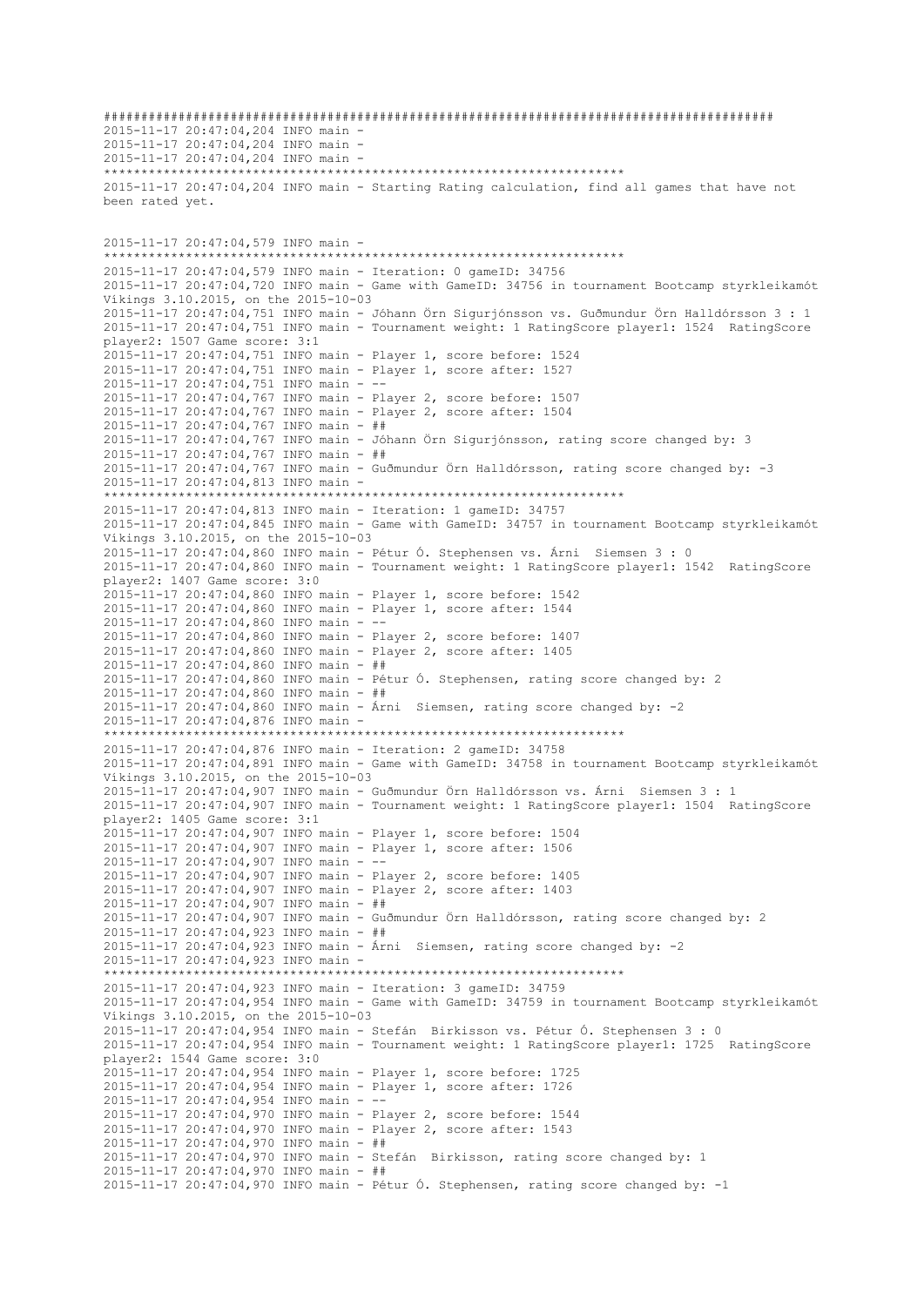########################################################################################## 2015-11-17 20:47:04,204 INFO main - 2015-11-17 20:47:04,204 INFO main - 2015-11-17 20:47:04,204 INFO main - \*\*\*\*\*\*\*\*\*\*\*\*\*\*\*\*\*\*\*\*\*\*\*\*\*\*\*\*\*\*\*\*\*\*\*\*\*\*\*\*\*\*\*\*\*\*\*\*\*\*\*\*\*\*\*\*\*\*\*\*\*\*\*\*\*\*\*\*\*\* 2015-11-17 20:47:04,204 INFO main - Starting Rating calculation, find all games that have not been rated yet. 2015-11-17 20:47:04,579 INFO main - \*\*\*\*\*\*\*\*\*\*\*\*\*\*\*\*\*\*\*\*\*\*\*\*\*\*\*\*\*\*\*\*\*\*\*\*\*\*\*\*\*\*\*\*\*\*\*\*\*\*\*\*\*\*\*\*\*\*\*\*\*\*\*\*\*\*\*\*\*\* 2015-11-17 20:47:04,579 INFO main - Iteration: 0 gameID: 34756 2015-11-17 20:47:04,720 INFO main - Game with GameID: 34756 in tournament Bootcamp styrkleikamót Víkings 3.10.2015, on the 2015-10-03 2015-11-17 20:47:04,751 INFO main - Jóhann Örn Sigurjónsson vs. Guðmundur Örn Halldórsson 3 : 1 2015-11-17 20:47:04,751 INFO main - Tournament weight: 1 RatingScore player1: 1524 RatingScore player2: 1507 Game score: 3:1 2015-11-17 20:47:04,751 INFO main - Player 1, score before: 1524 2015-11-17 20:47:04,751 INFO main - Player 1, score after: 1527 2015-11-17 20:47:04,751 INFO main - -- 2015-11-17 20:47:04,767 INFO main - Player 2, score before: 1507 2015-11-17 20:47:04,767 INFO main - Player 2, score after: 1504 2015-11-17 20:47:04,767 INFO main - ## 2015-11-17 20:47:04,767 INFO main - Jóhann Örn Sigurjónsson, rating score changed by: 3 2015-11-17 20:47:04,767 INFO main - ## 2015-11-17 20:47:04,767 INFO main - Guðmundur Örn Halldórsson, rating score changed by: -3 2015-11-17 20:47:04,813 INFO main - \*\*\*\*\*\*\*\*\*\*\*\*\*\*\*\*\*\*\*\*\*\*\*\*\*\*\*\*\*\*\*\*\*\*\*\*\*\*\*\*\*\*\*\*\*\*\*\*\*\*\*\*\*\*\*\*\*\*\*\*\*\*\*\*\*\*\*\*\*\* 2015-11-17 20:47:04,813 INFO main - Iteration: 1 gameID: 34757 2015-11-17 20:47:04,845 INFO main - Game with GameID: 34757 in tournament Bootcamp styrkleikamót Víkings 3.10.2015, on the 2015-10-03 2015-11-17 20:47:04,860 INFO main - Pétur Ó. Stephensen vs. Árni Siemsen 3 : 0 2015-11-17 20:47:04,860 INFO main - Tournament weight: 1 RatingScore player1: 1542 RatingScore player2: 1407 Game score: 3:0 2015-11-17 20:47:04,860 INFO main - Player 1, score before: 1542 2015-11-17 20:47:04,860 INFO main - Player 1, score after: 1544 2015-11-17 20:47:04,860 INFO main - -- 2015-11-17 20:47:04,860 INFO main - Player 2, score before: 1407 2015-11-17 20:47:04,860 INFO main - Player 2, score after: 1405 2015-11-17 20:47:04,860 INFO main - ## 2015-11-17 20:47:04,860 INFO main - Pétur Ó. Stephensen, rating score changed by: 2 2015-11-17 20:47:04,860 INFO main - ## 2015-11-17 20:47:04,860 INFO main - Árni Siemsen, rating score changed by: -2 2015-11-17 20:47:04,876 INFO main - \*\*\*\*\*\*\*\*\*\*\*\*\*\*\*\*\*\*\*\*\*\*\*\*\*\*\*\*\*\*\*\*\*\*\*\*\*\*\*\*\*\*\*\*\*\*\*\*\*\*\*\*\*\*\*\*\*\*\*\*\*\*\*\*\*\*\*\*\*\* 2015-11-17 20:47:04,876 INFO main - Iteration: 2 gameID: 34758 2015-11-17 20:47:04,891 INFO main - Game with GameID: 34758 in tournament Bootcamp styrkleikamót Víkings 3.10.2015, on the 2015-10-03 2015-11-17 20:47:04,907 INFO main - Guðmundur Örn Halldórsson vs. Árni Siemsen 3 : 1 2015-11-17 20:47:04,907 INFO main - Tournament weight: 1 RatingScore player1: 1504 RatingScore player2: 1405 Game score: 3:1 2015-11-17 20:47:04,907 INFO main - Player 1, score before: 1504 2015-11-17 20:47:04,907 INFO main - Player 1, score after: 1506 2015-11-17 20:47:04,907 INFO main - -- 2015-11-17 20:47:04,907 INFO main - Player 2, score before: 1405 2015-11-17 20:47:04,907 INFO main - Player 2, score after: 1403 2015-11-17 20:47:04,907 INFO main - ## 2015-11-17 20:47:04,907 INFO main - Guðmundur Örn Halldórsson, rating score changed by: 2 2015-11-17 20:47:04,923 INFO main - ## 2015-11-17 20:47:04,923 INFO main - Árni Siemsen, rating score changed by: -2 2015-11-17 20:47:04,923 INFO main - \*\*\*\*\*\*\*\*\*\*\*\*\*\*\*\*\*\*\*\*\*\*\*\*\*\*\*\*\*\*\*\*\*\*\*\*\*\*\*\*\*\*\*\*\*\*\*\*\*\*\*\*\*\*\*\*\*\*\*\*\*\*\*\*\*\*\*\*\*\* 2015-11-17 20:47:04,923 INFO main - Iteration: 3 gameID: 34759 2015-11-17 20:47:04,954 INFO main - Game with GameID: 34759 in tournament Bootcamp styrkleikamót Víkings 3.10.2015, on the 2015-10-03 2015-11-17 20:47:04,954 INFO main - Stefán Birkisson vs. Pétur Ó. Stephensen 3 : 0 2015-11-17 20:47:04,954 INFO main - Tournament weight: 1 RatingScore player1: 1725 RatingScore player2: 1544 Game score: 3:0 2015-11-17 20:47:04,954 INFO main - Player 1, score before: 1725 2015-11-17 20:47:04,954 INFO main - Player 1, score after: 1726 2015-11-17 20:47:04,954 INFO main - -- 2015-11-17 20:47:04,970 INFO main - Player 2, score before: 1544 2015-11-17 20:47:04,970 INFO main - Player 2, score after: 1543 2015-11-17 20:47:04,970 INFO main - ## 2015-11-17 20:47:04,970 INFO main - Stefán Birkisson, rating score changed by: 1 2015-11-17 20:47:04,970 INFO main - ## 2015-11-17 20:47:04,970 INFO main - Pétur Ó. Stephensen, rating score changed by: -1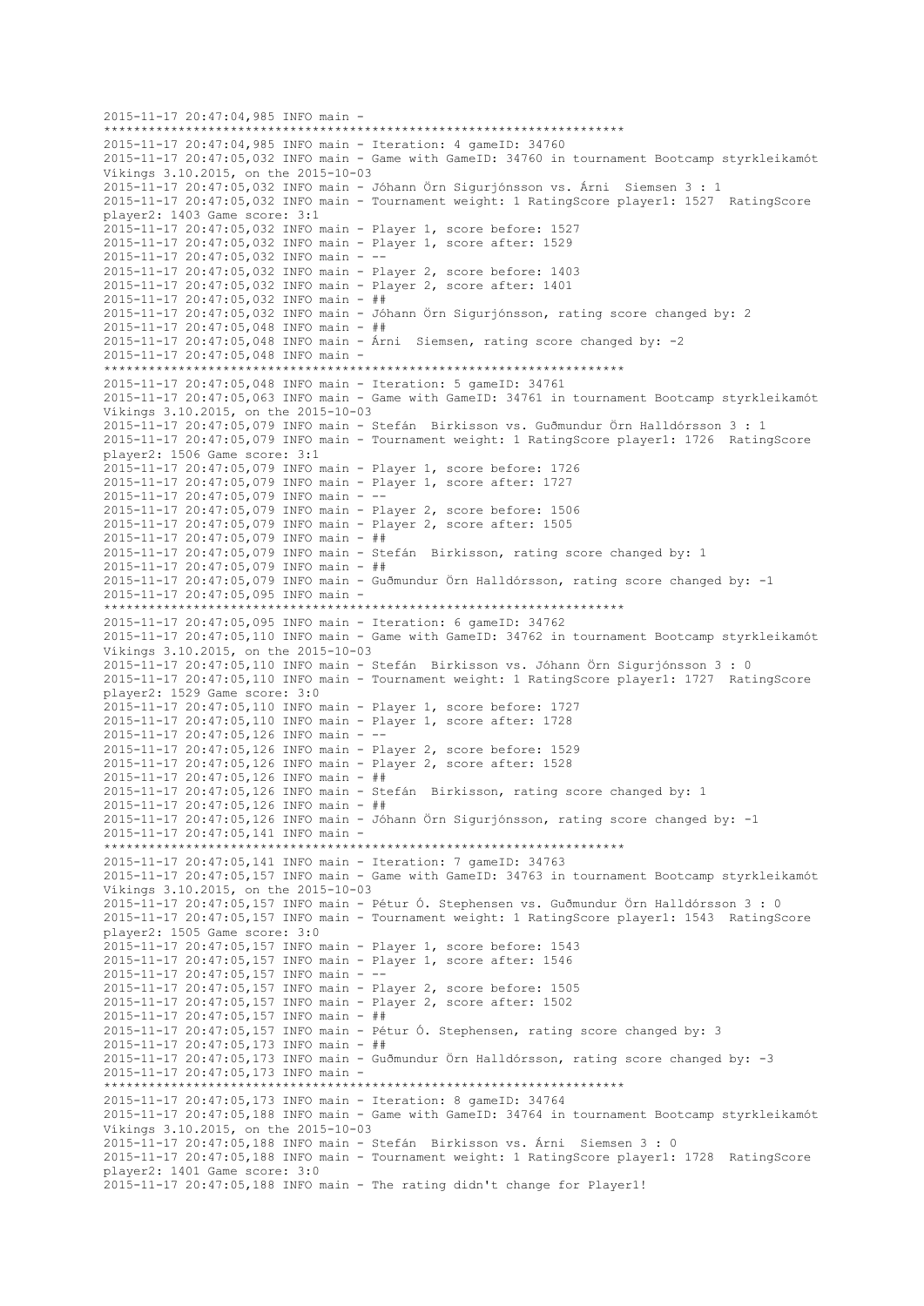2015-11-17 20:47:04,985 INFO main - \*\*\*\*\*\*\*\*\*\*\*\*\*\*\*\*\*\*\*\*\*\*\*\*\*\*\*\*\*\*\*\*\*\*\*\*\*\*\*\*\*\*\*\*\*\*\*\*\*\*\*\*\*\*\*\*\*\*\*\*\*\*\*\*\*\*\*\*\*\* 2015-11-17 20:47:04,985 INFO main - Iteration: 4 gameID: 34760 2015-11-17 20:47:05,032 INFO main - Game with GameID: 34760 in tournament Bootcamp styrkleikamót Víkings 3.10.2015, on the 2015-10-03 2015-11-17 20:47:05,032 INFO main - Jóhann Örn Sigurjónsson vs. Árni Siemsen 3 : 1 2015-11-17 20:47:05,032 INFO main - Tournament weight: 1 RatingScore player1: 1527 RatingScore player2: 1403 Game score: 3:1 2015-11-17 20:47:05,032 INFO main - Player 1, score before: 1527 2015-11-17 20:47:05,032 INFO main - Player 1, score after: 1529 2015-11-17 20:47:05,032 INFO main - -- 2015-11-17 20:47:05,032 INFO main - Player 2, score before: 1403 2015-11-17 20:47:05,032 INFO main - Player 2, score after: 1401 2015-11-17 20:47:05,032 INFO main - ## 2015-11-17 20:47:05,032 INFO main - Jóhann Örn Sigurjónsson, rating score changed by: 2 2015-11-17 20:47:05,048 INFO main - ## 2015-11-17 20:47:05,048 INFO main - Árni Siemsen, rating score changed by: -2 2015-11-17 20:47:05,048 INFO main - \*\*\*\*\*\*\*\*\*\*\*\*\*\*\*\*\*\*\*\*\*\*\*\*\*\*\*\*\*\*\*\*\*\*\*\*\*\*\*\*\*\*\*\*\*\*\*\*\*\*\*\*\*\*\*\*\*\*\*\*\*\*\*\*\*\*\*\*\*\* 2015-11-17 20:47:05,048 INFO main - Iteration: 5 gameID: 34761 2015-11-17 20:47:05,063 INFO main - Game with GameID: 34761 in tournament Bootcamp styrkleikamót Víkings 3.10.2015, on the 2015-10-03 2015-11-17 20:47:05,079 INFO main - Stefán Birkisson vs. Guðmundur Örn Halldórsson 3 : 1 2015-11-17 20:47:05,079 INFO main - Tournament weight: 1 RatingScore player1: 1726 RatingScore player2: 1506 Game score: 3:1 2015-11-17 20:47:05,079 INFO main - Player 1, score before: 1726 2015-11-17 20:47:05,079 INFO main - Player 1, score after: 1727 2015-11-17 20:47:05,079 INFO main - -- 2015-11-17 20:47:05,079 INFO main - Player 2, score before: 1506 2015-11-17 20:47:05,079 INFO main - Player 2, score after: 1505 2015-11-17 20:47:05,079 INFO main - ## 2015-11-17 20:47:05,079 INFO main - Stefán Birkisson, rating score changed by: 1 2015-11-17 20:47:05,079 INFO main - ## 2015-11-17 20:47:05,079 INFO main - Guðmundur Örn Halldórsson, rating score changed by: -1 2015-11-17 20:47:05,095 INFO main - \*\*\*\*\*\*\*\*\*\*\*\*\*\*\*\*\*\*\*\*\*\*\*\*\*\*\*\*\*\*\*\*\*\*\*\*\*\*\*\*\*\*\*\*\*\*\*\*\*\*\*\*\*\*\*\*\*\*\*\*\*\*\*\*\*\*\*\*\*\* 2015-11-17 20:47:05,095 INFO main - Iteration: 6 gameID: 34762 2015-11-17 20:47:05,110 INFO main - Game with GameID: 34762 in tournament Bootcamp styrkleikamót Víkings 3.10.2015, on the 2015-10-03 2015-11-17 20:47:05,110 INFO main - Stefán Birkisson vs. Jóhann Örn Sigurjónsson 3 : 0 2015-11-17 20:47:05,110 INFO main - Tournament weight: 1 RatingScore player1: 1727 RatingScore player2: 1529 Game score: 3:0 2015-11-17 20:47:05,110 INFO main - Player 1, score before: 1727 2015-11-17 20:47:05,110 INFO main - Player 1, score after: 1728 2015-11-17 20:47:05,126 INFO main - -- 2015-11-17 20:47:05,126 INFO main - Player 2, score before: 1529 2015-11-17 20:47:05,126 INFO main - Player 2, score after: 1528 2015-11-17 20:47:05,126 INFO main - ## 2015-11-17 20:47:05,126 INFO main - Stefán Birkisson, rating score changed by: 1 2015-11-17 20:47:05,126 INFO main - ## 2015-11-17 20:47:05,126 INFO main - Jóhann Örn Sigurjónsson, rating score changed by: -1 2015-11-17 20:47:05,141 INFO main - \*\*\*\*\*\*\*\*\*\*\*\*\*\*\*\*\*\*\*\*\*\*\*\*\*\*\*\*\*\*\*\*\*\*\*\*\*\*\*\*\*\*\*\*\*\*\*\*\*\*\*\*\*\*\*\*\*\*\*\*\*\*\*\*\*\*\*\*\*\* 2015-11-17 20:47:05,141 INFO main - Iteration: 7 gameID: 34763 2015-11-17 20:47:05,157 INFO main - Game with GameID: 34763 in tournament Bootcamp styrkleikamót Víkings 3.10.2015, on the 2015-10-03 2015-11-17 20:47:05,157 INFO main - Pétur Ó. Stephensen vs. Guðmundur Örn Halldórsson 3 : 0 2015-11-17 20:47:05,157 INFO main - Tournament weight: 1 RatingScore player1: 1543 RatingScore player2: 1505 Game score: 3:0 2015-11-17 20:47:05,157 INFO main - Player 1, score before: 1543 2015-11-17 20:47:05,157 INFO main - Player 1, score after: 1546 2015-11-17 20:47:05,157 INFO main - -- 2015-11-17 20:47:05,157 INFO main - Player 2, score before: 1505 2015-11-17 20:47:05,157 INFO main - Player 2, score after: 1502 2015-11-17 20:47:05,157 INFO main - ## 2015-11-17 20:47:05,157 INFO main - Pétur Ó. Stephensen, rating score changed by: 3 2015-11-17 20:47:05,173 INFO main - ## 2015-11-17 20:47:05,173 INFO main - Guðmundur Örn Halldórsson, rating score changed by: -3 2015-11-17 20:47:05,173 INFO main - \*\*\*\*\*\*\*\*\*\*\*\*\*\*\*\*\*\*\*\*\*\*\*\*\*\*\*\*\*\*\*\*\*\*\*\*\*\*\*\*\*\*\*\*\*\*\*\*\*\*\*\*\*\*\*\*\*\*\*\*\*\*\*\*\*\*\*\*\*\* 2015-11-17 20:47:05,173 INFO main - Iteration: 8 gameID: 34764 2015-11-17 20:47:05,188 INFO main - Game with GameID: 34764 in tournament Bootcamp styrkleikamót Víkings 3.10.2015, on the 2015-10-03 2015-11-17 20:47:05,188 INFO main - Stefán Birkisson vs. Árni Siemsen 3 : 0 2015-11-17 20:47:05,188 INFO main - Tournament weight: 1 RatingScore player1: 1728 RatingScore player2: 1401 Game score: 3:0 2015-11-17 20:47:05,188 INFO main - The rating didn't change for Player1!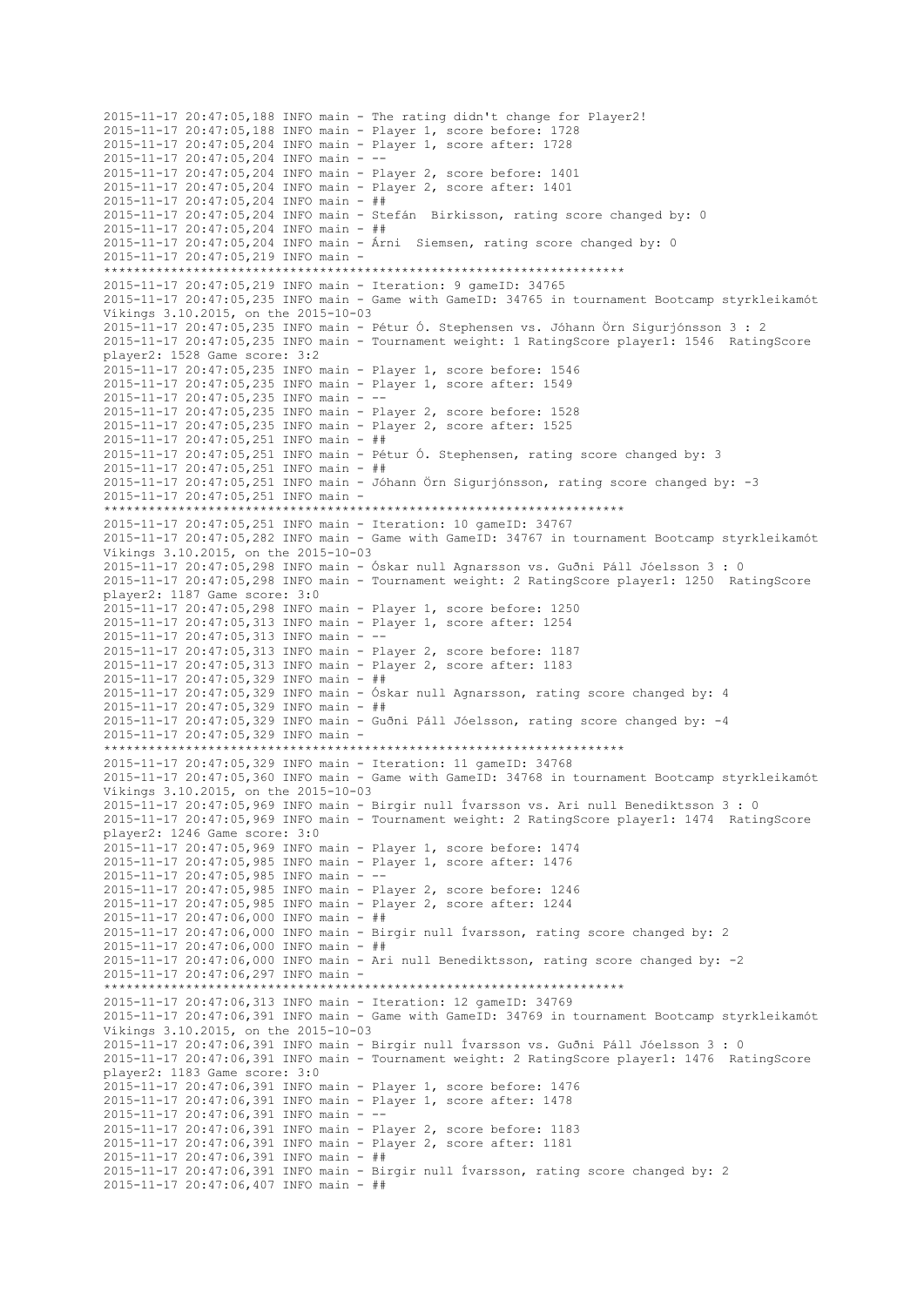2015-11-17 20:47:05,188 INFO main - The rating didn't change for Player2! 2015-11-17 20:47:05,188 INFO main - Player 1, score before: 1728 2015-11-17 20:47:05,204 INFO main - Player 1, score after: 1728 2015-11-17 20:47:05,204 INFO main - -- 2015-11-17 20:47:05,204 INFO main - Player 2, score before: 1401 2015-11-17 20:47:05,204 INFO main - Player 2, score after: 1401 2015-11-17 20:47:05,204 INFO main - ## 2015-11-17 20:47:05,204 INFO main - Stefán Birkisson, rating score changed by: 0 2015-11-17 20:47:05,204 INFO main - ## 2015-11-17 20:47:05,204 INFO main - Árni Siemsen, rating score changed by: 0 2015-11-17 20:47:05,219 INFO main - \*\*\*\*\*\*\*\*\*\*\*\*\*\*\*\*\*\*\*\*\*\*\*\*\*\*\*\*\*\*\*\*\*\*\*\*\*\*\*\*\*\*\*\*\*\*\*\*\*\*\*\*\*\*\*\*\*\*\*\*\*\*\*\*\*\*\*\*\*\* 2015-11-17 20:47:05,219 INFO main - Iteration: 9 gameID: 34765 2015-11-17 20:47:05,235 INFO main - Game with GameID: 34765 in tournament Bootcamp styrkleikamót Víkings 3.10.2015, on the 2015-10-03 2015-11-17 20:47:05,235 INFO main - Pétur Ó. Stephensen vs. Jóhann Örn Sigurjónsson 3 : 2 2015-11-17 20:47:05,235 INFO main - Tournament weight: 1 RatingScore player1: 1546 RatingScore player2: 1528 Game score: 3:2 2015-11-17 20:47:05,235 INFO main - Player 1, score before: 1546 2015-11-17 20:47:05,235 INFO main - Player 1, score after: 1549 2015-11-17 20:47:05,235 INFO main - -- 2015-11-17 20:47:05,235 INFO main - Player 2, score before: 1528 2015-11-17 20:47:05,235 INFO main - Player 2, score after: 1525 2015-11-17 20:47:05,251 INFO main - ## 2015-11-17 20:47:05,251 INFO main - Pétur Ó. Stephensen, rating score changed by: 3 2015-11-17 20:47:05,251 INFO main - ## 2015-11-17 20:47:05,251 INFO main - Jóhann Örn Sigurjónsson, rating score changed by: -3 2015-11-17 20:47:05,251 INFO main - \*\*\*\*\*\*\*\*\*\*\*\*\*\*\*\*\*\*\*\*\*\*\*\*\*\*\*\*\*\*\*\*\*\*\*\*\*\*\*\*\*\*\*\*\*\*\*\*\*\*\*\*\*\*\*\*\*\*\*\*\*\*\*\*\*\*\*\*\*\* 2015-11-17 20:47:05,251 INFO main - Iteration: 10 gameID: 34767 2015-11-17 20:47:05,282 INFO main - Game with GameID: 34767 in tournament Bootcamp styrkleikamót Víkings 3.10.2015, on the 2015-10-03 2015-11-17 20:47:05,298 INFO main - Óskar null Agnarsson vs. Guðni Páll Jóelsson 3 : 0 2015-11-17 20:47:05,298 INFO main - Tournament weight: 2 RatingScore player1: 1250 RatingScore player2: 1187 Game score: 3:0 2015-11-17 20:47:05,298 INFO main - Player 1, score before: 1250 2015-11-17 20:47:05,313 INFO main - Player 1, score after: 1254 2015-11-17 20:47:05,313 INFO main - -- 2015-11-17 20:47:05,313 INFO main - Player 2, score before: 1187 2015-11-17 20:47:05,313 INFO main - Player 2, score after: 1183 2015-11-17 20:47:05,329 INFO main - ## 2015-11-17 20:47:05,329 INFO main - Óskar null Agnarsson, rating score changed by: 4 2015-11-17 20:47:05,329 INFO main - ## 2015-11-17 20:47:05,329 INFO main - Guðni Páll Jóelsson, rating score changed by: -4 2015-11-17 20:47:05,329 INFO main - \*\*\*\*\*\*\*\*\*\*\*\*\*\*\*\*\*\*\*\*\*\*\*\*\*\*\*\*\*\*\*\*\*\*\*\*\*\*\*\*\*\*\*\*\*\*\*\*\*\*\*\*\*\*\*\*\*\*\*\*\*\*\*\*\*\*\*\*\*\* 2015-11-17 20:47:05,329 INFO main - Iteration: 11 gameID: 34768 2015-11-17 20:47:05,360 INFO main - Game with GameID: 34768 in tournament Bootcamp styrkleikamót Víkings 3.10.2015, on the 2015-10-03 2015-11-17 20:47:05,969 INFO main - Birgir null Ívarsson vs. Ari null Benediktsson 3 : 0 2015-11-17 20:47:05,969 INFO main - Tournament weight: 2 RatingScore player1: 1474 RatingScore player2: 1246 Game score: 3:0 2015-11-17 20:47:05,969 INFO main - Player 1, score before: 1474 2015-11-17 20:47:05,985 INFO main - Player 1, score after: 1476 2015-11-17 20:47:05,985 INFO main - -- 2015-11-17 20:47:05,985 INFO main - Player 2, score before: 1246 2015-11-17 20:47:05,985 INFO main - Player 2, score after: 1244 2015-11-17 20:47:06,000 INFO main - ## 2015-11-17 20:47:06,000 INFO main - Birgir null Ívarsson, rating score changed by: 2 2015-11-17 20:47:06,000 INFO main - ## 2015-11-17 20:47:06,000 INFO main - Ari null Benediktsson, rating score changed by: -2 2015-11-17 20:47:06,297 INFO main - \*\*\*\*\*\*\*\*\*\*\*\*\*\*\*\*\*\*\*\*\*\*\*\*\*\*\*\*\*\*\*\*\*\*\*\*\*\*\*\*\*\*\*\*\*\*\*\*\*\*\*\*\*\*\*\*\*\*\*\*\*\*\*\*\*\*\*\*\*\* 2015-11-17 20:47:06,313 INFO main - Iteration: 12 gameID: 34769 2015-11-17 20:47:06,391 INFO main - Game with GameID: 34769 in tournament Bootcamp styrkleikamót Víkings 3.10.2015, on the 2015-10-03 2015-11-17 20:47:06,391 INFO main - Birgir null Ívarsson vs. Guðni Páll Jóelsson 3 : 0 2015-11-17 20:47:06,391 INFO main - Tournament weight: 2 RatingScore player1: 1476 RatingScore player2: 1183 Game score: 3:0 2015-11-17 20:47:06,391 INFO main - Player 1, score before: 1476 2015-11-17 20:47:06,391 INFO main - Player 1, score after: 1478 2015-11-17 20:47:06,391 INFO main - -- 2015-11-17 20:47:06,391 INFO main - Player 2, score before: 1183 2015-11-17 20:47:06,391 INFO main - Player 2, score after: 1181 2015-11-17 20:47:06,391 INFO main - ## 2015-11-17 20:47:06,391 INFO main - Birgir null Ívarsson, rating score changed by: 2 2015-11-17 20:47:06,407 INFO main - ##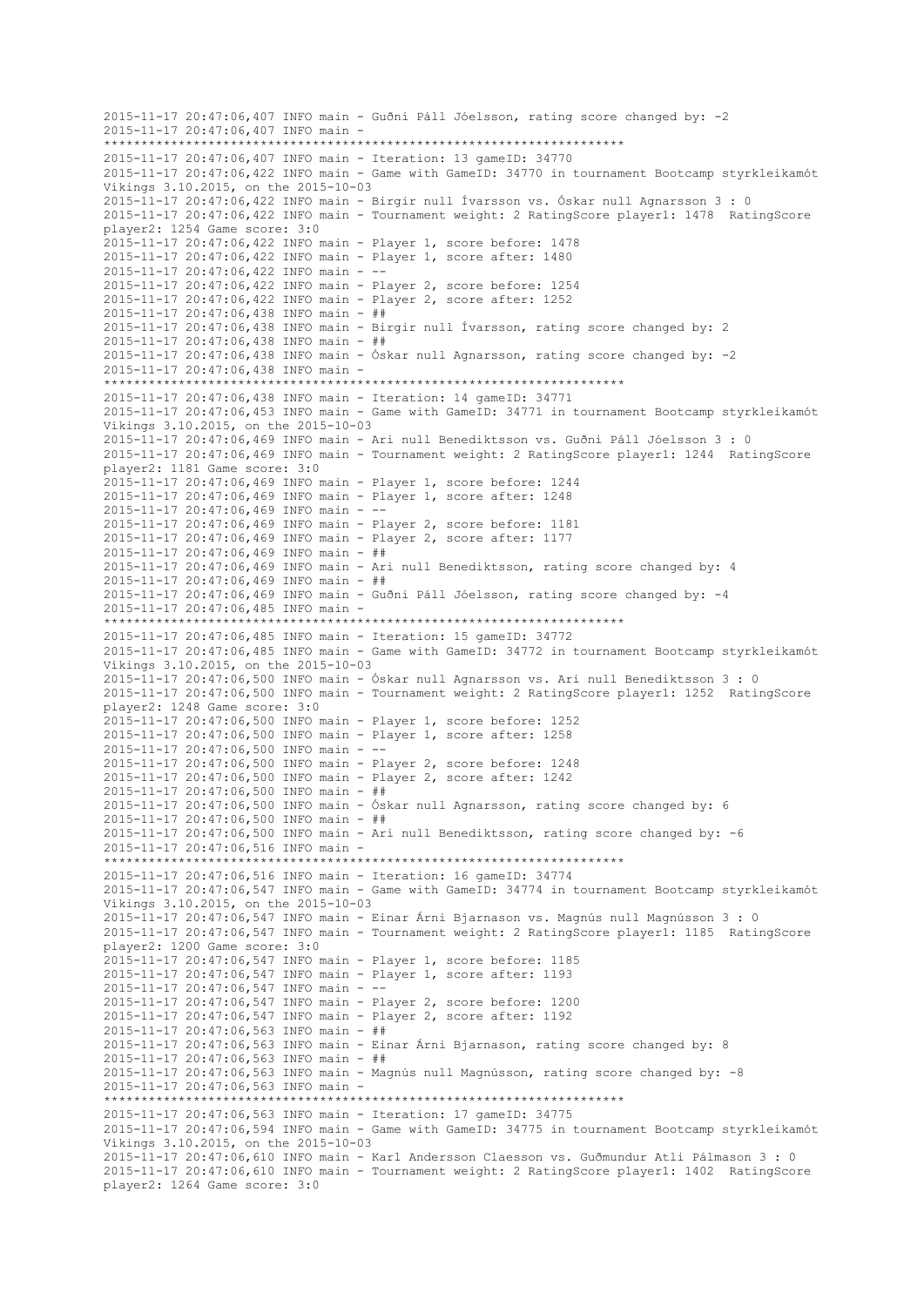2015-11-17 20:47:06,407 INFO main - Guðni Páll Jóelsson, rating score changed by: -2 2015-11-17 20:47:06,407 INFO main - \*\*\*\*\*\*\*\*\*\*\*\*\*\*\*\*\*\*\*\*\*\*\*\*\*\*\*\*\*\*\*\*\*\*\*\*\*\*\*\*\*\*\*\*\*\*\*\*\*\*\*\*\*\*\*\*\*\*\*\*\*\*\*\*\*\*\*\*\*\* 2015-11-17 20:47:06,407 INFO main - Iteration: 13 gameID: 34770 2015-11-17 20:47:06,422 INFO main - Game with GameID: 34770 in tournament Bootcamp styrkleikamót Víkings 3.10.2015, on the 2015-10-03 2015-11-17 20:47:06,422 INFO main - Birgir null Ívarsson vs. Óskar null Agnarsson 3 : 0 2015-11-17 20:47:06,422 INFO main - Tournament weight: 2 RatingScore player1: 1478 RatingScore player2: 1254 Game score: 3:0 2015-11-17 20:47:06,422 INFO main - Player 1, score before: 1478 2015-11-17 20:47:06,422 INFO main - Player 1, score after: 1480 2015-11-17 20:47:06,422 INFO main - -- 2015-11-17 20:47:06,422 INFO main - Player 2, score before: 1254 2015-11-17 20:47:06,422 INFO main - Player 2, score after: 1252 2015-11-17 20:47:06,438 INFO main - ## 2015-11-17 20:47:06,438 INFO main - Birgir null Ívarsson, rating score changed by: 2 2015-11-17 20:47:06,438 INFO main - ## 2015-11-17 20:47:06,438 INFO main - Óskar null Agnarsson, rating score changed by: -2 2015-11-17 20:47:06,438 INFO main - \*\*\*\*\*\*\*\*\*\*\*\*\*\*\*\*\*\*\*\*\*\*\*\*\*\*\*\*\*\*\*\*\*\*\*\*\*\*\*\*\*\*\*\*\*\*\*\*\*\*\*\*\*\*\*\*\*\*\*\*\*\*\*\*\*\*\*\*\*\* 2015-11-17 20:47:06,438 INFO main - Iteration: 14 gameID: 34771 2015-11-17 20:47:06,453 INFO main - Game with GameID: 34771 in tournament Bootcamp styrkleikamót Víkings 3.10.2015, on the 2015-10-03 2015-11-17 20:47:06,469 INFO main - Ari null Benediktsson vs. Guðni Páll Jóelsson 3 : 0 2015-11-17 20:47:06,469 INFO main - Tournament weight: 2 RatingScore player1: 1244 RatingScore player2: 1181 Game score: 3:0 2015-11-17 20:47:06,469 INFO main - Player 1, score before: 1244 2015-11-17 20:47:06,469 INFO main - Player 1, score after: 1248 2015-11-17 20:47:06,469 INFO main - -- 2015-11-17 20:47:06,469 INFO main - Player 2, score before: 1181 2015-11-17 20:47:06,469 INFO main - Player 2, score after: 1177 2015-11-17 20:47:06,469 INFO main - ## 2015-11-17 20:47:06,469 INFO main - Ari null Benediktsson, rating score changed by: 4 2015-11-17 20:47:06,469 INFO main - ## 2015-11-17 20:47:06,469 INFO main - Guðni Páll Jóelsson, rating score changed by: -4 2015-11-17 20:47:06,485 INFO main - \*\*\*\*\*\*\*\*\*\*\*\*\*\*\*\*\*\*\*\*\*\*\*\*\*\*\*\*\*\*\*\*\*\*\*\*\*\*\*\*\*\*\*\*\*\*\*\*\*\*\*\*\*\*\*\*\*\*\*\*\*\*\*\*\*\*\*\*\*\* 2015-11-17 20:47:06,485 INFO main - Iteration: 15 gameID: 34772 2015-11-17 20:47:06,485 INFO main - Game with GameID: 34772 in tournament Bootcamp styrkleikamót Víkings 3.10.2015, on the 2015-10-03 2015-11-17 20:47:06,500 INFO main - Óskar null Agnarsson vs. Ari null Benediktsson 3 : 0 2015-11-17 20:47:06,500 INFO main - Tournament weight: 2 RatingScore player1: 1252 RatingScore player2: 1248 Game score: 3:0 2015-11-17 20:47:06,500 INFO main - Player 1, score before: 1252 2015-11-17 20:47:06,500 INFO main - Player 1, score after: 1258 2015-11-17 20:47:06,500 INFO main - -- 2015-11-17 20:47:06,500 INFO main - Player 2, score before: 1248 2015-11-17 20:47:06,500 INFO main - Player 2, score after: 1242 2015-11-17 20:47:06,500 INFO main - ## 2015-11-17 20:47:06,500 INFO main - Óskar null Agnarsson, rating score changed by: 6  $2015 - 11 - 17$   $20:47:06.500$  INFO main - ## 2015-11-17 20:47:06,500 INFO main - Ari null Benediktsson, rating score changed by: -6 2015-11-17 20:47:06,516 INFO main - \*\*\*\*\*\*\*\*\*\*\*\*\*\*\*\*\*\*\*\*\*\*\*\*\*\*\*\*\*\*\*\*\*\*\*\*\*\*\*\*\*\*\*\*\*\*\*\*\*\*\*\*\*\*\*\*\*\*\*\*\*\*\*\*\*\*\*\*\*\* 2015-11-17 20:47:06,516 INFO main - Iteration: 16 gameID: 34774 2015-11-17 20:47:06,547 INFO main - Game with GameID: 34774 in tournament Bootcamp styrkleikamót Víkings 3.10.2015, on the 2015-10-03 2015-11-17 20:47:06,547 INFO main - Einar Árni Bjarnason vs. Magnús null Magnússon 3 : 0 2015-11-17 20:47:06,547 INFO main - Tournament weight: 2 RatingScore player1: 1185 RatingScore player2: 1200 Game score: 3:0 2015-11-17 20:47:06,547 INFO main - Player 1, score before: 1185 2015-11-17 20:47:06,547 INFO main - Player 1, score after: 1193 2015-11-17 20:47:06,547 INFO main - -- 2015-11-17 20:47:06,547 INFO main - Player 2, score before: 1200 2015-11-17 20:47:06,547 INFO main - Player 2, score after: 1192 2015-11-17 20:47:06,563 INFO main - ## 2015-11-17 20:47:06,563 INFO main - Einar Árni Bjarnason, rating score changed by: 8 2015-11-17 20:47:06,563 INFO main - ## 2015-11-17 20:47:06,563 INFO main - Magnús null Magnússon, rating score changed by: -8 2015-11-17 20:47:06,563 INFO main - \*\*\*\*\*\*\*\*\*\*\*\*\*\*\*\*\*\*\*\*\*\*\*\*\*\*\*\*\*\*\*\*\*\*\*\*\*\*\*\*\*\*\*\*\*\*\*\*\*\*\*\*\*\*\*\*\*\*\*\*\*\*\*\*\*\*\*\*\*\* 2015-11-17 20:47:06,563 INFO main - Iteration: 17 gameID: 34775 2015-11-17 20:47:06,594 INFO main - Game with GameID: 34775 in tournament Bootcamp styrkleikamót Víkings 3.10.2015, on the 2015-10-03 2015-11-17 20:47:06,610 INFO main - Karl Andersson Claesson vs. Guðmundur Atli Pálmason 3 : 0 2015-11-17 20:47:06,610 INFO main - Tournament weight: 2 RatingScore player1: 1402 RatingScore player2: 1264 Game score: 3:0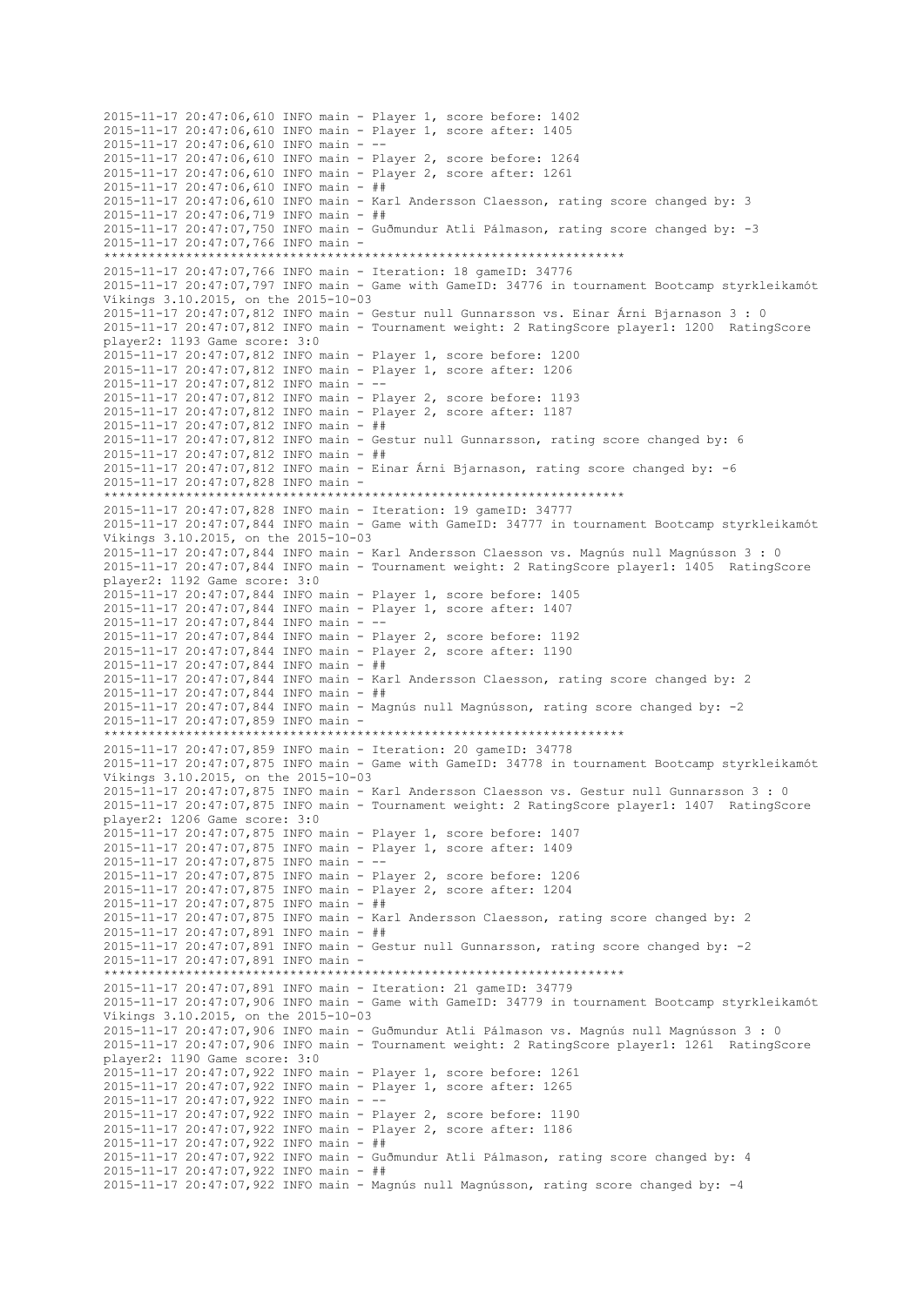2015-11-17 20:47:06,610 INFO main - Player 1, score before: 1402 2015-11-17 20:47:06,610 INFO main - Player 1, score after: 1405 2015-11-17 20:47:06,610 INFO main - -- 2015-11-17 20:47:06,610 INFO main - Player 2, score before: 1264 2015-11-17 20:47:06,610 INFO main - Player 2, score after: 1261 2015-11-17 20:47:06,610 INFO main - ## 2015-11-17 20:47:06,610 INFO main - Karl Andersson Claesson, rating score changed by: 3 2015-11-17 20:47:06,719 INFO main - ## 2015-11-17 20:47:07,750 INFO main - Guðmundur Atli Pálmason, rating score changed by: -3 2015-11-17 20:47:07,766 INFO main - \*\*\*\*\*\*\*\*\*\*\*\*\*\*\*\*\*\*\*\*\*\*\*\*\*\*\*\*\*\*\*\*\*\*\*\*\*\*\*\*\*\*\*\*\*\*\*\*\*\*\*\*\*\*\*\*\*\*\*\*\*\*\*\*\*\*\*\*\*\* 2015-11-17 20:47:07,766 INFO main - Iteration: 18 gameID: 34776 2015-11-17 20:47:07,797 INFO main - Game with GameID: 34776 in tournament Bootcamp styrkleikamót Víkings 3.10.2015, on the 2015-10-03 2015-11-17 20:47:07,812 INFO main - Gestur null Gunnarsson vs. Einar Árni Bjarnason 3 : 0 2015-11-17 20:47:07,812 INFO main - Tournament weight: 2 RatingScore player1: 1200 RatingScore player2: 1193 Game score: 3:0 2015-11-17 20:47:07,812 INFO main - Player 1, score before: 1200 2015-11-17 20:47:07,812 INFO main - Player 1, score after: 1206 2015-11-17 20:47:07,812 INFO main - -- 2015-11-17 20:47:07,812 INFO main - Player 2, score before: 1193 2015-11-17 20:47:07,812 INFO main - Player 2, score after: 1187 2015-11-17 20:47:07,812 INFO main - ## 2015-11-17 20:47:07,812 INFO main - Gestur null Gunnarsson, rating score changed by: 6 2015-11-17 20:47:07,812 INFO main - ## 2015-11-17 20:47:07,812 INFO main - Einar Árni Bjarnason, rating score changed by: -6 2015-11-17 20:47:07,828 INFO main - \*\*\*\*\*\*\*\*\*\*\*\*\*\*\*\*\*\*\*\*\*\*\*\*\*\*\*\*\*\*\*\*\*\*\*\*\*\*\*\*\*\*\*\*\*\*\*\*\*\*\*\*\*\*\*\*\*\*\*\*\*\*\*\*\*\*\*\*\*\* 2015-11-17 20:47:07,828 INFO main - Iteration: 19 gameID: 34777 2015-11-17 20:47:07,844 INFO main - Game with GameID: 34777 in tournament Bootcamp styrkleikamót Víkings 3.10.2015, on the 2015-10-03 2015-11-17 20:47:07,844 INFO main - Karl Andersson Claesson vs. Magnús null Magnússon 3 : 0 2015-11-17 20:47:07,844 INFO main - Tournament weight: 2 RatingScore player1: 1405 RatingScore player2: 1192 Game score: 3:0 2015-11-17 20:47:07,844 INFO main - Player 1, score before: 1405 2015-11-17 20:47:07,844 INFO main - Player 1, score after: 1407 2015-11-17 20:47:07,844 INFO main - -2015-11-17 20:47:07,844 INFO main - Player 2, score before: 1192 2015-11-17 20:47:07,844 INFO main - Player 2, score after: 1190 2015-11-17 20:47:07,844 INFO main - ## 2015-11-17 20:47:07,844 INFO main - Karl Andersson Claesson, rating score changed by: 2 2015-11-17 20:47:07,844 INFO main - ## 2015-11-17 20:47:07,844 INFO main - Magnús null Magnússon, rating score changed by: -2 2015-11-17 20:47:07,859 INFO main - \*\*\*\*\*\*\*\*\*\*\*\*\*\*\*\*\*\*\*\*\*\*\*\*\*\*\*\*\*\*\*\*\*\*\*\*\*\*\*\*\*\*\*\*\*\*\*\*\*\*\*\*\*\*\*\*\*\*\*\*\*\*\*\*\*\*\*\*\*\* 2015-11-17 20:47:07,859 INFO main - Iteration: 20 gameID: 34778 2015-11-17 20:47:07,875 INFO main - Game with GameID: 34778 in tournament Bootcamp styrkleikamót Víkings 3.10.2015, on the 2015-10-03 2015-11-17 20:47:07,875 INFO main - Karl Andersson Claesson vs. Gestur null Gunnarsson 3 : 0 2015-11-17 20:47:07,875 INFO main - Tournament weight: 2 RatingScore player1: 1407 RatingScore player2: 1206 Game score: 3:0 2015-11-17 20:47:07,875 INFO main - Player 1, score before: 1407 2015-11-17 20:47:07,875 INFO main - Player 1, score after: 1409 2015-11-17 20:47:07,875 INFO main - -- 2015-11-17 20:47:07,875 INFO main - Player 2, score before: 1206 2015-11-17 20:47:07,875 INFO main - Player 2, score after: 1204 2015-11-17 20:47:07,875 INFO main - ## 2015-11-17 20:47:07,875 INFO main - Karl Andersson Claesson, rating score changed by: 2 2015-11-17 20:47:07,891 INFO main - ## 2015-11-17 20:47:07,891 INFO main - Gestur null Gunnarsson, rating score changed by: -2 2015-11-17 20:47:07,891 INFO main - \*\*\*\*\*\*\*\*\*\*\*\*\*\*\*\*\*\*\*\*\*\*\*\*\*\*\*\*\*\*\*\*\*\*\*\*\*\*\*\*\*\*\*\*\*\*\*\*\*\*\*\*\*\*\*\*\*\*\*\*\*\*\*\*\*\*\*\*\*\* 2015-11-17 20:47:07,891 INFO main - Iteration: 21 gameID: 34779 2015-11-17 20:47:07,906 INFO main - Game with GameID: 34779 in tournament Bootcamp styrkleikamót Víkings 3.10.2015, on the 2015-10-03 2015-11-17 20:47:07,906 INFO main - Guðmundur Atli Pálmason vs. Magnús null Magnússon 3 : 0 2015-11-17 20:47:07,906 INFO main - Tournament weight: 2 RatingScore player1: 1261 RatingScore player2: 1190 Game score: 3:0 2015-11-17 20:47:07,922 INFO main - Player 1, score before: 1261 2015-11-17 20:47:07,922 INFO main - Player 1, score after: 1265 2015-11-17 20:47:07,922 INFO main - -- 2015-11-17 20:47:07,922 INFO main - Player 2, score before: 1190 2015-11-17 20:47:07,922 INFO main - Player 2, score after: 1186 2015-11-17 20:47:07,922 INFO main - ## 2015-11-17 20:47:07,922 INFO main - Guðmundur Atli Pálmason, rating score changed by: 4 2015-11-17 20:47:07,922 INFO main - ## 2015-11-17 20:47:07,922 INFO main - Magnús null Magnússon, rating score changed by: -4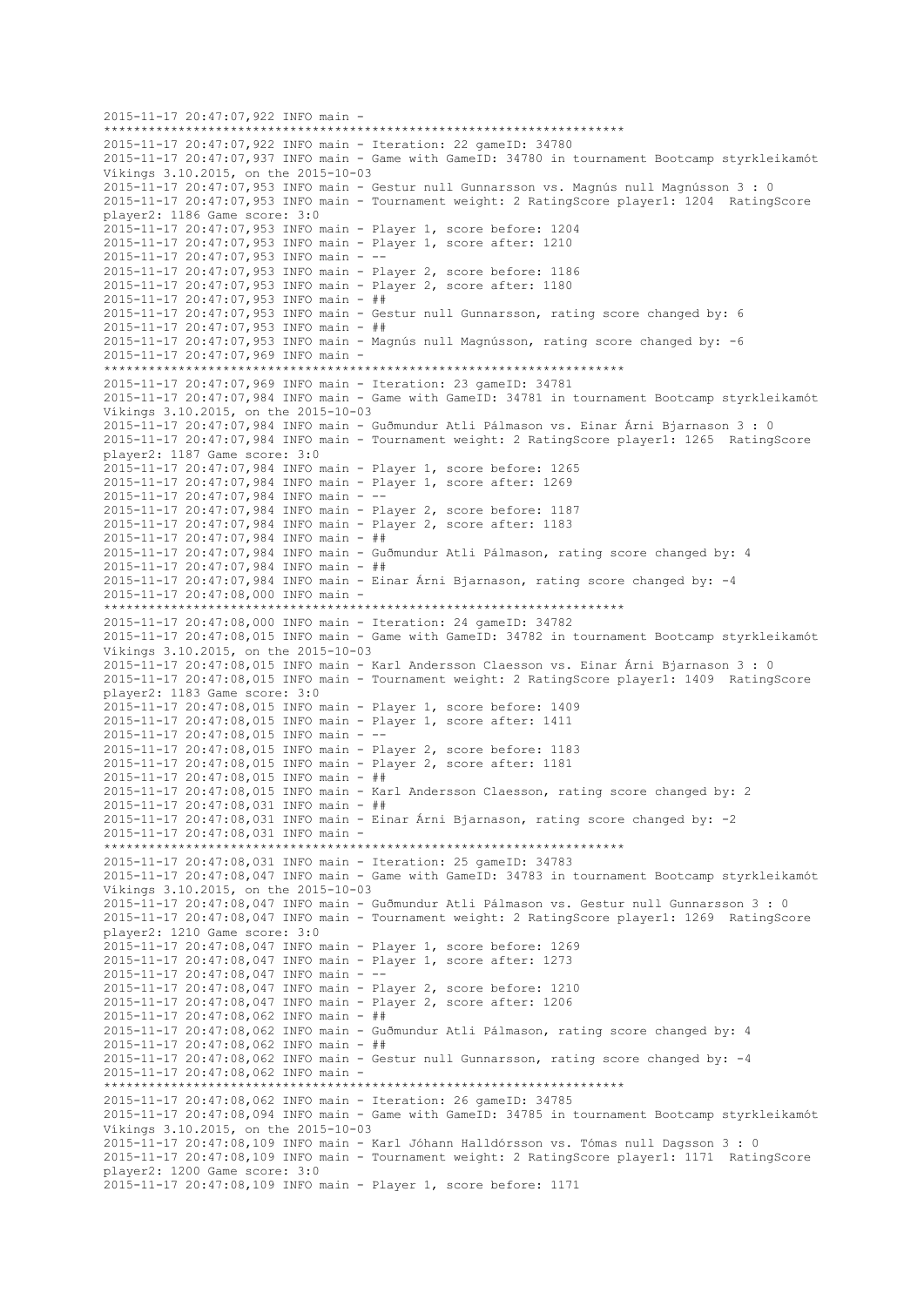2015-11-17 20:47:07,922 INFO main - \*\*\*\*\*\*\*\*\*\*\*\*\*\*\*\*\*\*\*\*\*\*\*\*\*\*\*\*\*\*\*\*\*\*\*\*\*\*\*\*\*\*\*\*\*\*\*\*\*\*\*\*\*\*\*\*\*\*\*\*\*\*\*\*\*\*\*\*\*\* 2015-11-17 20:47:07,922 INFO main - Iteration: 22 gameID: 34780 2015-11-17 20:47:07,937 INFO main - Game with GameID: 34780 in tournament Bootcamp styrkleikamót Víkings 3.10.2015, on the 2015-10-03 2015-11-17 20:47:07,953 INFO main - Gestur null Gunnarsson vs. Magnús null Magnússon 3 : 0 2015-11-17 20:47:07,953 INFO main - Tournament weight: 2 RatingScore player1: 1204 RatingScore player2: 1186 Game score: 3:0 2015-11-17 20:47:07,953 INFO main - Player 1, score before: 1204 2015-11-17 20:47:07,953 INFO main - Player 1, score after: 1210 2015-11-17 20:47:07,953 INFO main - -- 2015-11-17 20:47:07,953 INFO main - Player 2, score before: 1186 2015-11-17 20:47:07,953 INFO main - Player 2, score after: 1180 2015-11-17 20:47:07,953 INFO main - ## 2015-11-17 20:47:07,953 INFO main - Gestur null Gunnarsson, rating score changed by: 6 2015-11-17 20:47:07,953 INFO main - ## 2015-11-17 20:47:07,953 INFO main - Magnús null Magnússon, rating score changed by: -6 2015-11-17 20:47:07,969 INFO main - \*\*\*\*\*\*\*\*\*\*\*\*\*\*\*\*\*\*\*\*\*\*\*\*\*\*\*\*\*\*\*\*\*\*\*\*\*\*\*\*\*\*\*\*\*\*\*\*\*\*\*\*\*\*\*\*\*\*\*\*\*\*\*\*\*\*\*\*\*\* 2015-11-17 20:47:07,969 INFO main - Iteration: 23 gameID: 34781 2015-11-17 20:47:07,984 INFO main - Game with GameID: 34781 in tournament Bootcamp styrkleikamót Víkings 3.10.2015, on the 2015-10-03 2015-11-17 20:47:07,984 INFO main - Guðmundur Atli Pálmason vs. Einar Árni Bjarnason 3 : 0 2015-11-17 20:47:07,984 INFO main - Tournament weight: 2 RatingScore player1: 1265 RatingScore player2: 1187 Game score: 3:0 2015-11-17 20:47:07,984 INFO main - Player 1, score before: 1265 2015-11-17 20:47:07,984 INFO main - Player 1, score after: 1269 2015-11-17 20:47:07,984 INFO main - -- 2015-11-17 20:47:07,984 INFO main - Player 2, score before: 1187 2015-11-17 20:47:07,984 INFO main - Player 2, score after: 1183 2015-11-17 20:47:07,984 INFO main - ## 2015-11-17 20:47:07,984 INFO main - Guðmundur Atli Pálmason, rating score changed by: 4 2015-11-17 20:47:07,984 INFO main - ## 2015-11-17 20:47:07,984 INFO main - Einar Árni Bjarnason, rating score changed by: -4 2015-11-17 20:47:08,000 INFO main - \*\*\*\*\*\*\*\*\*\*\*\*\*\*\*\*\*\*\*\*\*\*\*\*\*\*\*\*\*\*\*\*\*\*\*\*\*\*\*\*\*\*\*\*\*\*\*\*\*\*\*\*\*\*\*\*\*\*\*\*\*\*\*\*\*\*\*\*\*\* 2015-11-17 20:47:08,000 INFO main - Iteration: 24 gameID: 34782 2015-11-17 20:47:08,015 INFO main - Game with GameID: 34782 in tournament Bootcamp styrkleikamót Víkings 3.10.2015, on the 2015-10-03 2015-11-17 20:47:08,015 INFO main - Karl Andersson Claesson vs. Einar Árni Bjarnason 3 : 0 2015-11-17 20:47:08,015 INFO main - Tournament weight: 2 RatingScore player1: 1409 RatingScore player2: 1183 Game score: 3:0 2015-11-17 20:47:08,015 INFO main - Player 1, score before: 1409 2015-11-17 20:47:08,015 INFO main - Player 1, score after: 1411 2015-11-17 20:47:08,015 INFO main - -- 2015-11-17 20:47:08,015 INFO main - Player 2, score before: 1183 2015-11-17 20:47:08,015 INFO main - Player 2, score after: 1181 2015-11-17 20:47:08,015 INFO main - ## 2015-11-17 20:47:08,015 INFO main - Karl Andersson Claesson, rating score changed by: 2 2015-11-17 20:47:08,031 INFO main - ## 2015-11-17 20:47:08,031 INFO main - Einar Árni Bjarnason, rating score changed by: -2 2015-11-17 20:47:08,031 INFO main - \*\*\*\*\*\*\*\*\*\*\*\*\*\*\*\*\*\*\*\*\*\*\*\*\*\*\*\*\*\*\*\*\*\*\*\*\*\*\*\*\*\*\*\*\*\*\*\*\*\*\*\*\*\*\*\*\*\*\*\*\*\*\*\*\*\*\*\*\*\* 2015-11-17 20:47:08,031 INFO main - Iteration: 25 gameID: 34783 2015-11-17 20:47:08,047 INFO main - Game with GameID: 34783 in tournament Bootcamp styrkleikamót Víkings 3.10.2015, on the 2015-10-03 2015-11-17 20:47:08,047 INFO main - Guðmundur Atli Pálmason vs. Gestur null Gunnarsson 3 : 0 2015-11-17 20:47:08,047 INFO main - Tournament weight: 2 RatingScore player1: 1269 RatingScore player2: 1210 Game score: 3:0 2015-11-17 20:47:08,047 INFO main - Player 1, score before: 1269 2015-11-17 20:47:08,047 INFO main - Player 1, score after: 1273 2015-11-17 20:47:08,047 INFO main - -- 2015-11-17 20:47:08,047 INFO main - Player 2, score before: 1210 2015-11-17 20:47:08,047 INFO main - Player 2, score after: 1206 2015-11-17 20:47:08,062 INFO main - ## 2015-11-17 20:47:08,062 INFO main - Guðmundur Atli Pálmason, rating score changed by: 4 2015-11-17 20:47:08,062 INFO main - ## 2015-11-17 20:47:08,062 INFO main - Gestur null Gunnarsson, rating score changed by: -4 2015-11-17 20:47:08,062 INFO main - \*\*\*\*\*\*\*\*\*\*\*\*\*\*\*\*\*\*\*\*\*\*\*\*\*\*\*\*\*\*\*\*\*\*\*\*\*\*\*\*\*\*\*\*\*\*\*\*\*\*\*\*\*\*\*\*\*\*\*\*\*\*\*\*\*\*\*\*\*\* 2015-11-17 20:47:08,062 INFO main - Iteration: 26 gameID: 34785 2015-11-17 20:47:08,094 INFO main - Game with GameID: 34785 in tournament Bootcamp styrkleikamót Víkings 3.10.2015, on the 2015-10-03 2015-11-17 20:47:08,109 INFO main - Karl Jóhann Halldórsson vs. Tómas null Dagsson 3 : 0 2015-11-17 20:47:08,109 INFO main - Tournament weight: 2 RatingScore player1: 1171 RatingScore player2: 1200 Game score: 3:0 2015-11-17 20:47:08,109 INFO main - Player 1, score before: 1171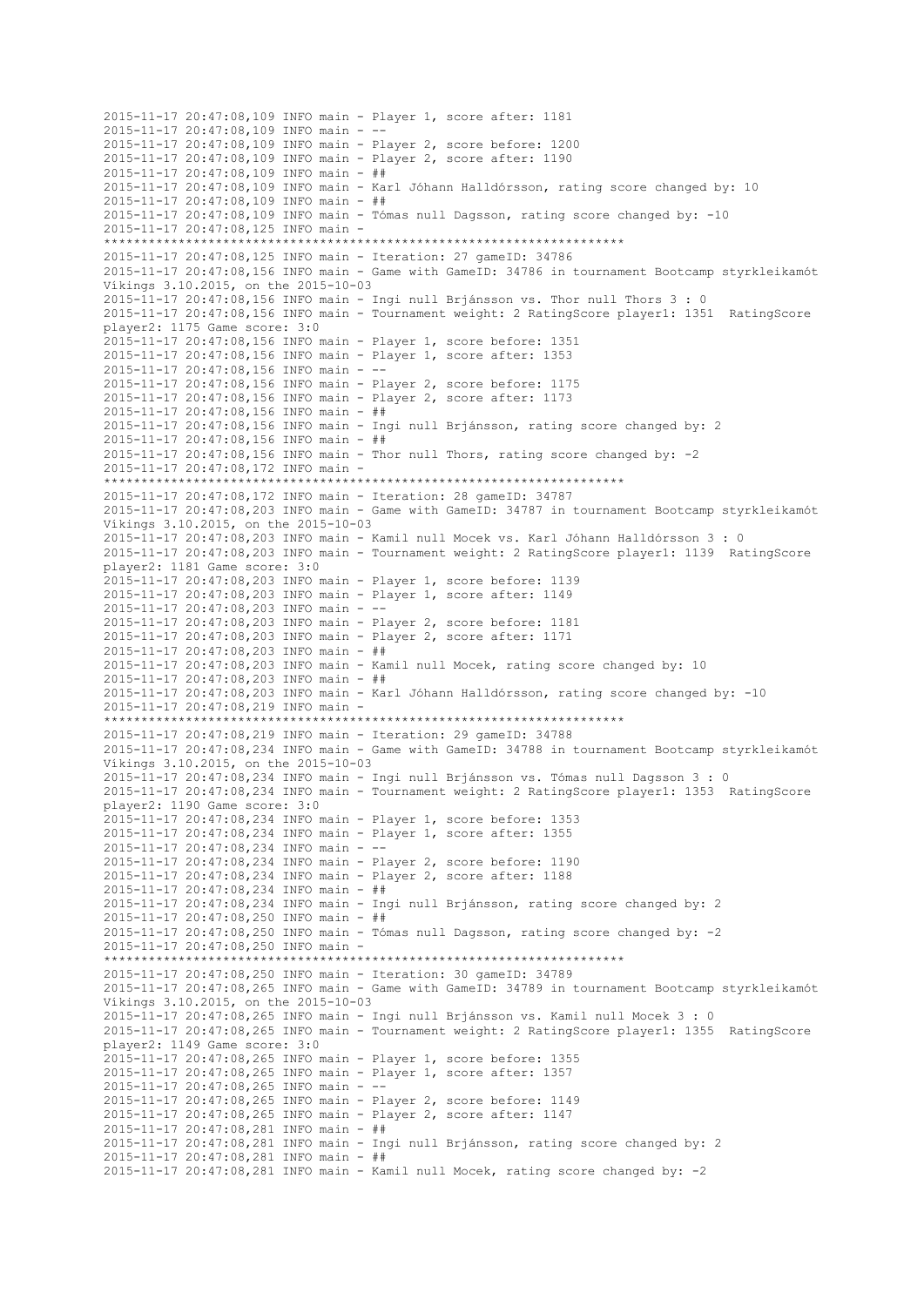2015-11-17 20:47:08,109 INFO main - Player 1, score after: 1181 2015-11-17 20:47:08,109 INFO main -2015-11-17 20:47:08,109 INFO main - Player 2, score before: 1200 2015-11-17 20:47:08,109 INFO main - Player 2, score after: 1190 2015-11-17 20:47:08,109 INFO main - ## 2015-11-17 20:47:08,109 INFO main - Karl Jóhann Halldórsson, rating score changed by: 10 2015-11-17 20:47:08,109 INFO main - ## 2015-11-17 20:47:08,109 INFO main - Tómas null Dagsson, rating score changed by: -10 2015-11-17 20:47:08,125 INFO main - \*\*\*\*\*\*\*\*\*\*\*\*\*\*\*\*\*\*\*\*\*\*\*\*\*\*\*\*\*\*\*\*\*\*\*\*\*\*\*\*\*\*\*\*\*\*\*\*\*\*\*\*\*\*\*\*\*\*\*\*\*\*\*\*\*\*\*\*\*\* 2015-11-17 20:47:08,125 INFO main - Iteration: 27 gameID: 34786 2015-11-17 20:47:08,156 INFO main - Game with GameID: 34786 in tournament Bootcamp styrkleikamót Víkings 3.10.2015, on the 2015-10-03 2015-11-17 20:47:08,156 INFO main - Ingi null Brjánsson vs. Thor null Thors 3 : 0 2015-11-17 20:47:08,156 INFO main - Tournament weight: 2 RatingScore player1: 1351 RatingScore player2: 1175 Game score: 3:0 2015-11-17 20:47:08,156 INFO main - Player 1, score before: 1351 2015-11-17 20:47:08,156 INFO main - Player 1, score after: 1353 2015-11-17 20:47:08,156 INFO main - -- 2015-11-17 20:47:08,156 INFO main - Player 2, score before: 1175 2015-11-17 20:47:08,156 INFO main - Player 2, score after: 1173 2015-11-17 20:47:08,156 INFO main - ## 2015-11-17 20:47:08,156 INFO main - Ingi null Brjánsson, rating score changed by: 2 2015-11-17 20:47:08,156 INFO main - ## 2015-11-17 20:47:08,156 INFO main - Thor null Thors, rating score changed by: -2 2015-11-17 20:47:08,172 INFO main - \*\*\*\*\*\*\*\*\*\*\*\*\*\*\*\*\*\*\*\*\*\*\*\*\*\*\*\*\*\*\*\*\*\*\*\*\*\*\*\*\*\*\*\*\*\*\*\*\*\*\*\*\*\*\*\*\*\*\*\*\*\*\*\*\*\*\*\*\*\* 2015-11-17 20:47:08,172 INFO main - Iteration: 28 gameID: 34787 2015-11-17 20:47:08,203 INFO main - Game with GameID: 34787 in tournament Bootcamp styrkleikamót Víkings 3.10.2015, on the 2015-10-03 2015-11-17 20:47:08,203 INFO main - Kamil null Mocek vs. Karl Jóhann Halldórsson 3 : 0 2015-11-17 20:47:08,203 INFO main - Tournament weight: 2 RatingScore player1: 1139 RatingScore player2: 1181 Game score: 3:0 2015-11-17 20:47:08,203 INFO main - Player 1, score before: 1139 2015-11-17 20:47:08,203 INFO main - Player 1, score after: 1149 2015-11-17 20:47:08,203 INFO main - -- 2015-11-17 20:47:08,203 INFO main - Player 2, score before: 1181 2015-11-17 20:47:08,203 INFO main - Player 2, score after: 1171 2015-11-17 20:47:08,203 INFO main - ## 2015-11-17 20:47:08,203 INFO main - Kamil null Mocek, rating score changed by: 10 2015-11-17 20:47:08,203 INFO main - ## 2015-11-17 20:47:08,203 INFO main - Karl Jóhann Halldórsson, rating score changed by: -10 2015-11-17 20:47:08,219 INFO main - \*\*\*\*\*\*\*\*\*\*\*\*\*\*\*\*\*\*\*\*\*\*\*\*\*\*\*\*\*\*\*\*\*\*\*\*\*\*\*\*\*\*\*\*\*\*\*\*\*\*\*\*\*\*\*\*\*\*\*\*\*\*\*\*\*\*\*\*\*\* 2015-11-17 20:47:08,219 INFO main - Iteration: 29 gameID: 34788 2015-11-17 20:47:08,234 INFO main - Game with GameID: 34788 in tournament Bootcamp styrkleikamót Víkings 3.10.2015, on the 2015-10-03 2015-11-17 20:47:08,234 INFO main - Ingi null Brjánsson vs. Tómas null Dagsson 3 : 0 2015-11-17 20:47:08,234 INFO main - Tournament weight: 2 RatingScore player1: 1353 RatingScore player2: 1190 Game score: 3:0 2015-11-17 20:47:08,234 INFO main - Player 1, score before: 1353 2015-11-17 20:47:08,234 INFO main - Player 1, score after: 1355 2015-11-17 20:47:08,234 INFO main - -- 2015-11-17 20:47:08,234 INFO main - Player 2, score before: 1190 2015-11-17 20:47:08,234 INFO main - Player 2, score after: 1188 2015-11-17 20:47:08,234 INFO main - ## 2015-11-17 20:47:08,234 INFO main - Ingi null Brjánsson, rating score changed by: 2 2015-11-17 20:47:08,250 INFO main - ## 2015-11-17 20:47:08,250 INFO main - Tómas null Dagsson, rating score changed by: -2 2015-11-17 20:47:08,250 INFO main - \*\*\*\*\*\*\*\*\*\*\*\*\*\*\*\*\*\*\*\*\*\*\*\*\*\*\*\*\*\*\*\*\*\*\*\*\*\*\*\*\*\*\*\*\*\*\*\*\*\*\*\*\*\*\*\*\*\*\*\*\*\*\*\*\*\*\*\*\*\* 2015-11-17 20:47:08,250 INFO main - Iteration: 30 gameID: 34789 2015-11-17 20:47:08,265 INFO main - Game with GameID: 34789 in tournament Bootcamp styrkleikamót Víkings 3.10.2015, on the 2015-10-03 2015-11-17 20:47:08,265 INFO main - Ingi null Brjánsson vs. Kamil null Mocek 3 : 0 2015-11-17 20:47:08,265 INFO main - Tournament weight: 2 RatingScore player1: 1355 RatingScore player2: 1149 Game score: 3:0 2015-11-17 20:47:08,265 INFO main - Player 1, score before: 1355 2015-11-17 20:47:08,265 INFO main - Player 1, score after: 1357 2015-11-17 20:47:08,265 INFO main - -- 2015-11-17 20:47:08,265 INFO main - Player 2, score before: 1149 2015-11-17 20:47:08,265 INFO main - Player 2, score after: 1147 2015-11-17 20:47:08,281 INFO main - ## 2015-11-17 20:47:08,281 INFO main - Ingi null Brjánsson, rating score changed by: 2 2015-11-17 20:47:08,281 INFO main - ## 2015-11-17 20:47:08,281 INFO main - Kamil null Mocek, rating score changed by: -2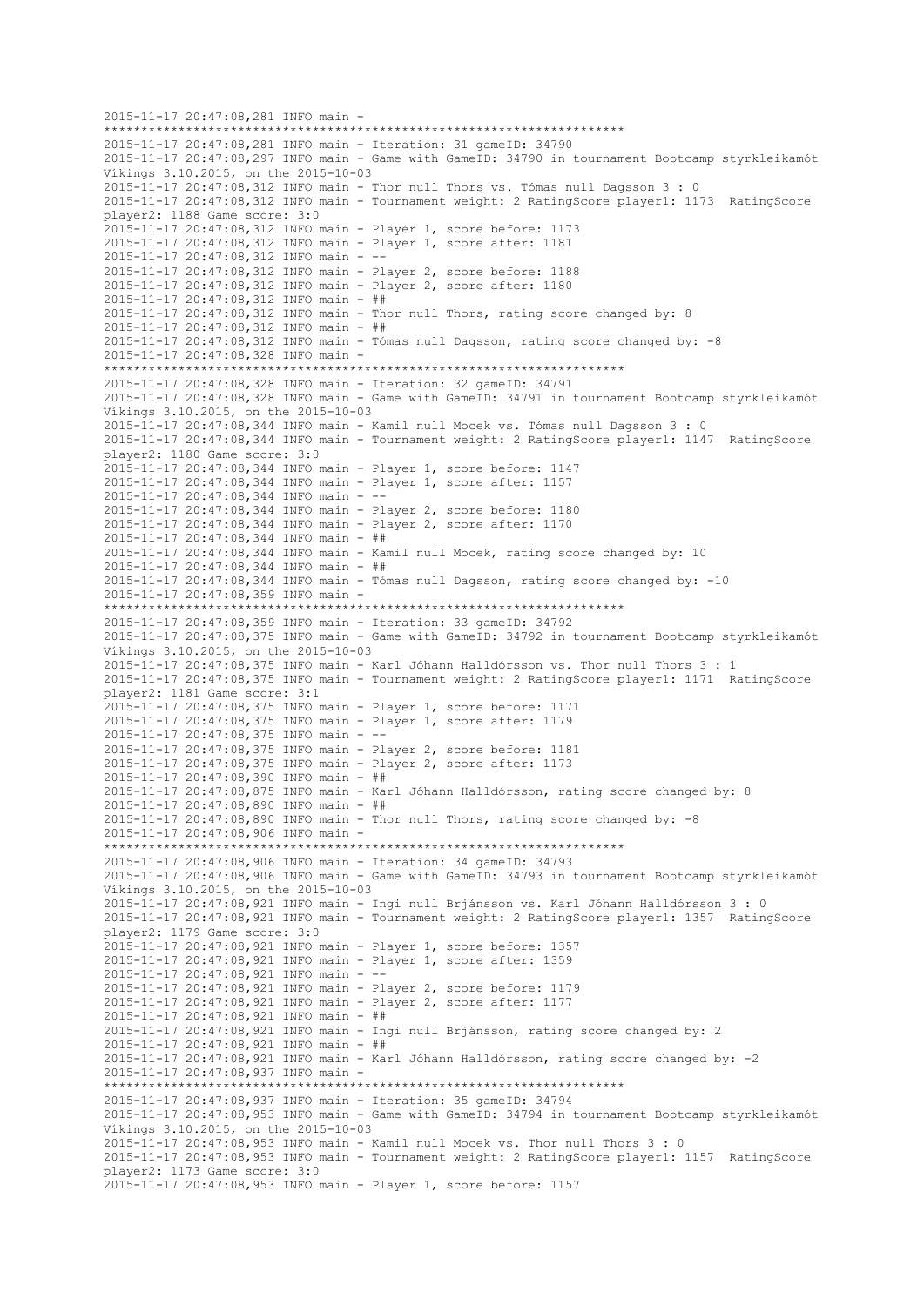```
2015-11-17 20:47:08,281 INFO main -
                         **********************************************************************
2015-11-17 20:47:08,281 INFO main - Iteration: 31 gameID: 34790
2015-11-17 20:47:08,297 INFO main - Game with GameID: 34790 in tournament Bootcamp styrkleikamót 
Víkings 3.10.2015, on the 2015-10-03
2015-11-17 20:47:08,312 INFO main - Thor null Thors vs. Tómas null Dagsson 3 : 0
2015-11-17 20:47:08,312 INFO main - Tournament weight: 2 RatingScore player1: 1173 RatingScore 
player2: 1188 Game score: 3:0
2015-11-17 20:47:08,312 INFO main - Player 1, score before: 1173
2015-11-17 20:47:08,312 INFO main - Player 1, score after: 1181
2015-11-17 20:47:08,312 INFO main - --
2015-11-17 20:47:08,312 INFO main - Player 2, score before: 1188
2015-11-17 20:47:08,312 INFO main - Player 2, score after: 1180
2015-11-17 20:47:08,312 INFO main - ##
2015-11-17 20:47:08,312 INFO main - Thor null Thors, rating score changed by: 8
2015-11-17 20:47:08,312 INFO main - ##
2015-11-17 20:47:08,312 INFO main - Tómas null Dagsson, rating score changed by: -8
2015-11-17 20:47:08,328 INFO main -
     **********************************************************************
2015-11-17 20:47:08,328 INFO main - Iteration: 32 gameID: 34791
2015-11-17 20:47:08,328 INFO main - Game with GameID: 34791 in tournament Bootcamp styrkleikamót 
Víkings 3.10.2015, on the 2015-10-03
2015-11-17 20:47:08,344 INFO main - Kamil null Mocek vs. Tómas null Dagsson 3 : 0
2015-11-17 20:47:08,344 INFO main - Tournament weight: 2 RatingScore player1: 1147 RatingScore 
player2: 1180 Game score: 3:0
2015-11-17 20:47:08,344 INFO main - Player 1, score before: 1147
2015-11-17 20:47:08,344 INFO main - Player 1, score after: 1157
2015-11-17 20:47:08,344 INFO main - --
2015-11-17 20:47:08,344 INFO main - Player 2, score before: 1180
2015-11-17 20:47:08,344 INFO main - Player 2, score after: 1170
2015-11-17 20:47:08,344 INFO main - ##
2015-11-17 20:47:08,344 INFO main - Kamil null Mocek, rating score changed by: 10
2015-11-17 20:47:08,344 INFO main - ##
2015-11-17 20:47:08,344 INFO main - Tómas null Dagsson, rating score changed by: -10
2015-11-17 20:47:08,359 INFO main -
**********************************************************************
2015-11-17 20:47:08,359 INFO main - Iteration: 33 gameID: 34792
2015-11-17 20:47:08,375 INFO main - Game with GameID: 34792 in tournament Bootcamp styrkleikamót 
Víkings 3.10.2015, on the 2015-10-03
2015-11-17 20:47:08,375 INFO main - Karl Jóhann Halldórsson vs. Thor null Thors 3 : 1
2015-11-17 20:47:08,375 INFO main - Tournament weight: 2 RatingScore player1: 1171 RatingScore 
player2: 1181 Game score: 3:1
2015-11-17 20:47:08,375 INFO main - Player 1, score before: 1171
2015-11-17 20:47:08,375 INFO main - Player 1, score after: 1179
2015-11-17 20:47:08,375 INFO main - --
2015-11-17 20:47:08,375 INFO main - Player 2, score before: 1181
2015-11-17 20:47:08,375 INFO main - Player 2, score after: 1173
2015-11-17 20:47:08,390 INFO main - ##
2015-11-17 20:47:08,875 INFO main - Karl Jóhann Halldórsson, rating score changed by: 8
2015-11-17 20:47:08,890 INFO main - ##
2015-11-17 20:47:08,890 INFO main - Thor null Thors, rating score changed by: -82015-11-17 20:47:08,906 INFO main -
                    **********************************************************************
2015-11-17 20:47:08,906 INFO main - Iteration: 34 gameID: 34793
2015-11-17 20:47:08,906 INFO main - Game with GameID: 34793 in tournament Bootcamp styrkleikamót 
Víkings 3.10.2015, on the 2015-10-03
2015-11-17 20:47:08,921 INFO main - Ingi null Brjánsson vs. Karl Jóhann Halldórsson 3 : 0
2015-11-17 20:47:08,921 INFO main - Tournament weight: 2 RatingScore player1: 1357 RatingScore 
player2: 1179 Game score: 3:0
2015-11-17 20:47:08,921 INFO main - Player 1, score before: 1357
2015-11-17 20:47:08,921 INFO main - Player 1, score after: 1359
2015-11-17 20:47:08,921 INFO main - --
2015-11-17 20:47:08,921 INFO main - Player 2, score before: 1179
2015-11-17 20:47:08,921 INFO main - Player 2, score after: 1177
2015-11-17 20:47:08,921 INFO main - ##
2015-11-17 20:47:08,921 INFO main - Ingi null Brjánsson, rating score changed by: 2
2015-11-17 20:47:08,921 INFO main - ##
2015-11-17 20:47:08,921 INFO main - Karl Jóhann Halldórsson, rating score changed by: -2
2015-11-17 20:47:08,937 INFO main -
**********************************************************************
2015-11-17 20:47:08,937 INFO main - Iteration: 35 gameID: 34794
2015-11-17 20:47:08,953 INFO main - Game with GameID: 34794 in tournament Bootcamp styrkleikamót 
Víkings 3.10.2015, on the 2015-10-03
2015-11-17 20:47:08,953 INFO main - Kamil null Mocek vs. Thor null Thors 3 : 0
2015-11-17 20:47:08,953 INFO main - Tournament weight: 2 RatingScore player1: 1157 RatingScore 
player2: 1173 Game score: 3:0
2015-11-17 20:47:08,953 INFO main - Player 1, score before: 1157
```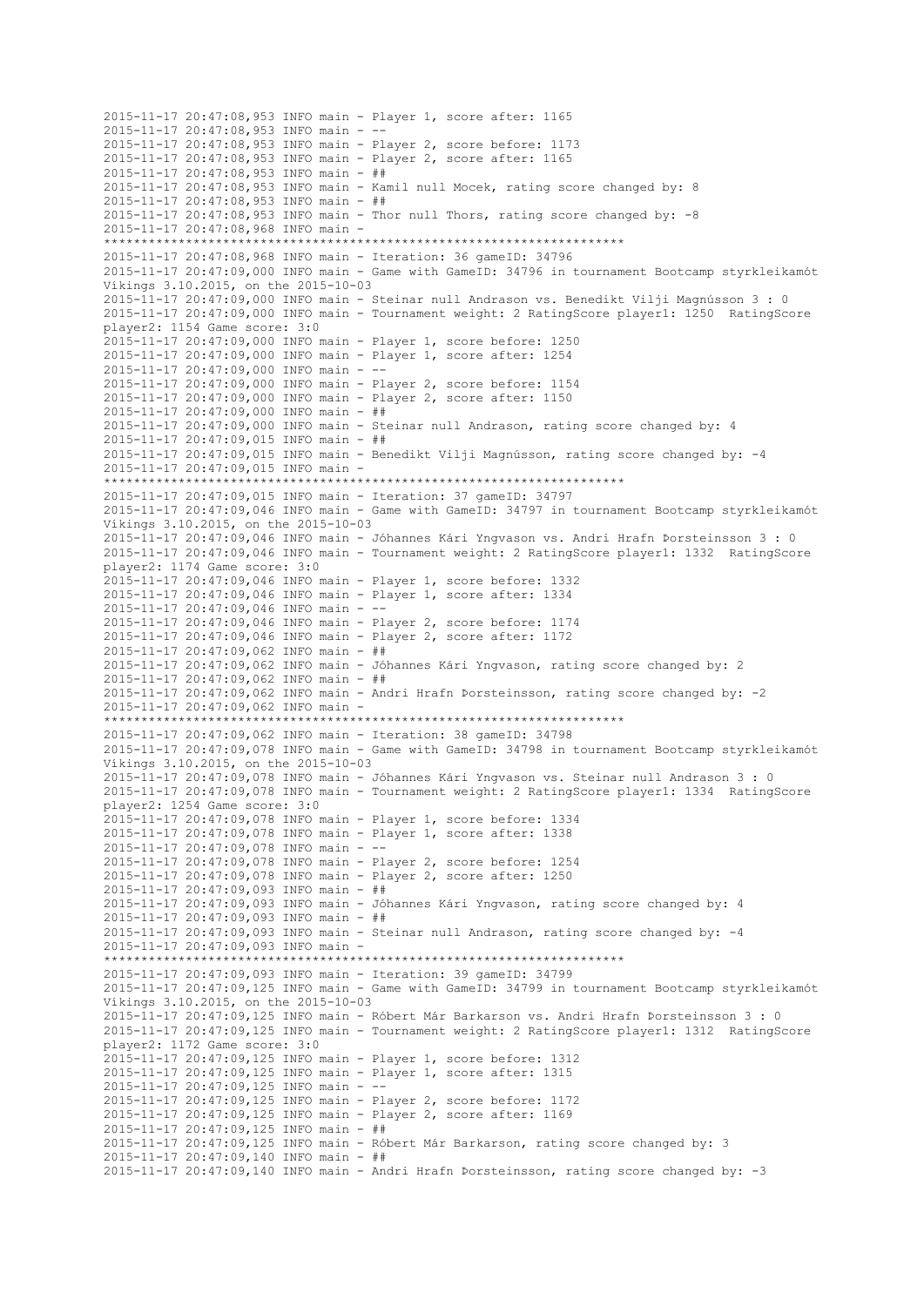2015-11-17 20:47:08,953 INFO main - Player 1, score after: 1165 2015-11-17 20:47:08,953 INFO main -2015-11-17 20:47:08,953 INFO main - Player 2, score before: 1173 2015-11-17 20:47:08,953 INFO main - Player 2, score after: 1165 2015-11-17 20:47:08,953 INFO main - ## 2015-11-17 20:47:08,953 INFO main - Kamil null Mocek, rating score changed by: 8 2015-11-17 20:47:08,953 INFO main - ## 2015-11-17 20:47:08,953 INFO main - Thor null Thors, rating score changed by: -8 2015-11-17 20:47:08,968 INFO main - \*\*\*\*\*\*\*\*\*\*\*\*\*\*\*\*\*\*\*\*\*\*\*\*\*\*\*\*\*\*\*\*\*\*\*\*\*\*\*\*\*\*\*\*\*\*\*\*\*\*\*\*\*\*\*\*\*\*\*\*\*\*\*\*\*\*\*\*\*\* 2015-11-17 20:47:08,968 INFO main - Iteration: 36 gameID: 34796 2015-11-17 20:47:09,000 INFO main - Game with GameID: 34796 in tournament Bootcamp styrkleikamót Víkings 3.10.2015, on the 2015-10-03 2015-11-17 20:47:09,000 INFO main - Steinar null Andrason vs. Benedikt Vilji Magnússon 3 : 0 2015-11-17 20:47:09,000 INFO main - Tournament weight: 2 RatingScore player1: 1250 RatingScore player2: 1154 Game score: 3:0 2015-11-17 20:47:09,000 INFO main - Player 1, score before: 1250 2015-11-17 20:47:09,000 INFO main - Player 1, score after: 1254 2015-11-17 20:47:09,000 INFO main - -- 2015-11-17 20:47:09,000 INFO main - Player 2, score before: 1154 2015-11-17 20:47:09,000 INFO main - Player 2, score after: 1150 2015-11-17 20:47:09,000 INFO main - ## 2015-11-17 20:47:09,000 INFO main - Steinar null Andrason, rating score changed by: 4 2015-11-17 20:47:09,015 INFO main - ## 2015-11-17 20:47:09,015 INFO main - Benedikt Vilji Magnússon, rating score changed by: -4 2015-11-17 20:47:09,015 INFO main - \*\*\*\*\*\*\*\*\*\*\*\*\*\*\*\*\*\*\*\*\*\*\*\*\*\*\*\*\*\*\*\*\*\*\*\*\*\*\*\*\*\*\*\*\*\*\*\*\*\*\*\*\*\*\*\*\*\*\*\*\*\*\*\*\*\*\*\*\*\* 2015-11-17 20:47:09,015 INFO main - Iteration: 37 gameID: 34797 2015-11-17 20:47:09,046 INFO main - Game with GameID: 34797 in tournament Bootcamp styrkleikamót Víkings 3.10.2015, on the 2015-10-03 2015-11-17 20:47:09,046 INFO main - Jóhannes Kári Yngvason vs. Andri Hrafn Þorsteinsson 3 : 0 2015-11-17 20:47:09,046 INFO main - Tournament weight: 2 RatingScore player1: 1332 RatingScore player2: 1174 Game score: 3:0 2015-11-17 20:47:09,046 INFO main - Player 1, score before: 1332 2015-11-17 20:47:09,046 INFO main - Player 1, score after: 1334 2015-11-17 20:47:09,046 INFO main - -- 2015-11-17 20:47:09,046 INFO main - Player 2, score before: 1174 2015-11-17 20:47:09,046 INFO main - Player 2, score after: 1172 2015-11-17 20:47:09,062 INFO main - ## 2015-11-17 20:47:09,062 INFO main - Jóhannes Kári Yngvason, rating score changed by: 2 2015-11-17 20:47:09,062 INFO main - ## 2015-11-17 20:47:09,062 INFO main - Andri Hrafn Þorsteinsson, rating score changed by: -2 2015-11-17 20:47:09,062 INFO main - \*\*\*\*\*\*\*\*\*\*\*\*\*\*\*\*\*\*\*\*\*\*\*\*\*\*\*\*\*\*\*\*\*\*\*\*\*\*\*\*\*\*\*\*\*\*\*\*\*\*\*\*\*\*\*\*\*\*\*\*\*\*\*\*\*\*\*\*\*\* 2015-11-17 20:47:09,062 INFO main - Iteration: 38 gameID: 34798 2015-11-17 20:47:09,078 INFO main - Game with GameID: 34798 in tournament Bootcamp styrkleikamót Víkings 3.10.2015, on the 2015-10-03 2015-11-17 20:47:09,078 INFO main - Jóhannes Kári Yngvason vs. Steinar null Andrason 3 : 0 2015-11-17 20:47:09,078 INFO main - Tournament weight: 2 RatingScore player1: 1334 RatingScore player2: 1254 Game score: 3:0 2015-11-17 20:47:09,078 INFO main - Player 1, score before: 1334 2015-11-17 20:47:09,078 INFO main - Player 1, score after: 1338 2015-11-17 20:47:09,078 INFO main - -- 2015-11-17 20:47:09,078 INFO main - Player 2, score before: 1254 2015-11-17 20:47:09,078 INFO main - Player 2, score after: 1250 2015-11-17 20:47:09,093 INFO main - ## 2015-11-17 20:47:09,093 INFO main - Jóhannes Kári Yngvason, rating score changed by: 4 2015-11-17 20:47:09,093 INFO main - ## 2015-11-17 20:47:09,093 INFO main - Steinar null Andrason, rating score changed by: -4 2015-11-17 20:47:09,093 INFO main - \*\*\*\*\*\*\*\*\*\*\*\*\*\*\*\*\*\*\*\*\*\*\*\*\*\*\*\*\*\*\*\*\*\*\*\*\*\*\*\*\*\*\*\*\*\*\*\*\*\*\*\*\*\*\*\*\*\*\*\*\*\*\*\*\*\*\*\*\*\* 2015-11-17 20:47:09,093 INFO main - Iteration: 39 gameID: 34799 2015-11-17 20:47:09,125 INFO main - Game with GameID: 34799 in tournament Bootcamp styrkleikamót Víkings 3.10.2015, on the 2015-10-03 2015-11-17 20:47:09,125 INFO main - Róbert Már Barkarson vs. Andri Hrafn Þorsteinsson 3 : 0 2015-11-17 20:47:09,125 INFO main - Tournament weight: 2 RatingScore player1: 1312 RatingScore player2: 1172 Game score: 3:0 2015-11-17 20:47:09,125 INFO main - Player 1, score before: 1312 2015-11-17 20:47:09,125 INFO main - Player 1, score after: 1315 2015-11-17 20:47:09,125 INFO main - -- 2015-11-17 20:47:09,125 INFO main - Player 2, score before: 1172 2015-11-17 20:47:09,125 INFO main - Player 2, score after: 1169 2015-11-17 20:47:09,125 INFO main - ## 2015-11-17 20:47:09,125 INFO main - Róbert Már Barkarson, rating score changed by: 3 2015-11-17 20:47:09,140 INFO main - ## 2015-11-17 20:47:09,140 INFO main - Andri Hrafn Þorsteinsson, rating score changed by: -3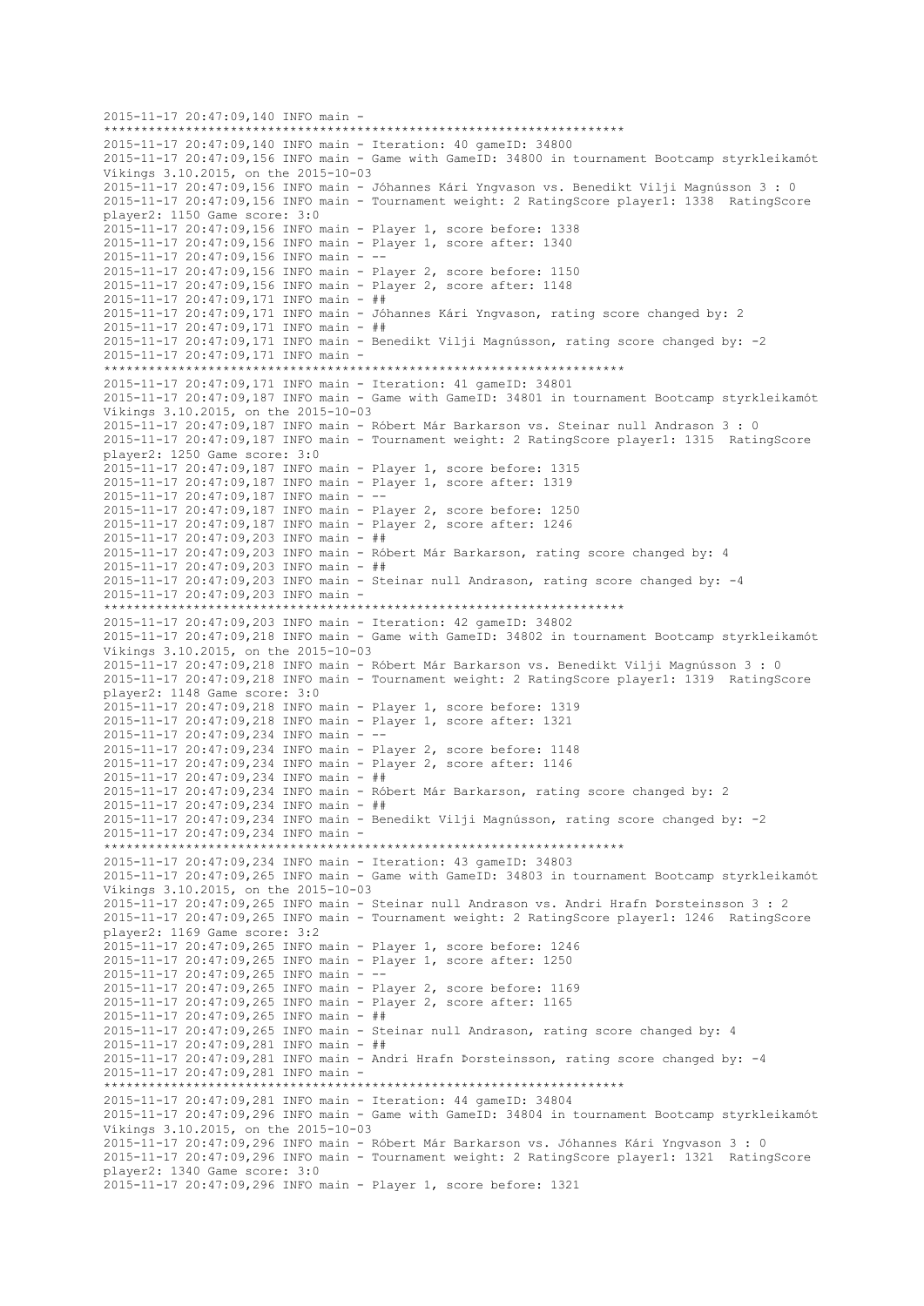```
2015-11-17 20:47:09,140 INFO main -
                         **********************************************************************
2015-11-17 20:47:09,140 INFO main - Iteration: 40 gameID: 34800
2015-11-17 20:47:09,156 INFO main - Game with GameID: 34800 in tournament Bootcamp styrkleikamót 
Víkings 3.10.2015, on the 2015-10-03
2015-11-17 20:47:09,156 INFO main - Jóhannes Kári Yngvason vs. Benedikt Vilji Magnússon 3 : 0
2015-11-17 20:47:09,156 INFO main - Tournament weight: 2 RatingScore player1: 1338 RatingScore 
player2: 1150 Game score: 3:0
2015-11-17 20:47:09,156 INFO main - Player 1, score before: 1338
2015-11-17 20:47:09,156 INFO main - Player 1, score after: 1340
2015-11-17 20:47:09,156 INFO main - --
2015-11-17 20:47:09,156 INFO main - Player 2, score before: 1150
2015-11-17 20:47:09,156 INFO main - Player 2, score after: 1148
2015-11-17 20:47:09,171 INFO main - ##
2015-11-17 20:47:09,171 INFO main - Jóhannes Kári Yngvason, rating score changed by: 2
2015-11-17 20:47:09,171 INFO main - ##
2015-11-17 20:47:09,171 INFO main - Benedikt Vilji Magnússon, rating score changed by: -2
2015-11-17 20:47:09,171 INFO main -
     **********************************************************************
2015-11-17 20:47:09,171 INFO main - Iteration: 41 gameID: 34801
2015-11-17 20:47:09,187 INFO main - Game with GameID: 34801 in tournament Bootcamp styrkleikamót 
Víkings 3.10.2015, on the 2015-10-03
2015-11-17 20:47:09,187 INFO main - Róbert Már Barkarson vs. Steinar null Andrason 3 : 0
2015-11-17 20:47:09,187 INFO main - Tournament weight: 2 RatingScore player1: 1315 RatingScore 
player2: 1250 Game score: 3:0
2015-11-17 20:47:09,187 INFO main - Player 1, score before: 1315
2015-11-17 20:47:09,187 INFO main - Player 1, score after: 1319
2015-11-17 20:47:09,187 INFO main - --
2015-11-17 20:47:09,187 INFO main - Player 2, score before: 1250
2015-11-17 20:47:09,187 INFO main - Player 2, score after: 1246
2015-11-17 20:47:09,203 INFO main - ##
2015-11-17 20:47:09,203 INFO main - Róbert Már Barkarson, rating score changed by: 4
2015-11-17 20:47:09,203 INFO main - ##
2015-11-17 20:47:09,203 INFO main - Steinar null Andrason, rating score changed by: -4
2015-11-17 20:47:09,203 INFO main -
**********************************************************************
2015-11-17 20:47:09,203 INFO main - Iteration: 42 gameID: 34802
2015-11-17 20:47:09,218 INFO main - Game with GameID: 34802 in tournament Bootcamp styrkleikamót 
Víkings 3.10.2015, on the 2015-10-03
2015-11-17 20:47:09,218 INFO main - Róbert Már Barkarson vs. Benedikt Vilji Magnússon 3 : 0
2015-11-17 20:47:09,218 INFO main - Tournament weight: 2 RatingScore player1: 1319 RatingScore 
player2: 1148 Game score: 3:0
2015-11-17 20:47:09,218 INFO main - Player 1, score before: 1319
2015-11-17 20:47:09,218 INFO main - Player 1, score after: 1321
2015-11-17 20:47:09,234 INFO main - --
2015-11-17 20:47:09,234 INFO main - Player 2, score before: 1148
2015-11-17 20:47:09,234 INFO main - Player 2, score after: 1146
2015-11-17 20:47:09,234 INFO main - ##
2015-11-17 20:47:09,234 INFO main - Róbert Már Barkarson, rating score changed by: 2
2015-11-17 20:47:09,234 INFO main - ##
2015-11-17 20:47:09,234 INFO main - Benedikt Vilji Magnússon, rating score changed by: -2
2015-11-17 20:47:09,234 INFO main -
                    **********************************************************************
2015-11-17 20:47:09,234 INFO main - Iteration: 43 gameID: 34803
2015-11-17 20:47:09,265 INFO main - Game with GameID: 34803 in tournament Bootcamp styrkleikamót 
Víkings 3.10.2015, on the 2015-10-03
2015-11-17 20:47:09,265 INFO main - Steinar null Andrason vs. Andri Hrafn Þorsteinsson 3 : 2
2015-11-17 20:47:09,265 INFO main - Tournament weight: 2 RatingScore player1: 1246 RatingScore 
player2: 1169 Game score: 3:2
2015-11-17 20:47:09,265 INFO main - Player 1, score before: 1246
2015-11-17 20:47:09,265 INFO main - Player 1, score after: 1250
2015-11-17 20:47:09,265 INFO main - --
2015-11-17 20:47:09,265 INFO main - Player 2, score before: 1169
2015-11-17 20:47:09,265 INFO main - Player 2, score after: 1165
2015-11-17 20:47:09,265 INFO main - ##
2015-11-17 20:47:09,265 INFO main - Steinar null Andrason, rating score changed by: 4
2015-11-17 20:47:09,281 INFO main - ##
2015-11-17 20:47:09,281 INFO main - Andri Hrafn Þorsteinsson, rating score changed by: -4
2015-11-17 20:47:09,281 INFO main -
 **********************************************************************
2015-11-17 20:47:09,281 INFO main - Iteration: 44 gameID: 34804
2015-11-17 20:47:09,296 INFO main - Game with GameID: 34804 in tournament Bootcamp styrkleikamót 
Víkings 3.10.2015, on the 2015-10-03
2015-11-17 20:47:09,296 INFO main - Róbert Már Barkarson vs. Jóhannes Kári Yngvason 3 : 0
2015-11-17 20:47:09,296 INFO main - Tournament weight: 2 RatingScore player1: 1321 RatingScore 
player2: 1340 Game score: 3:0
2015-11-17 20:47:09,296 INFO main - Player 1, score before: 1321
```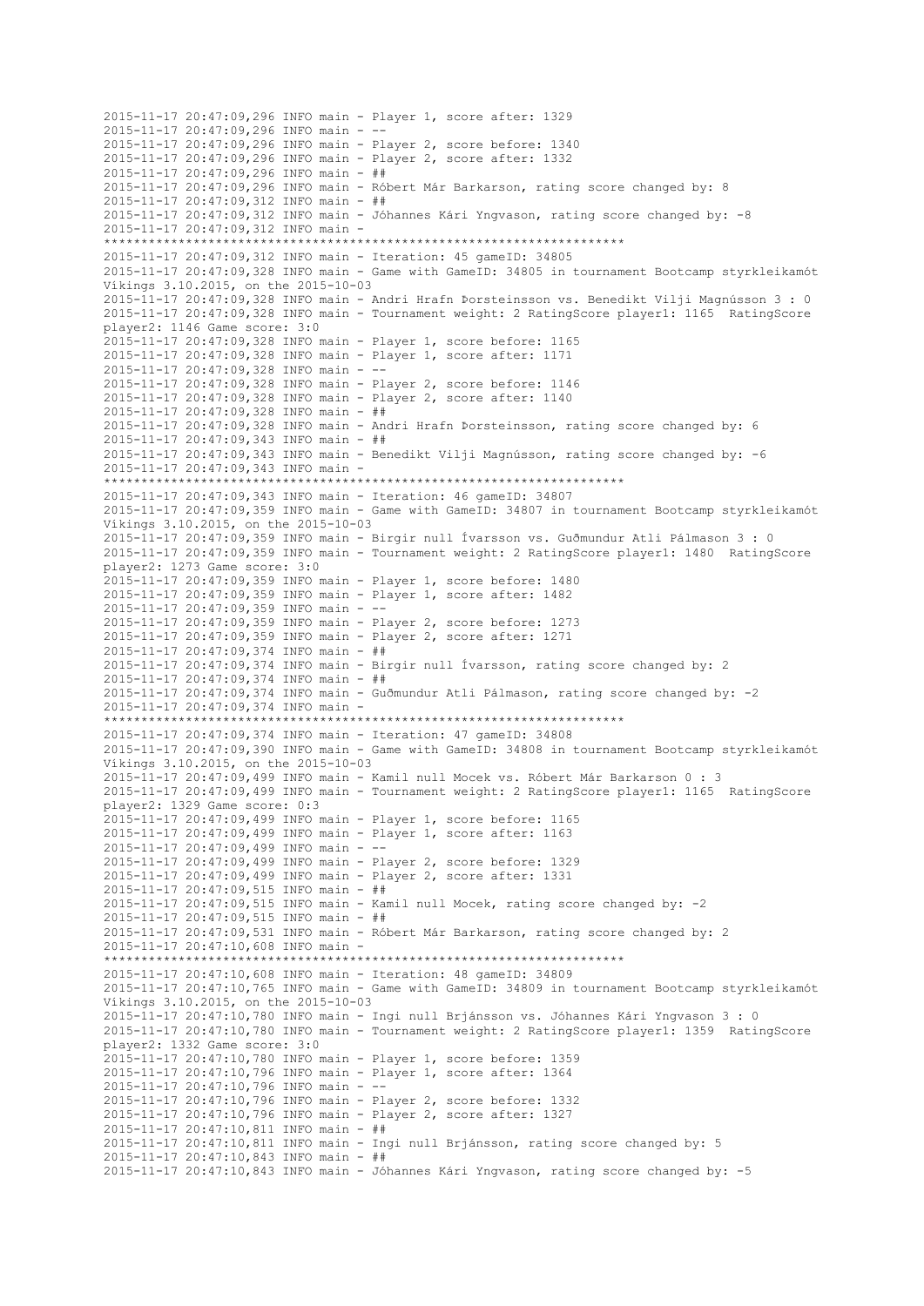2015-11-17 20:47:09,296 INFO main - Player 1, score after: 1329 2015-11-17 20:47:09,296 INFO main -2015-11-17 20:47:09,296 INFO main - Player 2, score before: 1340 2015-11-17 20:47:09,296 INFO main - Player 2, score after: 1332 2015-11-17 20:47:09,296 INFO main - ## 2015-11-17 20:47:09,296 INFO main - Róbert Már Barkarson, rating score changed by: 8 2015-11-17 20:47:09,312 INFO main - ## 2015-11-17 20:47:09,312 INFO main - Jóhannes Kári Yngvason, rating score changed by: -8 2015-11-17 20:47:09,312 INFO main - \*\*\*\*\*\*\*\*\*\*\*\*\*\*\*\*\*\*\*\*\*\*\*\*\*\*\*\*\*\*\*\*\*\*\*\*\*\*\*\*\*\*\*\*\*\*\*\*\*\*\*\*\*\*\*\*\*\*\*\*\*\*\*\*\*\*\*\*\*\* 2015-11-17 20:47:09,312 INFO main - Iteration: 45 gameID: 34805 2015-11-17 20:47:09,328 INFO main - Game with GameID: 34805 in tournament Bootcamp styrkleikamót Víkings 3.10.2015, on the 2015-10-03 2015-11-17 20:47:09,328 INFO main - Andri Hrafn Þorsteinsson vs. Benedikt Vilji Magnússon 3 : 0 2015-11-17 20:47:09,328 INFO main - Tournament weight: 2 RatingScore player1: 1165 RatingScore player2: 1146 Game score: 3:0 2015-11-17 20:47:09,328 INFO main - Player 1, score before: 1165 2015-11-17 20:47:09,328 INFO main - Player 1, score after: 1171 2015-11-17 20:47:09,328 INFO main - -- 2015-11-17 20:47:09,328 INFO main - Player 2, score before: 1146 2015-11-17 20:47:09,328 INFO main - Player 2, score after: 1140 2015-11-17 20:47:09,328 INFO main - ## 2015-11-17 20:47:09,328 INFO main - Andri Hrafn Þorsteinsson, rating score changed by: 6 2015-11-17 20:47:09,343 INFO main - ## 2015-11-17 20:47:09,343 INFO main - Benedikt Vilji Magnússon, rating score changed by: -6 2015-11-17 20:47:09,343 INFO main - \*\*\*\*\*\*\*\*\*\*\*\*\*\*\*\*\*\*\*\*\*\*\*\*\*\*\*\*\*\*\*\*\*\*\*\*\*\*\*\*\*\*\*\*\*\*\*\*\*\*\*\*\*\*\*\*\*\*\*\*\*\*\*\*\*\*\*\*\*\* 2015-11-17 20:47:09,343 INFO main - Iteration: 46 gameID: 34807 2015-11-17 20:47:09,359 INFO main - Game with GameID: 34807 in tournament Bootcamp styrkleikamót Víkings 3.10.2015, on the 2015-10-03 2015-11-17 20:47:09,359 INFO main - Birgir null Ívarsson vs. Guðmundur Atli Pálmason 3 : 0 2015-11-17 20:47:09,359 INFO main - Tournament weight: 2 RatingScore player1: 1480 RatingScore player2: 1273 Game score: 3:0 2015-11-17 20:47:09,359 INFO main - Player 1, score before: 1480 2015-11-17 20:47:09,359 INFO main - Player 1, score after: 1482 2015-11-17 20:47:09,359 INFO main - -- 2015-11-17 20:47:09,359 INFO main - Player 2, score before: 1273 2015-11-17 20:47:09,359 INFO main - Player 2, score after: 1271 2015-11-17 20:47:09,374 INFO main - ## 2015-11-17 20:47:09,374 INFO main - Birgir null Ívarsson, rating score changed by: 2 2015-11-17 20:47:09,374 INFO main - ## 2015-11-17 20:47:09,374 INFO main - Guðmundur Atli Pálmason, rating score changed by: -2 2015-11-17 20:47:09,374 INFO main - \*\*\*\*\*\*\*\*\*\*\*\*\*\*\*\*\*\*\*\*\*\*\*\*\*\*\*\*\*\*\*\*\*\*\*\*\*\*\*\*\*\*\*\*\*\*\*\*\*\*\*\*\*\*\*\*\*\*\*\*\*\*\*\*\*\*\*\*\*\* 2015-11-17 20:47:09,374 INFO main - Iteration: 47 gameID: 34808 2015-11-17 20:47:09,390 INFO main - Game with GameID: 34808 in tournament Bootcamp styrkleikamót Víkings 3.10.2015, on the 2015-10-03 2015-11-17 20:47:09,499 INFO main - Kamil null Mocek vs. Róbert Már Barkarson 0 : 3 2015-11-17 20:47:09,499 INFO main - Tournament weight: 2 RatingScore player1: 1165 RatingScore player2: 1329 Game score: 0:3 2015-11-17 20:47:09,499 INFO main - Player 1, score before: 1165 2015-11-17 20:47:09,499 INFO main - Player 1, score after: 1163 2015-11-17 20:47:09,499 INFO main - -- 2015-11-17 20:47:09,499 INFO main - Player 2, score before: 1329 2015-11-17 20:47:09,499 INFO main - Player 2, score after: 1331 2015-11-17 20:47:09,515 INFO main - ## 2015-11-17 20:47:09,515 INFO main - Kamil null Mocek, rating score changed by: -2 2015-11-17 20:47:09,515 INFO main - ## 2015-11-17 20:47:09,531 INFO main - Róbert Már Barkarson, rating score changed by: 2 2015-11-17 20:47:10,608 INFO main - \*\*\*\*\*\*\*\*\*\*\*\*\*\*\*\*\*\*\*\*\*\*\*\*\*\*\*\*\*\*\*\*\*\*\*\*\*\*\*\*\*\*\*\*\*\*\*\*\*\*\*\*\*\*\*\*\*\*\*\*\*\*\*\*\*\*\*\*\*\* 2015-11-17 20:47:10,608 INFO main - Iteration: 48 gameID: 34809 2015-11-17 20:47:10,765 INFO main - Game with GameID: 34809 in tournament Bootcamp styrkleikamót Víkings 3.10.2015, on the 2015-10-03 2015-11-17 20:47:10,780 INFO main - Ingi null Brjánsson vs. Jóhannes Kári Yngvason 3 : 0 2015-11-17 20:47:10,780 INFO main - Tournament weight: 2 RatingScore player1: 1359 RatingScore player2: 1332 Game score: 3:0 2015-11-17 20:47:10,780 INFO main - Player 1, score before: 1359 2015-11-17 20:47:10,796 INFO main - Player 1, score after: 1364 2015-11-17 20:47:10,796 INFO main - -- 2015-11-17 20:47:10,796 INFO main - Player 2, score before: 1332 2015-11-17 20:47:10,796 INFO main - Player 2, score after: 1327 2015-11-17 20:47:10,811 INFO main - ## 2015-11-17 20:47:10,811 INFO main - Ingi null Brjánsson, rating score changed by: 5 2015-11-17 20:47:10,843 INFO main - ## 2015-11-17 20:47:10,843 INFO main - Jóhannes Kári Yngvason, rating score changed by: -5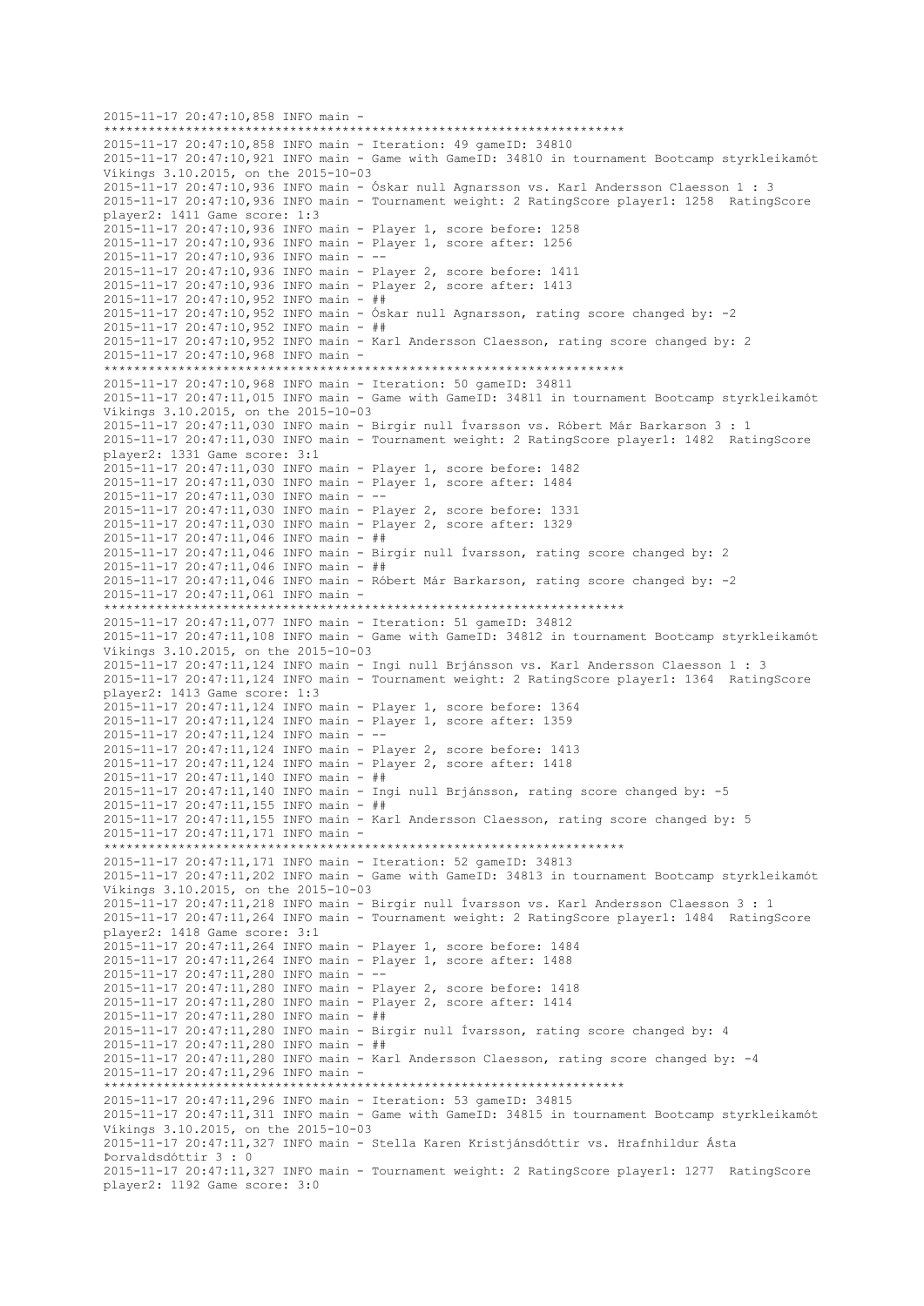```
2015-11-17 20:47:10,858 INFO main -
                        **********************************************************************
2015-11-17 20:47:10,858 INFO main - Iteration: 49 gameID: 34810
2015-11-17 20:47:10,921 INFO main - Game with GameID: 34810 in tournament Bootcamp styrkleikamót 
Víkings 3.10.2015, on the 2015-10-03
2015-11-17 20:47:10,936 INFO main - Óskar null Agnarsson vs. Karl Andersson Claesson 1 : 3
2015-11-17 20:47:10,936 INFO main - Tournament weight: 2 RatingScore player1: 1258 RatingScore 
player2: 1411 Game score: 1:3
2015-11-17 20:47:10,936 INFO main - Player 1, score before: 1258
2015-11-17 20:47:10,936 INFO main - Player 1, score after: 1256
2015-11-17 20:47:10,936 INFO main - --
2015-11-17 20:47:10,936 INFO main - Player 2, score before: 1411
2015-11-17 20:47:10,936 INFO main - Player 2, score after: 1413
2015-11-17 20:47:10,952 INFO main - ##
2015-11-17 20:47:10,952 INFO main - Óskar null Agnarsson, rating score changed by: -2
2015-11-17 20:47:10,952 INFO main - ##
2015-11-17 20:47:10,952 INFO main - Karl Andersson Claesson, rating score changed by: 2
2015-11-17 20:47:10,968 INFO main -
     **********************************************************************
2015-11-17 20:47:10,968 INFO main - Iteration: 50 gameID: 34811
2015-11-17 20:47:11,015 INFO main - Game with GameID: 34811 in tournament Bootcamp styrkleikamót 
Víkings 3.10.2015, on the 2015-10-03
2015-11-17 20:47:11,030 INFO main - Birgir null Ívarsson vs. Róbert Már Barkarson 3 : 1
2015-11-17 20:47:11,030 INFO main - Tournament weight: 2 RatingScore player1: 1482 RatingScore 
player2: 1331 Game score: 3:1
2015-11-17 20:47:11,030 INFO main - Player 1, score before: 1482
2015-11-17 20:47:11,030 INFO main - Player 1, score after: 1484
2015-11-17 20:47:11,030 INFO main - --
2015-11-17 20:47:11,030 INFO main - Player 2, score before: 1331
2015-11-17 20:47:11,030 INFO main - Player 2, score after: 1329
2015-11-17 20:47:11,046 INFO main - ##
2015-11-17 20:47:11,046 INFO main - Birgir null Ívarsson, rating score changed by: 2
2015-11-17 20:47:11,046 INFO main - ##
2015-11-17 20:47:11,046 INFO main - Róbert Már Barkarson, rating score changed by: -2
2015-11-17 20:47:11,061 INFO main -
**********************************************************************
2015-11-17 20:47:11,077 INFO main - Iteration: 51 gameID: 34812
2015-11-17 20:47:11,108 INFO main - Game with GameID: 34812 in tournament Bootcamp styrkleikamót 
Víkings 3.10.2015, on the 2015-10-03
2015-11-17 20:47:11,124 INFO main - Ingi null Brjánsson vs. Karl Andersson Claesson 1 : 3
2015-11-17 20:47:11,124 INFO main - Tournament weight: 2 RatingScore player1: 1364 RatingScore 
player2: 1413 Game score: 1:3
2015-11-17 20:47:11,124 INFO main - Player 1, score before: 1364
2015-11-17 20:47:11,124 INFO main - Player 1, score after: 1359
2015-11-17 20:47:11,124 INFO main - --
2015-11-17 20:47:11,124 INFO main - Player 2, score before: 1413
2015-11-17 20:47:11,124 INFO main - Player 2, score after: 1418
2015-11-17 20:47:11,140 INFO main - ##
2015-11-17 20:47:11,140 INFO main - Ingi null Brjánsson, rating score changed by: -5
2015-11-17 20:47:11,155 INFO main - ##
2015-11-17 20:47:11,155 INFO main - Karl Andersson Claesson, rating score changed by: 5
2015-11-17 20:47:11,171 INFO main -
                    **********************************************************************
2015-11-17 20:47:11,171 INFO main - Iteration: 52 gameID: 34813
2015-11-17 20:47:11,202 INFO main - Game with GameID: 34813 in tournament Bootcamp styrkleikamót 
Víkings 3.10.2015, on the 2015-10-03
2015-11-17 20:47:11,218 INFO main - Birgir null Ívarsson vs. Karl Andersson Claesson 3 : 1
2015-11-17 20:47:11,264 INFO main - Tournament weight: 2 RatingScore player1: 1484 RatingScore 
player2: 1418 Game score: 3:1
2015-11-17 20:47:11,264 INFO main - Player 1, score before: 1484
2015-11-17 20:47:11,264 INFO main - Player 1, score after: 1488
2015-11-17 20:47:11,280 INFO main - --
2015-11-17 20:47:11,280 INFO main - Player 2, score before: 1418
2015-11-17 20:47:11,280 INFO main - Player 2, score after: 1414
2015-11-17 20:47:11,280 INFO main - ##
2015-11-17 20:47:11,280 INFO main - Birgir null Ívarsson, rating score changed by: 4
2015-11-17 20:47:11,280 INFO main - ##
2015-11-17 20:47:11,280 INFO main - Karl Andersson Claesson, rating score changed by: -4
2015-11-17 20:47:11,296 INFO main -
**********************************************************************
2015-11-17 20:47:11,296 INFO main - Iteration: 53 gameID: 34815
2015-11-17 20:47:11,311 INFO main - Game with GameID: 34815 in tournament Bootcamp styrkleikamót 
Víkings 3.10.2015, on the 2015-10-03
2015-11-17 20:47:11,327 INFO main - Stella Karen Kristjánsdóttir vs. Hrafnhildur Ásta 
Þorvaldsdóttir 3 : 0
2015-11-17 20:47:11,327 INFO main - Tournament weight: 2 RatingScore player1: 1277 RatingScore 
player2: 1192 Game score: 3:0
```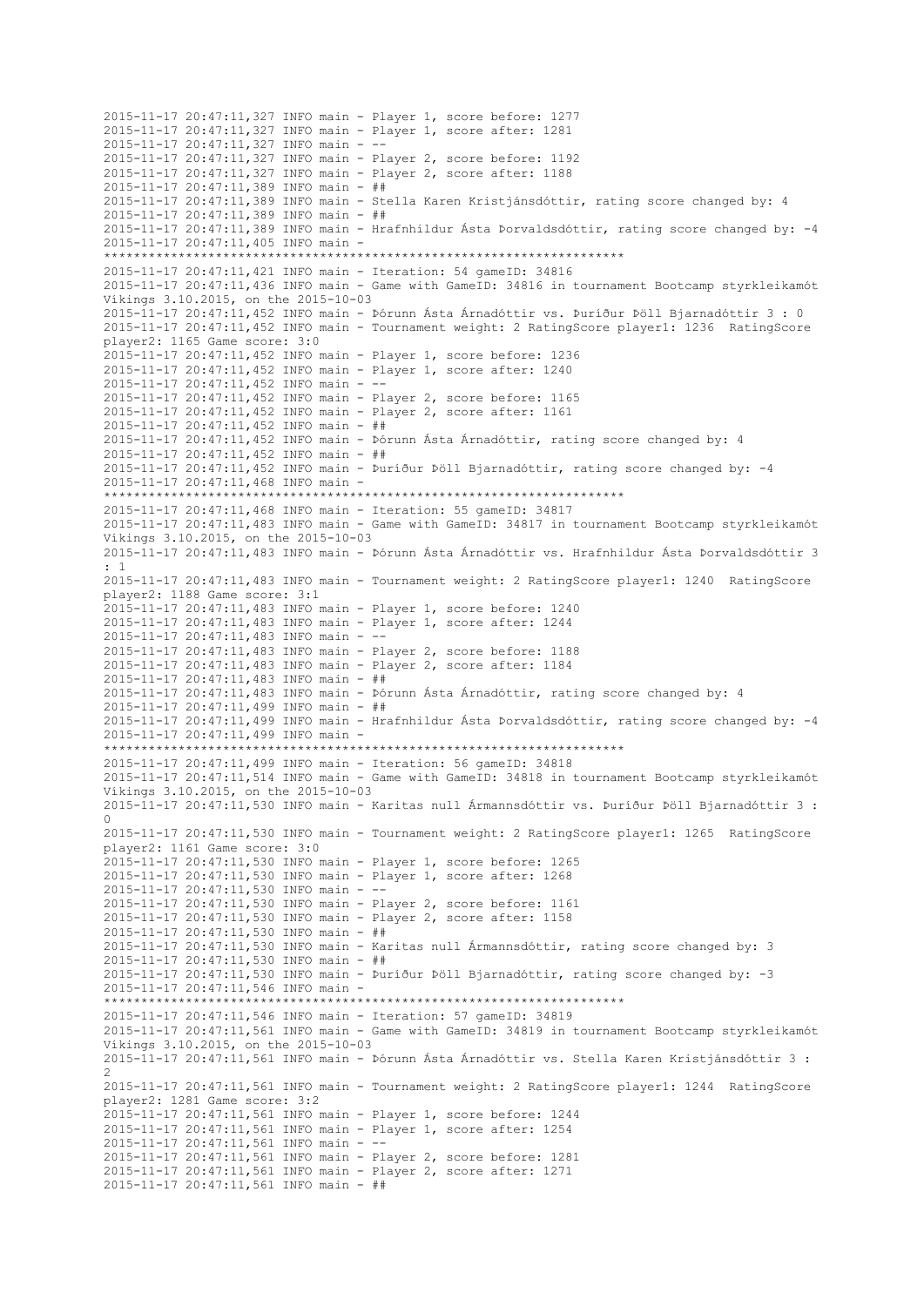2015-11-17 20:47:11,327 INFO main - Player 1, score before: 1277 2015-11-17 20:47:11,327 INFO main - Player 1, score after: 1281 2015-11-17 20:47:11,327 INFO main - -- 2015-11-17 20:47:11,327 INFO main - Player 2, score before: 1192 2015-11-17 20:47:11,327 INFO main - Player 2, score after: 1188 2015-11-17 20:47:11,389 INFO main - ## 2015-11-17 20:47:11,389 INFO main - Stella Karen Kristjánsdóttir, rating score changed by: 4 2015-11-17 20:47:11,389 INFO main - ## 2015-11-17 20:47:11,389 INFO main - Hrafnhildur Ásta Þorvaldsdóttir, rating score changed by: -4 2015-11-17 20:47:11,405 INFO main - \*\*\*\*\*\*\*\*\*\*\*\*\*\*\*\*\*\*\*\*\*\*\*\*\*\*\*\*\*\*\*\*\*\*\*\*\*\*\*\*\*\*\*\*\*\*\*\*\*\*\*\*\*\*\*\*\*\*\*\*\*\*\*\*\*\*\*\*\*\* 2015-11-17 20:47:11,421 INFO main - Iteration: 54 gameID: 34816 2015-11-17 20:47:11,436 INFO main - Game with GameID: 34816 in tournament Bootcamp styrkleikamót Víkings 3.10.2015, on the 2015-10-03 2015-11-17 20:47:11,452 INFO main - Þórunn Ásta Árnadóttir vs. Þuríður Þöll Bjarnadóttir 3 : 0 2015-11-17 20:47:11,452 INFO main - Tournament weight: 2 RatingScore player1: 1236 RatingScore player2: 1165 Game score: 3:0 2015-11-17 20:47:11,452 INFO main - Player 1, score before: 1236 2015-11-17 20:47:11,452 INFO main - Player 1, score after: 1240 2015-11-17 20:47:11,452 INFO main - -- 2015-11-17 20:47:11,452 INFO main - Player 2, score before: 1165 2015-11-17 20:47:11,452 INFO main - Player 2, score after: 1161 2015-11-17 20:47:11,452 INFO main - ## 2015-11-17 20:47:11,452 INFO main - Þórunn Ásta Árnadóttir, rating score changed by: 4 2015-11-17 20:47:11,452 INFO main - ## 2015-11-17 20:47:11,452 INFO main - Þuríður Þöll Bjarnadóttir, rating score changed by: -4 2015-11-17 20:47:11,468 INFO main - \*\*\*\*\*\*\*\*\*\*\*\*\*\*\*\*\*\*\*\*\*\*\*\*\*\*\*\*\*\*\*\*\*\*\*\*\*\*\*\*\*\*\*\*\*\*\*\*\*\*\*\*\*\*\*\*\*\*\*\*\*\*\*\*\*\*\*\*\*\* 2015-11-17 20:47:11,468 INFO main - Iteration: 55 gameID: 34817 2015-11-17 20:47:11,483 INFO main - Game with GameID: 34817 in tournament Bootcamp styrkleikamót Víkings 3.10.2015, on the 2015-10-03 2015-11-17 20:47:11,483 INFO main - Þórunn Ásta Árnadóttir vs. Hrafnhildur Ásta Þorvaldsdóttir 3 : 1 2015-11-17 20:47:11,483 INFO main - Tournament weight: 2 RatingScore player1: 1240 RatingScore player2: 1188 Game score: 3:1 2015-11-17 20:47:11,483 INFO main - Player 1, score before: 1240 2015-11-17 20:47:11,483 INFO main - Player 1, score after: 1244 2015-11-17 20:47:11,483 INFO main - -- 2015-11-17 20:47:11,483 INFO main - Player 2, score before: 1188 2015-11-17 20:47:11,483 INFO main - Player 2, score after: 1184 2015-11-17 20:47:11,483 INFO main - ## 2015-11-17 20:47:11,483 INFO main - Þórunn Ásta Árnadóttir, rating score changed by: 4 2015-11-17 20:47:11,499 INFO main - ## 2015-11-17 20:47:11,499 INFO main - Hrafnhildur Ásta Þorvaldsdóttir, rating score changed by: -4 2015-11-17 20:47:11,499 INFO main - \*\*\*\*\*\*\*\*\*\*\*\*\*\*\*\*\*\*\*\*\*\*\*\*\*\*\*\*\*\*\*\*\*\*\*\*\*\*\*\*\*\*\*\*\*\*\*\*\*\*\*\*\*\*\*\*\*\*\*\*\*\*\*\*\*\*\*\*\*\* 2015-11-17 20:47:11,499 INFO main - Iteration: 56 gameID: 34818 2015-11-17 20:47:11,514 INFO main - Game with GameID: 34818 in tournament Bootcamp styrkleikamót Víkings 3.10.2015, on the 2015-10-03 2015-11-17 20:47:11,530 INFO main - Karitas null Ármannsdóttir vs. Þuríður Þöll Bjarnadóttir 3 : 0 2015-11-17 20:47:11,530 INFO main - Tournament weight: 2 RatingScore player1: 1265 RatingScore player2: 1161 Game score: 3:0 2015-11-17 20:47:11,530 INFO main - Player 1, score before: 1265 2015-11-17 20:47:11,530 INFO main - Player 1, score after: 1268 2015-11-17 20:47:11,530 INFO main - -- 2015-11-17 20:47:11,530 INFO main - Player 2, score before: 1161 2015-11-17 20:47:11,530 INFO main - Player 2, score after: 1158 2015-11-17 20:47:11,530 INFO main - ## 2015-11-17 20:47:11,530 INFO main - Karitas null Ármannsdóttir, rating score changed by: 3 2015-11-17 20:47:11,530 INFO main - ## 2015-11-17 20:47:11,530 INFO main - Þuríður Þöll Bjarnadóttir, rating score changed by: -3 2015-11-17 20:47:11,546 INFO main - \*\*\*\*\*\*\*\*\*\*\*\*\*\*\*\*\*\*\*\*\*\*\*\*\*\*\*\*\*\*\*\*\*\*\*\*\*\*\*\*\*\*\*\*\*\*\*\*\*\*\*\*\*\*\*\*\*\*\*\*\*\*\*\*\*\*\*\*\*\* 2015-11-17 20:47:11,546 INFO main - Iteration: 57 gameID: 34819 2015-11-17 20:47:11,561 INFO main - Game with GameID: 34819 in tournament Bootcamp styrkleikamót Víkings 3.10.2015, on the 2015-10-03 2015-11-17 20:47:11,561 INFO main - Þórunn Ásta Árnadóttir vs. Stella Karen Kristjánsdóttir 3 : 2 2015-11-17 20:47:11,561 INFO main - Tournament weight: 2 RatingScore player1: 1244 RatingScore player2: 1281 Game score: 3:2 2015-11-17 20:47:11,561 INFO main - Player 1, score before: 1244 2015-11-17 20:47:11,561 INFO main - Player 1, score after: 1254 2015-11-17 20:47:11,561 INFO main - -- 2015-11-17 20:47:11,561 INFO main - Player 2, score before: 1281 2015-11-17 20:47:11,561 INFO main - Player 2, score after: 1271 2015-11-17 20:47:11,561 INFO main - ##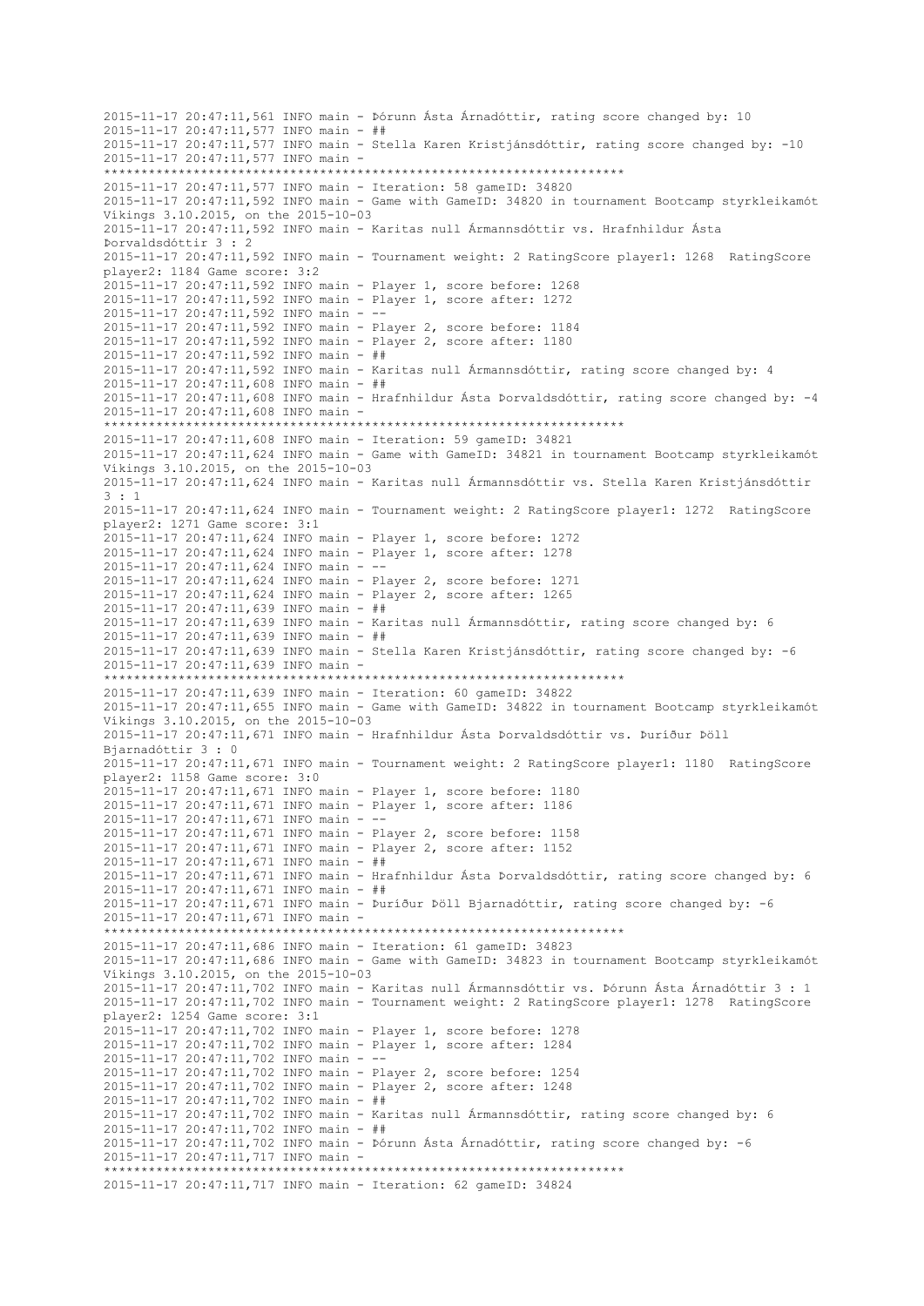2015-11-17 20:47:11,561 INFO main - Þórunn Ásta Árnadóttir, rating score changed by: 10 2015-11-17 20:47:11,577 INFO main - ## 2015-11-17 20:47:11,577 INFO main - Stella Karen Kristjánsdóttir, rating score changed by: -10 2015-11-17 20:47:11,577 INFO main - \*\*\*\*\*\*\*\*\*\*\*\*\*\*\*\*\*\*\*\*\*\*\*\*\*\*\*\*\*\*\*\*\*\*\*\*\*\*\*\*\*\*\*\*\*\*\*\*\*\*\*\*\*\*\*\*\*\*\*\*\*\*\*\*\*\*\*\*\*\* 2015-11-17 20:47:11,577 INFO main - Iteration: 58 gameID: 34820 2015-11-17 20:47:11,592 INFO main - Game with GameID: 34820 in tournament Bootcamp styrkleikamót Víkings 3.10.2015, on the 2015-10-03 2015-11-17 20:47:11,592 INFO main - Karitas null Ármannsdóttir vs. Hrafnhildur Ásta Þorvaldsdóttir 3 : 2 2015-11-17 20:47:11,592 INFO main - Tournament weight: 2 RatingScore player1: 1268 RatingScore player2: 1184 Game score: 3:2 2015-11-17 20:47:11,592 INFO main - Player 1, score before: 1268 2015-11-17 20:47:11,592 INFO main - Player 1, score after: 1272 2015-11-17 20:47:11,592 INFO main - -- 2015-11-17 20:47:11,592 INFO main - Player 2, score before: 1184 2015-11-17 20:47:11,592 INFO main - Player 2, score after: 1180 2015-11-17 20:47:11,592 INFO main - ## 2015-11-17 20:47:11,592 INFO main - Karitas null Ármannsdóttir, rating score changed by: 4 2015-11-17 20:47:11,608 INFO main - ## 2015-11-17 20:47:11,608 INFO main - Hrafnhildur Ásta Þorvaldsdóttir, rating score changed by: -4 2015-11-17 20:47:11,608 INFO main - \*\*\*\*\*\*\*\*\*\*\*\*\*\*\*\*\*\*\*\*\*\*\*\*\*\*\*\*\*\*\*\*\*\*\*\*\*\*\*\*\*\*\*\*\*\*\*\*\*\*\*\*\*\*\*\*\*\*\*\*\*\*\*\*\*\*\*\*\*\* 2015-11-17 20:47:11,608 INFO main - Iteration: 59 gameID: 34821 2015-11-17 20:47:11,624 INFO main - Game with GameID: 34821 in tournament Bootcamp styrkleikamót Víkings 3.10.2015, on the 2015-10-03 2015-11-17 20:47:11,624 INFO main - Karitas null Ármannsdóttir vs. Stella Karen Kristjánsdóttir 3 : 1 2015-11-17 20:47:11,624 INFO main - Tournament weight: 2 RatingScore player1: 1272 RatingScore player2: 1271 Game score: 3:1 2015-11-17 20:47:11,624 INFO main - Player 1, score before: 1272 2015-11-17 20:47:11,624 INFO main - Player 1, score after: 1278 2015-11-17 20:47:11,624 INFO main - -- 2015-11-17 20:47:11,624 INFO main - Player 2, score before: 1271 2015-11-17 20:47:11,624 INFO main - Player 2, score after: 1265 2015-11-17 20:47:11,639 INFO main - ## 2015-11-17 20:47:11,639 INFO main - Karitas null Ármannsdóttir, rating score changed by: 6 2015-11-17 20:47:11,639 INFO main - ## 2015-11-17 20:47:11,639 INFO main - Stella Karen Kristjánsdóttir, rating score changed by: -6 2015-11-17 20:47:11,639 INFO main - \*\*\*\*\*\*\*\*\*\*\*\*\*\*\*\*\*\*\*\*\*\*\*\*\*\*\*\*\*\*\*\*\*\*\*\*\*\*\*\*\*\*\*\*\*\*\*\*\*\*\*\*\*\*\*\*\*\*\*\*\*\*\*\*\*\*\*\*\*\* 2015-11-17 20:47:11,639 INFO main - Iteration: 60 gameID: 34822 2015-11-17 20:47:11,655 INFO main - Game with GameID: 34822 in tournament Bootcamp styrkleikamót Víkings 3.10.2015, on the 2015-10-03 2015-11-17 20:47:11,671 INFO main - Hrafnhildur Ásta Þorvaldsdóttir vs. Þuríður Þöll Bjarnadóttir 3 : 0 2015-11-17 20:47:11,671 INFO main - Tournament weight: 2 RatingScore player1: 1180 RatingScore player2: 1158 Game score: 3:0 2015-11-17 20:47:11,671 INFO main - Player 1, score before: 1180 2015-11-17 20:47:11,671 INFO main - Player 1, score after: 1186 2015-11-17 20:47:11,671 INFO main - -- 2015-11-17 20:47:11,671 INFO main - Player 2, score before: 1158 2015-11-17 20:47:11,671 INFO main - Player 2, score after: 1152 2015-11-17 20:47:11,671 INFO main - ## 2015-11-17 20:47:11,671 INFO main - Hrafnhildur Ásta Þorvaldsdóttir, rating score changed by: 6 2015-11-17 20:47:11,671 INFO main - ## 2015-11-17 20:47:11,671 INFO main - Þuríður Þöll Bjarnadóttir, rating score changed by: -6 2015-11-17 20:47:11,671 INFO main - \*\*\*\*\*\*\*\*\*\*\*\*\*\*\*\*\*\*\*\*\*\*\*\*\*\*\*\*\*\*\*\*\*\*\*\*\*\*\*\*\*\*\*\*\*\*\*\*\*\*\*\*\*\*\*\*\*\*\*\*\*\*\*\*\*\*\*\*\*\* 2015-11-17 20:47:11,686 INFO main - Iteration: 61 gameID: 34823 2015-11-17 20:47:11,686 INFO main - Game with GameID: 34823 in tournament Bootcamp styrkleikamót Víkings 3.10.2015, on the 2015-10-03 2015-11-17 20:47:11,702 INFO main - Karitas null Ármannsdóttir vs. Þórunn Ásta Árnadóttir 3 : 1 2015-11-17 20:47:11,702 INFO main - Tournament weight: 2 RatingScore player1: 1278 RatingScore player2: 1254 Game score: 3:1 2015-11-17 20:47:11,702 INFO main - Player 1, score before: 1278 2015-11-17 20:47:11,702 INFO main - Player 1, score after: 1284 2015-11-17 20:47:11,702 INFO main - -- 2015-11-17 20:47:11,702 INFO main - Player 2, score before: 1254 2015-11-17 20:47:11,702 INFO main - Player 2, score after: 1248 2015-11-17 20:47:11,702 INFO main - ## 2015-11-17 20:47:11,702 INFO main - Karitas null Ármannsdóttir, rating score changed by: 6 2015-11-17 20:47:11,702 INFO main - ## 2015-11-17 20:47:11,702 INFO main - Þórunn Ásta Árnadóttir, rating score changed by: -6 2015-11-17 20:47:11,717 INFO main - \*\*\*\*\*\*\*\*\*\*\*\*\*\*\*\*\*\*\*\*\*\*\*\*\*\*\*\*\*\*\*\*\*\*\*\*\*\*\*\*\*\*\*\*\*\*\*\*\*\*\*\*\*\*\*\*\*\*\*\*\*\*\*\*\*\*\*\*\*\* 2015-11-17 20:47:11,717 INFO main - Iteration: 62 gameID: 34824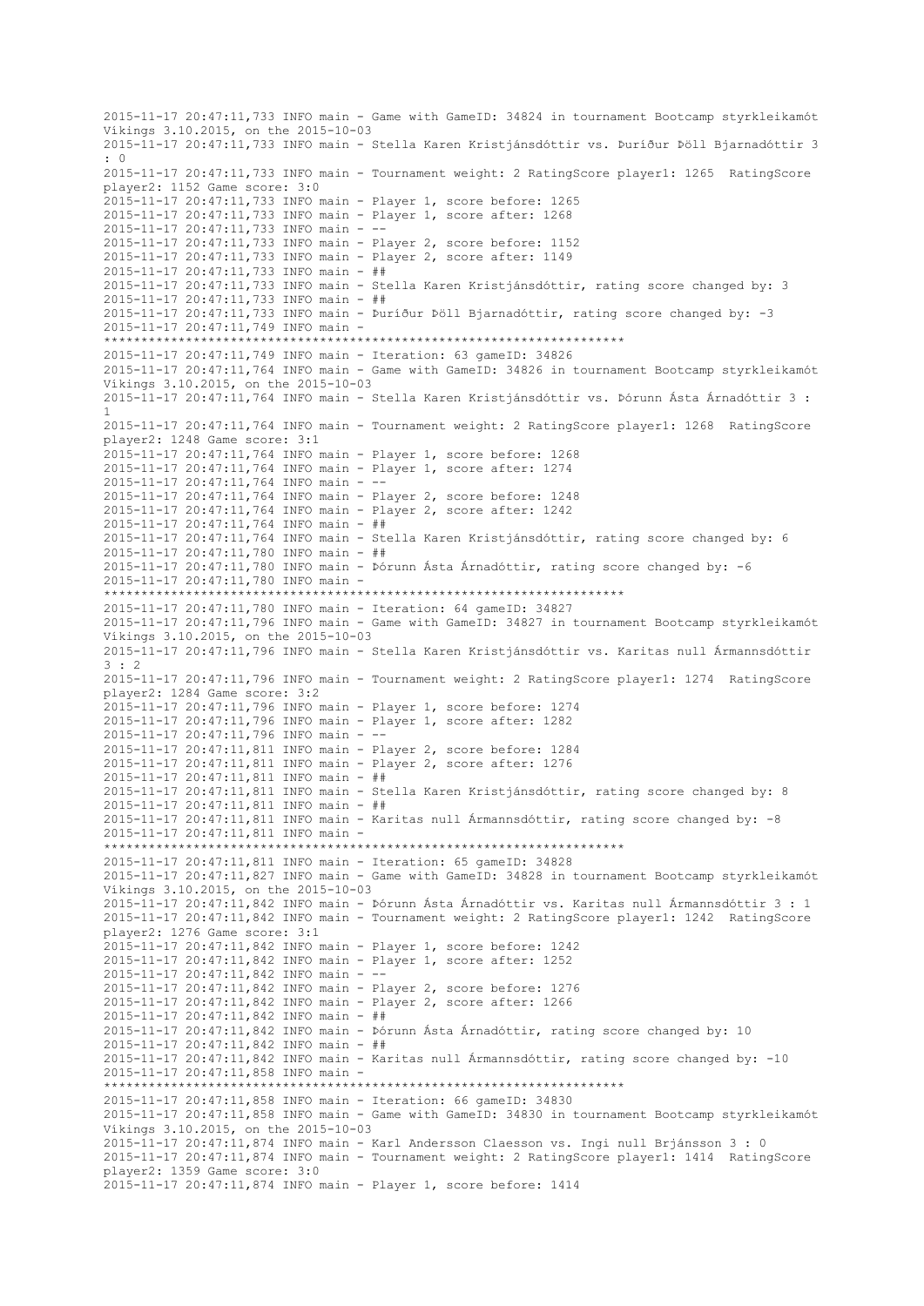2015-11-17 20:47:11,733 INFO main - Game with GameID: 34824 in tournament Bootcamp styrkleikamót Víkings 3.10.2015, on the 2015-10-03 2015-11-17 20:47:11,733 INFO main - Stella Karen Kristjánsdóttir vs. Þuríður Þöll Bjarnadóttir 3  $\cdot$  0 2015-11-17 20:47:11,733 INFO main - Tournament weight: 2 RatingScore player1: 1265 RatingScore player2: 1152 Game score: 3:0 2015-11-17 20:47:11,733 INFO main - Player 1, score before: 1265 2015-11-17 20:47:11,733 INFO main - Player 1, score after: 1268 2015-11-17 20:47:11,733 INFO main - -- 2015-11-17 20:47:11,733 INFO main - Player 2, score before: 1152 2015-11-17 20:47:11,733 INFO main - Player 2, score after: 1149 2015-11-17 20:47:11,733 INFO main - ## 2015-11-17 20:47:11,733 INFO main - Stella Karen Kristjánsdóttir, rating score changed by: 3 2015-11-17 20:47:11,733 INFO main - ## 2015-11-17 20:47:11,733 INFO main - Þuríður Þöll Bjarnadóttir, rating score changed by: -3 2015-11-17 20:47:11,749 INFO main - \*\*\*\*\*\*\*\*\*\*\*\*\*\*\*\*\*\*\*\*\*\*\*\*\*\*\*\*\*\*\*\*\*\*\*\*\*\*\*\*\*\*\*\*\*\*\*\*\*\*\*\*\*\*\*\*\*\*\*\*\*\*\*\*\*\*\*\*\*\* 2015-11-17 20:47:11,749 INFO main - Iteration: 63 gameID: 34826 2015-11-17 20:47:11,764 INFO main - Game with GameID: 34826 in tournament Bootcamp styrkleikamót Víkings 3.10.2015, on the 2015-10-03 2015-11-17 20:47:11,764 INFO main - Stella Karen Kristjánsdóttir vs. Þórunn Ásta Árnadóttir 3 : 1 2015-11-17 20:47:11,764 INFO main - Tournament weight: 2 RatingScore player1: 1268 RatingScore player2: 1248 Game score: 3:1 2015-11-17 20:47:11,764 INFO main - Player 1, score before: 1268 2015-11-17 20:47:11,764 INFO main - Player 1, score after: 1274 2015-11-17 20:47:11,764 INFO main - -- 2015-11-17 20:47:11,764 INFO main - Player 2, score before: 1248 2015-11-17 20:47:11,764 INFO main - Player 2, score after: 1242 2015-11-17 20:47:11,764 INFO main - ## 2015-11-17 20:47:11,764 INFO main - Stella Karen Kristjánsdóttir, rating score changed by: 6 2015-11-17 20:47:11,780 INFO main - ## 2015-11-17 20:47:11,780 INFO main - Þórunn Ásta Árnadóttir, rating score changed by: -6 2015-11-17 20:47:11,780 INFO main - \*\*\*\*\*\*\*\*\*\*\*\*\*\*\*\*\*\*\*\*\*\*\*\*\*\*\*\*\*\*\*\*\*\*\*\*\*\*\*\*\*\*\*\*\*\*\*\*\*\*\*\*\*\*\*\*\*\*\*\*\*\*\*\*\*\*\*\*\*\* 2015-11-17 20:47:11,780 INFO main - Iteration: 64 gameID: 34827 2015-11-17 20:47:11,796 INFO main - Game with GameID: 34827 in tournament Bootcamp styrkleikamót Víkings 3.10.2015, on the 2015-10-03 2015-11-17 20:47:11,796 INFO main - Stella Karen Kristjánsdóttir vs. Karitas null Ármannsdóttir 3 : 2 2015-11-17 20:47:11,796 INFO main - Tournament weight: 2 RatingScore player1: 1274 RatingScore player2: 1284 Game score: 3:2 2015-11-17 20:47:11,796 INFO main - Player 1, score before: 1274 2015-11-17 20:47:11,796 INFO main - Player 1, score after: 1282 2015-11-17 20:47:11,796 INFO main - -- 2015-11-17 20:47:11,811 INFO main - Player 2, score before: 1284 2015-11-17 20:47:11,811 INFO main - Player 2, score after: 1276 2015-11-17 20:47:11,811 INFO main - ## 2015-11-17 20:47:11,811 INFO main - Stella Karen Kristjánsdóttir, rating score changed by: 8 2015-11-17 20:47:11,811 INFO main - ## 2015-11-17 20:47:11,811 INFO main - Karitas null Ármannsdóttir, rating score changed by: -8 2015-11-17 20:47:11,811 INFO main - \*\*\*\*\*\*\*\*\*\*\*\*\*\*\*\*\*\*\*\*\*\*\*\*\*\*\*\*\*\*\*\*\*\*\*\*\*\*\*\*\*\*\*\*\*\*\*\*\*\*\*\*\*\*\*\*\*\*\*\*\*\*\*\*\*\*\*\*\*\* 2015-11-17 20:47:11,811 INFO main - Iteration: 65 gameID: 34828 2015-11-17 20:47:11,827 INFO main - Game with GameID: 34828 in tournament Bootcamp styrkleikamót Víkings 3.10.2015, on the 2015-10-03 2015-11-17 20:47:11,842 INFO main - Þórunn Ásta Árnadóttir vs. Karitas null Ármannsdóttir 3 : 1 2015-11-17 20:47:11,842 INFO main - Tournament weight: 2 RatingScore player1: 1242 RatingScore player2: 1276 Game score: 3:1 2015-11-17 20:47:11,842 INFO main - Player 1, score before: 1242 2015-11-17 20:47:11,842 INFO main - Player 1, score after: 1252 2015-11-17 20:47:11,842 INFO main - -- 2015-11-17 20:47:11,842 INFO main - Player 2, score before: 1276 2015-11-17 20:47:11,842 INFO main - Player 2, score after: 1266 2015-11-17 20:47:11,842 INFO main - ## 2015-11-17 20:47:11,842 INFO main - Þórunn Ásta Árnadóttir, rating score changed by: 10 2015-11-17 20:47:11,842 INFO main - ## 2015-11-17 20:47:11,842 INFO main - Karitas null Ármannsdóttir, rating score changed by: -10 2015-11-17 20:47:11,858 INFO main - \*\*\*\*\*\*\*\*\*\*\*\*\*\*\*\*\*\*\*\*\*\*\*\*\*\*\*\*\*\*\*\*\*\*\*\*\*\*\*\*\*\*\*\*\*\*\*\*\*\*\*\*\*\*\*\*\*\*\*\*\*\*\*\*\*\*\*\*\*\* 2015-11-17 20:47:11,858 INFO main - Iteration: 66 gameID: 34830 2015-11-17 20:47:11,858 INFO main - Game with GameID: 34830 in tournament Bootcamp styrkleikamót Víkings 3.10.2015, on the 2015-10-03 2015-11-17 20:47:11,874 INFO main - Karl Andersson Claesson vs. Ingi null Brjánsson 3 : 0 2015-11-17 20:47:11,874 INFO main - Tournament weight: 2 RatingScore player1: 1414 RatingScore player2: 1359 Game score: 3:0 2015-11-17 20:47:11,874 INFO main - Player 1, score before: 1414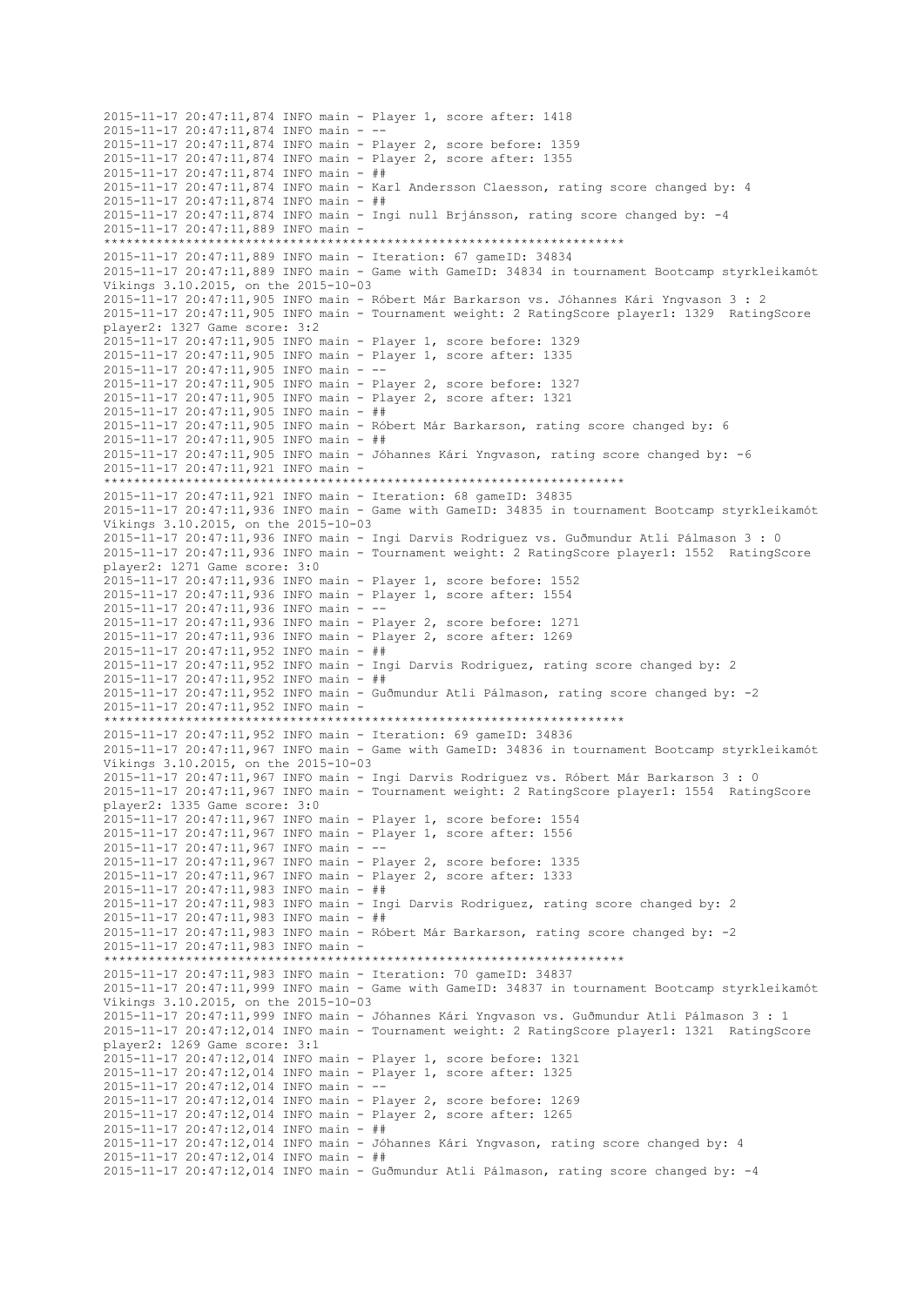2015-11-17 20:47:11,874 INFO main - Player 1, score after: 1418 2015-11-17 20:47:11,874 INFO main -2015-11-17 20:47:11,874 INFO main - Player 2, score before: 1359 2015-11-17 20:47:11,874 INFO main - Player 2, score after: 1355 2015-11-17 20:47:11,874 INFO main - ## 2015-11-17 20:47:11,874 INFO main - Karl Andersson Claesson, rating score changed by: 4 2015-11-17 20:47:11,874 INFO main - ##  $2015-11-17$   $20:47:11,874$  INFO main - Ingi null Briánsson, rating score changed by: -4 2015-11-17 20:47:11,889 INFO main - \*\*\*\*\*\*\*\*\*\*\*\*\*\*\*\*\*\*\*\*\*\*\*\*\*\*\*\*\*\*\*\*\*\*\*\*\*\*\*\*\*\*\*\*\*\*\*\*\*\*\*\*\*\*\*\*\*\*\*\*\*\*\*\*\*\*\*\*\*\* 2015-11-17 20:47:11,889 INFO main - Iteration: 67 gameID: 34834 2015-11-17 20:47:11,889 INFO main - Game with GameID: 34834 in tournament Bootcamp styrkleikamót Víkings 3.10.2015, on the 2015-10-03 2015-11-17 20:47:11,905 INFO main - Róbert Már Barkarson vs. Jóhannes Kári Yngvason 3 : 2 2015-11-17 20:47:11,905 INFO main - Tournament weight: 2 RatingScore player1: 1329 RatingScore player2: 1327 Game score: 3:2 2015-11-17 20:47:11,905 INFO main - Player 1, score before: 1329 2015-11-17 20:47:11,905 INFO main - Player 1, score after: 1335 2015-11-17 20:47:11,905 INFO main - -- 2015-11-17 20:47:11,905 INFO main - Player 2, score before: 1327 2015-11-17 20:47:11,905 INFO main - Player 2, score after: 1321 2015-11-17 20:47:11,905 INFO main - ## 2015-11-17 20:47:11,905 INFO main - Róbert Már Barkarson, rating score changed by: 6 2015-11-17 20:47:11,905 INFO main - ## 2015-11-17 20:47:11,905 INFO main - Jóhannes Kári Yngvason, rating score changed by: -6 2015-11-17 20:47:11,921 INFO main - \*\*\*\*\*\*\*\*\*\*\*\*\*\*\*\*\*\*\*\*\*\*\*\*\*\*\*\*\*\*\*\*\*\*\*\*\*\*\*\*\*\*\*\*\*\*\*\*\*\*\*\*\*\*\*\*\*\*\*\*\*\*\*\*\*\*\*\*\*\* 2015-11-17 20:47:11,921 INFO main - Iteration: 68 gameID: 34835 2015-11-17 20:47:11,936 INFO main - Game with GameID: 34835 in tournament Bootcamp styrkleikamót Víkings 3.10.2015, on the 2015-10-03 2015-11-17 20:47:11,936 INFO main - Ingi Darvis Rodriguez vs. Guðmundur Atli Pálmason 3 : 0 2015-11-17 20:47:11,936 INFO main - Tournament weight: 2 RatingScore player1: 1552 RatingScore player2: 1271 Game score: 3:0 2015-11-17 20:47:11,936 INFO main - Player 1, score before: 1552 2015-11-17 20:47:11,936 INFO main - Player 1, score after: 1554 2015-11-17 20:47:11,936 INFO main - -- 2015-11-17 20:47:11,936 INFO main - Player 2, score before: 1271 2015-11-17 20:47:11,936 INFO main - Player 2, score after: 1269 2015-11-17 20:47:11,952 INFO main - ## 2015-11-17 20:47:11,952 INFO main - Ingi Darvis Rodriguez, rating score changed by: 2 2015-11-17 20:47:11,952 INFO main - ## 2015-11-17 20:47:11,952 INFO main - Guðmundur Atli Pálmason, rating score changed by: -2 2015-11-17 20:47:11,952 INFO main - \*\*\*\*\*\*\*\*\*\*\*\*\*\*\*\*\*\*\*\*\*\*\*\*\*\*\*\*\*\*\*\*\*\*\*\*\*\*\*\*\*\*\*\*\*\*\*\*\*\*\*\*\*\*\*\*\*\*\*\*\*\*\*\*\*\*\*\*\*\* 2015-11-17 20:47:11,952 INFO main - Iteration: 69 gameID: 34836 2015-11-17 20:47:11,967 INFO main - Game with GameID: 34836 in tournament Bootcamp styrkleikamót Víkings 3.10.2015, on the 2015-10-03 2015-11-17 20:47:11,967 INFO main - Ingi Darvis Rodriguez vs. Róbert Már Barkarson 3 : 0 2015-11-17 20:47:11,967 INFO main - Tournament weight: 2 RatingScore player1: 1554 RatingScore player2: 1335 Game score: 3:0 2015-11-17 20:47:11,967 INFO main - Player 1, score before: 1554 2015-11-17 20:47:11,967 INFO main - Player 1, score after: 1556 2015-11-17 20:47:11,967 INFO main - -- 2015-11-17 20:47:11,967 INFO main - Player 2, score before: 1335 2015-11-17 20:47:11,967 INFO main - Player 2, score after: 1333 2015-11-17 20:47:11,983 INFO main - ## 2015-11-17 20:47:11,983 INFO main - Ingi Darvis Rodriguez, rating score changed by: 2 2015-11-17 20:47:11,983 INFO main - ## 2015-11-17 20:47:11,983 INFO main - Róbert Már Barkarson, rating score changed by: -2 2015-11-17 20:47:11,983 INFO main - \*\*\*\*\*\*\*\*\*\*\*\*\*\*\*\*\*\*\*\*\*\*\*\*\*\*\*\*\*\*\*\*\*\*\*\*\*\*\*\*\*\*\*\*\*\*\*\*\*\*\*\*\*\*\*\*\*\*\*\*\*\*\*\*\*\*\*\*\*\* 2015-11-17 20:47:11,983 INFO main - Iteration: 70 gameID: 34837 2015-11-17 20:47:11,999 INFO main - Game with GameID: 34837 in tournament Bootcamp styrkleikamót Víkings 3.10.2015, on the 2015-10-03 2015-11-17 20:47:11,999 INFO main - Jóhannes Kári Yngvason vs. Guðmundur Atli Pálmason 3 : 1 2015-11-17 20:47:12,014 INFO main - Tournament weight: 2 RatingScore player1: 1321 RatingScore player2: 1269 Game score: 3:1 2015-11-17 20:47:12,014 INFO main - Player 1, score before: 1321 2015-11-17 20:47:12,014 INFO main - Player 1, score after: 1325 2015-11-17 20:47:12,014 INFO main - -- 2015-11-17 20:47:12,014 INFO main - Player 2, score before: 1269 2015-11-17 20:47:12,014 INFO main - Player 2, score after: 1265 2015-11-17 20:47:12,014 INFO main - ## 2015-11-17 20:47:12,014 INFO main - Jóhannes Kári Yngvason, rating score changed by: 4 2015-11-17 20:47:12,014 INFO main - ## 2015-11-17 20:47:12,014 INFO main - Guðmundur Atli Pálmason, rating score changed by: -4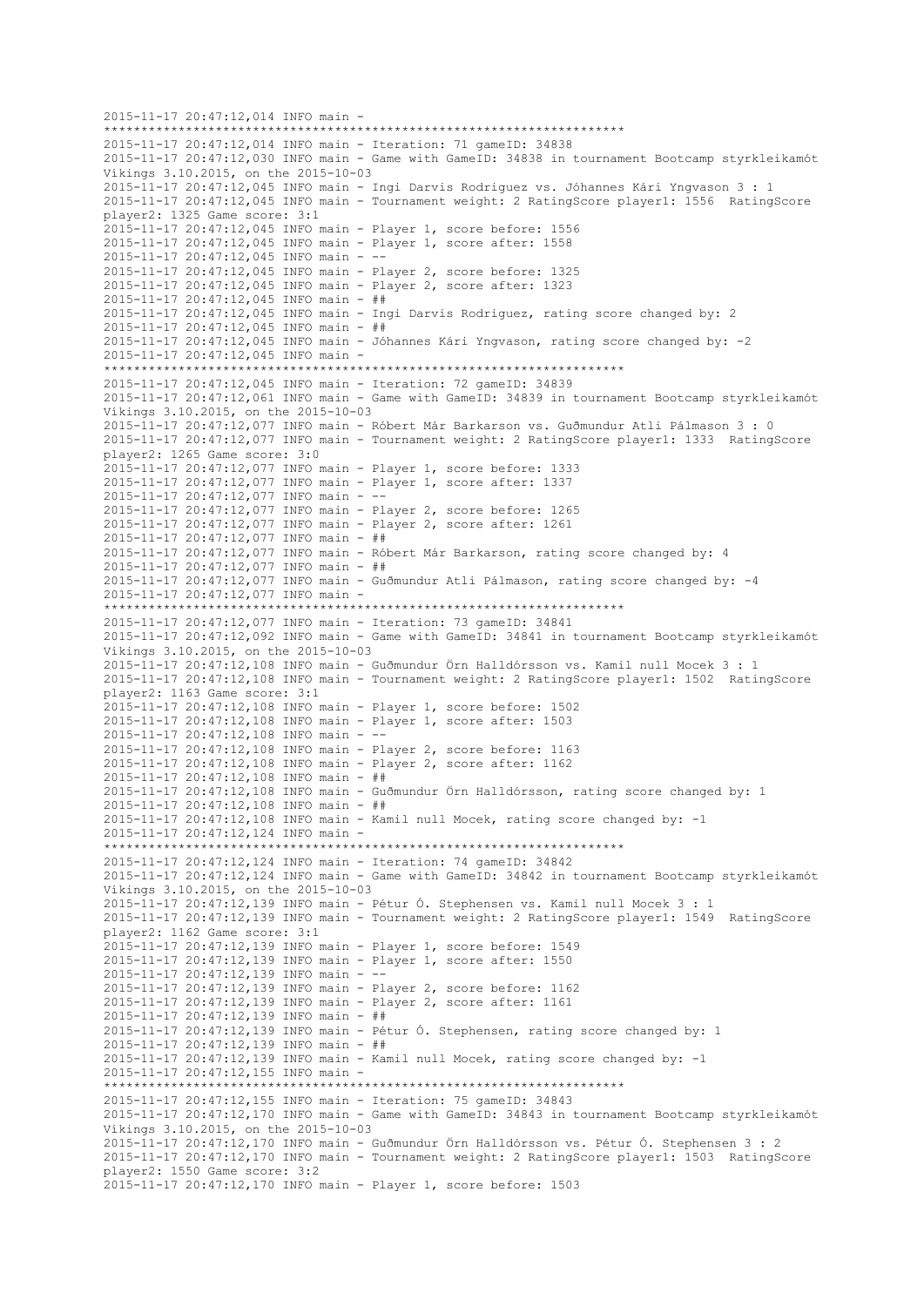2015-11-17 20:47:12,014 INFO main - \*\*\*\*\*\*\*\*\*\*\*\*\*\*\*\*\*\*\*\*\*\*\*\*\*\*\*\*\*\*\*\*\*\*\*\*\*\*\*\*\*\*\*\*\*\*\*\*\*\*\*\*\*\*\*\*\*\*\*\*\*\*\*\*\*\*\*\*\*\* 2015-11-17 20:47:12,014 INFO main - Iteration: 71 gameID: 34838 2015-11-17 20:47:12,030 INFO main - Game with GameID: 34838 in tournament Bootcamp styrkleikamót Víkings 3.10.2015, on the 2015-10-03 2015-11-17 20:47:12,045 INFO main - Ingi Darvis Rodriguez vs. Jóhannes Kári Yngvason 3 : 1 2015-11-17 20:47:12,045 INFO main - Tournament weight: 2 RatingScore player1: 1556 RatingScore player2: 1325 Game score: 3:1 2015-11-17 20:47:12,045 INFO main - Player 1, score before: 1556 2015-11-17 20:47:12,045 INFO main - Player 1, score after: 1558 2015-11-17 20:47:12,045 INFO main - -- 2015-11-17 20:47:12,045 INFO main - Player 2, score before: 1325 2015-11-17 20:47:12,045 INFO main - Player 2, score after: 1323 2015-11-17 20:47:12,045 INFO main - ## 2015-11-17 20:47:12,045 INFO main - Ingi Darvis Rodriguez, rating score changed by: 2 2015-11-17 20:47:12,045 INFO main - ## 2015-11-17 20:47:12,045 INFO main - Jóhannes Kári Yngvason, rating score changed by: -2 2015-11-17 20:47:12,045 INFO main - \*\*\*\*\*\*\*\*\*\*\*\*\*\*\*\*\*\*\*\*\*\*\*\*\*\*\*\*\*\*\*\*\*\*\*\*\*\*\*\*\*\*\*\*\*\*\*\*\*\*\*\*\*\*\*\*\*\*\*\*\*\*\*\*\*\*\*\*\*\* 2015-11-17 20:47:12,045 INFO main - Iteration: 72 gameID: 34839 2015-11-17 20:47:12,061 INFO main - Game with GameID: 34839 in tournament Bootcamp styrkleikamót Víkings 3.10.2015, on the 2015-10-03 2015-11-17 20:47:12,077 INFO main - Róbert Már Barkarson vs. Guðmundur Atli Pálmason 3 : 0 2015-11-17 20:47:12,077 INFO main - Tournament weight: 2 RatingScore player1: 1333 RatingScore player2: 1265 Game score: 3:0 2015-11-17 20:47:12,077 INFO main - Player 1, score before: 1333 2015-11-17 20:47:12,077 INFO main - Player 1, score after: 1337 2015-11-17 20:47:12,077 INFO main - -- 2015-11-17 20:47:12,077 INFO main - Player 2, score before: 1265 2015-11-17 20:47:12,077 INFO main - Player 2, score after: 1261 2015-11-17 20:47:12,077 INFO main - ## 2015-11-17 20:47:12,077 INFO main - Róbert Már Barkarson, rating score changed by: 4 2015-11-17 20:47:12,077 INFO main - ## 2015-11-17 20:47:12,077 INFO main - Guðmundur Atli Pálmason, rating score changed by: -4 2015-11-17 20:47:12,077 INFO main - \*\*\*\*\*\*\*\*\*\*\*\*\*\*\*\*\*\*\*\*\*\*\*\*\*\*\*\*\*\*\*\*\*\*\*\*\*\*\*\*\*\*\*\*\*\*\*\*\*\*\*\*\*\*\*\*\*\*\*\*\*\*\*\*\*\*\*\*\*\* 2015-11-17 20:47:12,077 INFO main - Iteration: 73 gameID: 34841 2015-11-17 20:47:12,092 INFO main - Game with GameID: 34841 in tournament Bootcamp styrkleikamót Víkings 3.10.2015, on the 2015-10-03 2015-11-17 20:47:12,108 INFO main - Guðmundur Örn Halldórsson vs. Kamil null Mocek 3 : 1 2015-11-17 20:47:12,108 INFO main - Tournament weight: 2 RatingScore player1: 1502 RatingScore player2: 1163 Game score: 3:1 2015-11-17 20:47:12,108 INFO main - Player 1, score before: 1502 2015-11-17 20:47:12,108 INFO main - Player 1, score after: 1503 2015-11-17 20:47:12,108 INFO main - -- 2015-11-17 20:47:12,108 INFO main - Player 2, score before: 1163 2015-11-17 20:47:12,108 INFO main - Player 2, score after: 1162 2015-11-17 20:47:12,108 INFO main - ## 2015-11-17 20:47:12,108 INFO main - Guðmundur Örn Halldórsson, rating score changed by: 1 2015-11-17 20:47:12,108 INFO main - ## 2015-11-17 20:47:12,108 INFO main - Kamil null Mocek, rating score changed by: -1 2015-11-17 20:47:12,124 INFO main - \*\*\*\*\*\*\*\*\*\*\*\*\*\*\*\*\*\*\*\*\*\*\*\*\*\*\*\*\*\*\*\*\*\*\*\*\*\*\*\*\*\*\*\*\*\*\*\*\*\*\*\*\*\*\*\*\*\*\*\*\*\*\*\*\*\*\*\*\*\* 2015-11-17 20:47:12,124 INFO main - Iteration: 74 gameID: 34842 2015-11-17 20:47:12,124 INFO main - Game with GameID: 34842 in tournament Bootcamp styrkleikamót Víkings 3.10.2015, on the 2015-10-03 2015-11-17 20:47:12,139 INFO main - Pétur Ó. Stephensen vs. Kamil null Mocek 3 : 1 2015-11-17 20:47:12,139 INFO main - Tournament weight: 2 RatingScore player1: 1549 RatingScore player2: 1162 Game score: 3:1 2015-11-17 20:47:12,139 INFO main - Player 1, score before: 1549 2015-11-17 20:47:12,139 INFO main - Player 1, score after: 1550 2015-11-17 20:47:12,139 INFO main - -- 2015-11-17 20:47:12,139 INFO main - Player 2, score before: 1162 2015-11-17 20:47:12,139 INFO main - Player 2, score after: 1161 2015-11-17 20:47:12,139 INFO main - ## 2015-11-17 20:47:12,139 INFO main - Pétur Ó. Stephensen, rating score changed by: 1 2015-11-17 20:47:12,139 INFO main - ## 2015-11-17 20:47:12,139 INFO main - Kamil null Mocek, rating score changed by: -1 2015-11-17 20:47:12,155 INFO main - \*\*\*\*\*\*\*\*\*\*\*\*\*\*\*\*\*\*\*\*\*\*\*\*\*\*\*\*\*\*\*\*\*\*\*\*\*\*\*\*\*\*\*\*\*\*\*\*\*\*\*\*\*\*\*\*\*\*\*\*\*\*\*\*\*\*\*\*\*\* 2015-11-17 20:47:12,155 INFO main - Iteration: 75 gameID: 34843 2015-11-17 20:47:12,170 INFO main - Game with GameID: 34843 in tournament Bootcamp styrkleikamót Víkings 3.10.2015, on the 2015-10-03 2015-11-17 20:47:12,170 INFO main - Guðmundur Örn Halldórsson vs. Pétur Ó. Stephensen 3 : 2 2015-11-17 20:47:12,170 INFO main - Tournament weight: 2 RatingScore player1: 1503 RatingScore player2: 1550 Game score: 3:2 2015-11-17 20:47:12,170 INFO main - Player 1, score before: 1503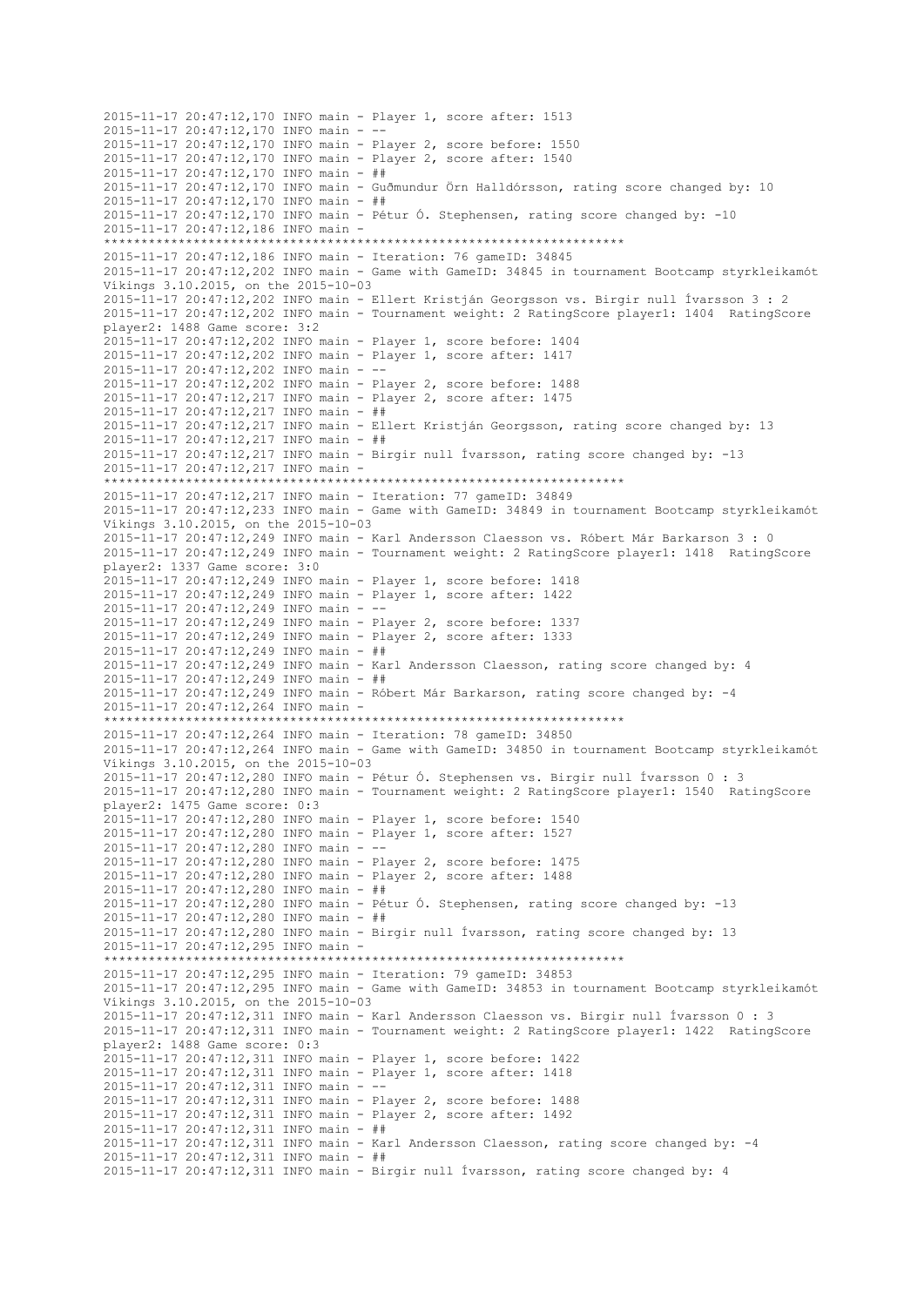2015-11-17 20:47:12,170 INFO main - Player 1, score after: 1513 2015-11-17 20:47:12,170 INFO main -2015-11-17 20:47:12,170 INFO main - Player 2, score before: 1550 2015-11-17 20:47:12,170 INFO main - Player 2, score after: 1540 2015-11-17 20:47:12,170 INFO main - ## 2015-11-17 20:47:12,170 INFO main - Guðmundur Örn Halldórsson, rating score changed by: 10 2015-11-17 20:47:12,170 INFO main - ## 2015-11-17 20:47:12,170 INFO main - Pétur Ó. Stephensen, rating score changed by: -10 2015-11-17 20:47:12,186 INFO main - \*\*\*\*\*\*\*\*\*\*\*\*\*\*\*\*\*\*\*\*\*\*\*\*\*\*\*\*\*\*\*\*\*\*\*\*\*\*\*\*\*\*\*\*\*\*\*\*\*\*\*\*\*\*\*\*\*\*\*\*\*\*\*\*\*\*\*\*\*\* 2015-11-17 20:47:12,186 INFO main - Iteration: 76 gameID: 34845 2015-11-17 20:47:12,202 INFO main - Game with GameID: 34845 in tournament Bootcamp styrkleikamót Víkings 3.10.2015, on the 2015-10-03 2015-11-17 20:47:12,202 INFO main - Ellert Kristján Georgsson vs. Birgir null Ívarsson 3 : 2 2015-11-17 20:47:12,202 INFO main - Tournament weight: 2 RatingScore player1: 1404 RatingScore player2: 1488 Game score: 3:2 2015-11-17 20:47:12,202 INFO main - Player 1, score before: 1404 2015-11-17 20:47:12,202 INFO main - Player 1, score after: 1417 2015-11-17 20:47:12,202 INFO main - -- 2015-11-17 20:47:12,202 INFO main - Player 2, score before: 1488 2015-11-17 20:47:12,217 INFO main - Player 2, score after: 1475 2015-11-17 20:47:12,217 INFO main - ## 2015-11-17 20:47:12,217 INFO main - Ellert Kristján Georgsson, rating score changed by: 13 2015-11-17 20:47:12,217 INFO main - ## 2015-11-17 20:47:12,217 INFO main - Birgir null Ívarsson, rating score changed by: -13 2015-11-17 20:47:12,217 INFO main - \*\*\*\*\*\*\*\*\*\*\*\*\*\*\*\*\*\*\*\*\*\*\*\*\*\*\*\*\*\*\*\*\*\*\*\*\*\*\*\*\*\*\*\*\*\*\*\*\*\*\*\*\*\*\*\*\*\*\*\*\*\*\*\*\*\*\*\*\*\* 2015-11-17 20:47:12,217 INFO main - Iteration: 77 gameID: 34849 2015-11-17 20:47:12,233 INFO main - Game with GameID: 34849 in tournament Bootcamp styrkleikamót Víkings 3.10.2015, on the 2015-10-03 2015-11-17 20:47:12,249 INFO main - Karl Andersson Claesson vs. Róbert Már Barkarson 3 : 0 2015-11-17 20:47:12,249 INFO main - Tournament weight: 2 RatingScore player1: 1418 RatingScore player2: 1337 Game score: 3:0 2015-11-17 20:47:12,249 INFO main - Player 1, score before: 1418 2015-11-17 20:47:12,249 INFO main - Player 1, score after: 1422 2015-11-17 20:47:12,249 INFO main - -- 2015-11-17 20:47:12,249 INFO main - Player 2, score before: 1337 2015-11-17 20:47:12,249 INFO main - Player 2, score after: 1333 2015-11-17 20:47:12,249 INFO main - ## 2015-11-17 20:47:12,249 INFO main - Karl Andersson Claesson, rating score changed by: 4 2015-11-17 20:47:12,249 INFO main - ## 2015-11-17 20:47:12,249 INFO main - Róbert Már Barkarson, rating score changed by: -4 2015-11-17 20:47:12,264 INFO main - \*\*\*\*\*\*\*\*\*\*\*\*\*\*\*\*\*\*\*\*\*\*\*\*\*\*\*\*\*\*\*\*\*\*\*\*\*\*\*\*\*\*\*\*\*\*\*\*\*\*\*\*\*\*\*\*\*\*\*\*\*\*\*\*\*\*\*\*\*\* 2015-11-17 20:47:12,264 INFO main - Iteration: 78 gameID: 34850 2015-11-17 20:47:12,264 INFO main - Game with GameID: 34850 in tournament Bootcamp styrkleikamót Víkings 3.10.2015, on the 2015-10-03 2015-11-17 20:47:12,280 INFO main - Pétur Ó. Stephensen vs. Birgir null Ívarsson 0 : 3 2015-11-17 20:47:12,280 INFO main - Tournament weight: 2 RatingScore player1: 1540 RatingScore player2: 1475 Game score: 0:3 2015-11-17 20:47:12,280 INFO main - Player 1, score before: 1540 2015-11-17 20:47:12,280 INFO main - Player 1, score after: 1527 2015-11-17 20:47:12,280 INFO main - -- 2015-11-17 20:47:12,280 INFO main - Player 2, score before: 1475 2015-11-17 20:47:12,280 INFO main - Player 2, score after: 1488 2015-11-17 20:47:12,280 INFO main - ## 2015-11-17 20:47:12,280 INFO main - Pétur Ó. Stephensen, rating score changed by: -13 2015-11-17 20:47:12,280 INFO main - ## 2015-11-17 20:47:12,280 INFO main - Birgir null Ívarsson, rating score changed by: 13 2015-11-17 20:47:12,295 INFO main - \*\*\*\*\*\*\*\*\*\*\*\*\*\*\*\*\*\*\*\*\*\*\*\*\*\*\*\*\*\*\*\*\*\*\*\*\*\*\*\*\*\*\*\*\*\*\*\*\*\*\*\*\*\*\*\*\*\*\*\*\*\*\*\*\*\*\*\*\*\* 2015-11-17 20:47:12,295 INFO main - Iteration: 79 gameID: 34853 2015-11-17 20:47:12,295 INFO main - Game with GameID: 34853 in tournament Bootcamp styrkleikamót Víkings 3.10.2015, on the 2015-10-03 2015-11-17 20:47:12,311 INFO main - Karl Andersson Claesson vs. Birgir null Ívarsson 0 : 3 2015-11-17 20:47:12,311 INFO main - Tournament weight: 2 RatingScore player1: 1422 RatingScore player2: 1488 Game score: 0:3 2015-11-17 20:47:12,311 INFO main - Player 1, score before: 1422 2015-11-17 20:47:12,311 INFO main - Player 1, score after: 1418 2015-11-17 20:47:12,311 INFO main - -- 2015-11-17 20:47:12,311 INFO main - Player 2, score before: 1488 2015-11-17 20:47:12,311 INFO main - Player 2, score after: 1492 2015-11-17 20:47:12,311 INFO main - ## 2015-11-17 20:47:12,311 INFO main - Karl Andersson Claesson, rating score changed by: -4 2015-11-17 20:47:12,311 INFO main - ## 2015-11-17 20:47:12,311 INFO main - Birgir null Ívarsson, rating score changed by: 4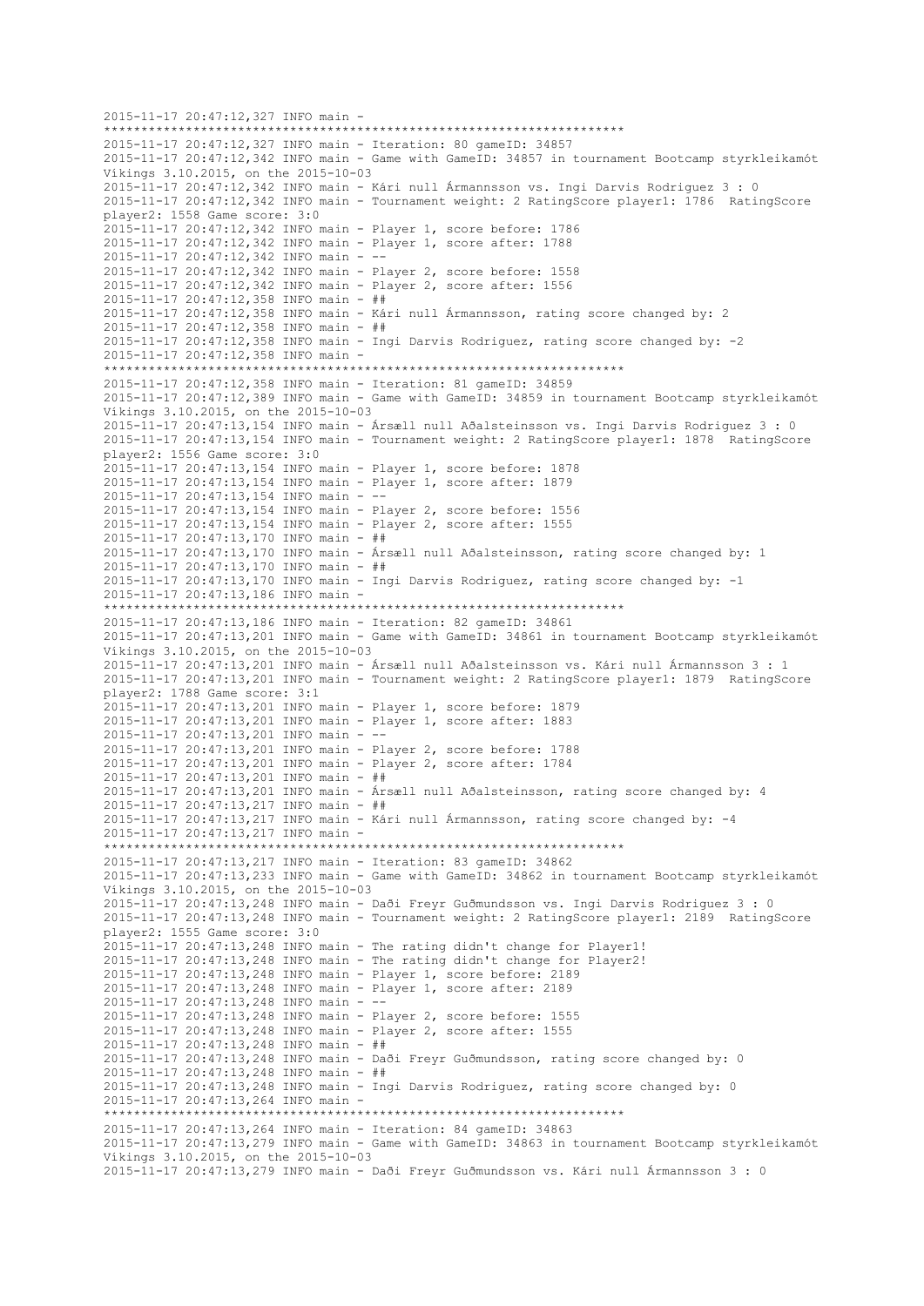2015-11-17 20:47:12,327 INFO main - \*\*\*\*\*\*\*\*\*\*\*\*\*\*\*\*\*\*\*\*\*\*\*\*\*\*\*\*\*\*\*\*\*\*\*\*\*\*\*\*\*\*\*\*\*\*\*\*\*\*\*\*\*\*\*\*\*\*\*\*\*\*\*\*\*\*\*\*\*\* 2015-11-17 20:47:12,327 INFO main - Iteration: 80 gameID: 34857 2015-11-17 20:47:12,342 INFO main - Game with GameID: 34857 in tournament Bootcamp styrkleikamót Víkings 3.10.2015, on the 2015-10-03 2015-11-17 20:47:12,342 INFO main - Kári null Ármannsson vs. Ingi Darvis Rodriguez 3 : 0 2015-11-17 20:47:12,342 INFO main - Tournament weight: 2 RatingScore player1: 1786 RatingScore player2: 1558 Game score: 3:0 2015-11-17 20:47:12,342 INFO main - Player 1, score before: 1786 2015-11-17 20:47:12,342 INFO main - Player 1, score after: 1788 2015-11-17 20:47:12,342 INFO main - -- 2015-11-17 20:47:12,342 INFO main - Player 2, score before: 1558 2015-11-17 20:47:12,342 INFO main - Player 2, score after: 1556 2015-11-17 20:47:12,358 INFO main - ## 2015-11-17 20:47:12,358 INFO main - Kári null Ármannsson, rating score changed by: 2 2015-11-17 20:47:12,358 INFO main - ## 2015-11-17 20:47:12,358 INFO main - Ingi Darvis Rodriguez, rating score changed by: -2 2015-11-17 20:47:12,358 INFO main - \*\*\*\*\*\*\*\*\*\*\*\*\*\*\*\*\*\*\*\*\*\*\*\*\*\*\*\*\*\*\*\*\*\*\*\*\*\*\*\*\*\*\*\*\*\*\*\*\*\*\*\*\*\*\*\*\*\*\*\*\*\*\*\*\*\*\*\*\*\* 2015-11-17 20:47:12,358 INFO main - Iteration: 81 gameID: 34859 2015-11-17 20:47:12,389 INFO main - Game with GameID: 34859 in tournament Bootcamp styrkleikamót Víkings 3.10.2015, on the 2015-10-03 2015-11-17 20:47:13,154 INFO main - Ársæll null Aðalsteinsson vs. Ingi Darvis Rodriguez 3 : 0 2015-11-17 20:47:13,154 INFO main - Tournament weight: 2 RatingScore player1: 1878 RatingScore player2: 1556 Game score: 3:0 2015-11-17 20:47:13,154 INFO main - Player 1, score before: 1878 2015-11-17 20:47:13,154 INFO main - Player 1, score after: 1879 2015-11-17 20:47:13,154 INFO main - -- 2015-11-17 20:47:13,154 INFO main - Player 2, score before: 1556 2015-11-17 20:47:13,154 INFO main - Player 2, score after: 1555 2015-11-17 20:47:13,170 INFO main - ## 2015-11-17 20:47:13,170 INFO main - Ársæll null Aðalsteinsson, rating score changed by: 1 2015-11-17 20:47:13,170 INFO main - ## 2015-11-17 20:47:13,170 INFO main - Ingi Darvis Rodriguez, rating score changed by: -1 2015-11-17 20:47:13,186 INFO main - \*\*\*\*\*\*\*\*\*\*\*\*\*\*\*\*\*\*\*\*\*\*\*\*\*\*\*\*\*\*\*\*\*\*\*\*\*\*\*\*\*\*\*\*\*\*\*\*\*\*\*\*\*\*\*\*\*\*\*\*\*\*\*\*\*\*\*\*\*\* 2015-11-17 20:47:13,186 INFO main - Iteration: 82 gameID: 34861 2015-11-17 20:47:13,201 INFO main - Game with GameID: 34861 in tournament Bootcamp styrkleikamót Víkings 3.10.2015, on the 2015-10-03 2015-11-17 20:47:13,201 INFO main - Ársæll null Aðalsteinsson vs. Kári null Ármannsson 3 : 1 2015-11-17 20:47:13,201 INFO main - Tournament weight: 2 RatingScore player1: 1879 RatingScore player2: 1788 Game score: 3:1 2015-11-17 20:47:13,201 INFO main - Player 1, score before: 1879 2015-11-17 20:47:13,201 INFO main - Player 1, score after: 1883 2015-11-17 20:47:13,201 INFO main - -- 2015-11-17 20:47:13,201 INFO main - Player 2, score before: 1788 2015-11-17 20:47:13,201 INFO main - Player 2, score after: 1784 2015-11-17 20:47:13,201 INFO main - ## 2015-11-17 20:47:13,201 INFO main - Ársæll null Aðalsteinsson, rating score changed by: 4 2015-11-17 20:47:13,217 INFO main - ## 2015-11-17 20:47:13,217 INFO main - Kári null Ármannsson, rating score changed by: -4 2015-11-17 20:47:13,217 INFO main - \*\*\*\*\*\*\*\*\*\*\*\*\*\*\*\*\*\*\*\*\*\*\*\*\*\*\*\*\*\*\*\*\*\*\*\*\*\*\*\*\*\*\*\*\*\*\*\*\*\*\*\*\*\*\*\*\*\*\*\*\*\*\*\*\*\*\*\*\*\* 2015-11-17 20:47:13,217 INFO main - Iteration: 83 gameID: 34862 2015-11-17 20:47:13,233 INFO main - Game with GameID: 34862 in tournament Bootcamp styrkleikamót Víkings 3.10.2015, on the 2015-10-03 2015-11-17 20:47:13,248 INFO main - Daði Freyr Guðmundsson vs. Ingi Darvis Rodriguez 3 : 0 2015-11-17 20:47:13,248 INFO main - Tournament weight: 2 RatingScore player1: 2189 RatingScore player2: 1555 Game score: 3:0 2015-11-17 20:47:13,248 INFO main - The rating didn't change for Player1! 2015-11-17 20:47:13,248 INFO main - The rating didn't change for Player2! 2015-11-17 20:47:13,248 INFO main - Player 1, score before: 2189 2015-11-17 20:47:13,248 INFO main - Player 1, score after: 2189 2015-11-17 20:47:13,248 INFO main -2015-11-17 20:47:13,248 INFO main - Player 2, score before: 1555 2015-11-17 20:47:13,248 INFO main - Player 2, score after: 1555 2015-11-17 20:47:13,248 INFO main - ## 2015-11-17 20:47:13,248 INFO main - Daði Freyr Guðmundsson, rating score changed by: 0 2015-11-17 20:47:13,248 INFO main - ## 2015-11-17 20:47:13,248 INFO main - Ingi Darvis Rodriguez, rating score changed by: 0 2015-11-17 20:47:13,264 INFO main - \*\*\*\*\*\*\*\*\*\*\*\*\*\*\*\*\*\*\*\*\*\*\*\*\*\*\*\*\*\*\*\*\*\*\*\*\*\*\*\*\*\*\*\*\*\*\*\*\*\*\*\*\*\*\*\*\*\*\*\*\*\*\*\*\*\*\*\*\*\* 2015-11-17 20:47:13,264 INFO main - Iteration: 84 gameID: 34863 2015-11-17 20:47:13,279 INFO main - Game with GameID: 34863 in tournament Bootcamp styrkleikamót Víkings 3.10.2015, on the 2015-10-03 2015-11-17 20:47:13,279 INFO main - Daði Freyr Guðmundsson vs. Kári null Ármannsson 3 : 0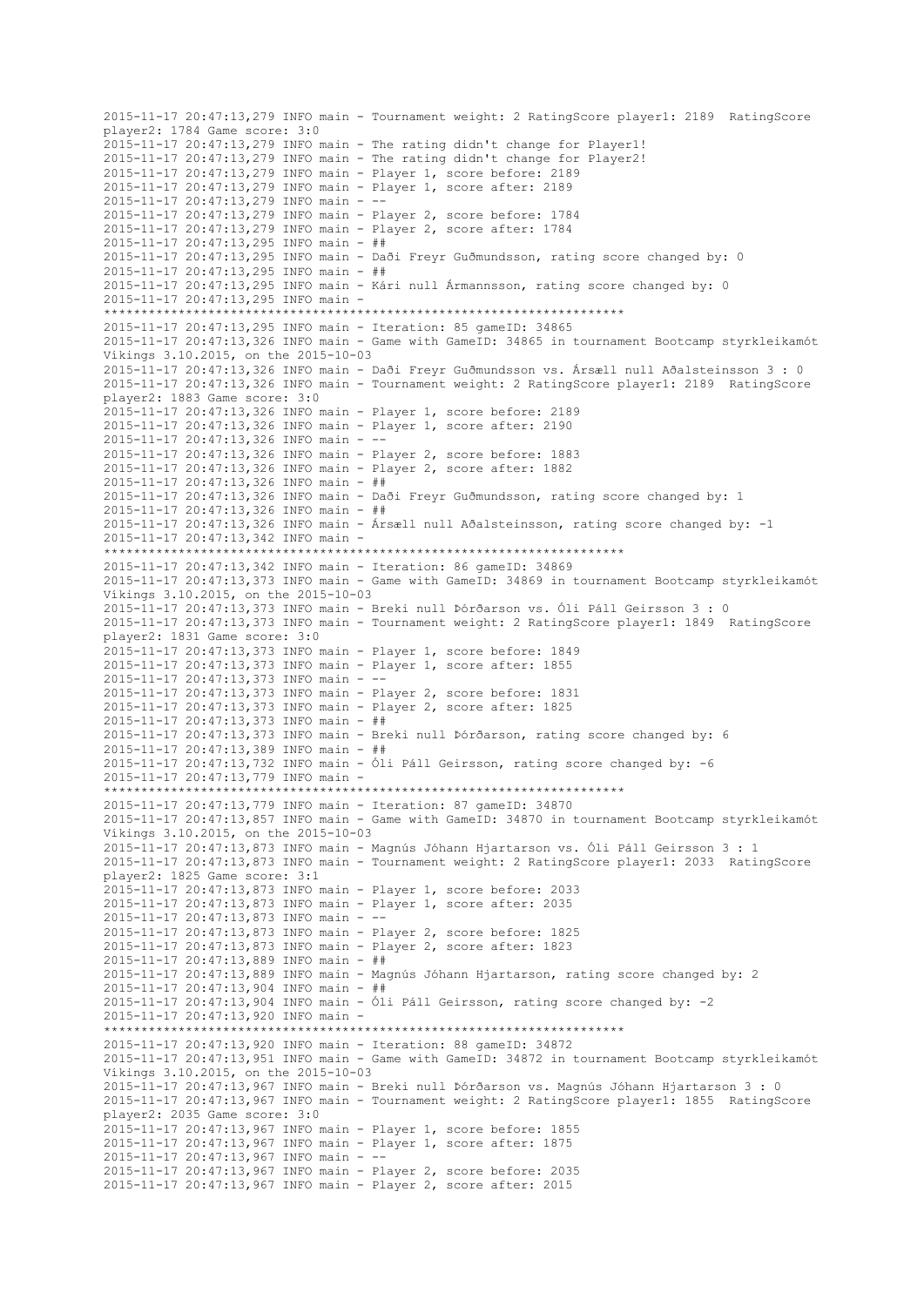2015-11-17 20:47:13,279 INFO main - Tournament weight: 2 RatingScore player1: 2189 RatingScore player2: 1784 Game score: 3:0 2015-11-17 20:47:13,279 INFO main - The rating didn't change for Player1! 2015-11-17 20:47:13,279 INFO main - The rating didn't change for Player2! 2015-11-17 20:47:13,279 INFO main - Player 1, score before: 2189 2015-11-17 20:47:13,279 INFO main - Player 1, score after: 2189 2015-11-17 20:47:13,279 INFO main -2015-11-17 20:47:13,279 INFO main - Player 2, score before: 1784 2015-11-17 20:47:13,279 INFO main - Player 2, score after: 1784 2015-11-17 20:47:13,295 INFO main - ## 2015-11-17 20:47:13,295 INFO main - Daði Freyr Guðmundsson, rating score changed by: 0 2015-11-17 20:47:13,295 INFO main - ## 2015-11-17 20:47:13,295 INFO main - Kári null Ármannsson, rating score changed by: 0 2015-11-17 20:47:13,295 INFO main - \*\*\*\*\*\*\*\*\*\*\*\*\*\*\*\*\*\*\*\*\*\*\*\*\*\*\*\*\*\*\*\*\*\*\*\*\*\*\*\*\*\*\*\*\*\*\*\*\*\*\*\*\*\*\*\*\*\*\*\*\*\*\*\*\*\*\*\*\*\* 2015-11-17 20:47:13,295 INFO main - Iteration: 85 gameID: 34865 2015-11-17 20:47:13,326 INFO main - Game with GameID: 34865 in tournament Bootcamp styrkleikamót Víkings 3.10.2015, on the 2015-10-03 2015-11-17 20:47:13,326 INFO main - Daði Freyr Guðmundsson vs. Ársæll null Aðalsteinsson 3 : 0 2015-11-17 20:47:13,326 INFO main - Tournament weight: 2 RatingScore player1: 2189 RatingScore player2: 1883 Game score: 3:0 2015-11-17 20:47:13,326 INFO main - Player 1, score before: 2189 2015-11-17 20:47:13,326 INFO main - Player 1, score after: 2190 2015-11-17 20:47:13,326 INFO main - -- 2015-11-17 20:47:13,326 INFO main - Player 2, score before: 1883 2015-11-17 20:47:13,326 INFO main - Player 2, score after: 1882 2015-11-17 20:47:13,326 INFO main - ## 2015-11-17 20:47:13,326 INFO main - Daði Freyr Guðmundsson, rating score changed by: 1 2015-11-17 20:47:13,326 INFO main - ## 2015-11-17 20:47:13,326 INFO main - Ársæll null Aðalsteinsson, rating score changed by: -1 2015-11-17 20:47:13,342 INFO main - \*\*\*\*\*\*\*\*\*\*\*\*\*\*\*\*\*\*\*\*\*\*\*\*\*\*\*\*\*\*\*\*\*\*\*\*\*\*\*\*\*\*\*\*\*\*\*\*\*\*\*\*\*\*\*\*\*\*\*\*\*\*\*\*\*\*\*\*\*\* 2015-11-17 20:47:13,342 INFO main - Iteration: 86 gameID: 34869 2015-11-17 20:47:13,373 INFO main - Game with GameID: 34869 in tournament Bootcamp styrkleikamót Víkings 3.10.2015, on the 2015-10-03 2015-11-17 20:47:13,373 INFO main - Breki null Þórðarson vs. Óli Páll Geirsson 3 : 0 2015-11-17 20:47:13,373 INFO main - Tournament weight: 2 RatingScore player1: 1849 RatingScore player2: 1831 Game score: 3:0 2015-11-17 20:47:13,373 INFO main - Player 1, score before: 1849 2015-11-17 20:47:13,373 INFO main - Player 1, score after: 1855 2015-11-17 20:47:13,373 INFO main - -- 2015-11-17 20:47:13,373 INFO main - Player 2, score before: 1831 2015-11-17 20:47:13,373 INFO main - Player 2, score after: 1825 2015-11-17 20:47:13,373 INFO main - ## 2015-11-17 20:47:13,373 INFO main - Breki null Þórðarson, rating score changed by: 6 2015-11-17 20:47:13,389 INFO main - ## 2015-11-17 20:47:13,732 INFO main - Óli Páll Geirsson, rating score changed by: -6 2015-11-17 20:47:13,779 INFO main - \*\*\*\*\*\*\*\*\*\*\*\*\*\*\*\*\*\*\*\*\*\*\*\*\*\*\*\*\*\*\*\*\*\*\*\*\*\*\*\*\*\*\*\*\*\*\*\*\*\*\*\*\*\*\*\*\*\*\*\*\*\*\*\*\*\*\*\*\*\* 2015-11-17 20:47:13,779 INFO main - Iteration: 87 gameID: 34870 2015-11-17 20:47:13,857 INFO main - Game with GameID: 34870 in tournament Bootcamp styrkleikamót Víkings 3.10.2015, on the 2015-10-03 2015-11-17 20:47:13,873 INFO main - Magnús Jóhann Hjartarson vs. Óli Páll Geirsson 3 : 1 2015-11-17 20:47:13,873 INFO main - Tournament weight: 2 RatingScore player1: 2033 RatingScore player2: 1825 Game score: 3:1 2015-11-17 20:47:13,873 INFO main - Player 1, score before: 2033 2015-11-17 20:47:13,873 INFO main - Player 1, score after: 2035 2015-11-17 20:47:13,873 INFO main - -- 2015-11-17 20:47:13,873 INFO main - Player 2, score before: 1825 2015-11-17 20:47:13,873 INFO main - Player 2, score after: 1823 2015-11-17 20:47:13,889 INFO main - ## 2015-11-17 20:47:13,889 INFO main - Magnús Jóhann Hjartarson, rating score changed by: 2 2015-11-17 20:47:13,904 INFO main - ## 2015-11-17 20:47:13,904 INFO main - Óli Páll Geirsson, rating score changed by: -2 2015-11-17 20:47:13,920 INFO main - \*\*\*\*\*\*\*\*\*\*\*\*\*\*\*\*\*\*\*\*\*\*\*\*\*\*\*\*\*\*\*\*\*\*\*\*\*\*\*\*\*\*\*\*\*\*\*\*\*\*\*\*\*\*\*\*\*\*\*\*\*\*\*\*\*\*\*\*\*\* 2015-11-17 20:47:13,920 INFO main - Iteration: 88 gameID: 34872 2015-11-17 20:47:13,951 INFO main - Game with GameID: 34872 in tournament Bootcamp styrkleikamót Víkings 3.10.2015, on the 2015-10-03 2015-11-17 20:47:13,967 INFO main - Breki null Þórðarson vs. Magnús Jóhann Hjartarson 3 : 0 2015-11-17 20:47:13,967 INFO main - Tournament weight: 2 RatingScore player1: 1855 RatingScore player2: 2035 Game score: 3:0 2015-11-17 20:47:13,967 INFO main - Player 1, score before: 1855 2015-11-17 20:47:13,967 INFO main - Player 1, score after: 1875 2015-11-17 20:47:13,967 INFO main - -- 2015-11-17 20:47:13,967 INFO main - Player 2, score before: 2035 2015-11-17 20:47:13,967 INFO main - Player 2, score after: 2015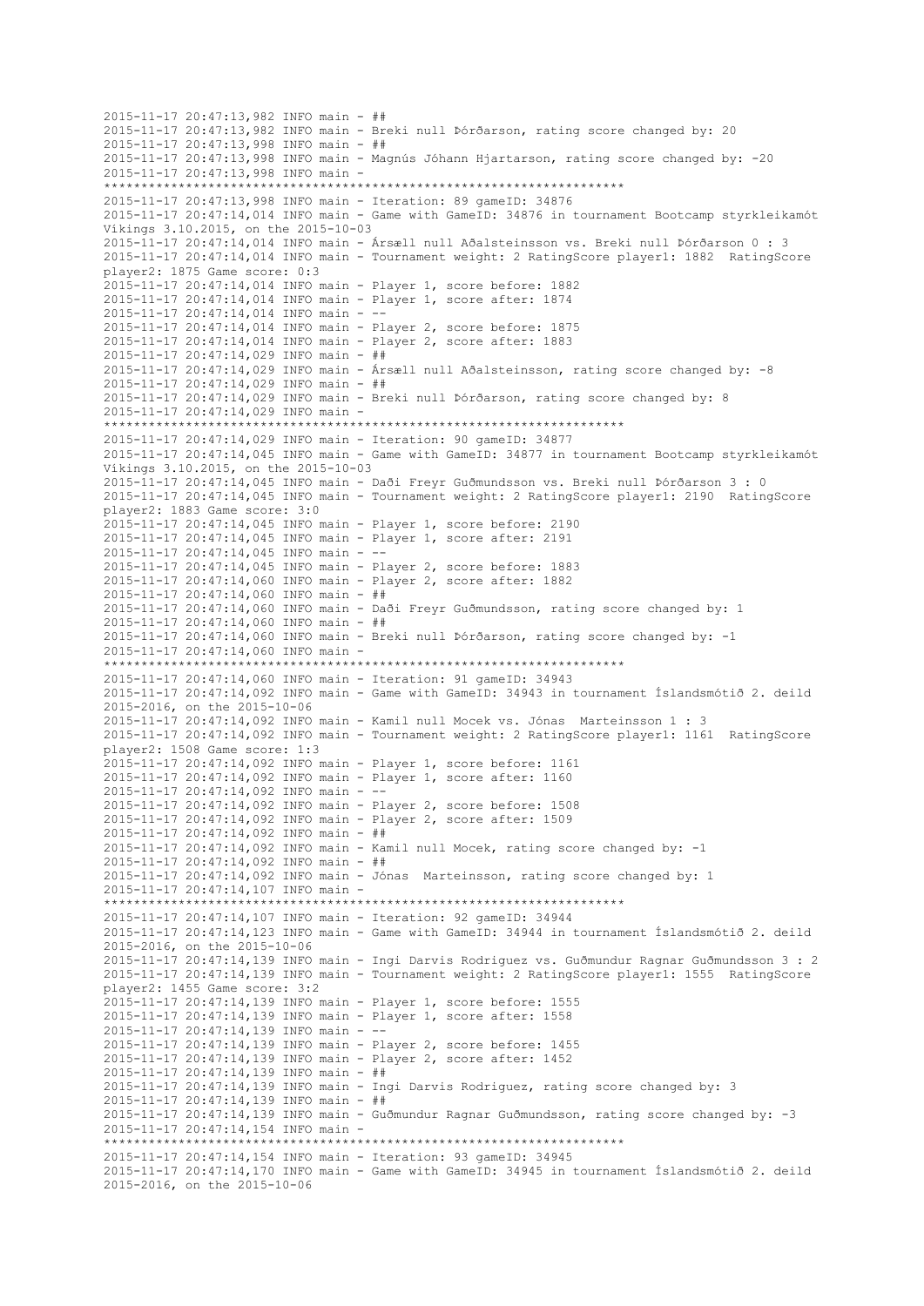```
2015-11-17 20:47:13,982 INFO main - ##
2015-11-17 20:47:13,982 INFO main - Breki null Þórðarson, rating score changed by: 20
2015-11-17 20:47:13,998 INFO main - ##
2015-11-17 20:47:13,998 INFO main - Magnús Jóhann Hjartarson, rating score changed by: -20
2015-11-17 20:47:13,998 INFO main -
                         **********************************************************************
2015-11-17 20:47:13,998 INFO main - Iteration: 89 gameID: 34876
2015-11-17 20:47:14,014 INFO main - Game with GameID: 34876 in tournament Bootcamp styrkleikamót 
Víkings 3.10.2015, on the 2015-10-03
2015-11-17 20:47:14,014 INFO main - Ársæll null Aðalsteinsson vs. Breki null Þórðarson 0 : 3
2015-11-17 20:47:14,014 INFO main - Tournament weight: 2 RatingScore player1: 1882 RatingScore 
player2: 1875 Game score: 0:3
2015-11-17 20:47:14,014 INFO main - Player 1, score before: 1882
2015-11-17 20:47:14,014 INFO main - Player 1, score after: 1874
2015-11-17 20:47:14,014 INFO main - --
2015-11-17 20:47:14,014 INFO main - Player 2, score before: 1875
2015-11-17 20:47:14,014 INFO main - Player 2, score after: 1883
2015-11-17 20:47:14,029 INFO main - ##
2015-11-17 20:47:14,029 INFO main - Ársæll null Aðalsteinsson, rating score changed by: -8
2015-11-17 20:47:14,029 INFO main - ##
2015-11-17 20:47:14,029 INFO main - Breki null Þórðarson, rating score changed by: 8
2015-11-17 20:47:14,029 INFO main -
**********************************************************************
2015-11-17 20:47:14,029 INFO main - Iteration: 90 gameID: 34877
2015-11-17 20:47:14,045 INFO main - Game with GameID: 34877 in tournament Bootcamp styrkleikamót 
Víkings 3.10.2015, on the 2015-10-03
2015-11-17 20:47:14,045 INFO main - Daði Freyr Guðmundsson vs. Breki null Þórðarson 3 : 0
2015-11-17 20:47:14,045 INFO main - Tournament weight: 2 RatingScore player1: 2190 RatingScore 
player2: 1883 Game score: 3:0
2015-11-17 20:47:14,045 INFO main - Player 1, score before: 2190
2015-11-17 20:47:14,045 INFO main - Player 1, score after: 2191
2015-11-17 20:47:14,045 INFO main - --
2015-11-17 20:47:14,045 INFO main - Player 2, score before: 1883
2015-11-17 20:47:14,060 INFO main - Player 2, score after: 1882
2015-11-17 20:47:14,060 INFO main - ##
2015-11-17 20:47:14,060 INFO main - Daði Freyr Guðmundsson, rating score changed by: 1
2015-11-17 20:47:14,060 INFO main - ##
2015-11-17 20:47:14,060 INFO main - Breki null Þórðarson, rating score changed by: -1
2015-11-17 20:47:14,060 INFO main -
                    **********************************************************************
2015-11-17 20:47:14,060 INFO main - Iteration: 91 gameID: 34943
2015-11-17 20:47:14,092 INFO main - Game with GameID: 34943 in tournament Íslandsmótið 2. deild 
2015-2016, on the 2015-10-06
2015-11-17 20:47:14,092 INFO main - Kamil null Mocek vs. Jónas Marteinsson 1 : 3
2015-11-17 20:47:14,092 INFO main - Tournament weight: 2 RatingScore player1: 1161 RatingScore 
player2: 1508 Game score: 1:3
2015-11-17 20:47:14,092 INFO main - Player 1, score before: 1161
2015-11-17 20:47:14,092 INFO main - Player 1, score after: 1160
2015-11-17 20:47:14,092 INFO main - --
2015-11-17 20:47:14,092 INFO main - Player 2, score before: 1508
2015-11-17 20:47:14,092 INFO main - Player 2, score after: 1509
2015-11-17 20:47:14,092 INFO main - ##
2015-11-17 20:47:14,092 INFO main - Kamil null Mocek, rating score changed by: -1
2015-11-17 20:47:14,092 INFO main - ##
2015-11-17 20:47:14,092 INFO main - Jónas Marteinsson, rating score changed by: 1
2015-11-17 20:47:14,107 INFO main -
**********************************************************************
2015-11-17 20:47:14,107 INFO main - Iteration: 92 gameID: 34944
2015-11-17 20:47:14,123 INFO main - Game with GameID: 34944 in tournament Íslandsmótið 2. deild 
2015-2016, on the 2015-10-06
2015-11-17 20:47:14,139 INFO main - Ingi Darvis Rodriguez vs. Guðmundur Ragnar Guðmundsson 3 : 2
2015-11-17 20:47:14,139 INFO main - Tournament weight: 2 RatingScore player1: 1555 RatingScore 
player2: 1455 Game score: 3:2
2015-11-17 20:47:14,139 INFO main - Player 1, score before: 1555
2015-11-17 20:47:14,139 INFO main - Player 1, score after: 1558
2015-11-17 20:47:14,139 INFO main - --
2015-11-17 20:47:14,139 INFO main - Player 2, score before: 1455
2015-11-17 20:47:14,139 INFO main - Player 2, score after: 1452
2015-11-17 20:47:14,139 INFO main - ##
2015-11-17 20:47:14,139 INFO main - Ingi Darvis Rodriguez, rating score changed by: 3
2015-11-17 20:47:14,139 INFO main - ##
2015-11-17 20:47:14,139 INFO main - Guðmundur Ragnar Guðmundsson, rating score changed by: -3
2015-11-17 20:47:14,154 INFO main -
                        **********************************************************************
2015-11-17 20:47:14,154 INFO main - Iteration: 93 gameID: 34945
2015-11-17 20:47:14,170 INFO main - Game with GameID: 34945 in tournament Íslandsmótið 2. deild 
2015-2016, on the 2015-10-06
```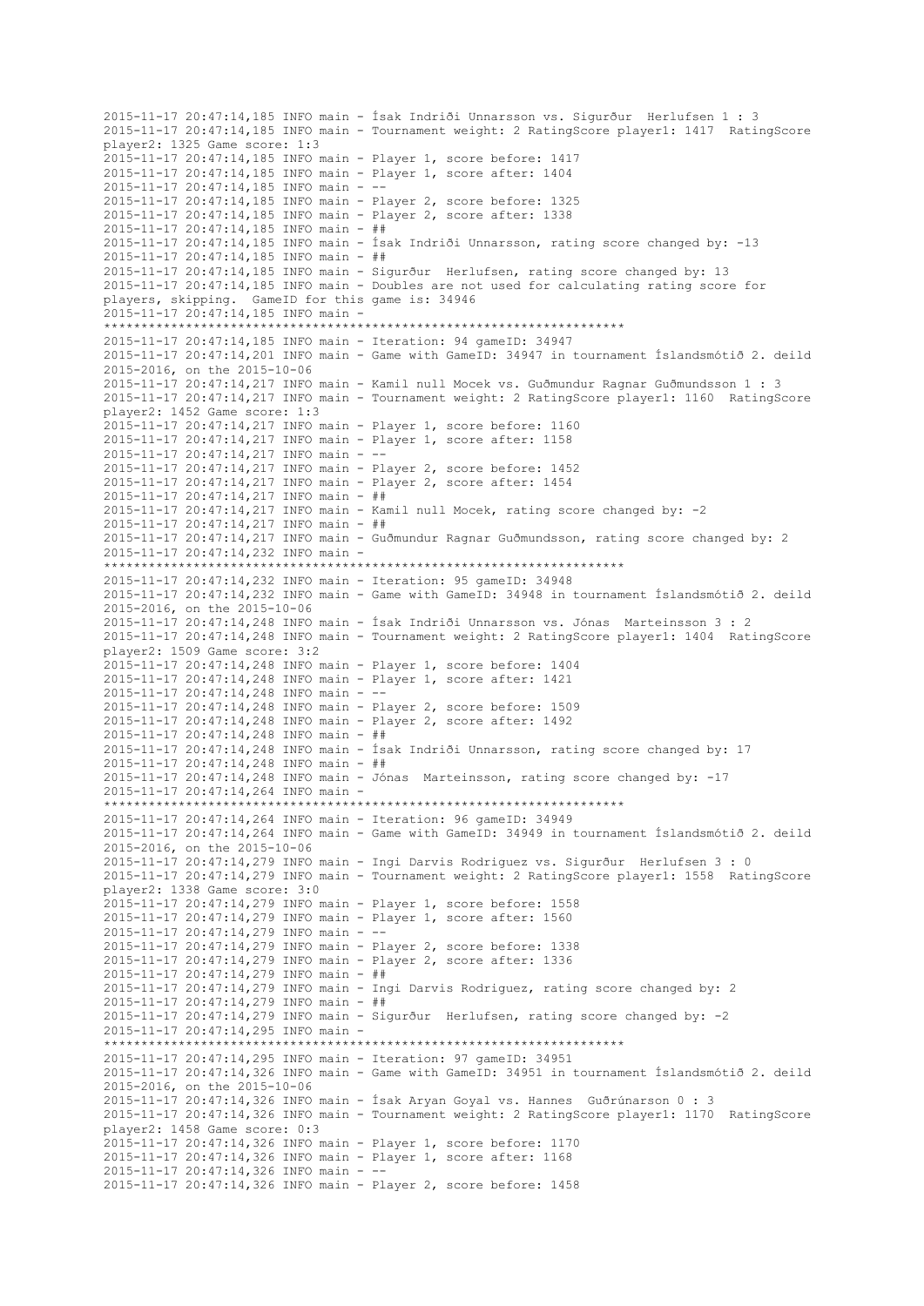2015-11-17 20:47:14,185 INFO main - Ísak Indriði Unnarsson vs. Sigurður Herlufsen 1 : 3 2015-11-17 20:47:14,185 INFO main - Tournament weight: 2 RatingScore player1: 1417 RatingScore player2: 1325 Game score: 1:3 2015-11-17 20:47:14,185 INFO main - Player 1, score before: 1417 2015-11-17 20:47:14,185 INFO main - Player 1, score after: 1404 2015-11-17 20:47:14,185 INFO main - -- 2015-11-17 20:47:14,185 INFO main - Player 2, score before: 1325 2015-11-17 20:47:14,185 INFO main - Player 2, score after: 1338 2015-11-17 20:47:14,185 INFO main - ## 2015-11-17 20:47:14,185 INFO main - Ísak Indriði Unnarsson, rating score changed by: -13 2015-11-17 20:47:14,185 INFO main - ## 2015-11-17 20:47:14,185 INFO main - Sigurður Herlufsen, rating score changed by: 13 2015-11-17 20:47:14,185 INFO main - Doubles are not used for calculating rating score for players, skipping. GameID for this game is: 34946 2015-11-17 20:47:14,185 INFO main - \*\*\*\*\*\*\*\*\*\*\*\*\*\*\*\*\*\*\*\*\*\*\*\*\*\*\*\*\*\*\*\*\*\*\*\*\*\*\*\*\*\*\*\*\*\*\*\*\*\*\*\*\*\*\*\*\*\*\*\*\*\*\*\*\*\*\*\*\*\* 2015-11-17 20:47:14,185 INFO main - Iteration: 94 gameID: 34947 2015-11-17 20:47:14,201 INFO main - Game with GameID: 34947 in tournament Íslandsmótið 2. deild 2015-2016, on the 2015-10-06 2015-11-17 20:47:14,217 INFO main - Kamil null Mocek vs. Guðmundur Ragnar Guðmundsson 1 : 3 2015-11-17 20:47:14,217 INFO main - Tournament weight: 2 RatingScore player1: 1160 RatingScore player2: 1452 Game score: 1:3 2015-11-17 20:47:14,217 INFO main - Player 1, score before: 1160 2015-11-17 20:47:14,217 INFO main - Player 1, score after: 1158 2015-11-17 20:47:14,217 INFO main - -- 2015-11-17 20:47:14,217 INFO main - Player 2, score before: 1452 2015-11-17 20:47:14,217 INFO main - Player 2, score after: 1454 2015-11-17 20:47:14,217 INFO main - ## 2015-11-17 20:47:14,217 INFO main - Kamil null Mocek, rating score changed by: -2 2015-11-17 20:47:14,217 INFO main - ## 2015-11-17 20:47:14,217 INFO main - Guðmundur Ragnar Guðmundsson, rating score changed by: 2 2015-11-17 20:47:14,232 INFO main - \*\*\*\*\*\*\*\*\*\*\*\*\*\*\*\*\*\*\*\*\*\*\*\*\*\*\*\*\*\*\*\*\*\*\*\*\*\*\*\*\*\*\*\*\*\*\*\*\*\*\*\*\*\*\*\*\*\*\*\*\*\*\*\*\*\*\*\*\*\* 2015-11-17 20:47:14,232 INFO main - Iteration: 95 gameID: 34948 2015-11-17 20:47:14,232 INFO main - Game with GameID: 34948 in tournament Íslandsmótið 2. deild 2015-2016, on the 2015-10-06 2015-11-17 20:47:14,248 INFO main - Ísak Indriði Unnarsson vs. Jónas Marteinsson 3 : 2 2015-11-17 20:47:14,248 INFO main - Tournament weight: 2 RatingScore player1: 1404 RatingScore player2: 1509 Game score: 3:2 2015-11-17 20:47:14,248 INFO main - Player 1, score before: 1404 2015-11-17 20:47:14,248 INFO main - Player 1, score after: 1421 2015-11-17 20:47:14,248 INFO main - -- 2015-11-17 20:47:14,248 INFO main - Player 2, score before: 1509 2015-11-17 20:47:14,248 INFO main - Player 2, score after: 1492 2015-11-17 20:47:14,248 INFO main - ## 2015-11-17 20:47:14,248 INFO main - Ísak Indriði Unnarsson, rating score changed by: 17 2015-11-17 20:47:14,248 INFO main - ## 2015-11-17 20:47:14,248 INFO main - Jónas Marteinsson, rating score changed by: -17 2015-11-17 20:47:14,264 INFO main - \*\*\*\*\*\*\*\*\*\*\*\*\*\*\*\*\*\*\*\*\*\*\*\*\*\*\*\*\*\*\*\*\*\*\*\*\*\*\*\*\*\*\*\*\*\*\*\*\*\*\*\*\*\*\*\*\*\*\*\*\*\*\*\*\*\*\*\*\*\* 2015-11-17 20:47:14,264 INFO main - Iteration: 96 gameID: 34949 2015-11-17 20:47:14,264 INFO main - Game with GameID: 34949 in tournament Íslandsmótið 2. deild 2015-2016, on the 2015-10-06 2015-11-17 20:47:14,279 INFO main - Ingi Darvis Rodriguez vs. Sigurður Herlufsen 3 : 0 2015-11-17 20:47:14,279 INFO main - Tournament weight: 2 RatingScore player1: 1558 RatingScore player2: 1338 Game score: 3:0 2015-11-17 20:47:14,279 INFO main - Player 1, score before: 1558 2015-11-17 20:47:14,279 INFO main - Player 1, score after: 1560 2015-11-17 20:47:14,279 INFO main -2015-11-17 20:47:14,279 INFO main - Player 2, score before: 1338 2015-11-17 20:47:14,279 INFO main - Player 2, score after: 1336 2015-11-17 20:47:14,279 INFO main - ## 2015-11-17 20:47:14,279 INFO main - Ingi Darvis Rodriguez, rating score changed by: 2 2015-11-17 20:47:14,279 INFO main - ## 2015-11-17 20:47:14,279 INFO main - Sigurður Herlufsen, rating score changed by: -2 2015-11-17 20:47:14,295 INFO main - \*\*\*\*\*\*\*\*\*\*\*\*\*\*\*\*\*\*\*\*\*\*\*\*\*\*\*\*\*\*\*\*\*\*\*\*\*\*\*\*\*\*\*\*\*\*\*\*\*\*\*\*\*\*\*\*\*\*\*\*\*\*\*\*\*\*\*\*\*\* 2015-11-17 20:47:14,295 INFO main - Iteration: 97 gameID: 34951 2015-11-17 20:47:14,326 INFO main - Game with GameID: 34951 in tournament Íslandsmótið 2. deild 2015-2016, on the 2015-10-06 2015-11-17 20:47:14,326 INFO main - Ísak Aryan Goyal vs. Hannes Guðrúnarson 0 : 3 2015-11-17 20:47:14,326 INFO main - Tournament weight: 2 RatingScore player1: 1170 RatingScore player2: 1458 Game score: 0:3 2015-11-17 20:47:14,326 INFO main - Player 1, score before: 1170 2015-11-17 20:47:14,326 INFO main - Player 1, score after: 1168 2015-11-17 20:47:14,326 INFO main - -- 2015-11-17 20:47:14,326 INFO main - Player 2, score before: 1458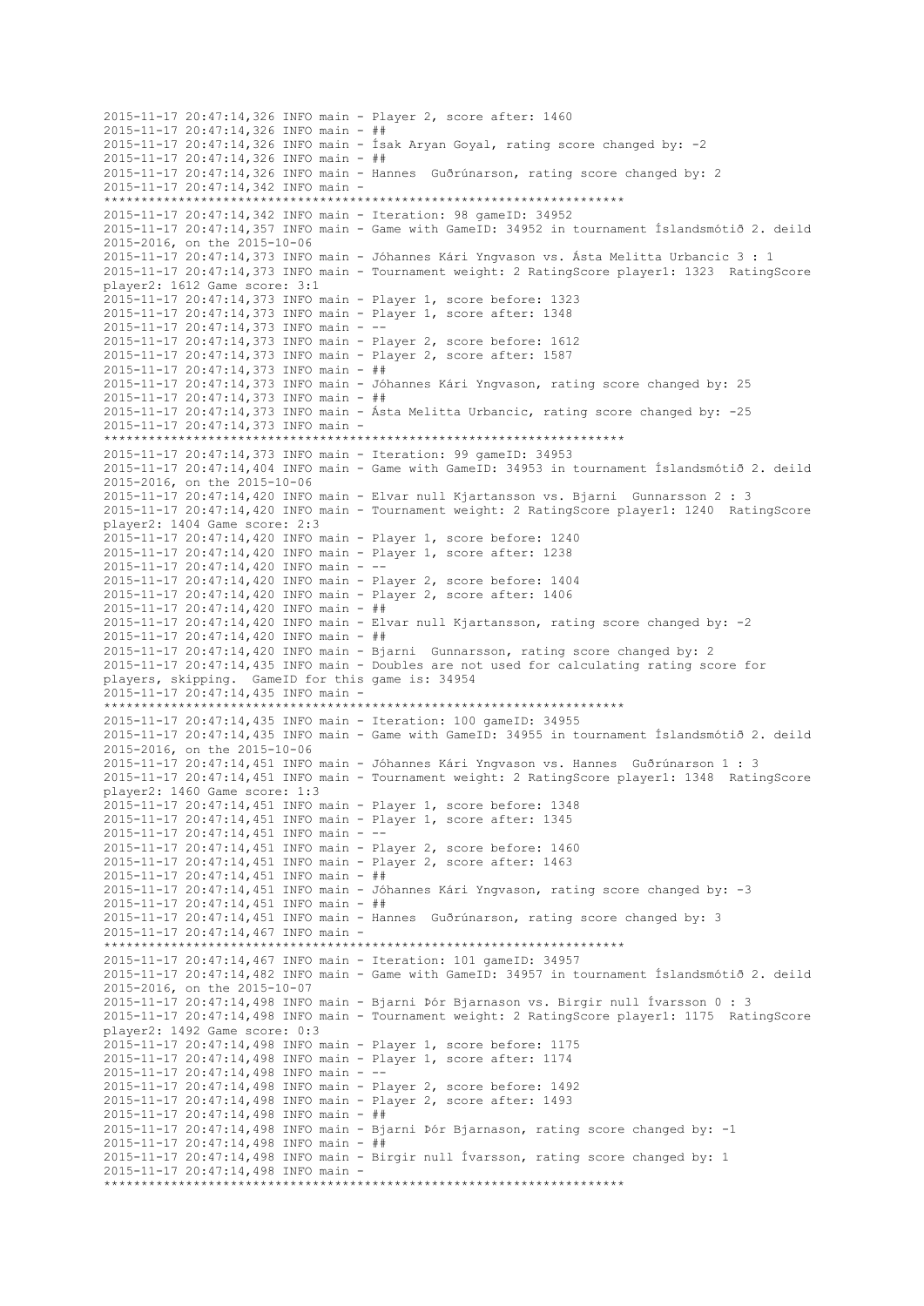2015-11-17 20:47:14,326 INFO main - Player 2, score after: 1460 2015-11-17 20:47:14,326 INFO main - ## 2015-11-17 20:47:14,326 INFO main - Ísak Aryan Goyal, rating score changed by: -2 2015-11-17 20:47:14,326 INFO main - ## 2015-11-17 20:47:14,326 INFO main - Hannes Guðrúnarson, rating score changed by: 2 2015-11-17 20:47:14,342 INFO main - \*\*\*\*\*\*\*\*\*\*\*\*\*\*\*\*\*\*\*\*\*\*\*\*\*\*\*\*\*\*\*\*\*\*\*\*\*\*\*\*\*\*\*\*\*\*\*\*\*\*\*\*\*\*\*\*\*\*\*\*\*\*\*\*\*\*\*\*\*\* 2015-11-17 20:47:14,342 INFO main - Iteration: 98 gameID: 34952 2015-11-17 20:47:14,357 INFO main - Game with GameID: 34952 in tournament Íslandsmótið 2. deild 2015-2016, on the 2015-10-06 2015-11-17 20:47:14,373 INFO main - Jóhannes Kári Yngvason vs. Ásta Melitta Urbancic 3 : 1 2015-11-17 20:47:14,373 INFO main - Tournament weight: 2 RatingScore player1: 1323 RatingScore player2: 1612 Game score: 3:1 2015-11-17 20:47:14,373 INFO main - Player 1, score before: 1323 2015-11-17 20:47:14,373 INFO main - Player 1, score after: 1348 2015-11-17 20:47:14,373 INFO main - -- 2015-11-17 20:47:14,373 INFO main - Player 2, score before: 1612 2015-11-17 20:47:14,373 INFO main - Player 2, score after: 1587 2015-11-17 20:47:14,373 INFO main - ## 2015-11-17 20:47:14,373 INFO main - Jóhannes Kári Yngvason, rating score changed by: 25 2015-11-17 20:47:14,373 INFO main - ## 2015-11-17 20:47:14,373 INFO main - Ásta Melitta Urbancic, rating score changed by: -25 2015-11-17 20:47:14,373 INFO main - \*\*\*\*\*\*\*\*\*\*\*\*\*\*\*\*\*\*\*\*\*\*\*\*\*\*\*\*\*\*\*\*\*\*\*\*\*\*\*\*\*\*\*\*\*\*\*\*\*\*\*\*\*\*\*\*\*\*\*\*\*\*\*\*\*\*\*\*\*\* 2015-11-17 20:47:14,373 INFO main - Iteration: 99 gameID: 34953 2015-11-17 20:47:14,404 INFO main - Game with GameID: 34953 in tournament Íslandsmótið 2. deild 2015-2016, on the 2015-10-06 2015-11-17 20:47:14,420 INFO main - Elvar null Kjartansson vs. Bjarni Gunnarsson 2 : 3 2015-11-17 20:47:14,420 INFO main - Tournament weight: 2 RatingScore player1: 1240 RatingScore player2: 1404 Game score: 2:3 2015-11-17 20:47:14,420 INFO main - Player 1, score before: 1240 2015-11-17 20:47:14,420 INFO main - Player 1, score after: 1238 2015-11-17 20:47:14,420 INFO main - -- 2015-11-17 20:47:14,420 INFO main - Player 2, score before: 1404 2015-11-17 20:47:14,420 INFO main - Player 2, score after: 1406 2015-11-17 20:47:14,420 INFO main - ## 2015-11-17 20:47:14,420 INFO main - Elvar null Kjartansson, rating score changed by: -2 2015-11-17 20:47:14,420 INFO main - ## 2015-11-17 20:47:14,420 INFO main - Bjarni Gunnarsson, rating score changed by: 2 2015-11-17 20:47:14,435 INFO main - Doubles are not used for calculating rating score for players, skipping. GameID for this game is: 34954 2015-11-17 20:47:14,435 INFO main - \*\*\*\*\*\*\*\*\*\*\*\*\*\*\*\*\*\*\*\*\*\*\*\*\*\*\*\*\*\*\*\*\*\*\*\*\*\*\*\*\*\*\*\*\*\*\*\*\*\*\*\*\*\*\*\*\*\*\*\*\*\*\*\*\*\*\*\*\*\* 2015-11-17 20:47:14,435 INFO main - Iteration: 100 gameID: 34955 2015-11-17 20:47:14,435 INFO main - Game with GameID: 34955 in tournament Íslandsmótið 2. deild 2015-2016, on the 2015-10-06 2015-11-17 20:47:14,451 INFO main - Jóhannes Kári Yngvason vs. Hannes Guðrúnarson 1 : 3 2015-11-17 20:47:14,451 INFO main - Tournament weight: 2 RatingScore player1: 1348 RatingScore player2: 1460 Game score: 1:3 2015-11-17 20:47:14,451 INFO main - Player 1, score before: 1348 2015-11-17 20:47:14,451 INFO main - Player 1, score after: 1345 2015-11-17 20:47:14,451 INFO main - -- 2015-11-17 20:47:14,451 INFO main - Player 2, score before: 1460 2015-11-17 20:47:14,451 INFO main - Player 2, score after: 1463 2015-11-17 20:47:14,451 INFO main - ## 2015-11-17 20:47:14,451 INFO main - Jóhannes Kári Yngvason, rating score changed by: -3 2015-11-17 20:47:14,451 INFO main - ## 2015-11-17 20:47:14,451 INFO main - Hannes Guðrúnarson, rating score changed by: 3 2015-11-17 20:47:14,467 INFO main - \*\*\*\*\*\*\*\*\*\*\*\*\*\*\*\*\*\*\*\*\*\*\*\*\*\*\*\*\*\*\*\*\*\*\*\*\*\*\*\*\*\*\*\*\*\*\*\*\*\*\*\*\*\*\*\*\*\*\*\*\*\*\*\*\*\*\*\*\*\* 2015-11-17 20:47:14,467 INFO main - Iteration: 101 gameID: 34957 2015-11-17 20:47:14,482 INFO main - Game with GameID: 34957 in tournament Íslandsmótið 2. deild 2015-2016, on the 2015-10-07 2015-11-17 20:47:14,498 INFO main - Bjarni Þór Bjarnason vs. Birgir null Ívarsson 0 : 3 2015-11-17 20:47:14,498 INFO main - Tournament weight: 2 RatingScore player1: 1175 RatingScore player2: 1492 Game score: 0:3 2015-11-17 20:47:14,498 INFO main - Player 1, score before: 1175 2015-11-17 20:47:14,498 INFO main - Player 1, score after: 1174 2015-11-17 20:47:14,498 INFO main - -- 2015-11-17 20:47:14,498 INFO main - Player 2, score before: 1492 2015-11-17 20:47:14,498 INFO main - Player 2, score after: 1493 2015-11-17 20:47:14,498 INFO main - ## 2015-11-17 20:47:14,498 INFO main - Bjarni Þór Bjarnason, rating score changed by: -1 2015-11-17 20:47:14,498 INFO main - ## 2015-11-17 20:47:14,498 INFO main - Birgir null Ívarsson, rating score changed by: 1 2015-11-17 20:47:14,498 INFO main - \*\*\*\*\*\*\*\*\*\*\*\*\*\*\*\*\*\*\*\*\*\*\*\*\*\*\*\*\*\*\*\*\*\*\*\*\*\*\*\*\*\*\*\*\*\*\*\*\*\*\*\*\*\*\*\*\*\*\*\*\*\*\*\*\*\*\*\*\*\*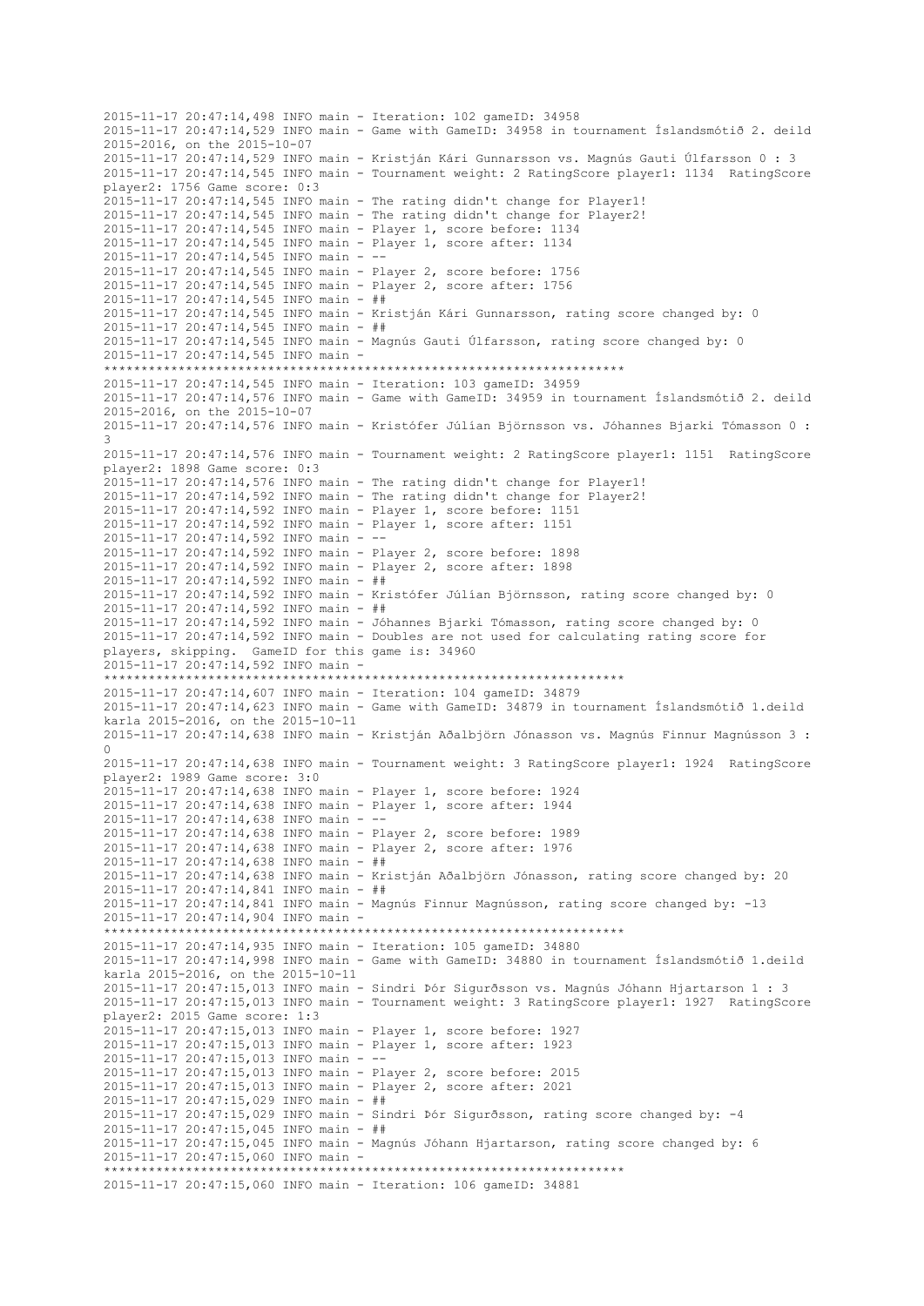2015-11-17 20:47:14,498 INFO main - Iteration: 102 gameID: 34958 2015-11-17 20:47:14,529 INFO main - Game with GameID: 34958 in tournament Íslandsmótið 2. deild 2015-2016, on the 2015-10-07 2015-11-17 20:47:14,529 INFO main - Kristján Kári Gunnarsson vs. Magnús Gauti Úlfarsson 0 : 3 2015-11-17 20:47:14,545 INFO main - Tournament weight: 2 RatingScore player1: 1134 RatingScore player2: 1756 Game score: 0:3 2015-11-17 20:47:14,545 INFO main - The rating didn't change for Player1! 2015-11-17 20:47:14,545 INFO main - The rating didn't change for Player2! 2015-11-17 20:47:14,545 INFO main - Player 1, score before: 1134 2015-11-17 20:47:14,545 INFO main - Player 1, score after: 1134 2015-11-17 20:47:14,545 INFO main - -- 2015-11-17 20:47:14,545 INFO main - Player 2, score before: 1756 2015-11-17 20:47:14,545 INFO main - Player 2, score after: 1756 2015-11-17 20:47:14,545 INFO main - ## 2015-11-17 20:47:14,545 INFO main - Kristján Kári Gunnarsson, rating score changed by: 0 2015-11-17 20:47:14,545 INFO main - ## 2015-11-17 20:47:14,545 INFO main - Magnús Gauti Úlfarsson, rating score changed by: 0 2015-11-17 20:47:14,545 INFO main - \*\*\*\*\*\*\*\*\*\*\*\*\*\*\*\*\*\*\*\*\*\*\*\*\*\*\*\*\*\*\*\*\*\*\*\*\*\*\*\*\*\*\*\*\*\*\*\*\*\*\*\*\*\*\*\*\*\*\*\*\*\*\*\*\*\*\*\*\*\* 2015-11-17 20:47:14,545 INFO main - Iteration: 103 gameID: 34959 2015-11-17 20:47:14,576 INFO main - Game with GameID: 34959 in tournament Íslandsmótið 2. deild 2015-2016, on the 2015-10-07 2015-11-17 20:47:14,576 INFO main - Kristófer Júlían Björnsson vs. Jóhannes Bjarki Tómasson 0 : 3 2015-11-17 20:47:14,576 INFO main - Tournament weight: 2 RatingScore player1: 1151 RatingScore player2: 1898 Game score: 0:3 2015-11-17 20:47:14,576 INFO main - The rating didn't change for Player1! 2015-11-17 20:47:14,592 INFO main - The rating didn't change for Player2! 2015-11-17 20:47:14,592 INFO main - Player 1, score before: 1151 2015-11-17 20:47:14,592 INFO main - Player 1, score after: 1151 2015-11-17 20:47:14,592 INFO main - -- 2015-11-17 20:47:14,592 INFO main - Player 2, score before: 1898 2015-11-17 20:47:14,592 INFO main - Player 2, score after: 1898 2015-11-17 20:47:14,592 INFO main - ## 2015-11-17 20:47:14,592 INFO main - Kristófer Júlían Björnsson, rating score changed by: 0 2015-11-17 20:47:14,592 INFO main - ## 2015-11-17 20:47:14,592 INFO main - Jóhannes Bjarki Tómasson, rating score changed by: 0 2015-11-17 20:47:14,592 INFO main - Doubles are not used for calculating rating score for players, skipping. GameID for this game is: 34960 2015-11-17 20:47:14,592 INFO main - \*\*\*\*\*\*\*\*\*\*\*\*\*\*\*\*\*\*\*\*\*\*\*\*\*\*\*\*\*\*\*\*\*\*\*\*\*\*\*\*\*\*\*\*\*\*\*\*\*\*\*\*\*\*\*\*\*\*\*\*\*\*\*\*\*\*\*\*\*\* 2015-11-17 20:47:14,607 INFO main - Iteration: 104 gameID: 34879 2015-11-17 20:47:14,623 INFO main - Game with GameID: 34879 in tournament Íslandsmótið 1.deild karla 2015-2016, on the 2015-10-11 2015-11-17 20:47:14,638 INFO main - Kristján Aðalbjörn Jónasson vs. Magnús Finnur Magnússon 3 : 0 2015-11-17 20:47:14,638 INFO main - Tournament weight: 3 RatingScore player1: 1924 RatingScore player2: 1989 Game score: 3:0 2015-11-17 20:47:14,638 INFO main - Player 1, score before: 1924 2015-11-17 20:47:14,638 INFO main - Player 1, score after: 1944  $2015 - 11 - 17$   $20:47:14.638$  INFO main - --2015-11-17 20:47:14,638 INFO main - Player 2, score before: 1989 2015-11-17 20:47:14,638 INFO main - Player 2, score after: 1976 2015-11-17 20:47:14,638 INFO main - ## 2015-11-17 20:47:14,638 INFO main - Kristján Aðalbjörn Jónasson, rating score changed by: 20 2015-11-17 20:47:14,841 INFO main - ## 2015-11-17 20:47:14,841 INFO main - Magnús Finnur Magnússon, rating score changed by: -13 2015-11-17 20:47:14,904 INFO main - \*\*\*\*\*\*\*\*\*\*\*\*\*\*\*\*\*\*\*\*\*\*\*\*\*\*\*\*\*\*\*\*\*\*\*\*\*\*\*\*\*\*\*\*\*\*\*\*\*\*\*\*\*\*\*\*\*\*\*\*\*\*\*\*\*\*\*\*\*\* 2015-11-17 20:47:14,935 INFO main - Iteration: 105 gameID: 34880 2015-11-17 20:47:14,998 INFO main - Game with GameID: 34880 in tournament Íslandsmótið 1.deild karla 2015-2016, on the 2015-10-11 2015-11-17 20:47:15,013 INFO main - Sindri Þór Sigurðsson vs. Magnús Jóhann Hjartarson 1 : 3 2015-11-17 20:47:15,013 INFO main - Tournament weight: 3 RatingScore player1: 1927 RatingScore player2: 2015 Game score: 1:3 2015-11-17 20:47:15,013 INFO main - Player 1, score before: 1927 2015-11-17 20:47:15,013 INFO main - Player 1, score after: 1923 2015-11-17 20:47:15,013 INFO main - -- 2015-11-17 20:47:15,013 INFO main - Player 2, score before: 2015 2015-11-17 20:47:15,013 INFO main - Player 2, score after: 2021 2015-11-17 20:47:15,029 INFO main - ## 2015-11-17 20:47:15,029 INFO main - Sindri Þór Sigurðsson, rating score changed by: -4 2015-11-17 20:47:15,045 INFO main - ## 2015-11-17 20:47:15,045 INFO main - Magnús Jóhann Hjartarson, rating score changed by: 6 2015-11-17 20:47:15,060 INFO main - \*\*\*\*\*\*\*\*\*\*\*\*\*\*\*\*\*\*\*\*\*\*\*\*\*\*\*\*\*\*\*\*\*\*\*\*\*\*\*\*\*\*\*\*\*\*\*\*\*\*\*\*\*\*\*\*\*\*\*\*\*\*\*\*\*\*\*\*\*\* 2015-11-17 20:47:15,060 INFO main - Iteration: 106 gameID: 34881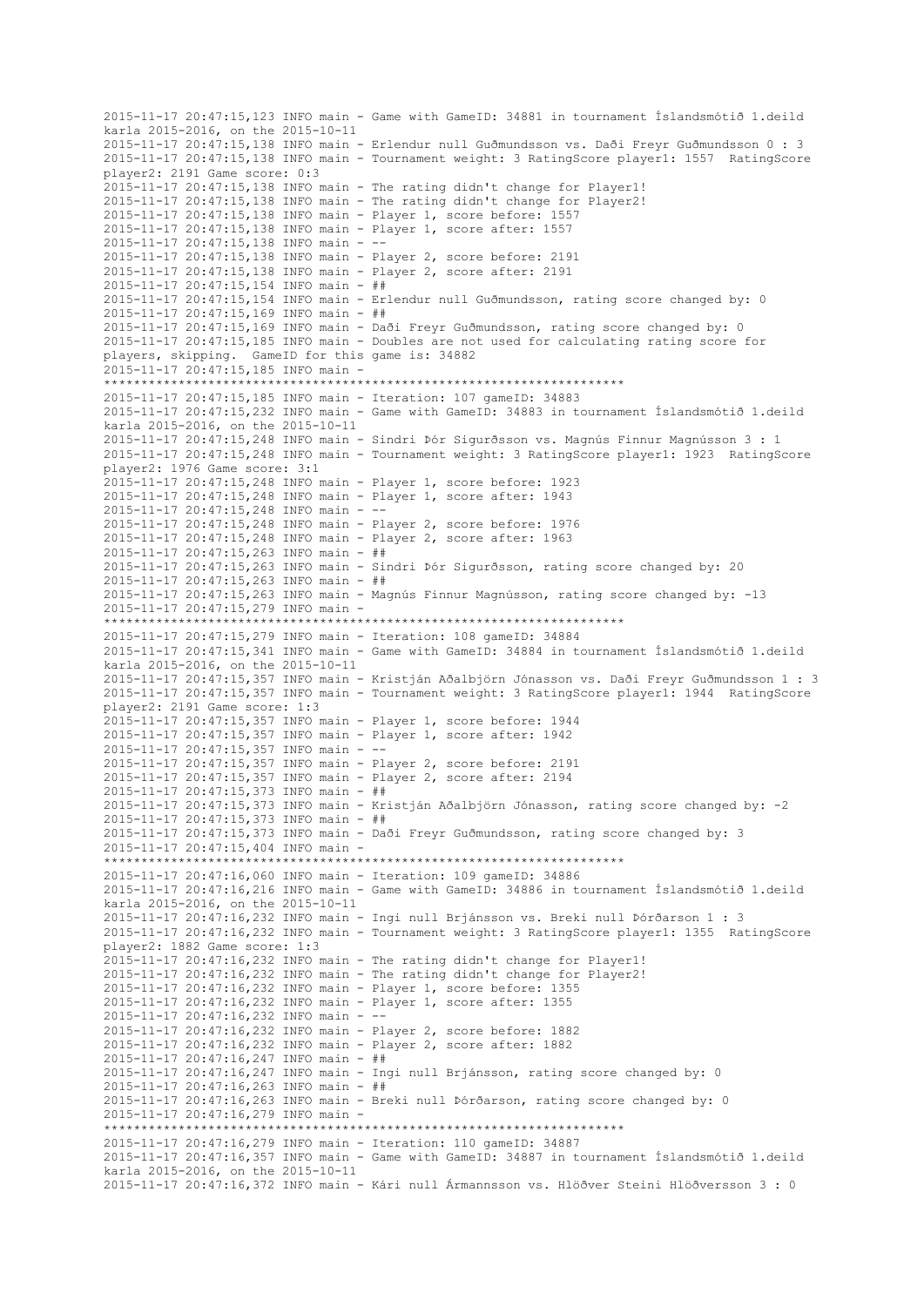2015-11-17 20:47:15,123 INFO main - Game with GameID: 34881 in tournament Íslandsmótið 1.deild karla 2015-2016, on the 2015-10-11 2015-11-17 20:47:15,138 INFO main - Erlendur null Guðmundsson vs. Daði Freyr Guðmundsson 0 : 3 2015-11-17 20:47:15,138 INFO main - Tournament weight: 3 RatingScore player1: 1557 RatingScore player2: 2191 Game score: 0:3 2015-11-17 20:47:15,138 INFO main - The rating didn't change for Player1! 2015-11-17 20:47:15,138 INFO main - The rating didn't change for Player2! 2015-11-17 20:47:15,138 INFO main - Player 1, score before: 1557 2015-11-17 20:47:15,138 INFO main - Player 1, score after: 1557 2015-11-17 20:47:15,138 INFO main - -- 2015-11-17 20:47:15,138 INFO main - Player 2, score before: 2191 2015-11-17 20:47:15,138 INFO main - Player 2, score after: 2191 2015-11-17 20:47:15,154 INFO main - ## 2015-11-17 20:47:15,154 INFO main - Erlendur null Guðmundsson, rating score changed by: 0 2015-11-17 20:47:15,169 INFO main - ## 2015-11-17 20:47:15,169 INFO main - Daði Freyr Guðmundsson, rating score changed by: 0 2015-11-17 20:47:15,185 INFO main - Doubles are not used for calculating rating score for players, skipping. GameID for this game is: 34882 2015-11-17 20:47:15,185 INFO main - \*\*\*\*\*\*\*\*\*\*\*\*\*\*\*\*\*\*\*\*\*\*\*\*\*\*\*\*\*\*\*\*\*\*\*\*\*\*\*\*\*\*\*\*\*\*\*\*\*\*\*\*\*\*\*\*\*\*\*\*\*\*\*\*\*\*\*\*\*\* 2015-11-17 20:47:15,185 INFO main - Iteration: 107 gameID: 34883 2015-11-17 20:47:15,232 INFO main - Game with GameID: 34883 in tournament Íslandsmótið 1.deild karla 2015-2016, on the 2015-10-11 2015-11-17 20:47:15,248 INFO main - Sindri Þór Sigurðsson vs. Magnús Finnur Magnússon 3 : 1 2015-11-17 20:47:15,248 INFO main - Tournament weight: 3 RatingScore player1: 1923 RatingScore player2: 1976 Game score: 3:1 2015-11-17 20:47:15,248 INFO main - Player 1, score before: 1923 2015-11-17 20:47:15,248 INFO main - Player 1, score after: 1943 2015-11-17 20:47:15,248 INFO main - -- 2015-11-17 20:47:15,248 INFO main - Player 2, score before: 1976 2015-11-17 20:47:15,248 INFO main - Player 2, score after: 1963 2015-11-17 20:47:15,263 INFO main - ## 2015-11-17 20:47:15,263 INFO main - Sindri Þór Sigurðsson, rating score changed by: 20 2015-11-17 20:47:15,263 INFO main - ## 2015-11-17 20:47:15,263 INFO main - Magnús Finnur Magnússon, rating score changed by: -13 2015-11-17 20:47:15,279 INFO main - \*\*\*\*\*\*\*\*\*\*\*\*\*\*\*\*\*\*\*\*\*\*\*\*\*\*\*\*\*\*\*\*\*\*\*\*\*\*\*\*\*\*\*\*\*\*\*\*\*\*\*\*\*\*\*\*\*\*\*\*\*\*\*\*\*\*\*\*\*\* 2015-11-17 20:47:15,279 INFO main - Iteration: 108 gameID: 34884 2015-11-17 20:47:15,341 INFO main - Game with GameID: 34884 in tournament Íslandsmótið 1.deild karla 2015-2016, on the 2015-10-11 2015-11-17 20:47:15,357 INFO main - Kristján Aðalbjörn Jónasson vs. Daði Freyr Guðmundsson 1 : 3 2015-11-17 20:47:15,357 INFO main - Tournament weight: 3 RatingScore player1: 1944 RatingScore player2: 2191 Game score: 1:3 2015-11-17 20:47:15,357 INFO main - Player 1, score before: 1944 2015-11-17 20:47:15,357 INFO main - Player 1, score after: 1942 2015-11-17 20:47:15,357 INFO main - -- 2015-11-17 20:47:15,357 INFO main - Player 2, score before: 2191 2015-11-17 20:47:15,357 INFO main - Player 2, score after: 2194 2015-11-17 20:47:15,373 INFO main - ## 2015-11-17 20:47:15,373 INFO main - Kristján Aðalbjörn Jónasson, rating score changed by: -2 2015-11-17 20:47:15,373 INFO main - ## 2015-11-17 20:47:15,373 INFO main - Daði Freyr Guðmundsson, rating score changed by: 3 2015-11-17 20:47:15,404 INFO main - \*\*\*\*\*\*\*\*\*\*\*\*\*\*\*\*\*\*\*\*\*\*\*\*\*\*\*\*\*\*\*\*\*\*\*\*\*\*\*\*\*\*\*\*\*\*\*\*\*\*\*\*\*\*\*\*\*\*\*\*\*\*\*\*\*\*\*\*\*\* 2015-11-17 20:47:16,060 INFO main - Iteration: 109 gameID: 34886 2015-11-17 20:47:16,216 INFO main - Game with GameID: 34886 in tournament Íslandsmótið 1.deild karla 2015-2016, on the 2015-10-11 2015-11-17 20:47:16,232 INFO main - Ingi null Brjánsson vs. Breki null Þórðarson 1 : 3 2015-11-17 20:47:16,232 INFO main - Tournament weight: 3 RatingScore player1: 1355 RatingScore player2: 1882 Game score: 1:3 2015-11-17 20:47:16,232 INFO main - The rating didn't change for Player1! 2015-11-17 20:47:16,232 INFO main - The rating didn't change for Player2! 2015-11-17 20:47:16,232 INFO main - Player 1, score before: 1355 2015-11-17 20:47:16,232 INFO main - Player 1, score after: 1355 2015-11-17 20:47:16,232 INFO main - -- 2015-11-17 20:47:16,232 INFO main - Player 2, score before: 1882 2015-11-17 20:47:16,232 INFO main - Player 2, score after: 1882 2015-11-17 20:47:16,247 INFO main - ## 2015-11-17 20:47:16,247 INFO main - Ingi null Brjánsson, rating score changed by: 0 2015-11-17 20:47:16,263 INFO main - ## 2015-11-17 20:47:16,263 INFO main - Breki null Þórðarson, rating score changed by: 0 2015-11-17 20:47:16,279 INFO main - \*\*\*\*\*\*\*\*\*\*\*\*\*\*\*\*\*\*\*\*\*\*\*\*\*\*\*\*\*\*\*\*\*\*\*\*\*\*\*\*\*\*\*\*\*\*\*\*\*\*\*\*\*\*\*\*\*\*\*\*\*\*\*\*\*\*\*\*\*\* 2015-11-17 20:47:16,279 INFO main - Iteration: 110 gameID: 34887 2015-11-17 20:47:16,357 INFO main - Game with GameID: 34887 in tournament Íslandsmótið 1.deild karla 2015-2016, on the 2015-10-11 2015-11-17 20:47:16,372 INFO main - Kári null Ármannsson vs. Hlöðver Steini Hlöðversson 3 : 0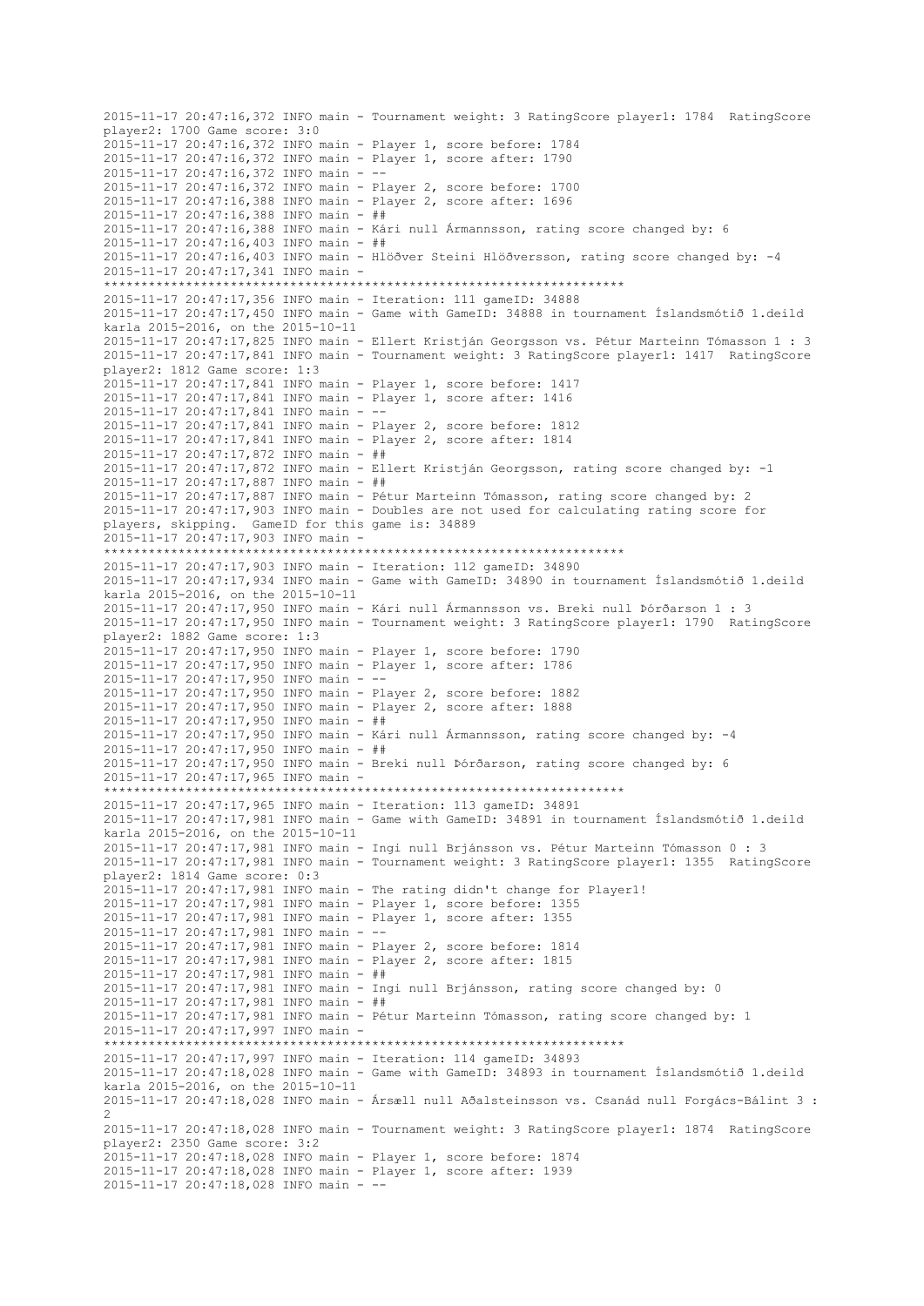2015-11-17 20:47:16,372 INFO main - Tournament weight: 3 RatingScore player1: 1784 RatingScore player2: 1700 Game score: 3:0 2015-11-17 20:47:16,372 INFO main - Player 1, score before: 1784 2015-11-17 20:47:16,372 INFO main - Player 1, score after: 1790 2015-11-17 20:47:16,372 INFO main - -- 2015-11-17 20:47:16,372 INFO main - Player 2, score before: 1700 2015-11-17 20:47:16,388 INFO main - Player 2, score after: 1696 2015-11-17 20:47:16,388 INFO main - ## 2015-11-17 20:47:16,388 INFO main - Kári null Ármannsson, rating score changed by: 6 2015-11-17 20:47:16,403 INFO main - ## 2015-11-17 20:47:16,403 INFO main - Hlöðver Steini Hlöðversson, rating score changed by: -4 2015-11-17 20:47:17,341 INFO main - \*\*\*\*\*\*\*\*\*\*\*\*\*\*\*\*\*\*\*\*\*\*\*\*\*\*\*\*\*\*\*\*\*\*\*\*\*\*\*\*\*\*\*\*\*\*\*\*\*\*\*\*\*\*\*\*\*\*\*\*\*\*\*\*\*\*\*\*\*\* 2015-11-17 20:47:17,356 INFO main - Iteration: 111 gameID: 34888 2015-11-17 20:47:17,450 INFO main - Game with GameID: 34888 in tournament Íslandsmótið 1.deild karla 2015-2016, on the 2015-10-11 2015-11-17 20:47:17,825 INFO main - Ellert Kristján Georgsson vs. Pétur Marteinn Tómasson 1 : 3 2015-11-17 20:47:17,841 INFO main - Tournament weight: 3 RatingScore player1: 1417 RatingScore player2: 1812 Game score: 1:3 2015-11-17 20:47:17,841 INFO main - Player 1, score before: 1417 2015-11-17 20:47:17,841 INFO main - Player 1, score after: 1416 2015-11-17 20:47:17,841 INFO main - -- 2015-11-17 20:47:17,841 INFO main - Player 2, score before: 1812 2015-11-17 20:47:17,841 INFO main - Player 2, score after: 1814 2015-11-17 20:47:17,872 INFO main - ## 2015-11-17 20:47:17,872 INFO main - Ellert Kristján Georgsson, rating score changed by: -1 2015-11-17 20:47:17,887 INFO main - ## 2015-11-17 20:47:17,887 INFO main - Pétur Marteinn Tómasson, rating score changed by: 2 2015-11-17 20:47:17,903 INFO main - Doubles are not used for calculating rating score for players, skipping. GameID for this game is: 34889 2015-11-17 20:47:17,903 INFO main - \*\*\*\*\*\*\*\*\*\*\*\*\*\*\*\*\*\*\*\*\*\*\*\*\*\*\*\*\*\*\*\*\*\*\*\*\*\*\*\*\*\*\*\*\*\*\*\*\*\*\*\*\*\*\*\*\*\*\*\*\*\*\*\*\*\*\*\*\*\* 2015-11-17 20:47:17,903 INFO main - Iteration: 112 gameID: 34890 2015-11-17 20:47:17,934 INFO main - Game with GameID: 34890 in tournament Íslandsmótið 1.deild karla 2015-2016, on the 2015-10-11 2015-11-17 20:47:17,950 INFO main - Kári null Ármannsson vs. Breki null Þórðarson 1 : 3 2015-11-17 20:47:17,950 INFO main - Tournament weight: 3 RatingScore player1: 1790 RatingScore player2: 1882 Game score: 1:3 2015-11-17 20:47:17,950 INFO main - Player 1, score before: 1790 2015-11-17 20:47:17,950 INFO main - Player 1, score after: 1786 2015-11-17 20:47:17,950 INFO main - -- 2015-11-17 20:47:17,950 INFO main - Player 2, score before: 1882 2015-11-17 20:47:17,950 INFO main - Player 2, score after: 1888 2015-11-17 20:47:17,950 INFO main - ## 2015-11-17 20:47:17,950 INFO main - Kári null Ármannsson, rating score changed by: -4 2015-11-17 20:47:17,950 INFO main - ## 2015-11-17 20:47:17,950 INFO main - Breki null Þórðarson, rating score changed by: 6 2015-11-17 20:47:17,965 INFO main - \*\*\*\*\*\*\*\*\*\*\*\*\*\*\*\*\*\*\*\*\*\*\*\*\*\*\*\*\*\*\*\*\*\*\*\*\*\*\*\*\*\*\*\*\*\*\*\*\*\*\*\*\*\*\*\*\*\*\*\*\*\*\*\*\*\*\*\*\*\* 2015-11-17 20:47:17,965 INFO main - Iteration: 113 gameID: 34891 2015-11-17 20:47:17,981 INFO main - Game with GameID: 34891 in tournament Íslandsmótið 1.deild karla 2015-2016, on the 2015-10-11 2015-11-17 20:47:17,981 INFO main - Ingi null Brjánsson vs. Pétur Marteinn Tómasson 0 : 3 2015-11-17 20:47:17,981 INFO main - Tournament weight: 3 RatingScore player1: 1355 RatingScore player2: 1814 Game score: 0:3 2015-11-17 20:47:17,981 INFO main - The rating didn't change for Player1! 2015-11-17 20:47:17,981 INFO main - Player 1, score before: 1355 2015-11-17 20:47:17,981 INFO main - Player 1, score after: 1355 2015-11-17 20:47:17,981 INFO main -2015-11-17 20:47:17,981 INFO main - Player 2, score before: 1814 2015-11-17 20:47:17,981 INFO main - Player 2, score after: 1815 2015-11-17 20:47:17,981 INFO main - ## 2015-11-17 20:47:17,981 INFO main - Ingi null Brjánsson, rating score changed by: 0 2015-11-17 20:47:17,981 INFO main - ## 2015-11-17 20:47:17,981 INFO main - Pétur Marteinn Tómasson, rating score changed by: 1 2015-11-17 20:47:17,997 INFO main - \*\*\*\*\*\*\*\*\*\*\*\*\*\*\*\*\*\*\*\*\*\*\*\*\*\*\*\*\*\*\*\*\*\*\*\*\*\*\*\*\*\*\*\*\*\*\*\*\*\*\*\*\*\*\*\*\*\*\*\*\*\*\*\*\*\*\*\*\*\* 2015-11-17 20:47:17,997 INFO main - Iteration: 114 gameID: 34893 2015-11-17 20:47:18,028 INFO main - Game with GameID: 34893 in tournament Íslandsmótið 1.deild karla 2015-2016, on the 2015-10-11 2015-11-17 20:47:18,028 INFO main - Ársæll null Aðalsteinsson vs. Csanád null Forgács-Bálint 3 : 2 2015-11-17 20:47:18,028 INFO main - Tournament weight: 3 RatingScore player1: 1874 RatingScore player2: 2350 Game score: 3:2 2015-11-17 20:47:18,028 INFO main - Player 1, score before: 1874 2015-11-17 20:47:18,028 INFO main - Player 1, score after: 1939 2015-11-17 20:47:18,028 INFO main - --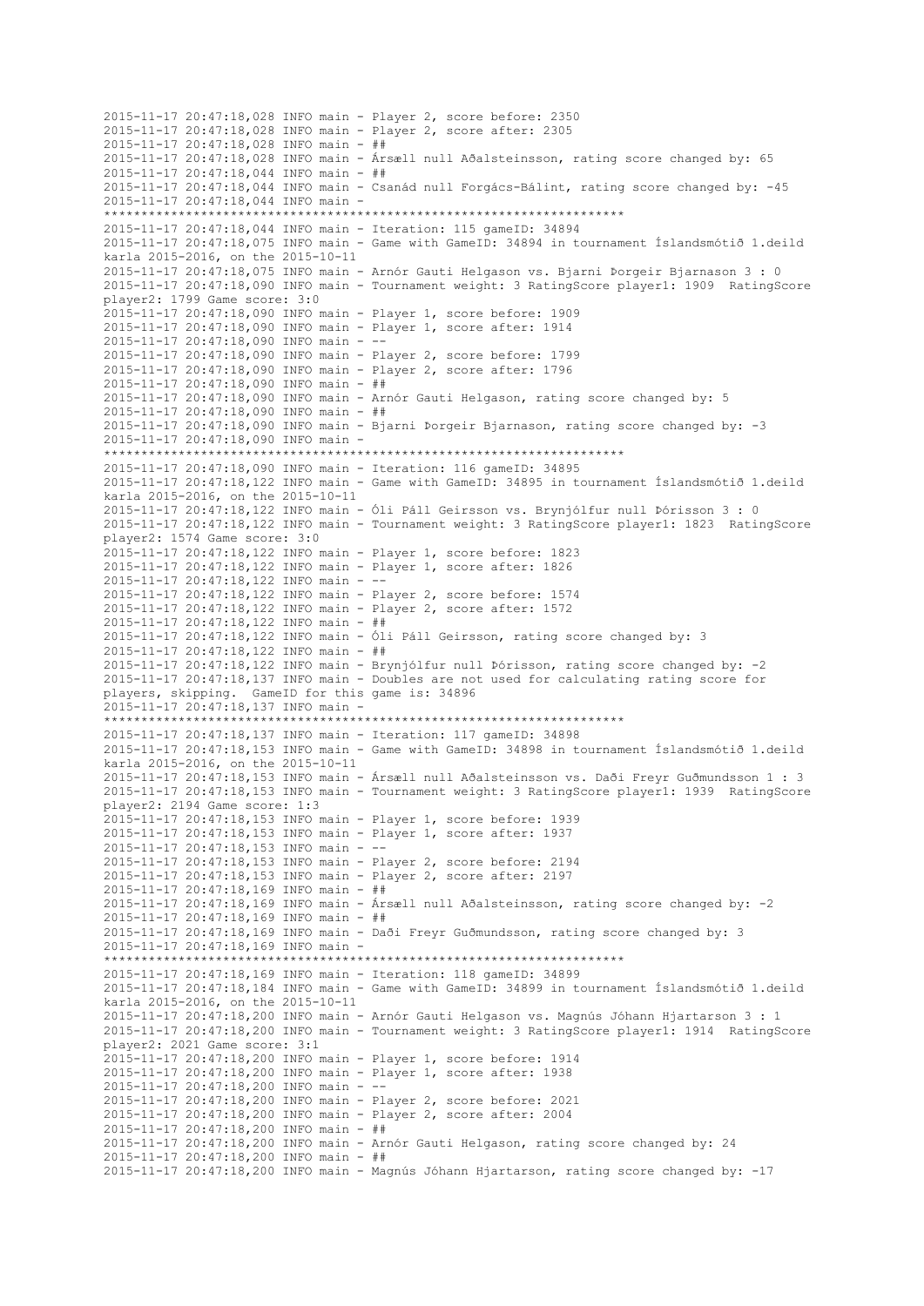2015-11-17 20:47:18,028 INFO main - Player 2, score before: 2350 2015-11-17 20:47:18,028 INFO main - Player 2, score after: 2305 2015-11-17 20:47:18,028 INFO main - ## 2015-11-17 20:47:18,028 INFO main - Ársæll null Aðalsteinsson, rating score changed by: 65 2015-11-17 20:47:18,044 INFO main - ## 2015-11-17 20:47:18,044 INFO main - Csanád null Forgács-Bálint, rating score changed by: -45 2015-11-17 20:47:18,044 INFO main - \*\*\*\*\*\*\*\*\*\*\*\*\*\*\*\*\*\*\*\*\*\*\*\*\*\*\*\*\*\*\*\*\*\*\*\*\*\*\*\*\*\*\*\*\*\*\*\*\*\*\*\*\*\*\*\*\*\*\*\*\*\*\*\*\*\*\*\*\*\* 2015-11-17 20:47:18,044 INFO main - Iteration: 115 gameID: 34894 2015-11-17 20:47:18,075 INFO main - Game with GameID: 34894 in tournament Íslandsmótið 1.deild karla 2015-2016, on the 2015-10-11 2015-11-17 20:47:18,075 INFO main - Arnór Gauti Helgason vs. Bjarni Þorgeir Bjarnason 3 : 0 2015-11-17 20:47:18,090 INFO main - Tournament weight: 3 RatingScore player1: 1909 RatingScore player2: 1799 Game score: 3:0 2015-11-17 20:47:18,090 INFO main - Player 1, score before: 1909 2015-11-17 20:47:18,090 INFO main - Player 1, score after: 1914  $2015 - 11 - 17$   $20:47:18.090$  TNFO main - --2015-11-17 20:47:18,090 INFO main - Player 2, score before: 1799 2015-11-17 20:47:18,090 INFO main - Player 2, score after: 1796 2015-11-17 20:47:18,090 INFO main - ## 2015-11-17 20:47:18,090 INFO main - Arnór Gauti Helgason, rating score changed by: 5 2015-11-17 20:47:18,090 INFO main - ## 2015-11-17 20:47:18,090 INFO main - Bjarni Þorgeir Bjarnason, rating score changed by: -3 2015-11-17 20:47:18,090 INFO main - \*\*\*\*\*\*\*\*\*\*\*\*\*\*\*\*\*\*\*\*\*\*\*\*\*\*\*\*\*\*\*\*\*\*\*\*\*\*\*\*\*\*\*\*\*\*\*\*\*\*\*\*\*\*\*\*\*\*\*\*\*\*\*\*\*\*\*\*\*\* 2015-11-17 20:47:18,090 INFO main - Iteration: 116 gameID: 34895 2015-11-17 20:47:18,122 INFO main - Game with GameID: 34895 in tournament Íslandsmótið 1.deild karla 2015-2016, on the 2015-10-11 2015-11-17 20:47:18,122 INFO main - Óli Páll Geirsson vs. Brynjólfur null Þórisson 3 : 0 2015-11-17 20:47:18,122 INFO main - Tournament weight: 3 RatingScore player1: 1823 RatingScore player2: 1574 Game score: 3:0 2015-11-17 20:47:18,122 INFO main - Player 1, score before: 1823 2015-11-17 20:47:18,122 INFO main - Player 1, score after: 1826 2015-11-17 20:47:18,122 INFO main - -- 2015-11-17 20:47:18,122 INFO main - Player 2, score before: 1574 2015-11-17 20:47:18,122 INFO main - Player 2, score after: 1572 2015-11-17 20:47:18,122 INFO main - ## 2015-11-17 20:47:18,122 INFO main - Óli Páll Geirsson, rating score changed by: 3 2015-11-17 20:47:18,122 INFO main - ## 2015-11-17 20:47:18,122 INFO main - Brynjólfur null Þórisson, rating score changed by: -2 2015-11-17 20:47:18,137 INFO main - Doubles are not used for calculating rating score for players, skipping. GameID for this game is: 34896 2015-11-17 20:47:18,137 INFO main - \*\*\*\*\*\*\*\*\*\*\*\*\*\*\*\*\*\*\*\*\*\*\*\*\*\*\*\*\*\*\*\*\*\*\*\*\*\*\*\*\*\*\*\*\*\*\*\*\*\*\*\*\*\*\*\*\*\*\*\*\*\*\*\*\*\*\*\*\*\* 2015-11-17 20:47:18,137 INFO main - Iteration: 117 gameID: 34898 2015-11-17 20:47:18,153 INFO main - Game with GameID: 34898 in tournament Íslandsmótið 1.deild karla 2015-2016, on the 2015-10-11 2015-11-17 20:47:18,153 INFO main - Ársæll null Aðalsteinsson vs. Daði Freyr Guðmundsson 1 : 3 2015-11-17 20:47:18,153 INFO main - Tournament weight: 3 RatingScore player1: 1939 RatingScore player2: 2194 Game score: 1:3 2015-11-17 20:47:18,153 INFO main - Player 1, score before: 1939 2015-11-17 20:47:18,153 INFO main - Player 1, score after: 1937 2015-11-17 20:47:18,153 INFO main - -- 2015-11-17 20:47:18,153 INFO main - Player 2, score before: 2194 2015-11-17 20:47:18,153 INFO main - Player 2, score after: 2197 2015-11-17 20:47:18,169 INFO main - ## 2015-11-17 20:47:18,169 INFO main - Ársæll null Aðalsteinsson, rating score changed by: -2 2015-11-17 20:47:18,169 INFO main - ## 2015-11-17 20:47:18,169 INFO main - Daði Freyr Guðmundsson, rating score changed by: 3 2015-11-17 20:47:18,169 INFO main - \*\*\*\*\*\*\*\*\*\*\*\*\*\*\*\*\*\*\*\*\*\*\*\*\*\*\*\*\*\*\*\*\*\*\*\*\*\*\*\*\*\*\*\*\*\*\*\*\*\*\*\*\*\*\*\*\*\*\*\*\*\*\*\*\*\*\*\*\*\* 2015-11-17 20:47:18,169 INFO main - Iteration: 118 gameID: 34899 2015-11-17 20:47:18,184 INFO main - Game with GameID: 34899 in tournament Íslandsmótið 1.deild karla 2015-2016, on the 2015-10-11 2015-11-17 20:47:18,200 INFO main - Arnór Gauti Helgason vs. Magnús Jóhann Hjartarson 3 : 1 2015-11-17 20:47:18,200 INFO main - Tournament weight: 3 RatingScore player1: 1914 RatingScore player2: 2021 Game score: 3:1 2015-11-17 20:47:18,200 INFO main - Player 1, score before: 1914 2015-11-17 20:47:18,200 INFO main - Player 1, score after: 1938 2015-11-17 20:47:18,200 INFO main - -- 2015-11-17 20:47:18,200 INFO main - Player 2, score before: 2021 2015-11-17 20:47:18,200 INFO main - Player 2, score after: 2004 2015-11-17 20:47:18,200 INFO main - ## 2015-11-17 20:47:18,200 INFO main - Arnór Gauti Helgason, rating score changed by: 24 2015-11-17 20:47:18,200 INFO main - ## 2015-11-17 20:47:18,200 INFO main - Magnús Jóhann Hjartarson, rating score changed by: -17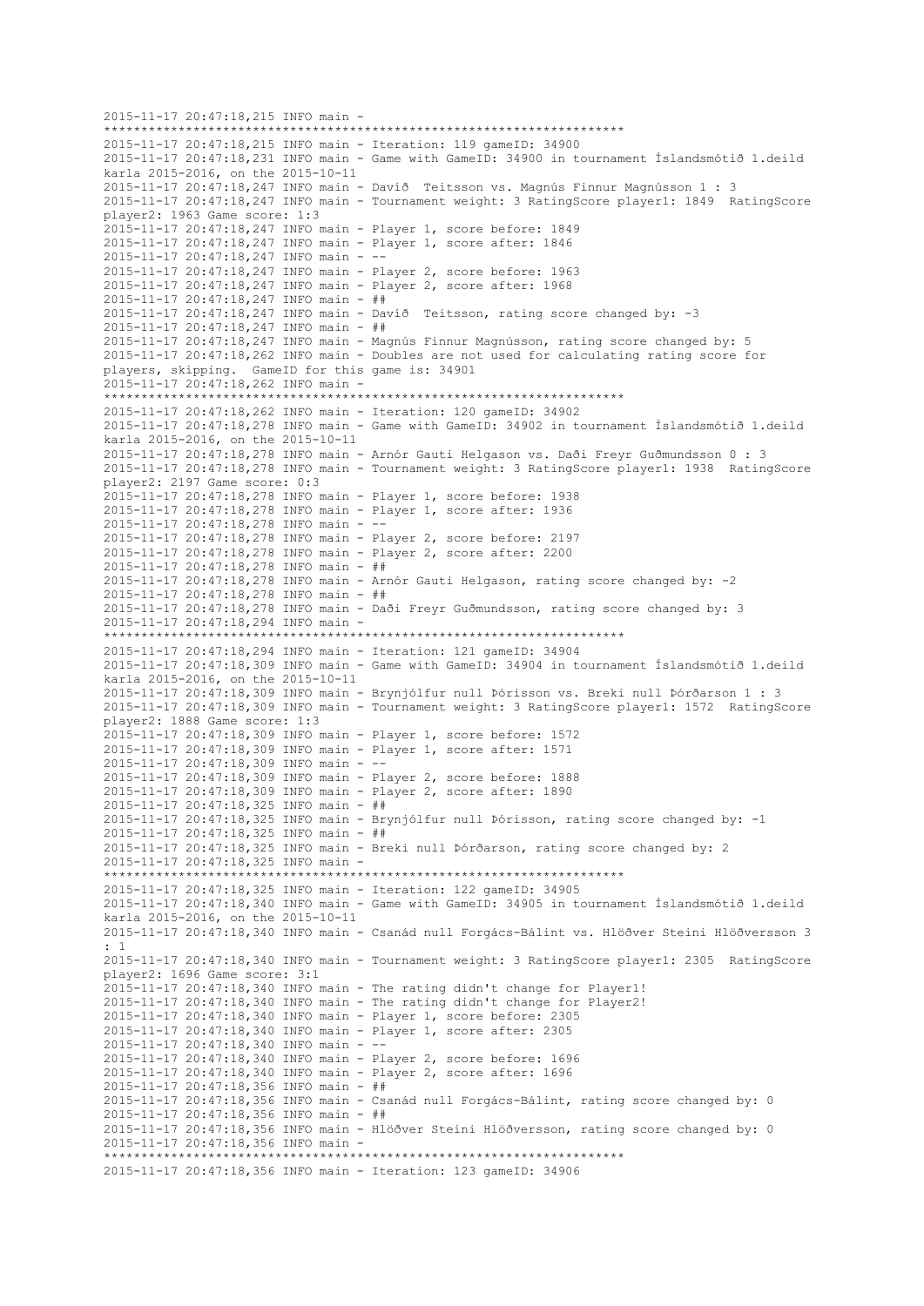2015-11-17 20:47:18,215 INFO main - \*\*\*\*\*\*\*\*\*\*\*\*\*\*\*\*\*\*\*\*\*\*\*\*\*\*\*\*\*\*\*\*\*\*\*\*\*\*\*\*\*\*\*\*\*\*\*\*\*\*\*\*\*\*\*\*\*\*\*\*\*\*\*\*\*\*\*\*\*\* 2015-11-17 20:47:18,215 INFO main - Iteration: 119 gameID: 34900 2015-11-17 20:47:18,231 INFO main - Game with GameID: 34900 in tournament Íslandsmótið 1.deild karla 2015-2016, on the 2015-10-11 2015-11-17 20:47:18,247 INFO main - Davíð Teitsson vs. Magnús Finnur Magnússon 1 : 3 2015-11-17 20:47:18,247 INFO main - Tournament weight: 3 RatingScore player1: 1849 RatingScore player2: 1963 Game score: 1:3 2015-11-17 20:47:18,247 INFO main - Player 1, score before: 1849 2015-11-17 20:47:18,247 INFO main - Player 1, score after: 1846 2015-11-17 20:47:18,247 INFO main - -- 2015-11-17 20:47:18,247 INFO main - Player 2, score before: 1963 2015-11-17 20:47:18,247 INFO main - Player 2, score after: 1968 2015-11-17 20:47:18,247 INFO main - ## 2015-11-17 20:47:18,247 INFO main - Davíð Teitsson, rating score changed by: -3 2015-11-17 20:47:18,247 INFO main - ## 2015-11-17 20:47:18,247 INFO main - Magnús Finnur Magnússon, rating score changed by: 5 2015-11-17 20:47:18,262 INFO main - Doubles are not used for calculating rating score for players, skipping. GameID for this game is: 34901 2015-11-17 20:47:18,262 INFO main - \*\*\*\*\*\*\*\*\*\*\*\*\*\*\*\*\*\*\*\*\*\*\*\*\*\*\*\*\*\*\*\*\*\*\*\*\*\*\*\*\*\*\*\*\*\*\*\*\*\*\*\*\*\*\*\*\*\*\*\*\*\*\*\*\*\*\*\*\*\* 2015-11-17 20:47:18,262 INFO main - Iteration: 120 gameID: 34902 2015-11-17 20:47:18,278 INFO main - Game with GameID: 34902 in tournament Íslandsmótið 1.deild karla 2015-2016, on the 2015-10-11 2015-11-17 20:47:18,278 INFO main - Arnór Gauti Helgason vs. Daði Freyr Guðmundsson 0 : 3 2015-11-17 20:47:18,278 INFO main - Tournament weight: 3 RatingScore player1: 1938 RatingScore player2: 2197 Game score: 0:3 2015-11-17 20:47:18,278 INFO main - Player 1, score before: 1938 2015-11-17 20:47:18,278 INFO main - Player 1, score after: 1936  $2015 - 11 - 17$   $20:47:18.278$  INFO main - --2015-11-17 20:47:18,278 INFO main - Player 2, score before: 2197 2015-11-17 20:47:18,278 INFO main - Player 2, score after: 2200 2015-11-17 20:47:18,278 INFO main - ## 2015-11-17 20:47:18,278 INFO main - Arnór Gauti Helgason, rating score changed by: -2 2015-11-17 20:47:18,278 INFO main - ## 2015-11-17 20:47:18,278 INFO main - Daði Freyr Guðmundsson, rating score changed by: 3 2015-11-17 20:47:18,294 INFO main - \*\*\*\*\*\*\*\*\*\*\*\*\*\*\*\*\*\*\*\*\*\*\*\*\*\*\*\*\*\*\*\*\*\*\*\*\*\*\*\*\*\*\*\*\*\*\*\*\*\*\*\*\*\*\*\*\*\*\*\*\*\*\*\*\*\*\*\*\*\* 2015-11-17 20:47:18,294 INFO main - Iteration: 121 gameID: 34904 2015-11-17 20:47:18,309 INFO main - Game with GameID: 34904 in tournament Íslandsmótið 1.deild karla 2015-2016, on the 2015-10-11 2015-11-17 20:47:18,309 INFO main - Brynjólfur null Þórisson vs. Breki null Þórðarson 1 : 3 2015-11-17 20:47:18,309 INFO main - Tournament weight: 3 RatingScore player1: 1572 RatingScore player2: 1888 Game score: 1:3 2015-11-17 20:47:18,309 INFO main - Player 1, score before: 1572 2015-11-17 20:47:18,309 INFO main - Player 1, score after: 1571 2015-11-17 20:47:18,309 INFO main - -- 2015-11-17 20:47:18,309 INFO main - Player 2, score before: 1888 2015-11-17 20:47:18,309 INFO main - Player 2, score after: 1890 2015-11-17 20:47:18,325 INFO main - ## 2015-11-17 20:47:18,325 INFO main - Brynjólfur null Þórisson, rating score changed by: -1 2015-11-17 20:47:18,325 INFO main - ## 2015-11-17 20:47:18,325 INFO main - Breki null Þórðarson, rating score changed by: 2 2015-11-17 20:47:18,325 INFO main - \*\*\*\*\*\*\*\*\*\*\*\*\*\*\*\*\*\*\*\*\*\*\*\*\*\*\*\*\*\*\*\*\*\*\*\*\*\*\*\*\*\*\*\*\*\*\*\*\*\*\*\*\*\*\*\*\*\*\*\*\*\*\*\*\*\*\*\*\*\* 2015-11-17 20:47:18,325 INFO main - Iteration: 122 gameID: 34905 2015-11-17 20:47:18,340 INFO main - Game with GameID: 34905 in tournament Íslandsmótið 1.deild karla 2015-2016, on the 2015-10-11 2015-11-17 20:47:18,340 INFO main - Csanád null Forgács-Bálint vs. Hlöðver Steini Hlöðversson 3 : 1 2015-11-17 20:47:18,340 INFO main - Tournament weight: 3 RatingScore player1: 2305 RatingScore player2: 1696 Game score: 3:1 2015-11-17 20:47:18,340 INFO main - The rating didn't change for Player1! 2015-11-17 20:47:18,340 INFO main - The rating didn't change for Player2! 2015-11-17 20:47:18,340 INFO main - Player 1, score before: 2305 2015-11-17 20:47:18,340 INFO main - Player 1, score after: 2305 2015-11-17 20:47:18,340 INFO main - -- 2015-11-17 20:47:18,340 INFO main - Player 2, score before: 1696 2015-11-17 20:47:18,340 INFO main - Player 2, score after: 1696 2015-11-17 20:47:18,356 INFO main - ## 2015-11-17 20:47:18,356 INFO main - Csanád null Forgács-Bálint, rating score changed by: 0 2015-11-17 20:47:18,356 INFO main - ## 2015-11-17 20:47:18,356 INFO main - Hlöðver Steini Hlöðversson, rating score changed by: 0 2015-11-17 20:47:18,356 INFO main - \*\*\*\*\*\*\*\*\*\*\*\*\*\*\*\*\*\*\*\*\*\*\*\*\*\*\*\*\*\*\*\*\*\*\*\*\*\*\*\*\*\*\*\*\*\*\*\*\*\*\*\*\*\*\*\*\*\*\*\*\*\*\*\*\*\*\*\*\*\* 2015-11-17 20:47:18,356 INFO main - Iteration: 123 gameID: 34906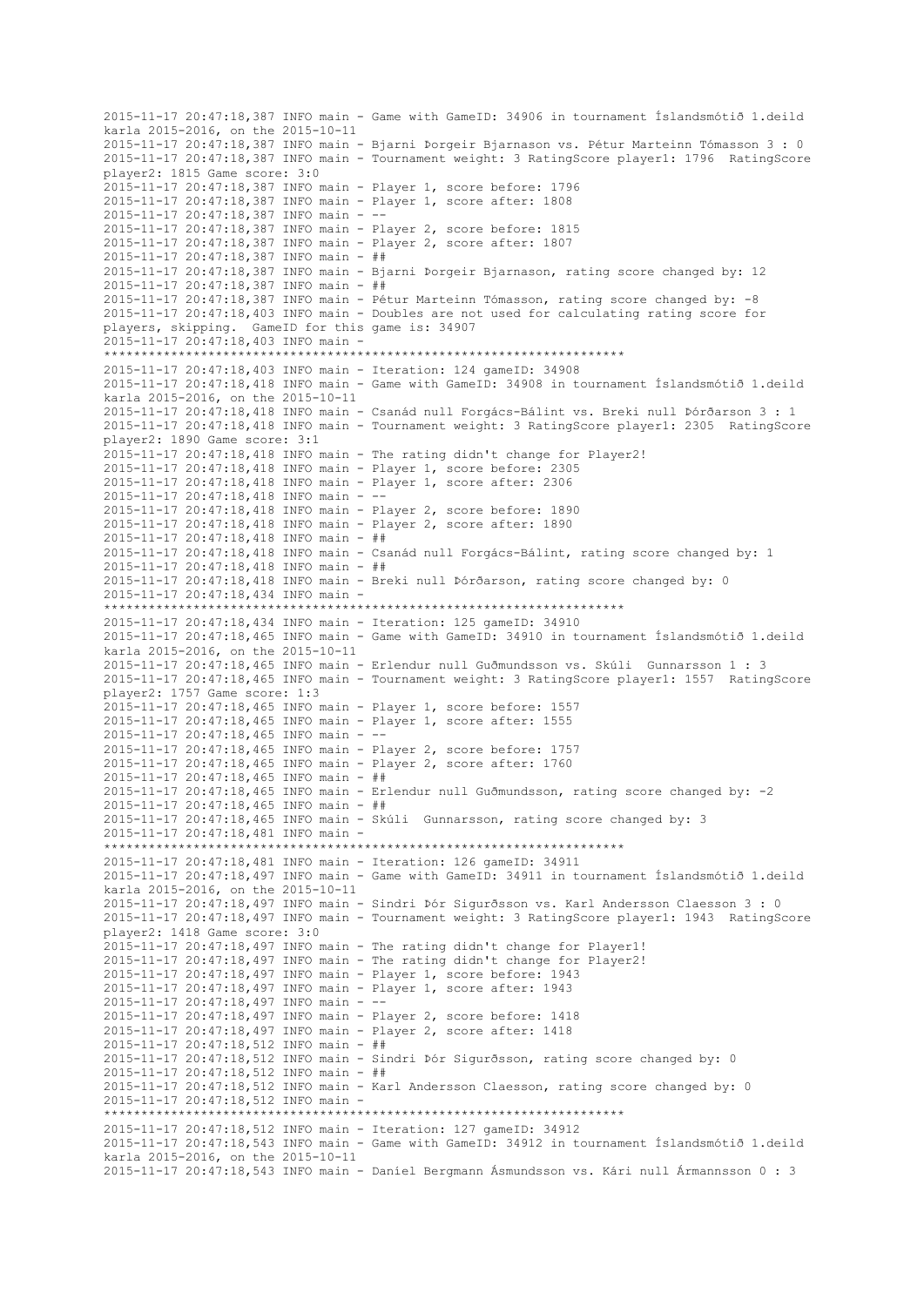2015-11-17 20:47:18,387 INFO main - Game with GameID: 34906 in tournament Íslandsmótið 1.deild karla 2015-2016, on the 2015-10-11 2015-11-17 20:47:18,387 INFO main - Bjarni Þorgeir Bjarnason vs. Pétur Marteinn Tómasson 3 : 0 2015-11-17 20:47:18,387 INFO main - Tournament weight: 3 RatingScore player1: 1796 RatingScore player2: 1815 Game score: 3:0 2015-11-17 20:47:18,387 INFO main - Player 1, score before: 1796 2015-11-17 20:47:18,387 INFO main - Player 1, score after: 1808 2015-11-17 20:47:18,387 INFO main - -- 2015-11-17 20:47:18,387 INFO main - Player 2, score before: 1815 2015-11-17 20:47:18,387 INFO main - Player 2, score after: 1807 2015-11-17 20:47:18,387 INFO main - ## 2015-11-17 20:47:18,387 INFO main - Bjarni Þorgeir Bjarnason, rating score changed by: 12 2015-11-17 20:47:18,387 INFO main - ## 2015-11-17 20:47:18,387 INFO main - Pétur Marteinn Tómasson, rating score changed by: -8 2015-11-17 20:47:18,403 INFO main - Doubles are not used for calculating rating score for players, skipping. GameID for this game is: 34907 2015-11-17 20:47:18,403 INFO main - \*\*\*\*\*\*\*\*\*\*\*\*\*\*\*\*\*\*\*\*\*\*\*\*\*\*\*\*\*\*\*\*\*\*\*\*\*\*\*\*\*\*\*\*\*\*\*\*\*\*\*\*\*\*\*\*\*\*\*\*\*\*\*\*\*\*\*\*\*\* 2015-11-17 20:47:18,403 INFO main - Iteration: 124 gameID: 34908 2015-11-17 20:47:18,418 INFO main - Game with GameID: 34908 in tournament Íslandsmótið 1.deild karla 2015-2016, on the 2015-10-11 2015-11-17 20:47:18,418 INFO main - Csanád null Forgács-Bálint vs. Breki null Þórðarson 3 : 1 2015-11-17 20:47:18,418 INFO main - Tournament weight: 3 RatingScore player1: 2305 RatingScore player2: 1890 Game score: 3:1 2015-11-17 20:47:18,418 INFO main - The rating didn't change for Player2! 2015-11-17 20:47:18,418 INFO main - Player 1, score before: 2305 2015-11-17 20:47:18,418 INFO main - Player 1, score after: 2306 2015-11-17 20:47:18,418 INFO main - -- 2015-11-17 20:47:18,418 INFO main - Player 2, score before: 1890 2015-11-17 20:47:18,418 INFO main - Player 2, score after: 1890 2015-11-17 20:47:18,418 INFO main - ## 2015-11-17 20:47:18,418 INFO main - Csanád null Forgács-Bálint, rating score changed by: 1 2015-11-17 20:47:18,418 INFO main - ## 2015-11-17 20:47:18,418 INFO main - Breki null Þórðarson, rating score changed by: 0 2015-11-17 20:47:18,434 INFO main - \*\*\*\*\*\*\*\*\*\*\*\*\*\*\*\*\*\*\*\*\*\*\*\*\*\*\*\*\*\*\*\*\*\*\*\*\*\*\*\*\*\*\*\*\*\*\*\*\*\*\*\*\*\*\*\*\*\*\*\*\*\*\*\*\*\*\*\*\*\* 2015-11-17 20:47:18,434 INFO main - Iteration: 125 gameID: 34910 2015-11-17 20:47:18,465 INFO main - Game with GameID: 34910 in tournament Íslandsmótið 1.deild karla 2015-2016, on the 2015-10-11 2015-11-17 20:47:18,465 INFO main - Erlendur null Guðmundsson vs. Skúli Gunnarsson 1 : 3 2015-11-17 20:47:18,465 INFO main - Tournament weight: 3 RatingScore player1: 1557 RatingScore player2: 1757 Game score: 1:3 2015-11-17 20:47:18,465 INFO main - Player 1, score before: 1557 2015-11-17 20:47:18,465 INFO main - Player 1, score after: 1555 2015-11-17 20:47:18,465 INFO main - -- 2015-11-17 20:47:18,465 INFO main - Player 2, score before: 1757 2015-11-17 20:47:18,465 INFO main - Player 2, score after: 1760 2015-11-17 20:47:18,465 INFO main - ## 2015-11-17 20:47:18,465 INFO main - Erlendur null Guðmundsson, rating score changed by: -2 2015-11-17 20:47:18,465 INFO main - ## 2015-11-17 20:47:18,465 INFO main - Skúli Gunnarsson, rating score changed by: 3 2015-11-17 20:47:18,481 INFO main - \*\*\*\*\*\*\*\*\*\*\*\*\*\*\*\*\*\*\*\*\*\*\*\*\*\*\*\*\*\*\*\*\*\*\*\*\*\*\*\*\*\*\*\*\*\*\*\*\*\*\*\*\*\*\*\*\*\*\*\*\*\*\*\*\*\*\*\*\*\* 2015-11-17 20:47:18,481 INFO main - Iteration: 126 gameID: 34911 2015-11-17 20:47:18,497 INFO main - Game with GameID: 34911 in tournament Íslandsmótið 1.deild karla 2015-2016, on the 2015-10-11 2015-11-17 20:47:18,497 INFO main - Sindri Þór Sigurðsson vs. Karl Andersson Claesson 3 : 0 2015-11-17 20:47:18,497 INFO main - Tournament weight: 3 RatingScore player1: 1943 RatingScore player2: 1418 Game score: 3:0 2015-11-17 20:47:18,497 INFO main - The rating didn't change for Player1! 2015-11-17 20:47:18,497 INFO main - The rating didn't change for Player2! 2015-11-17 20:47:18,497 INFO main - Player 1, score before: 1943 2015-11-17 20:47:18,497 INFO main - Player 1, score after: 1943 2015-11-17 20:47:18,497 INFO main -2015-11-17 20:47:18,497 INFO main - Player 2, score before: 1418 2015-11-17 20:47:18,497 INFO main - Player 2, score after: 1418 2015-11-17 20:47:18,512 INFO main - ## 2015-11-17 20:47:18,512 INFO main - Sindri Þór Sigurðsson, rating score changed by: 0 2015-11-17 20:47:18,512 INFO main - ## 2015-11-17 20:47:18,512 INFO main - Karl Andersson Claesson, rating score changed by: 0 2015-11-17 20:47:18,512 INFO main - \*\*\*\*\*\*\*\*\*\*\*\*\*\*\*\*\*\*\*\*\*\*\*\*\*\*\*\*\*\*\*\*\*\*\*\*\*\*\*\*\*\*\*\*\*\*\*\*\*\*\*\*\*\*\*\*\*\*\*\*\*\*\*\*\*\*\*\*\*\* 2015-11-17 20:47:18,512 INFO main - Iteration: 127 gameID: 34912 2015-11-17 20:47:18,543 INFO main - Game with GameID: 34912 in tournament Íslandsmótið 1.deild karla 2015-2016, on the 2015-10-11 2015-11-17 20:47:18,543 INFO main - Daníel Bergmann Ásmundsson vs. Kári null Ármannsson 0 : 3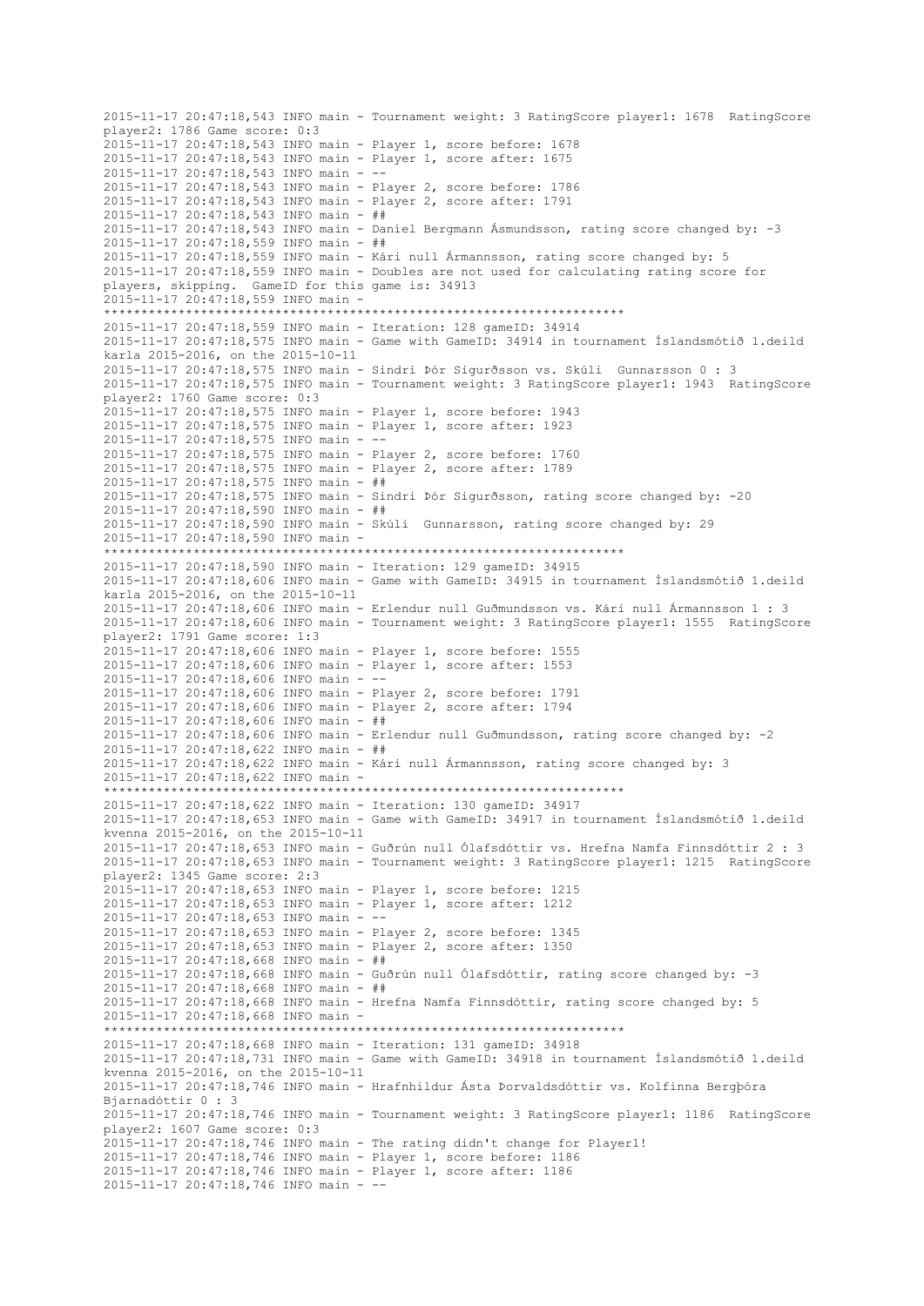2015-11-17 20:47:18,543 INFO main - Tournament weight: 3 RatingScore player1: 1678 RatingScore player2: 1786 Game score: 0:3 2015-11-17 20:47:18,543 INFO main - Player 1, score before: 1678 2015-11-17 20:47:18,543 INFO main - Player 1, score after: 1675 2015-11-17 20:47:18,543 INFO main - -- 2015-11-17 20:47:18,543 INFO main - Player 2, score before: 1786 2015-11-17 20:47:18,543 INFO main - Player 2, score after: 1791 2015-11-17 20:47:18,543 INFO main - ## 2015-11-17 20:47:18,543 INFO main - Daníel Bergmann Ásmundsson, rating score changed by: -3 2015-11-17 20:47:18,559 INFO main - ## 2015-11-17 20:47:18,559 INFO main - Kári null Ármannsson, rating score changed by: 5 2015-11-17 20:47:18,559 INFO main - Doubles are not used for calculating rating score for players, skipping. GameID for this game is: 34913 2015-11-17 20:47:18,559 INFO main - \*\*\*\*\*\*\*\*\*\*\*\*\*\*\*\*\*\*\*\*\*\*\*\*\*\*\*\*\*\*\*\*\*\*\*\*\*\*\*\*\*\*\*\*\*\*\*\*\*\*\*\*\*\*\*\*\*\*\*\*\*\*\*\*\*\*\*\*\*\* 2015-11-17 20:47:18,559 INFO main - Iteration: 128 gameID: 34914 2015-11-17 20:47:18,575 INFO main - Game with GameID: 34914 in tournament Íslandsmótið 1.deild karla 2015-2016, on the 2015-10-11 2015-11-17 20:47:18,575 INFO main - Sindri Þór Sigurðsson vs. Skúli Gunnarsson 0 : 3 2015-11-17 20:47:18,575 INFO main - Tournament weight: 3 RatingScore player1: 1943 RatingScore player2: 1760 Game score: 0:3 2015-11-17 20:47:18,575 INFO main - Player 1, score before: 1943 2015-11-17 20:47:18,575 INFO main - Player 1, score after: 1923 2015-11-17 20:47:18,575 INFO main - -- 2015-11-17 20:47:18,575 INFO main - Player 2, score before: 1760 2015-11-17 20:47:18,575 INFO main - Player 2, score after: 1789 2015-11-17 20:47:18,575 INFO main - ## 2015-11-17 20:47:18,575 INFO main - Sindri Þór Sigurðsson, rating score changed by: -20 2015-11-17 20:47:18,590 INFO main - ## 2015-11-17 20:47:18,590 INFO main - Skúli Gunnarsson, rating score changed by: 29 2015-11-17 20:47:18,590 INFO main - \*\*\*\*\*\*\*\*\*\*\*\*\*\*\*\*\*\*\*\*\*\*\*\*\*\*\*\*\*\*\*\*\*\*\*\*\*\*\*\*\*\*\*\*\*\*\*\*\*\*\*\*\*\*\*\*\*\*\*\*\*\*\*\*\*\*\*\*\*\* 2015-11-17 20:47:18,590 INFO main - Iteration: 129 gameID: 34915 2015-11-17 20:47:18,606 INFO main - Game with GameID: 34915 in tournament Íslandsmótið 1.deild karla 2015-2016, on the 2015-10-11 2015-11-17 20:47:18,606 INFO main - Erlendur null Guðmundsson vs. Kári null Ármannsson 1 : 3 2015-11-17 20:47:18,606 INFO main - Tournament weight: 3 RatingScore player1: 1555 RatingScore player2: 1791 Game score: 1:3 2015-11-17 20:47:18,606 INFO main - Player 1, score before: 1555 2015-11-17 20:47:18,606 INFO main - Player 1, score after: 1553 2015-11-17 20:47:18,606 INFO main - -- 2015-11-17 20:47:18,606 INFO main - Player 2, score before: 1791 2015-11-17 20:47:18,606 INFO main - Player 2, score after: 1794 2015-11-17 20:47:18,606 INFO main - ## 2015-11-17 20:47:18,606 INFO main - Erlendur null Guðmundsson, rating score changed by: -2 2015-11-17 20:47:18,622 INFO main - ## 2015-11-17 20:47:18,622 INFO main - Kári null Ármannsson, rating score changed by: 3 2015-11-17 20:47:18,622 INFO main - \*\*\*\*\*\*\*\*\*\*\*\*\*\*\*\*\*\*\*\*\*\*\*\*\*\*\*\*\*\*\*\*\*\*\*\*\*\*\*\*\*\*\*\*\*\*\*\*\*\*\*\*\*\*\*\*\*\*\*\*\*\*\*\*\*\*\*\*\*\* 2015-11-17 20:47:18,622 INFO main - Iteration: 130 gameID: 34917 2015-11-17 20:47:18,653 INFO main - Game with GameID: 34917 in tournament Íslandsmótið 1.deild kvenna 2015-2016, on the 2015-10-11 2015-11-17 20:47:18,653 INFO main - Guðrún null Ólafsdóttir vs. Hrefna Namfa Finnsdóttir 2 : 3 2015-11-17 20:47:18,653 INFO main - Tournament weight: 3 RatingScore player1: 1215 RatingScore player2: 1345 Game score: 2:3 2015-11-17 20:47:18,653 INFO main - Player 1, score before: 1215 2015-11-17 20:47:18,653 INFO main - Player 1, score after: 1212 2015-11-17 20:47:18,653 INFO main - -- 2015-11-17 20:47:18,653 INFO main - Player 2, score before: 1345 2015-11-17 20:47:18,653 INFO main - Player 2, score after: 1350 2015-11-17 20:47:18,668 INFO main - ## 2015-11-17 20:47:18,668 INFO main - Guðrún null Ólafsdóttir, rating score changed by: -3 2015-11-17 20:47:18,668 INFO main - ## 2015-11-17 20:47:18,668 INFO main - Hrefna Namfa Finnsdóttir, rating score changed by: 5 2015-11-17 20:47:18,668 INFO main - \*\*\*\*\*\*\*\*\*\*\*\*\*\*\*\*\*\*\*\*\*\*\*\*\*\*\*\*\*\*\*\*\*\*\*\*\*\*\*\*\*\*\*\*\*\*\*\*\*\*\*\*\*\*\*\*\*\*\*\*\*\*\*\*\*\*\*\*\*\* 2015-11-17 20:47:18,668 INFO main - Iteration: 131 gameID: 34918 2015-11-17 20:47:18,731 INFO main - Game with GameID: 34918 in tournament Íslandsmótið 1.deild kvenna 2015-2016, on the 2015-10-11 2015-11-17 20:47:18,746 INFO main - Hrafnhildur Ásta Þorvaldsdóttir vs. Kolfinna Bergþóra Bjarnadóttir 0 : 3 2015-11-17 20:47:18,746 INFO main - Tournament weight: 3 RatingScore player1: 1186 RatingScore player2: 1607 Game score: 0:3 2015-11-17 20:47:18,746 INFO main - The rating didn't change for Player1! 2015-11-17 20:47:18,746 INFO main - Player 1, score before: 1186 2015-11-17 20:47:18,746 INFO main - Player 1, score after: 1186 2015-11-17 20:47:18,746 INFO main - --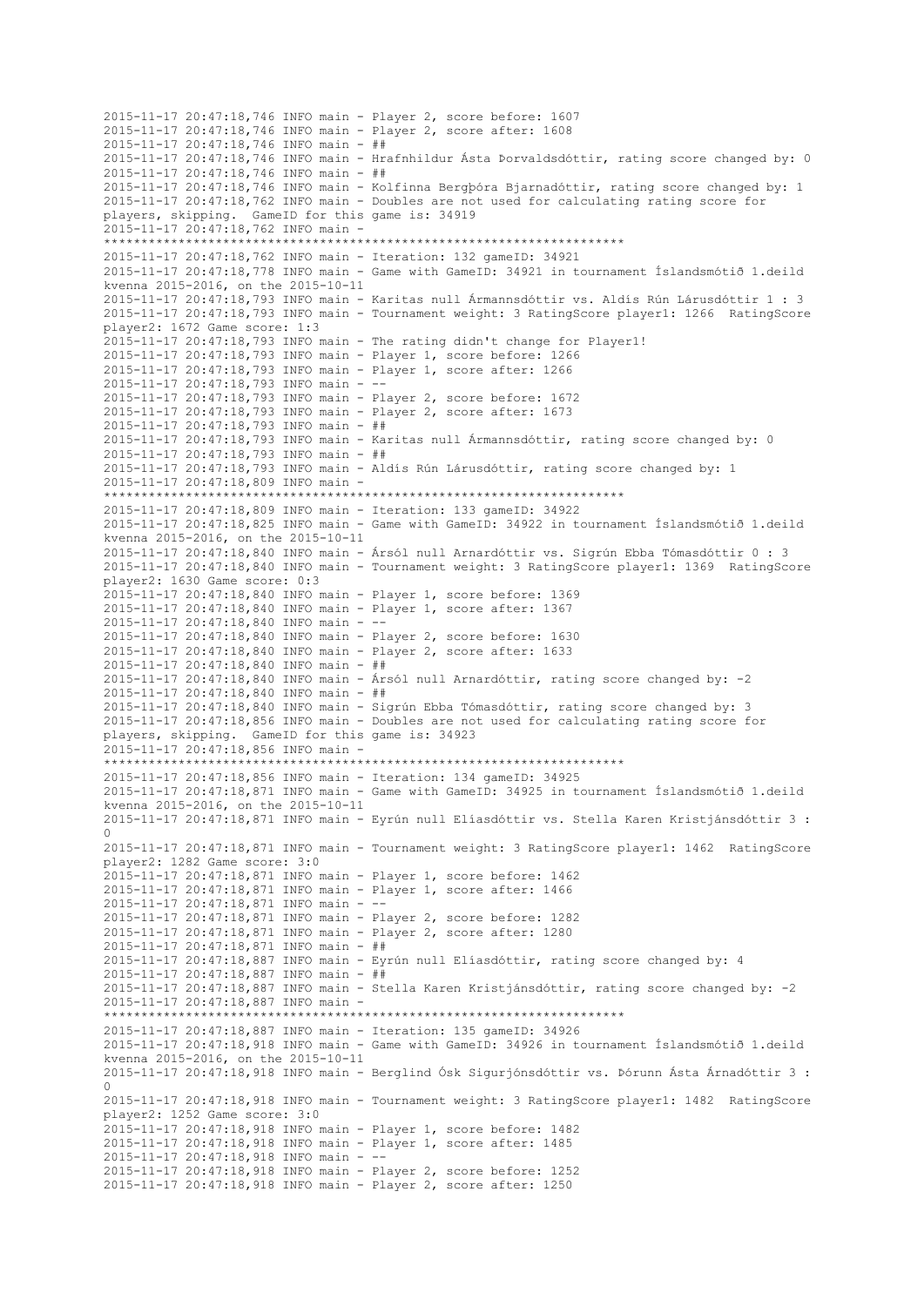2015-11-17 20:47:18,746 INFO main - Player 2, score before: 1607 2015-11-17 20:47:18,746 INFO main - Player 2, score after: 1608 2015-11-17 20:47:18,746 INFO main - ## 2015-11-17 20:47:18,746 INFO main - Hrafnhildur Ásta Þorvaldsdóttir, rating score changed by: 0 2015-11-17 20:47:18,746 INFO main - ## 2015-11-17 20:47:18,746 INFO main - Kolfinna Bergþóra Bjarnadóttir, rating score changed by: 1 2015-11-17 20:47:18,762 INFO main - Doubles are not used for calculating rating score for players, skipping. GameID for this game is: 34919  $2015 - 11 - 17$   $20 \cdot 47 \cdot 18$ , 762 INFO main -\*\*\*\*\*\*\*\*\*\*\*\*\*\*\*\*\*\*\*\*\*\*\*\*\*\*\*\*\*\*\*\*\*\*\*\*\*\*\*\*\*\*\*\*\*\*\*\*\*\*\*\*\*\*\*\*\*\*\*\*\*\*\*\*\*\*\*\*\*\* 2015-11-17 20:47:18,762 INFO main - Iteration: 132 gameID: 34921 2015-11-17 20:47:18,778 INFO main - Game with GameID: 34921 in tournament Íslandsmótið 1.deild kvenna 2015-2016, on the 2015-10-11 2015-11-17 20:47:18,793 INFO main - Karitas null Ármannsdóttir vs. Aldís Rún Lárusdóttir 1 : 3 2015-11-17 20:47:18,793 INFO main - Tournament weight: 3 RatingScore player1: 1266 RatingScore player2: 1672 Game score: 1:3 2015-11-17 20:47:18,793 INFO main - The rating didn't change for Player1! 2015-11-17 20:47:18,793 INFO main - Player 1, score before: 1266 2015-11-17 20:47:18,793 INFO main - Player 1, score after: 1266 2015-11-17 20:47:18,793 INFO main - -- 2015-11-17 20:47:18,793 INFO main - Player 2, score before: 1672 2015-11-17 20:47:18,793 INFO main - Player 2, score after: 1673 2015-11-17 20:47:18,793 INFO main - ## 2015-11-17 20:47:18,793 INFO main - Karitas null Ármannsdóttir, rating score changed by: 0 2015-11-17 20:47:18,793 INFO main - ## 2015-11-17 20:47:18,793 INFO main - Aldís Rún Lárusdóttir, rating score changed by: 1 2015-11-17 20:47:18,809 INFO main - \*\*\*\*\*\*\*\*\*\*\*\*\*\*\*\*\*\*\*\*\*\*\*\*\*\*\*\*\*\*\*\*\*\*\*\*\*\*\*\*\*\*\*\*\*\*\*\*\*\*\*\*\*\*\*\*\*\*\*\*\*\*\*\*\*\*\*\*\*\* 2015-11-17 20:47:18,809 INFO main - Iteration: 133 gameID: 34922 2015-11-17 20:47:18,825 INFO main - Game with GameID: 34922 in tournament Íslandsmótið 1.deild kvenna 2015-2016, on the 2015-10-11 2015-11-17 20:47:18,840 INFO main - Ársól null Arnardóttir vs. Sigrún Ebba Tómasdóttir 0 : 3 2015-11-17 20:47:18,840 INFO main - Tournament weight: 3 RatingScore player1: 1369 RatingScore player2: 1630 Game score: 0:3 2015-11-17 20:47:18,840 INFO main - Player 1, score before: 1369 2015-11-17 20:47:18,840 INFO main - Player 1, score after: 1367 2015-11-17 20:47:18,840 INFO main - -- 2015-11-17 20:47:18,840 INFO main - Player 2, score before: 1630 2015-11-17 20:47:18,840 INFO main - Player 2, score after: 1633 2015-11-17 20:47:18,840 INFO main - ## 2015-11-17 20:47:18,840 INFO main - Ársól null Arnardóttir, rating score changed by: -2 2015-11-17 20:47:18,840 INFO main - ## 2015-11-17 20:47:18,840 INFO main - Sigrún Ebba Tómasdóttir, rating score changed by: 3 2015-11-17 20:47:18,856 INFO main - Doubles are not used for calculating rating score for players, skipping. GameID for this game is: 34923 2015-11-17 20:47:18,856 INFO main - \*\*\*\*\*\*\*\*\*\*\*\*\*\*\*\*\*\*\*\*\*\*\*\*\*\*\*\*\*\*\*\*\*\*\*\*\*\*\*\*\*\*\*\*\*\*\*\*\*\*\*\*\*\*\*\*\*\*\*\*\*\*\*\*\*\*\*\*\*\* 2015-11-17 20:47:18,856 INFO main - Iteration: 134 gameID: 34925 2015-11-17 20:47:18,871 INFO main - Game with GameID: 34925 in tournament Íslandsmótið 1.deild kvenna 2015-2016, on the 2015-10-11 2015-11-17 20:47:18,871 INFO main - Eyrún null Elíasdóttir vs. Stella Karen Kristjánsdóttir 3 :  $\cap$ 2015-11-17 20:47:18,871 INFO main - Tournament weight: 3 RatingScore player1: 1462 RatingScore player2: 1282 Game score: 3:0 2015-11-17 20:47:18,871 INFO main - Player 1, score before: 1462 2015-11-17 20:47:18,871 INFO main - Player 1, score after: 1466 2015-11-17 20:47:18,871 INFO main - -- 2015-11-17 20:47:18,871 INFO main - Player 2, score before: 1282 2015-11-17 20:47:18,871 INFO main - Player 2, score after: 1280 2015-11-17 20:47:18,871 INFO main - ## 2015-11-17 20:47:18,887 INFO main - Eyrún null Elíasdóttir, rating score changed by: 4 2015-11-17 20:47:18,887 INFO main - ## 2015-11-17 20:47:18,887 INFO main - Stella Karen Kristjánsdóttir, rating score changed by: -2 2015-11-17 20:47:18,887 INFO main - \*\*\*\*\*\*\*\*\*\*\*\*\*\*\*\*\*\*\*\*\*\*\*\*\*\*\*\*\*\*\*\*\*\*\*\*\*\*\*\*\*\*\*\*\*\*\*\*\*\*\*\*\*\*\*\*\*\*\*\*\*\*\*\*\*\*\*\*\*\* 2015-11-17 20:47:18,887 INFO main - Iteration: 135 gameID: 34926 2015-11-17 20:47:18,918 INFO main - Game with GameID: 34926 in tournament Íslandsmótið 1.deild kvenna 2015-2016, on the 2015-10-11 2015-11-17 20:47:18,918 INFO main - Berglind Ósk Sigurjónsdóttir vs. Þórunn Ásta Árnadóttir 3 : 0 2015-11-17 20:47:18,918 INFO main - Tournament weight: 3 RatingScore player1: 1482 RatingScore player2: 1252 Game score: 3:0 2015-11-17 20:47:18,918 INFO main - Player 1, score before: 1482 2015-11-17 20:47:18,918 INFO main - Player 1, score after: 1485 2015-11-17 20:47:18,918 INFO main - -- 2015-11-17 20:47:18,918 INFO main - Player 2, score before: 1252 2015-11-17 20:47:18,918 INFO main - Player 2, score after: 1250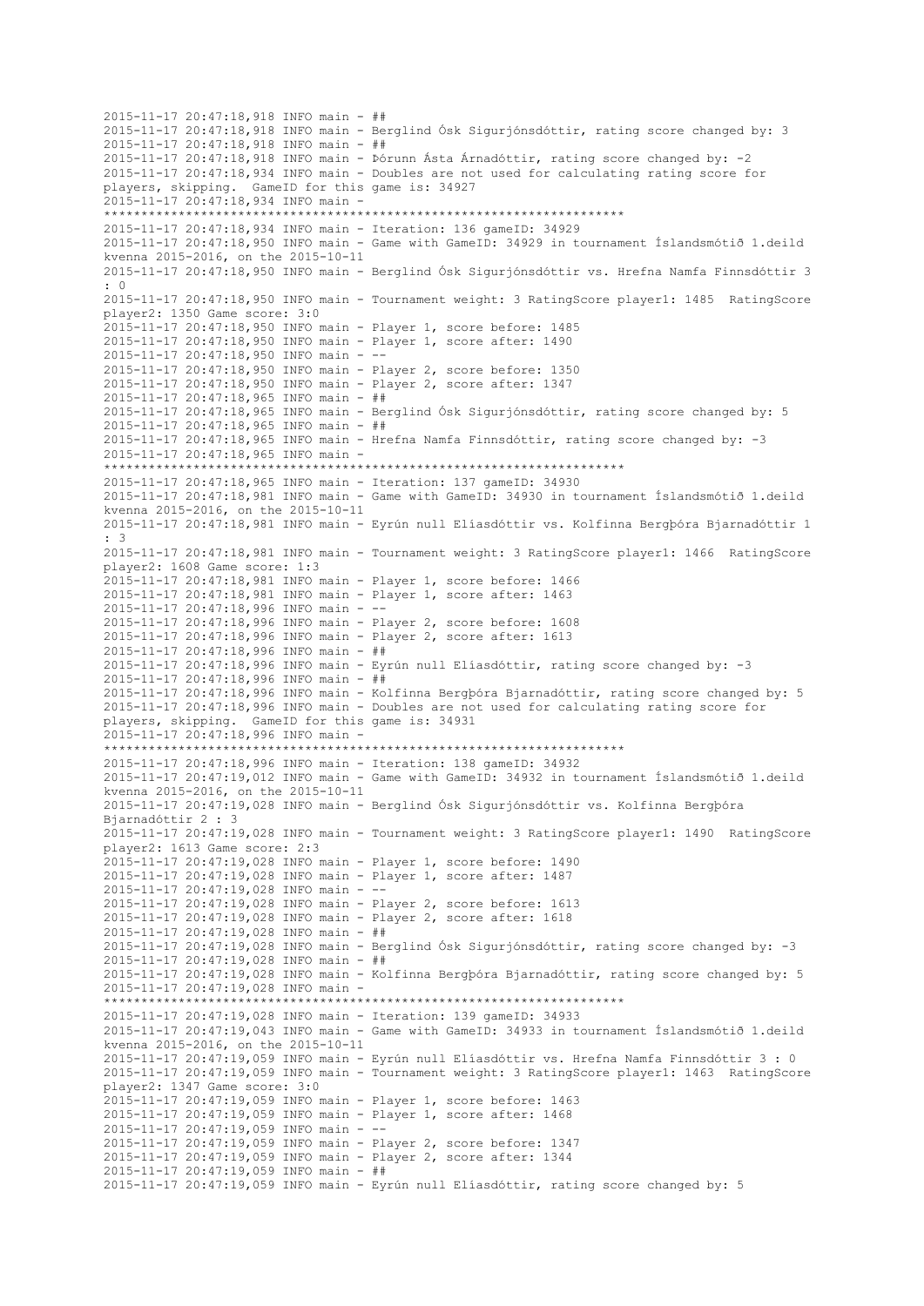2015-11-17 20:47:18,918 INFO main - ## 2015-11-17 20:47:18,918 INFO main - Berglind Ósk Sigurjónsdóttir, rating score changed by: 3 2015-11-17 20:47:18,918 INFO main - ## 2015-11-17 20:47:18,918 INFO main - Þórunn Ásta Árnadóttir, rating score changed by: -2 2015-11-17 20:47:18,934 INFO main - Doubles are not used for calculating rating score for players, skipping. GameID for this game is: 34927 2015-11-17 20:47:18,934 INFO main - \*\*\*\*\*\*\*\*\*\*\*\*\*\*\*\*\*\*\*\*\*\*\*\*\*\*\*\*\*\*\*\*\*\*\*\*\*\*\*\*\*\*\*\*\*\*\*\*\*\*\*\*\*\*\*\*\*\*\*\*\*\*\*\*\*\*\*\*\*\* 2015-11-17 20:47:18,934 INFO main - Iteration: 136 gameID: 34929 2015-11-17 20:47:18,950 INFO main - Game with GameID: 34929 in tournament Íslandsmótið 1.deild kvenna 2015-2016, on the 2015-10-11 2015-11-17 20:47:18,950 INFO main - Berglind Ósk Sigurjónsdóttir vs. Hrefna Namfa Finnsdóttir 3  $\cdot$  0 2015-11-17 20:47:18,950 INFO main - Tournament weight: 3 RatingScore player1: 1485 RatingScore player2: 1350 Game score: 3:0 2015-11-17 20:47:18,950 INFO main - Player 1, score before: 1485 2015-11-17 20:47:18,950 INFO main - Player 1, score after: 1490 2015-11-17 20:47:18,950 INFO main - -- 2015-11-17 20:47:18,950 INFO main - Player 2, score before: 1350 2015-11-17 20:47:18,950 INFO main - Player 2, score after: 1347 2015-11-17 20:47:18,965 INFO main - ## 2015-11-17 20:47:18,965 INFO main - Berglind Ósk Sigurjónsdóttir, rating score changed by: 5 2015-11-17 20:47:18,965 INFO main - ## 2015-11-17 20:47:18,965 INFO main - Hrefna Namfa Finnsdóttir, rating score changed by: -3 2015-11-17 20:47:18,965 INFO main - \*\*\*\*\*\*\*\*\*\*\*\*\*\*\*\*\*\*\*\*\*\*\*\*\*\*\*\*\*\*\*\*\*\*\*\*\*\*\*\*\*\*\*\*\*\*\*\*\*\*\*\*\*\*\*\*\*\*\*\*\*\*\*\*\*\*\*\*\*\* 2015-11-17 20:47:18,965 INFO main - Iteration: 137 gameID: 34930 2015-11-17 20:47:18,981 INFO main - Game with GameID: 34930 in tournament Íslandsmótið 1.deild kvenna 2015-2016, on the 2015-10-11 2015-11-17 20:47:18,981 INFO main - Eyrún null Elíasdóttir vs. Kolfinna Bergþóra Bjarnadóttir 1 : 3 2015-11-17 20:47:18,981 INFO main - Tournament weight: 3 RatingScore player1: 1466 RatingScore player2: 1608 Game score: 1:3 2015-11-17 20:47:18,981 INFO main - Player 1, score before: 1466 2015-11-17 20:47:18,981 INFO main - Player 1, score after: 1463 2015-11-17 20:47:18,996 INFO main - -- 2015-11-17 20:47:18,996 INFO main - Player 2, score before: 1608 2015-11-17 20:47:18,996 INFO main - Player 2, score after: 1613 2015-11-17 20:47:18,996 INFO main - ## 2015-11-17 20:47:18,996 INFO main - Eyrún null Elíasdóttir, rating score changed by: -3 2015-11-17 20:47:18,996 INFO main - ## 2015-11-17 20:47:18,996 INFO main - Kolfinna Bergþóra Bjarnadóttir, rating score changed by: 5 2015-11-17 20:47:18,996 INFO main - Doubles are not used for calculating rating score for players, skipping. GameID for this game is: 34931 2015-11-17 20:47:18,996 INFO main - \*\*\*\*\*\*\*\*\*\*\*\*\*\*\*\*\*\*\*\*\*\*\*\*\*\*\*\*\*\*\*\*\*\*\*\*\*\*\*\*\*\*\*\*\*\*\*\*\*\*\*\*\*\*\*\*\*\*\*\*\*\*\*\*\*\*\*\*\*\* 2015-11-17 20:47:18,996 INFO main - Iteration: 138 gameID: 34932 2015-11-17 20:47:19,012 INFO main - Game with GameID: 34932 in tournament Íslandsmótið 1.deild kvenna 2015-2016, on the 2015-10-11 2015-11-17 20:47:19,028 INFO main - Berglind Ósk Sigurjónsdóttir vs. Kolfinna Bergþóra Bjarnadóttir 2 : 3 2015-11-17 20:47:19,028 INFO main - Tournament weight: 3 RatingScore player1: 1490 RatingScore player2: 1613 Game score: 2:3 2015-11-17 20:47:19,028 INFO main - Player 1, score before: 1490 2015-11-17 20:47:19,028 INFO main - Player 1, score after: 1487 2015-11-17 20:47:19,028 INFO main - -- 2015-11-17 20:47:19,028 INFO main - Player 2, score before: 1613 2015-11-17 20:47:19,028 INFO main - Player 2, score after: 1618 2015-11-17 20:47:19,028 INFO main - ## 2015-11-17 20:47:19,028 INFO main - Berglind Ósk Sigurjónsdóttir, rating score changed by: -3 2015-11-17 20:47:19,028 INFO main - ## 2015-11-17 20:47:19,028 INFO main - Kolfinna Bergþóra Bjarnadóttir, rating score changed by: 5 2015-11-17 20:47:19,028 INFO main - \*\*\*\*\*\*\*\*\*\*\*\*\*\*\*\*\*\*\*\*\*\*\*\*\*\*\*\*\*\*\*\*\*\*\*\*\*\*\*\*\*\*\*\*\*\*\*\*\*\*\*\*\*\*\*\*\*\*\*\*\*\*\*\*\*\*\*\*\*\* 2015-11-17 20:47:19,028 INFO main - Iteration: 139 gameID: 34933 2015-11-17 20:47:19,043 INFO main - Game with GameID: 34933 in tournament Íslandsmótið 1.deild kvenna 2015-2016, on the 2015-10-11 2015-11-17 20:47:19,059 INFO main - Eyrún null Elíasdóttir vs. Hrefna Namfa Finnsdóttir 3 : 0 2015-11-17 20:47:19,059 INFO main - Tournament weight: 3 RatingScore player1: 1463 RatingScore player2: 1347 Game score: 3:0 2015-11-17 20:47:19,059 INFO main - Player 1, score before: 1463 2015-11-17 20:47:19,059 INFO main - Player 1, score after: 1468 2015-11-17 20:47:19,059 INFO main - -- 2015-11-17 20:47:19,059 INFO main - Player 2, score before: 1347 2015-11-17 20:47:19,059 INFO main - Player 2, score after: 1344 2015-11-17 20:47:19,059 INFO main - ## 2015-11-17 20:47:19,059 INFO main - Eyrún null Elíasdóttir, rating score changed by: 5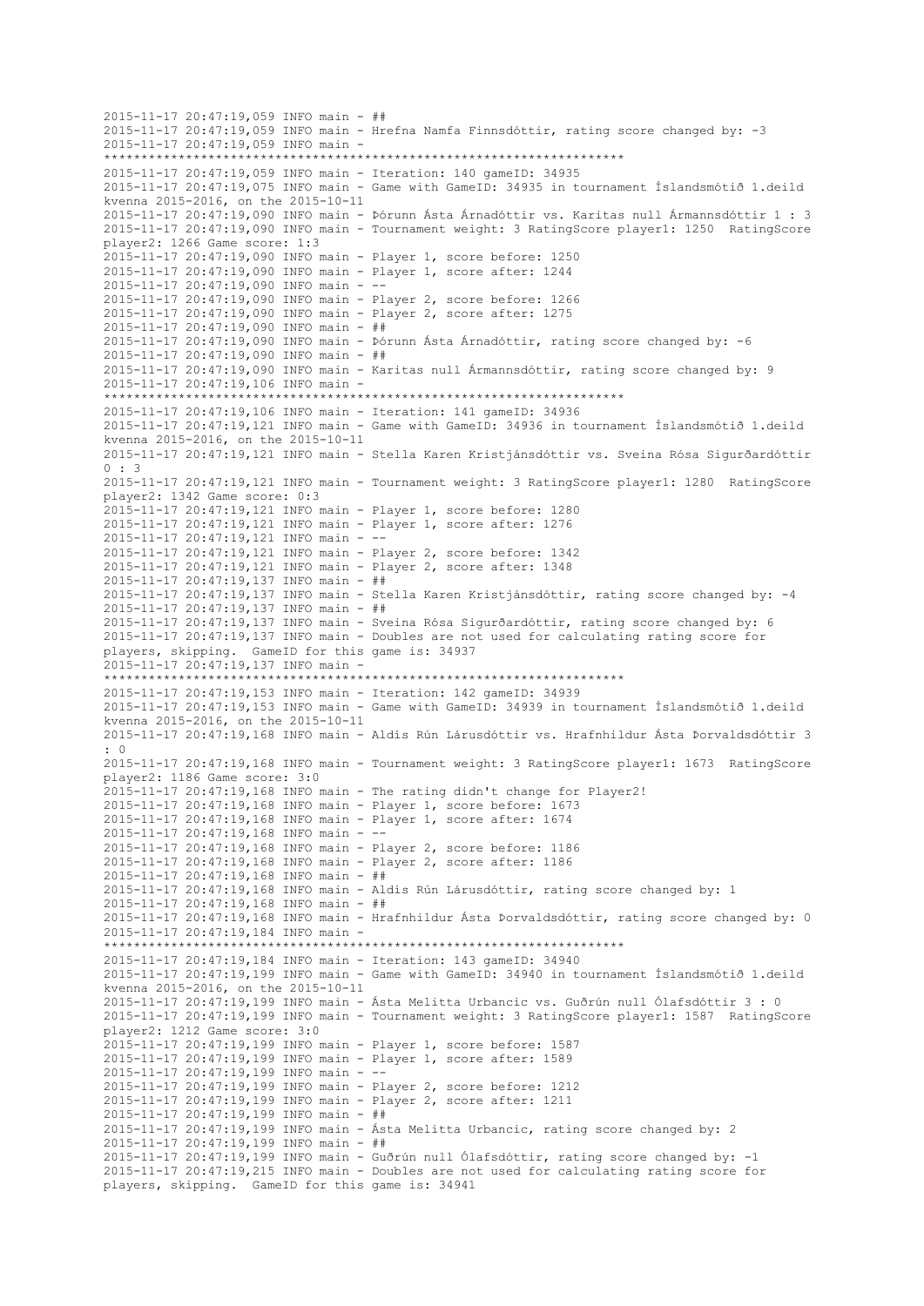```
2015-11-17 20:47:19,059 INFO main - ##
2015-11-17 20:47:19,059 INFO main - Hrefna Namfa Finnsdóttir, rating score changed by: -3
2015-11-17 20:47:19,059 INFO main -
     **********************************************************************
2015-11-17 20:47:19,059 INFO main - Iteration: 140 gameID: 34935
2015-11-17 20:47:19,075 INFO main - Game with GameID: 34935 in tournament Íslandsmótið 1.deild 
kvenna 2015-2016, on the 2015-10-11
2015-11-17 20:47:19,090 INFO main - Þórunn Ásta Árnadóttir vs. Karitas null Ármannsdóttir 1 : 3
2015-11-17 20:47:19,090 INFO main - Tournament weight: 3 RatingScore player1: 1250 RatingScore 
player2: 1266 Game score: 1:3
2015-11-17 20:47:19,090 INFO main - Player 1, score before: 1250
2015-11-17 20:47:19,090 INFO main - Player 1, score after: 1244
2015-11-17 20:47:19,090 INFO main - --
2015-11-17 20:47:19,090 INFO main - Player 2, score before: 1266
2015-11-17 20:47:19,090 INFO main - Player 2, score after: 1275
2015-11-17 20:47:19,090 INFO main - ##
2015-11-17 20:47:19,090 INFO main - Þórunn Ásta Árnadóttir, rating score changed by: -6
2015-11-17 20:47:19,090 INFO main - ##
2015-11-17 20:47:19,090 INFO main - Karitas null Ármannsdóttir, rating score changed by: 9
2015-11-17 20:47:19,106 INFO main -
                    **********************************************************************
2015-11-17 20:47:19,106 INFO main - Iteration: 141 gameID: 34936
2015-11-17 20:47:19,121 INFO main - Game with GameID: 34936 in tournament Íslandsmótið 1.deild 
kvenna 2015-2016, on the 2015-10-11
2015-11-17 20:47:19,121 INFO main - Stella Karen Kristjánsdóttir vs. Sveina Rósa Sigurðardóttir 
0 \cdot 32015-11-17 20:47:19,121 INFO main - Tournament weight: 3 RatingScore player1: 1280 RatingScore 
player2: 1342 Game score: 0:3
2015-11-17 20:47:19,121 INFO main - Player 1, score before: 1280
2015-11-17 20:47:19,121 INFO main - Player 1, score after: 1276
2015-11-17 20:47:19,121 INFO main - --
2015-11-17 20:47:19,121 INFO main - Player 2, score before: 1342
2015-11-17 20:47:19,121 INFO main - Player 2, score after: 1348
2015-11-17 20:47:19,137 INFO main - ##
2015-11-17 20:47:19,137 INFO main - Stella Karen Kristjánsdóttir, rating score changed by: -4
2015-11-17 20:47:19,137 INFO main - ##
2015-11-17 20:47:19,137 INFO main - Sveina Rósa Sigurðardóttir, rating score changed by: 6
2015-11-17 20:47:19,137 INFO main - Doubles are not used for calculating rating score for 
players, skipping. GameID for this game is: 34937
2015-11-17 20:47:19,137 INFO main -
**********************************************************************
2015-11-17 20:47:19,153 INFO main - Iteration: 142 gameID: 34939
2015-11-17 20:47:19,153 INFO main - Game with GameID: 34939 in tournament Íslandsmótið 1.deild 
kvenna 2015-2016, on the 2015-10-11
2015-11-17 20:47:19,168 INFO main - Aldís Rún Lárusdóttir vs. Hrafnhildur Ásta Þorvaldsdóttir 3 
: 0
2015-11-17 20:47:19,168 INFO main - Tournament weight: 3 RatingScore player1: 1673 RatingScore 
player2: 1186 Game score: 3:0
2015-11-17 20:47:19,168 INFO main - The rating didn't change for Player2!
2015-11-17 20:47:19,168 INFO main - Player 1, score before: 1673
2015-11-17 20:47:19,168 INFO main - Player 1, score after: 1674
2015-11-17 20:47:19,168 INFO main - --
2015-11-17 20:47:19,168 INFO main - Player 2, score before: 1186
2015-11-17 20:47:19,168 INFO main - Player 2, score after: 1186
2015-11-17 20:47:19,168 INFO main - ##
2015-11-17 20:47:19,168 INFO main - Aldís Rún Lárusdóttir, rating score changed by: 1
2015-11-17 20:47:19,168 INFO main - ##
2015-11-17 20:47:19,168 INFO main - Hrafnhildur Ásta Þorvaldsdóttir, rating score changed by: 0
2015-11-17 20:47:19,184 INFO main -
                    **********************************************************************
2015-11-17 20:47:19,184 INFO main - Iteration: 143 gameID: 34940
2015-11-17 20:47:19,199 INFO main - Game with GameID: 34940 in tournament Íslandsmótið 1.deild 
kvenna 2015-2016, on the 2015-10-11
2015-11-17 20:47:19,199 INFO main - Ásta Melitta Urbancic vs. Guðrún null Ólafsdóttir 3 : 0
2015-11-17 20:47:19,199 INFO main - Tournament weight: 3 RatingScore player1: 1587 RatingScore 
player2: 1212 Game score: 3:0
2015-11-17 20:47:19,199 INFO main - Player 1, score before: 1587
2015-11-17 20:47:19,199 INFO main - Player 1, score after: 1589
2015-11-17 20:47:19,199 INFO main - --
2015-11-17 20:47:19,199 INFO main - Player 2, score before: 1212
2015-11-17 20:47:19,199 INFO main - Player 2, score after: 1211
2015-11-17 20:47:19,199 INFO main - ##
2015-11-17 20:47:19,199 INFO main - Ásta Melitta Urbancic, rating score changed by: 2
2015-11-17 20:47:19,199 INFO main - ##
2015-11-17 20:47:19,199 INFO main - Guðrún null Ólafsdóttir, rating score changed by: -1
2015-11-17 20:47:19,215 INFO main - Doubles are not used for calculating rating score for 
players, skipping. GameID for this game is: 34941
```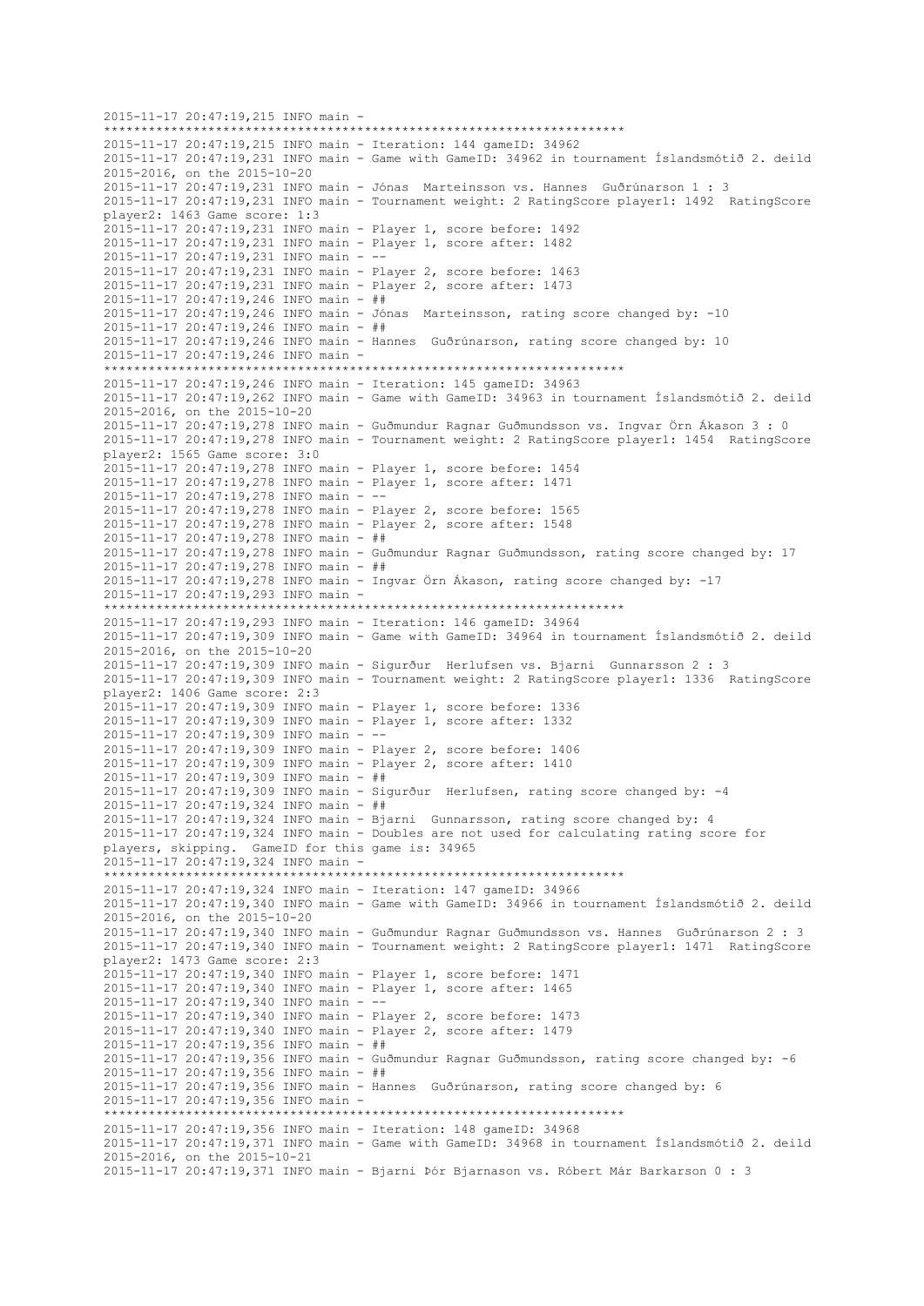2015-11-17 20:47:19,215 INFO main - \*\*\*\*\*\*\*\*\*\*\*\*\*\*\*\*\*\*\*\*\*\*\*\*\*\*\*\*\*\*\*\*\*\*\*\*\*\*\*\*\*\*\*\*\*\*\*\*\*\*\*\*\*\*\*\*\*\*\*\*\*\*\*\*\*\*\*\*\*\* 2015-11-17 20:47:19,215 INFO main - Iteration: 144 gameID: 34962 2015-11-17 20:47:19,231 INFO main - Game with GameID: 34962 in tournament Íslandsmótið 2. deild 2015-2016, on the 2015-10-20 2015-11-17 20:47:19,231 INFO main - Jónas Marteinsson vs. Hannes Guðrúnarson 1 : 3 2015-11-17 20:47:19,231 INFO main - Tournament weight: 2 RatingScore player1: 1492 RatingScore player2: 1463 Game score: 1:3 2015-11-17 20:47:19,231 INFO main - Player 1, score before: 1492 2015-11-17 20:47:19,231 INFO main - Player 1, score after: 1482 2015-11-17 20:47:19,231 INFO main - -- 2015-11-17 20:47:19,231 INFO main - Player 2, score before: 1463 2015-11-17 20:47:19,231 INFO main - Player 2, score after: 1473 2015-11-17 20:47:19,246 INFO main - ## 2015-11-17 20:47:19,246 INFO main - Jónas Marteinsson, rating score changed by: -10 2015-11-17 20:47:19,246 INFO main - ## 2015-11-17 20:47:19,246 INFO main - Hannes Guðrúnarson, rating score changed by: 10 2015-11-17 20:47:19,246 INFO main - \*\*\*\*\*\*\*\*\*\*\*\*\*\*\*\*\*\*\*\*\*\*\*\*\*\*\*\*\*\*\*\*\*\*\*\*\*\*\*\*\*\*\*\*\*\*\*\*\*\*\*\*\*\*\*\*\*\*\*\*\*\*\*\*\*\*\*\*\*\* 2015-11-17 20:47:19,246 INFO main - Iteration: 145 gameID: 34963 2015-11-17 20:47:19,262 INFO main - Game with GameID: 34963 in tournament Íslandsmótið 2. deild 2015-2016, on the 2015-10-20 2015-11-17 20:47:19,278 INFO main - Guðmundur Ragnar Guðmundsson vs. Ingvar Örn Ákason 3 : 0 2015-11-17 20:47:19,278 INFO main - Tournament weight: 2 RatingScore player1: 1454 RatingScore player2: 1565 Game score: 3:0 2015-11-17 20:47:19,278 INFO main - Player 1, score before: 1454 2015-11-17 20:47:19,278 INFO main - Player 1, score after: 1471 2015-11-17 20:47:19,278 INFO main - -- 2015-11-17 20:47:19,278 INFO main - Player 2, score before: 1565 2015-11-17 20:47:19,278 INFO main - Player 2, score after: 1548 2015-11-17 20:47:19,278 INFO main - ## 2015-11-17 20:47:19,278 INFO main - Guðmundur Ragnar Guðmundsson, rating score changed by: 17 2015-11-17 20:47:19,278 INFO main - ## 2015-11-17 20:47:19,278 INFO main - Ingvar Örn Ákason, rating score changed by: -17 2015-11-17 20:47:19,293 INFO main - \*\*\*\*\*\*\*\*\*\*\*\*\*\*\*\*\*\*\*\*\*\*\*\*\*\*\*\*\*\*\*\*\*\*\*\*\*\*\*\*\*\*\*\*\*\*\*\*\*\*\*\*\*\*\*\*\*\*\*\*\*\*\*\*\*\*\*\*\*\* 2015-11-17 20:47:19,293 INFO main - Iteration: 146 gameID: 34964 2015-11-17 20:47:19,309 INFO main - Game with GameID: 34964 in tournament Íslandsmótið 2. deild 2015-2016, on the 2015-10-20 2015-11-17 20:47:19,309 INFO main - Sigurður Herlufsen vs. Bjarni Gunnarsson 2 : 3 2015-11-17 20:47:19,309 INFO main - Tournament weight: 2 RatingScore player1: 1336 RatingScore player2: 1406 Game score: 2:3 2015-11-17 20:47:19,309 INFO main - Player 1, score before: 1336 2015-11-17 20:47:19,309 INFO main - Player 1, score after: 1332 2015-11-17 20:47:19,309 INFO main - -- 2015-11-17 20:47:19,309 INFO main - Player 2, score before: 1406 2015-11-17 20:47:19,309 INFO main - Player 2, score after: 1410 2015-11-17 20:47:19,309 INFO main - ## 2015-11-17 20:47:19,309 INFO main - Sigurður Herlufsen, rating score changed by: -4 2015-11-17 20:47:19,324 INFO main - ## 2015-11-17 20:47:19,324 INFO main - Bjarni Gunnarsson, rating score changed by: 4 2015-11-17 20:47:19,324 INFO main - Doubles are not used for calculating rating score for players, skipping. GameID for this game is: 34965 2015-11-17 20:47:19,324 INFO main - \*\*\*\*\*\*\*\*\*\*\*\*\*\*\*\*\*\*\*\*\*\*\*\*\*\*\*\*\*\*\*\*\*\*\*\*\*\*\*\*\*\*\*\*\*\*\*\*\*\*\*\*\*\*\*\*\*\*\*\*\*\*\*\*\*\*\*\*\*\* 2015-11-17 20:47:19,324 INFO main - Iteration: 147 gameID: 34966 2015-11-17 20:47:19,340 INFO main - Game with GameID: 34966 in tournament Íslandsmótið 2. deild 2015-2016, on the 2015-10-20 2015-11-17 20:47:19,340 INFO main - Guðmundur Ragnar Guðmundsson vs. Hannes Guðrúnarson 2 : 3 2015-11-17 20:47:19,340 INFO main - Tournament weight: 2 RatingScore player1: 1471 RatingScore player2: 1473 Game score: 2:3 2015-11-17 20:47:19,340 INFO main - Player 1, score before: 1471 2015-11-17 20:47:19,340 INFO main - Player 1, score after: 1465 2015-11-17 20:47:19,340 INFO main -2015-11-17 20:47:19,340 INFO main - Player 2, score before: 1473 2015-11-17 20:47:19,340 INFO main - Player 2, score after: 1479 2015-11-17 20:47:19,356 INFO main - ## 2015-11-17 20:47:19,356 INFO main - Guðmundur Ragnar Guðmundsson, rating score changed by: -6 2015-11-17 20:47:19,356 INFO main - ## 2015-11-17 20:47:19,356 INFO main - Hannes Guðrúnarson, rating score changed by: 6 2015-11-17 20:47:19,356 INFO main - \*\*\*\*\*\*\*\*\*\*\*\*\*\*\*\*\*\*\*\*\*\*\*\*\*\*\*\*\*\*\*\*\*\*\*\*\*\*\*\*\*\*\*\*\*\*\*\*\*\*\*\*\*\*\*\*\*\*\*\*\*\*\*\*\*\*\*\*\*\* 2015-11-17 20:47:19,356 INFO main - Iteration: 148 gameID: 34968 2015-11-17 20:47:19,371 INFO main - Game with GameID: 34968 in tournament Íslandsmótið 2. deild 2015-2016, on the 2015-10-21 2015-11-17 20:47:19,371 INFO main - Bjarni Þór Bjarnason vs. Róbert Már Barkarson 0 : 3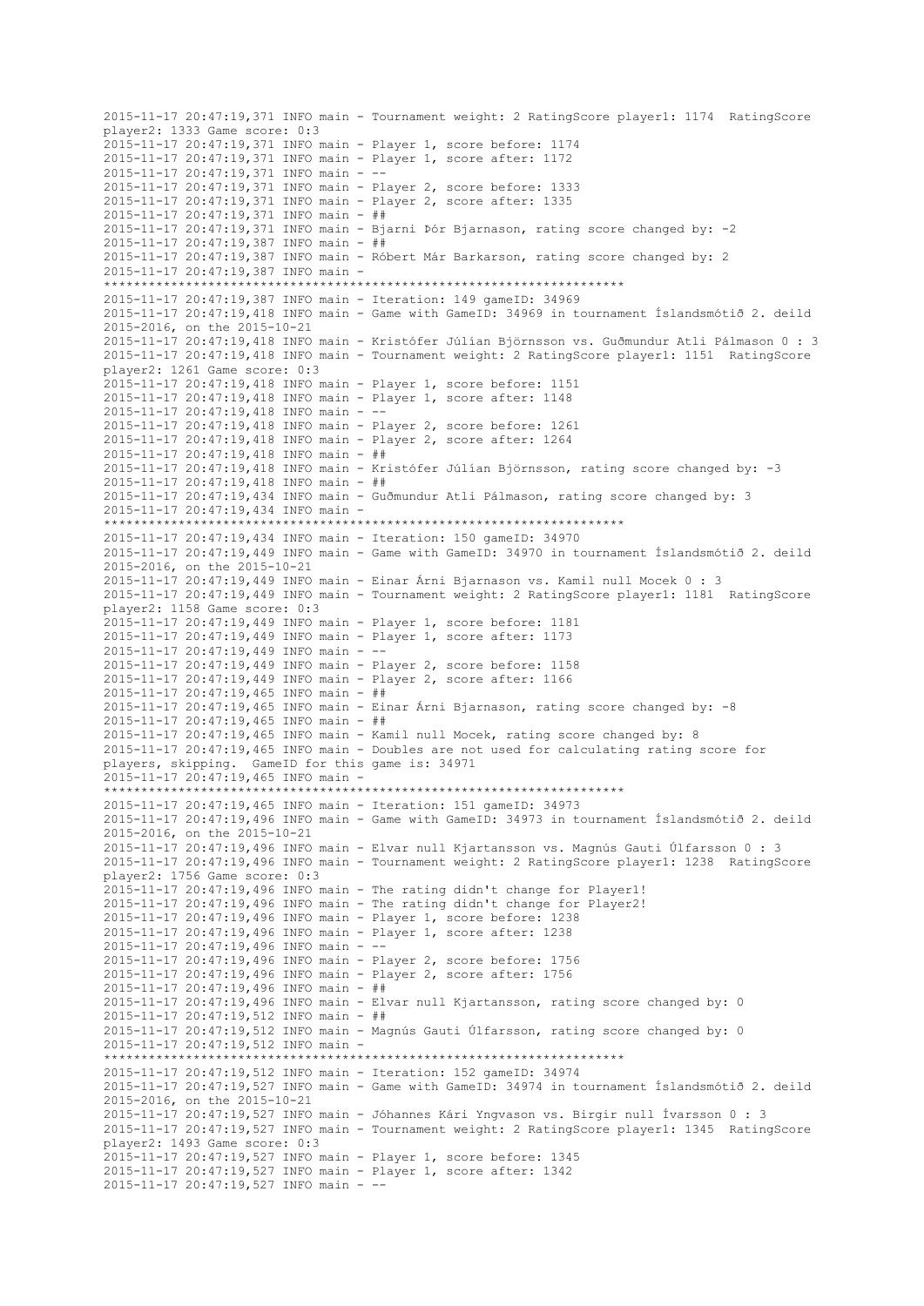2015-11-17 20:47:19,371 INFO main - Tournament weight: 2 RatingScore player1: 1174 RatingScore player2: 1333 Game score: 0:3 2015-11-17 20:47:19,371 INFO main - Player 1, score before: 1174 2015-11-17 20:47:19,371 INFO main - Player 1, score after: 1172 2015-11-17 20:47:19,371 INFO main - -- 2015-11-17 20:47:19,371 INFO main - Player 2, score before: 1333 2015-11-17 20:47:19,371 INFO main - Player 2, score after: 1335 2015-11-17 20:47:19,371 INFO main - ## 2015-11-17 20:47:19,371 INFO main - Bjarni Þór Bjarnason, rating score changed by: -2 2015-11-17 20:47:19,387 INFO main - ## 2015-11-17 20:47:19,387 INFO main - Róbert Már Barkarson, rating score changed by: 2 2015-11-17 20:47:19,387 INFO main - \*\*\*\*\*\*\*\*\*\*\*\*\*\*\*\*\*\*\*\*\*\*\*\*\*\*\*\*\*\*\*\*\*\*\*\*\*\*\*\*\*\*\*\*\*\*\*\*\*\*\*\*\*\*\*\*\*\*\*\*\*\*\*\*\*\*\*\*\*\* 2015-11-17 20:47:19,387 INFO main - Iteration: 149 gameID: 34969 2015-11-17 20:47:19,418 INFO main - Game with GameID: 34969 in tournament Íslandsmótið 2. deild 2015-2016, on the 2015-10-21 2015-11-17 20:47:19,418 INFO main - Kristófer Júlían Björnsson vs. Guðmundur Atli Pálmason 0 : 3 2015-11-17 20:47:19,418 INFO main - Tournament weight: 2 RatingScore player1: 1151 RatingScore player2: 1261 Game score: 0:3 2015-11-17 20:47:19,418 INFO main - Player 1, score before: 1151 2015-11-17 20:47:19,418 INFO main - Player 1, score after: 1148 2015-11-17 20:47:19,418 INFO main - -- 2015-11-17 20:47:19,418 INFO main - Player 2, score before: 1261 2015-11-17 20:47:19,418 INFO main - Player 2, score after: 1264 2015-11-17 20:47:19,418 INFO main - ## 2015-11-17 20:47:19,418 INFO main - Kristófer Júlían Björnsson, rating score changed by: -3 2015-11-17 20:47:19,418 INFO main - ## 2015-11-17 20:47:19,434 INFO main - Guðmundur Atli Pálmason, rating score changed by: 3 2015-11-17 20:47:19,434 INFO main - \*\*\*\*\*\*\*\*\*\*\*\*\*\*\*\*\*\*\*\*\*\*\*\*\*\*\*\*\*\*\*\*\*\*\*\*\*\*\*\*\*\*\*\*\*\*\*\*\*\*\*\*\*\*\*\*\*\*\*\*\*\*\*\*\*\*\*\*\*\* 2015-11-17 20:47:19,434 INFO main - Iteration: 150 gameID: 34970 2015-11-17 20:47:19,449 INFO main - Game with GameID: 34970 in tournament Íslandsmótið 2. deild 2015-2016, on the 2015-10-21 2015-11-17 20:47:19,449 INFO main - Einar Árni Bjarnason vs. Kamil null Mocek 0 : 3 2015-11-17 20:47:19,449 INFO main - Tournament weight: 2 RatingScore player1: 1181 RatingScore player2: 1158 Game score: 0:3 2015-11-17 20:47:19,449 INFO main - Player 1, score before: 1181 2015-11-17 20:47:19,449 INFO main - Player 1, score after: 1173 2015-11-17 20:47:19,449 INFO main - -- 2015-11-17 20:47:19,449 INFO main - Player 2, score before: 1158 2015-11-17 20:47:19,449 INFO main - Player 2, score after: 1166 2015-11-17 20:47:19,465 INFO main - ## 2015-11-17 20:47:19,465 INFO main - Einar Árni Bjarnason, rating score changed by: -8 2015-11-17 20:47:19,465 INFO main - ## 2015-11-17 20:47:19,465 INFO main - Kamil null Mocek, rating score changed by: 8 2015-11-17 20:47:19,465 INFO main - Doubles are not used for calculating rating score for players, skipping. GameID for this game is: 34971 2015-11-17 20:47:19,465 INFO main - \*\*\*\*\*\*\*\*\*\*\*\*\*\*\*\*\*\*\*\*\*\*\*\*\*\*\*\*\*\*\*\*\*\*\*\*\*\*\*\*\*\*\*\*\*\*\*\*\*\*\*\*\*\*\*\*\*\*\*\*\*\*\*\*\*\*\*\*\*\* 2015-11-17 20:47:19,465 INFO main - Iteration: 151 gameID: 34973 2015-11-17 20:47:19,496 INFO main - Game with GameID: 34973 in tournament Íslandsmótið 2. deild 2015-2016, on the 2015-10-21 2015-11-17 20:47:19,496 INFO main - Elvar null Kjartansson vs. Magnús Gauti Úlfarsson 0 : 3 2015-11-17 20:47:19,496 INFO main - Tournament weight: 2 RatingScore player1: 1238 RatingScore player2: 1756 Game score: 0:3 2015-11-17 20:47:19,496 INFO main - The rating didn't change for Player1! 2015-11-17 20:47:19,496 INFO main - The rating didn't change for Player2! 2015-11-17 20:47:19,496 INFO main - Player 1, score before: 1238 2015-11-17 20:47:19,496 INFO main - Player 1, score after: 1238 2015-11-17 20:47:19,496 INFO main - -- 2015-11-17 20:47:19,496 INFO main - Player 2, score before: 1756 2015-11-17 20:47:19,496 INFO main - Player 2, score after: 1756 2015-11-17 20:47:19,496 INFO main - ## 2015-11-17 20:47:19,496 INFO main - Elvar null Kjartansson, rating score changed by: 0 2015-11-17 20:47:19,512 INFO main - ## 2015-11-17 20:47:19,512 INFO main - Magnús Gauti Úlfarsson, rating score changed by: 0 2015-11-17 20:47:19,512 INFO main - \*\*\*\*\*\*\*\*\*\*\*\*\*\*\*\*\*\*\*\*\*\*\*\*\*\*\*\*\*\*\*\*\*\*\*\*\*\*\*\*\*\*\*\*\*\*\*\*\*\*\*\*\*\*\*\*\*\*\*\*\*\*\*\*\*\*\*\*\*\* 2015-11-17 20:47:19,512 INFO main - Iteration: 152 gameID: 34974 2015-11-17 20:47:19,527 INFO main - Game with GameID: 34974 in tournament Íslandsmótið 2. deild 2015-2016, on the 2015-10-21 2015-11-17 20:47:19,527 INFO main - Jóhannes Kári Yngvason vs. Birgir null Ívarsson 0 : 3 2015-11-17 20:47:19,527 INFO main - Tournament weight: 2 RatingScore player1: 1345 RatingScore player2: 1493 Game score: 0:3 2015-11-17 20:47:19,527 INFO main - Player 1, score before: 1345 2015-11-17 20:47:19,527 INFO main - Player 1, score after: 1342 2015-11-17 20:47:19,527 INFO main - --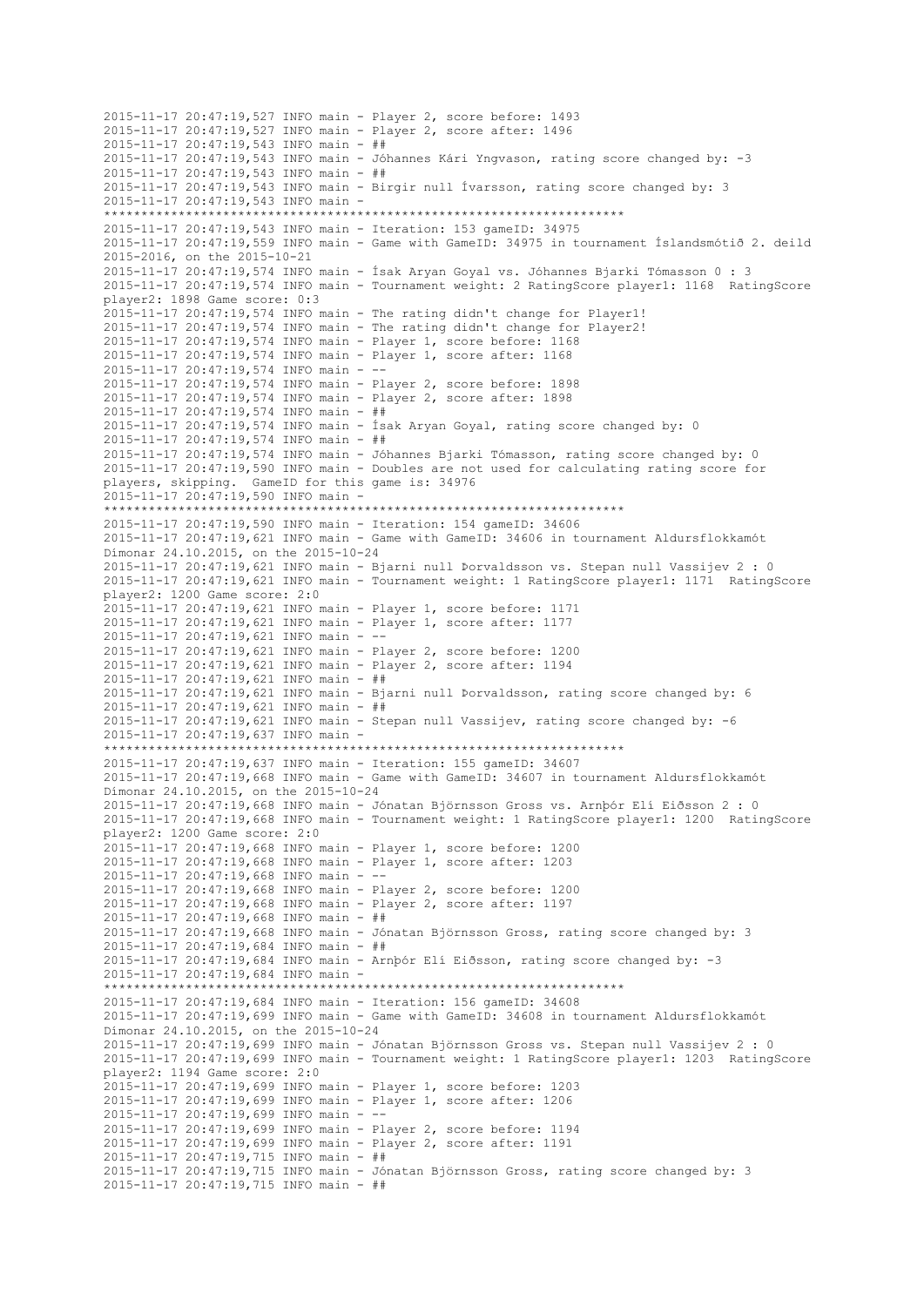2015-11-17 20:47:19,527 INFO main - Player 2, score before: 1493 2015-11-17 20:47:19,527 INFO main - Player 2, score after: 1496 2015-11-17 20:47:19,543 INFO main - ## 2015-11-17 20:47:19,543 INFO main - Jóhannes Kári Yngvason, rating score changed by: -3 2015-11-17 20:47:19,543 INFO main - ## 2015-11-17 20:47:19,543 INFO main - Birgir null Ívarsson, rating score changed by: 3 2015-11-17 20:47:19,543 INFO main - \*\*\*\*\*\*\*\*\*\*\*\*\*\*\*\*\*\*\*\*\*\*\*\*\*\*\*\*\*\*\*\*\*\*\*\*\*\*\*\*\*\*\*\*\*\*\*\*\*\*\*\*\*\*\*\*\*\*\*\*\*\*\*\*\*\*\*\*\*\* 2015-11-17 20:47:19,543 INFO main - Iteration: 153 gameID: 34975 2015-11-17 20:47:19,559 INFO main - Game with GameID: 34975 in tournament Íslandsmótið 2. deild 2015-2016, on the 2015-10-21 2015-11-17 20:47:19,574 INFO main - Ísak Aryan Goyal vs. Jóhannes Bjarki Tómasson 0 : 3 2015-11-17 20:47:19,574 INFO main - Tournament weight: 2 RatingScore player1: 1168 RatingScore player2: 1898 Game score: 0:3 2015-11-17 20:47:19,574 INFO main - The rating didn't change for Player1! 2015-11-17 20:47:19,574 INFO main - The rating didn't change for Player2! 2015-11-17 20:47:19,574 INFO main - Player 1, score before: 1168 2015-11-17 20:47:19,574 INFO main - Player 1, score after: 1168 2015-11-17 20:47:19,574 INFO main - -- 2015-11-17 20:47:19,574 INFO main - Player 2, score before: 1898 2015-11-17 20:47:19,574 INFO main - Player 2, score after: 1898 2015-11-17 20:47:19,574 INFO main - ## 2015-11-17 20:47:19,574 INFO main - Ísak Aryan Goyal, rating score changed by: 0 2015-11-17 20:47:19,574 INFO main - ## 2015-11-17 20:47:19,574 INFO main - Jóhannes Bjarki Tómasson, rating score changed by: 0 2015-11-17 20:47:19,590 INFO main - Doubles are not used for calculating rating score for players, skipping. GameID for this game is: 34976 2015-11-17 20:47:19,590 INFO main - \*\*\*\*\*\*\*\*\*\*\*\*\*\*\*\*\*\*\*\*\*\*\*\*\*\*\*\*\*\*\*\*\*\*\*\*\*\*\*\*\*\*\*\*\*\*\*\*\*\*\*\*\*\*\*\*\*\*\*\*\*\*\*\*\*\*\*\*\*\* 2015-11-17 20:47:19,590 INFO main - Iteration: 154 gameID: 34606 2015-11-17 20:47:19,621 INFO main - Game with GameID: 34606 in tournament Aldursflokkamót Dímonar 24.10.2015, on the 2015-10-24 2015-11-17 20:47:19,621 INFO main - Bjarni null Þorvaldsson vs. Stepan null Vassijev 2 : 0 2015-11-17 20:47:19,621 INFO main - Tournament weight: 1 RatingScore player1: 1171 RatingScore player2: 1200 Game score: 2:0 2015-11-17 20:47:19,621 INFO main - Player 1, score before: 1171 2015-11-17 20:47:19,621 INFO main - Player 1, score after: 1177 2015-11-17 20:47:19,621 INFO main - -- 2015-11-17 20:47:19,621 INFO main - Player 2, score before: 1200 2015-11-17 20:47:19,621 INFO main - Player 2, score after: 1194 2015-11-17 20:47:19,621 INFO main - ## 2015-11-17 20:47:19,621 INFO main - Bjarni null Þorvaldsson, rating score changed by: 6 2015-11-17 20:47:19,621 INFO main - ## 2015-11-17 20:47:19,621 INFO main - Stepan null Vassijev, rating score changed by: -6 2015-11-17 20:47:19,637 INFO main - \*\*\*\*\*\*\*\*\*\*\*\*\*\*\*\*\*\*\*\*\*\*\*\*\*\*\*\*\*\*\*\*\*\*\*\*\*\*\*\*\*\*\*\*\*\*\*\*\*\*\*\*\*\*\*\*\*\*\*\*\*\*\*\*\*\*\*\*\*\* 2015-11-17 20:47:19,637 INFO main - Iteration: 155 gameID: 34607 2015-11-17 20:47:19,668 INFO main - Game with GameID: 34607 in tournament Aldursflokkamót Dímonar 24.10.2015, on the 2015-10-24 2015-11-17 20:47:19,668 INFO main - Jónatan Björnsson Gross vs. Arnþór Elí Eiðsson 2 : 0 2015-11-17 20:47:19,668 INFO main - Tournament weight: 1 RatingScore player1: 1200 RatingScore player2: 1200 Game score: 2:0 2015-11-17 20:47:19,668 INFO main - Player 1, score before: 1200 2015-11-17 20:47:19,668 INFO main - Player 1, score after: 1203 2015-11-17 20:47:19,668 INFO main - -- 2015-11-17 20:47:19,668 INFO main - Player 2, score before: 1200 2015-11-17 20:47:19,668 INFO main - Player 2, score after: 1197 2015-11-17 20:47:19,668 INFO main - ## 2015-11-17 20:47:19,668 INFO main - Jónatan Björnsson Gross, rating score changed by: 3 2015-11-17 20:47:19,684 INFO main - ## 2015-11-17 20:47:19,684 INFO main - Arnþór Elí Eiðsson, rating score changed by: -3 2015-11-17 20:47:19,684 INFO main - \*\*\*\*\*\*\*\*\*\*\*\*\*\*\*\*\*\*\*\*\*\*\*\*\*\*\*\*\*\*\*\*\*\*\*\*\*\*\*\*\*\*\*\*\*\*\*\*\*\*\*\*\*\*\*\*\*\*\*\*\*\*\*\*\*\*\*\*\*\* 2015-11-17 20:47:19,684 INFO main - Iteration: 156 gameID: 34608 2015-11-17 20:47:19,699 INFO main - Game with GameID: 34608 in tournament Aldursflokkamót Dímonar 24.10.2015, on the 2015-10-24 2015-11-17 20:47:19,699 INFO main - Jónatan Björnsson Gross vs. Stepan null Vassijev 2 : 0 2015-11-17 20:47:19,699 INFO main - Tournament weight: 1 RatingScore player1: 1203 RatingScore player2: 1194 Game score: 2:0 2015-11-17 20:47:19,699 INFO main - Player 1, score before: 1203 2015-11-17 20:47:19,699 INFO main - Player 1, score after: 1206 2015-11-17 20:47:19,699 INFO main - -- 2015-11-17 20:47:19,699 INFO main - Player 2, score before: 1194 2015-11-17 20:47:19,699 INFO main - Player 2, score after: 1191 2015-11-17 20:47:19,715 INFO main - ## 2015-11-17 20:47:19,715 INFO main - Jónatan Björnsson Gross, rating score changed by: 3 2015-11-17 20:47:19,715 INFO main - ##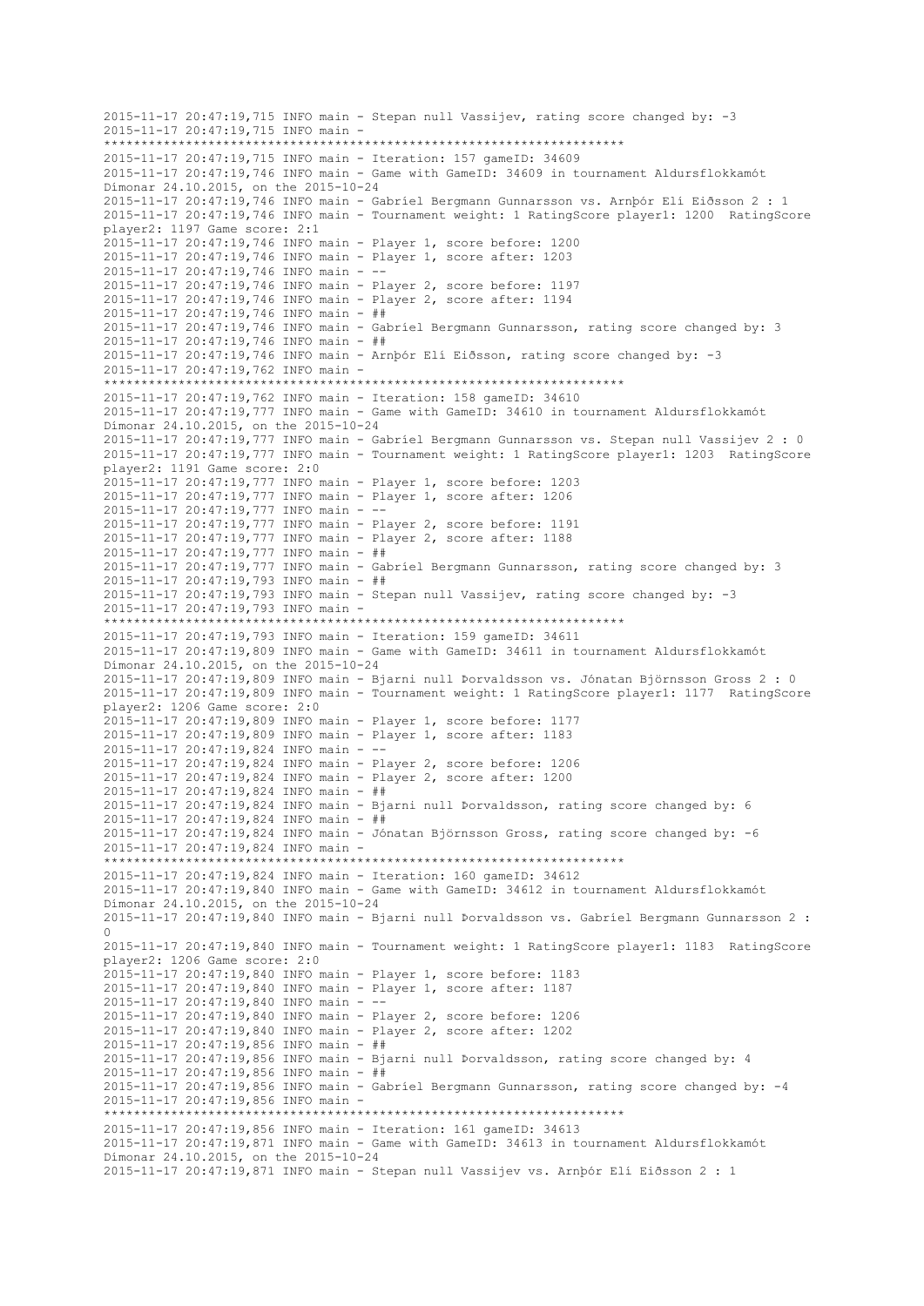2015-11-17 20:47:19,715 INFO main - Stepan null Vassijev, rating score changed by: -3 2015-11-17 20:47:19,715 INFO main - \*\*\*\*\*\*\*\*\*\*\*\*\*\*\*\*\*\*\*\*\*\*\*\*\*\*\*\*\*\*\*\*\*\*\*\*\*\*\*\*\*\*\*\*\*\*\*\*\*\*\*\*\*\*\*\*\*\*\*\*\*\*\*\*\*\*\*\*\*\* 2015-11-17 20:47:19,715 INFO main - Iteration: 157 gameID: 34609 2015-11-17 20:47:19,746 INFO main - Game with GameID: 34609 in tournament Aldursflokkamót Dímonar 24.10.2015, on the 2015-10-24 2015-11-17 20:47:19,746 INFO main - Gabríel Bergmann Gunnarsson vs. Arnþór Elí Eiðsson 2 : 1 2015-11-17 20:47:19,746 INFO main - Tournament weight: 1 RatingScore player1: 1200 RatingScore player2: 1197 Game score: 2:1 2015-11-17 20:47:19,746 INFO main - Player 1, score before: 1200 2015-11-17 20:47:19,746 INFO main - Player 1, score after: 1203 2015-11-17 20:47:19,746 INFO main - -- 2015-11-17 20:47:19,746 INFO main - Player 2, score before: 1197 2015-11-17 20:47:19,746 INFO main - Player 2, score after: 1194 2015-11-17 20:47:19,746 INFO main - ## 2015-11-17 20:47:19,746 INFO main - Gabríel Bergmann Gunnarsson, rating score changed by: 3 2015-11-17 20:47:19,746 INFO main - ## 2015-11-17 20:47:19,746 INFO main - Arnþór Elí Eiðsson, rating score changed by: -3 2015-11-17 20:47:19,762 INFO main - \*\*\*\*\*\*\*\*\*\*\*\*\*\*\*\*\*\*\*\*\*\*\*\*\*\*\*\*\*\*\*\*\*\*\*\*\*\*\*\*\*\*\*\*\*\*\*\*\*\*\*\*\*\*\*\*\*\*\*\*\*\*\*\*\*\*\*\*\*\* 2015-11-17 20:47:19,762 INFO main - Iteration: 158 gameID: 34610 2015-11-17 20:47:19,777 INFO main - Game with GameID: 34610 in tournament Aldursflokkamót Dímonar 24.10.2015, on the 2015-10-24 2015-11-17 20:47:19,777 INFO main - Gabríel Bergmann Gunnarsson vs. Stepan null Vassijev 2 : 0 2015-11-17 20:47:19,777 INFO main - Tournament weight: 1 RatingScore player1: 1203 RatingScore player2: 1191 Game score: 2:0 2015-11-17 20:47:19,777 INFO main - Player 1, score before: 1203 2015-11-17 20:47:19,777 INFO main - Player 1, score after: 1206 2015-11-17 20:47:19,777 INFO main - -- 2015-11-17 20:47:19,777 INFO main - Player 2, score before: 1191 2015-11-17 20:47:19,777 INFO main - Player 2, score after: 1188 2015-11-17 20:47:19,777 INFO main - ## 2015-11-17 20:47:19,777 INFO main - Gabríel Bergmann Gunnarsson, rating score changed by: 3 2015-11-17 20:47:19,793 INFO main - ## 2015-11-17 20:47:19,793 INFO main - Stepan null Vassijev, rating score changed by: -3 2015-11-17 20:47:19,793 INFO main - \*\*\*\*\*\*\*\*\*\*\*\*\*\*\*\*\*\*\*\*\*\*\*\*\*\*\*\*\*\*\*\*\*\*\*\*\*\*\*\*\*\*\*\*\*\*\*\*\*\*\*\*\*\*\*\*\*\*\*\*\*\*\*\*\*\*\*\*\*\* 2015-11-17 20:47:19,793 INFO main - Iteration: 159 gameID: 34611 2015-11-17 20:47:19,809 INFO main - Game with GameID: 34611 in tournament Aldursflokkamót Dímonar 24.10.2015, on the 2015-10-24 2015-11-17 20:47:19,809 INFO main - Bjarni null Þorvaldsson vs. Jónatan Björnsson Gross 2 : 0 2015-11-17 20:47:19,809 INFO main - Tournament weight: 1 RatingScore player1: 1177 RatingScore player2: 1206 Game score: 2:0 2015-11-17 20:47:19,809 INFO main - Player 1, score before: 1177 2015-11-17 20:47:19,809 INFO main - Player 1, score after: 1183 2015-11-17 20:47:19,824 INFO main - -- 2015-11-17 20:47:19,824 INFO main - Player 2, score before: 1206 2015-11-17 20:47:19,824 INFO main - Player 2, score after: 1200 2015-11-17 20:47:19,824 INFO main - ## 2015-11-17 20:47:19,824 INFO main - Bjarni null Þorvaldsson, rating score changed by: 6  $2015 - 11 - 17$   $20:47:19.824$  INFO main - ## 2015-11-17 20:47:19,824 INFO main - Jónatan Björnsson Gross, rating score changed by: -6 2015-11-17 20:47:19,824 INFO main - \*\*\*\*\*\*\*\*\*\*\*\*\*\*\*\*\*\*\*\*\*\*\*\*\*\*\*\*\*\*\*\*\*\*\*\*\*\*\*\*\*\*\*\*\*\*\*\*\*\*\*\*\*\*\*\*\*\*\*\*\*\*\*\*\*\*\*\*\*\* 2015-11-17 20:47:19,824 INFO main - Iteration: 160 gameID: 34612 2015-11-17 20:47:19,840 INFO main - Game with GameID: 34612 in tournament Aldursflokkamót Dímonar 24.10.2015, on the 2015-10-24 2015-11-17 20:47:19,840 INFO main - Bjarni null Þorvaldsson vs. Gabríel Bergmann Gunnarsson 2 : 0 2015-11-17 20:47:19,840 INFO main - Tournament weight: 1 RatingScore player1: 1183 RatingScore player2: 1206 Game score: 2:0 2015-11-17 20:47:19,840 INFO main - Player 1, score before: 1183 2015-11-17 20:47:19,840 INFO main - Player 1, score after: 1187 2015-11-17 20:47:19,840 INFO main -2015-11-17 20:47:19,840 INFO main - Player 2, score before: 1206 2015-11-17 20:47:19,840 INFO main - Player 2, score after: 1202 2015-11-17 20:47:19,856 INFO main - ## 2015-11-17 20:47:19,856 INFO main - Bjarni null Þorvaldsson, rating score changed by: 4 2015-11-17 20:47:19,856 INFO main - ## 2015-11-17 20:47:19,856 INFO main - Gabríel Bergmann Gunnarsson, rating score changed by: -4 2015-11-17 20:47:19,856 INFO main - \*\*\*\*\*\*\*\*\*\*\*\*\*\*\*\*\*\*\*\*\*\*\*\*\*\*\*\*\*\*\*\*\*\*\*\*\*\*\*\*\*\*\*\*\*\*\*\*\*\*\*\*\*\*\*\*\*\*\*\*\*\*\*\*\*\*\*\*\*\* 2015-11-17 20:47:19,856 INFO main - Iteration: 161 gameID: 34613 2015-11-17 20:47:19,871 INFO main - Game with GameID: 34613 in tournament Aldursflokkamót Dímonar 24.10.2015, on the 2015-10-24 2015-11-17 20:47:19,871 INFO main - Stepan null Vassijev vs. Arnþór Elí Eiðsson 2 : 1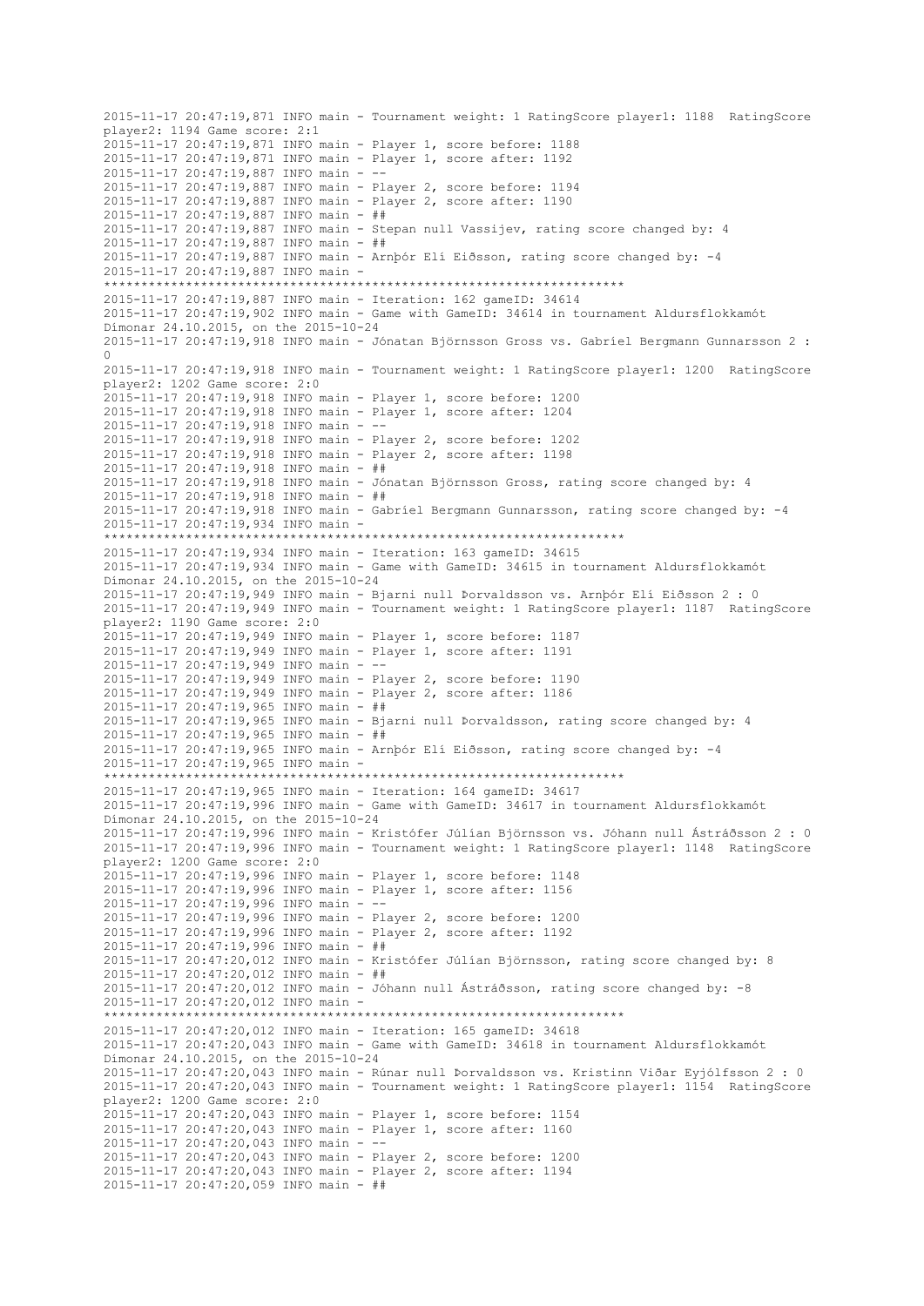2015-11-17 20:47:19,871 INFO main - Tournament weight: 1 RatingScore player1: 1188 RatingScore player2: 1194 Game score: 2:1 2015-11-17 20:47:19,871 INFO main - Player 1, score before: 1188 2015-11-17 20:47:19,871 INFO main - Player 1, score after: 1192 2015-11-17 20:47:19,887 INFO main - -- 2015-11-17 20:47:19,887 INFO main - Player 2, score before: 1194 2015-11-17 20:47:19,887 INFO main - Player 2, score after: 1190 2015-11-17 20:47:19,887 INFO main - ## 2015-11-17 20:47:19,887 INFO main - Stepan null Vassijev, rating score changed by: 4 2015-11-17 20:47:19,887 INFO main - ## 2015-11-17 20:47:19,887 INFO main - Arnþór Elí Eiðsson, rating score changed by: -4 2015-11-17 20:47:19,887 INFO main - \*\*\*\*\*\*\*\*\*\*\*\*\*\*\*\*\*\*\*\*\*\*\*\*\*\*\*\*\*\*\*\*\*\*\*\*\*\*\*\*\*\*\*\*\*\*\*\*\*\*\*\*\*\*\*\*\*\*\*\*\*\*\*\*\*\*\*\*\*\* 2015-11-17 20:47:19,887 INFO main - Iteration: 162 gameID: 34614 2015-11-17 20:47:19,902 INFO main - Game with GameID: 34614 in tournament Aldursflokkamót Dímonar 24.10.2015, on the 2015-10-24 2015-11-17 20:47:19,918 INFO main - Jónatan Björnsson Gross vs. Gabríel Bergmann Gunnarsson 2 : 0 2015-11-17 20:47:19,918 INFO main - Tournament weight: 1 RatingScore player1: 1200 RatingScore player2: 1202 Game score: 2:0 2015-11-17 20:47:19,918 INFO main - Player 1, score before: 1200 2015-11-17 20:47:19,918 INFO main - Player 1, score after: 1204 2015-11-17 20:47:19,918 INFO main - -- 2015-11-17 20:47:19,918 INFO main - Player 2, score before: 1202 2015-11-17 20:47:19,918 INFO main - Player 2, score after: 1198 2015-11-17 20:47:19,918 INFO main - ## 2015-11-17 20:47:19,918 INFO main - Jónatan Björnsson Gross, rating score changed by: 4 2015-11-17 20:47:19,918 INFO main - ## 2015-11-17 20:47:19,918 INFO main - Gabríel Bergmann Gunnarsson, rating score changed by: -4 2015-11-17 20:47:19,934 INFO main - \*\*\*\*\*\*\*\*\*\*\*\*\*\*\*\*\*\*\*\*\*\*\*\*\*\*\*\*\*\*\*\*\*\*\*\*\*\*\*\*\*\*\*\*\*\*\*\*\*\*\*\*\*\*\*\*\*\*\*\*\*\*\*\*\*\*\*\*\*\* 2015-11-17 20:47:19,934 INFO main - Iteration: 163 gameID: 34615 2015-11-17 20:47:19,934 INFO main - Game with GameID: 34615 in tournament Aldursflokkamót Dímonar 24.10.2015, on the 2015-10-24 2015-11-17 20:47:19,949 INFO main - Bjarni null Þorvaldsson vs. Arnþór Elí Eiðsson 2 : 0 2015-11-17 20:47:19,949 INFO main - Tournament weight: 1 RatingScore player1: 1187 RatingScore player2: 1190 Game score: 2:0 2015-11-17 20:47:19,949 INFO main - Player 1, score before: 1187 2015-11-17 20:47:19,949 INFO main - Player 1, score after: 1191 2015-11-17 20:47:19,949 INFO main - -- 2015-11-17 20:47:19,949 INFO main - Player 2, score before: 1190 2015-11-17 20:47:19,949 INFO main - Player 2, score after: 1186 2015-11-17 20:47:19,965 INFO main - ## 2015-11-17 20:47:19,965 INFO main - Bjarni null Þorvaldsson, rating score changed by: 4 2015-11-17 20:47:19,965 INFO main - ## 2015-11-17 20:47:19,965 INFO main - Arnþór Elí Eiðsson, rating score changed by: -4 2015-11-17 20:47:19,965 INFO main - \*\*\*\*\*\*\*\*\*\*\*\*\*\*\*\*\*\*\*\*\*\*\*\*\*\*\*\*\*\*\*\*\*\*\*\*\*\*\*\*\*\*\*\*\*\*\*\*\*\*\*\*\*\*\*\*\*\*\*\*\*\*\*\*\*\*\*\*\*\* 2015-11-17 20:47:19,965 INFO main - Iteration: 164 gameID: 34617 2015-11-17 20:47:19,996 INFO main - Game with GameID: 34617 in tournament Aldursflokkamót Dímonar 24.10.2015, on the 2015-10-24 2015-11-17 20:47:19,996 INFO main - Kristófer Júlían Björnsson vs. Jóhann null Ástráðsson 2 : 0 2015-11-17 20:47:19,996 INFO main - Tournament weight: 1 RatingScore player1: 1148 RatingScore player2: 1200 Game score: 2:0 2015-11-17 20:47:19,996 INFO main - Player 1, score before: 1148 2015-11-17 20:47:19,996 INFO main - Player 1, score after: 1156 2015-11-17 20:47:19,996 INFO main - -- 2015-11-17 20:47:19,996 INFO main - Player 2, score before: 1200 2015-11-17 20:47:19,996 INFO main - Player 2, score after: 1192 2015-11-17 20:47:19,996 INFO main - ## 2015-11-17 20:47:20,012 INFO main - Kristófer Júlían Björnsson, rating score changed by: 8 2015-11-17 20:47:20,012 INFO main - ## 2015-11-17 20:47:20,012 INFO main - Jóhann null Ástráðsson, rating score changed by: -8 2015-11-17 20:47:20,012 INFO main - \*\*\*\*\*\*\*\*\*\*\*\*\*\*\*\*\*\*\*\*\*\*\*\*\*\*\*\*\*\*\*\*\*\*\*\*\*\*\*\*\*\*\*\*\*\*\*\*\*\*\*\*\*\*\*\*\*\*\*\*\*\*\*\*\*\*\*\*\*\* 2015-11-17 20:47:20,012 INFO main - Iteration: 165 gameID: 34618 2015-11-17 20:47:20,043 INFO main - Game with GameID: 34618 in tournament Aldursflokkamót Dímonar 24.10.2015, on the 2015-10-24 2015-11-17 20:47:20,043 INFO main - Rúnar null Þorvaldsson vs. Kristinn Viðar Eyjólfsson 2 : 0 2015-11-17 20:47:20,043 INFO main - Tournament weight: 1 RatingScore player1: 1154 RatingScore player2: 1200 Game score: 2:0 2015-11-17 20:47:20,043 INFO main - Player 1, score before: 1154 2015-11-17 20:47:20,043 INFO main - Player 1, score after: 1160 2015-11-17 20:47:20,043 INFO main - -- 2015-11-17 20:47:20,043 INFO main - Player 2, score before: 1200 2015-11-17 20:47:20,043 INFO main - Player 2, score after: 1194 2015-11-17 20:47:20,059 INFO main - ##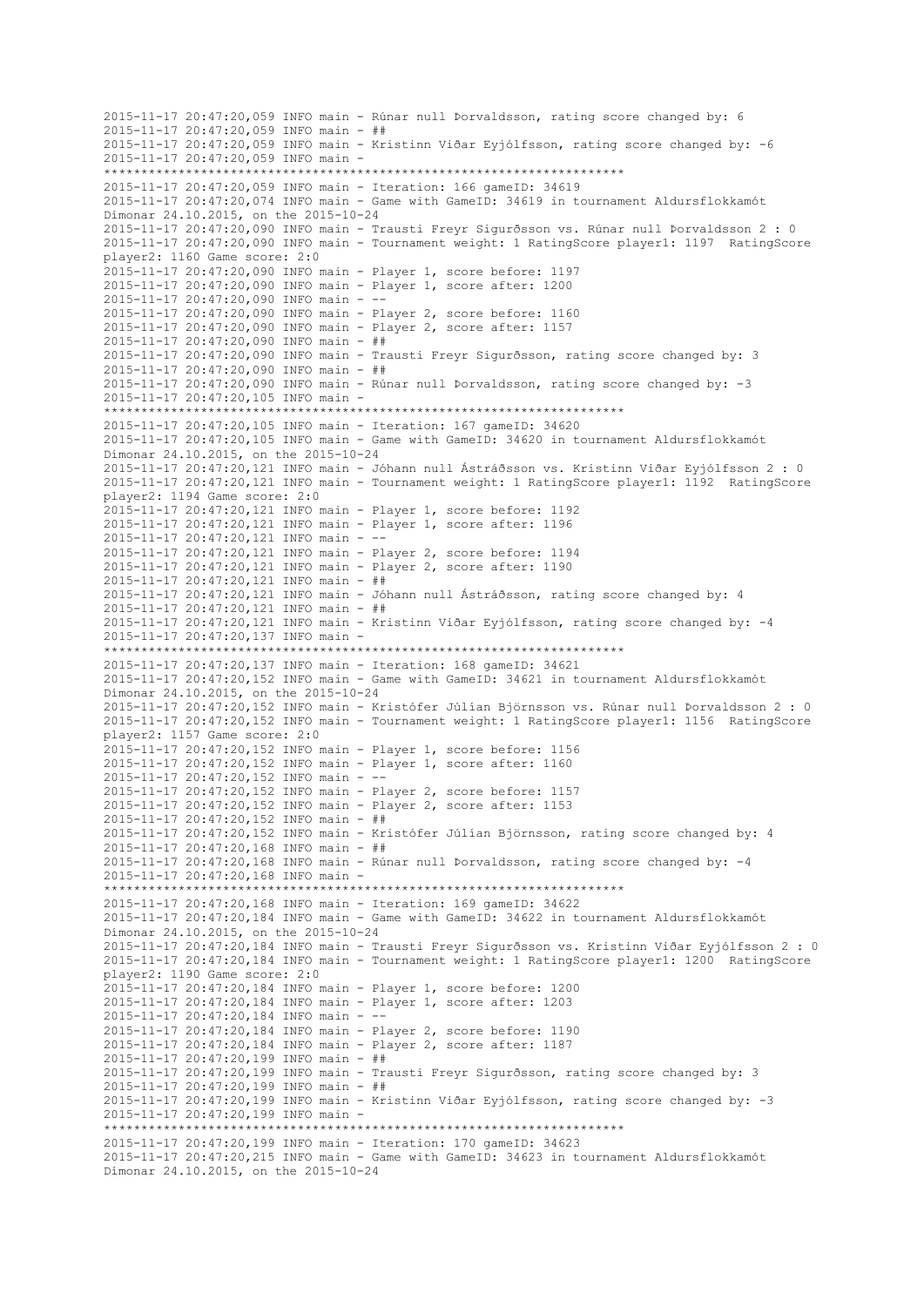```
2015-11-17 20:47:20,059 INFO main - Rúnar null Þorvaldsson, rating score changed by: 6
2015-11-17 20:47:20,059 INFO main - ##
2015-11-17 20:47:20,059 INFO main - Kristinn Viðar Eyjólfsson, rating score changed by: -6
2015-11-17 20:47:20,059 INFO main -
 **********************************************************************
2015-11-17 20:47:20,059 INFO main - Iteration: 166 gameID: 34619
2015-11-17 20:47:20,074 INFO main - Game with GameID: 34619 in tournament Aldursflokkamót 
Dímonar 24.10.2015, on the 2015-10-24
2015-11-17 20:47:20,090 INFO main - Trausti Freyr Sigurðsson vs. Rúnar null Þorvaldsson 2 : 0
2015-11-17 20:47:20,090 INFO main - Tournament weight: 1 RatingScore player1: 1197 RatingScore 
player2: 1160 Game score: 2:0
2015-11-17 20:47:20,090 INFO main - Player 1, score before: 1197
2015-11-17 20:47:20,090 INFO main - Player 1, score after: 1200
2015-11-17 20:47:20,090 INFO main - --
2015-11-17 20:47:20,090 INFO main - Player 2, score before: 1160
2015-11-17 20:47:20,090 INFO main - Player 2, score after: 1157
2015-11-17 20:47:20,090 INFO main - ##
2015-11-17 20:47:20,090 INFO main - Trausti Freyr Sigurðsson, rating score changed by: 3
2015-11-17 20:47:20,090 INFO main - ##
2015-11-17 20:47:20,090 INFO main - Rúnar null Þorvaldsson, rating score changed by: -3
2015-11-17 20:47:20,105 INFO main -
                        **********************************************************************
2015-11-17 20:47:20,105 INFO main - Iteration: 167 gameID: 34620
2015-11-17 20:47:20,105 INFO main - Game with GameID: 34620 in tournament Aldursflokkamót 
Dímonar 24.10.2015, on the 2015-10-24
2015-11-17 20:47:20,121 INFO main - Jóhann null Ástráðsson vs. Kristinn Viðar Eyjólfsson 2 : 0
2015-11-17 20:47:20,121 INFO main - Tournament weight: 1 RatingScore player1: 1192 RatingScore 
player2: 1194 Game score: 2:0
2015-11-17 20:47:20,121 INFO main - Player 1, score before: 1192
2015-11-17 20:47:20,121 INFO main - Player 1, score after: 1196
2015-11-17 20:47:20,121 INFO main - --
2015-11-17 20:47:20,121 INFO main - Player 2, score before: 1194
2015-11-17 20:47:20,121 INFO main - Player 2, score after: 1190
2015-11-17 20:47:20,121 INFO main - ##
2015-11-17 20:47:20,121 INFO main - Jóhann null Ástráðsson, rating score changed by: 4
2015-11-17 20:47:20,121 INFO main - ##
2015-11-17 20:47:20,121 INFO main - Kristinn Viðar Eyjólfsson, rating score changed by: -4
2015-11-17 20:47:20,137 INFO main -
           **********************************************************************
2015-11-17 20:47:20,137 INFO main - Iteration: 168 gameID: 34621
2015-11-17 20:47:20,152 INFO main - Game with GameID: 34621 in tournament Aldursflokkamót 
Dímonar 24.10.2015, on the 2015-10-24
2015-11-17 20:47:20,152 INFO main - Kristófer Júlían Björnsson vs. Rúnar null Þorvaldsson 2 : 0
2015-11-17 20:47:20,152 INFO main - Tournament weight: 1 RatingScore player1: 1156 RatingScore 
player2: 1157 Game score: 2:0
2015-11-17 20:47:20,152 INFO main - Player 1, score before: 1156
2015-11-17 20:47:20,152 INFO main - Player 1, score after: 1160
2015-11-17 20:47:20,152 INFO main - --
2015-11-17 20:47:20,152 INFO main - Player 2, score before: 1157
2015-11-17 20:47:20,152 INFO main - Player 2, score after: 1153
2015-11-17 20:47:20,152 INFO main - ##
2015-11-17 20:47:20,152 INFO main - Kristófer Júlían Björnsson, rating score changed by: 4
2015-11-17 20:47:20,168 INFO main - ##
2015-11-17 20:47:20,168 INFO main - Rúnar null Þorvaldsson, rating score changed by: -4
2015-11-17 20:47:20,168 INFO main -
           **********************************************************************
2015-11-17 20:47:20,168 INFO main - Iteration: 169 gameID: 34622
2015-11-17 20:47:20,184 INFO main - Game with GameID: 34622 in tournament Aldursflokkamót 
Dímonar 24.10.2015, on the 2015-10-24
2015-11-17 20:47:20,184 INFO main - Trausti Freyr Sigurðsson vs. Kristinn Viðar Eyjólfsson 2 : 0
2015-11-17 20:47:20,184 INFO main - Tournament weight: 1 RatingScore player1: 1200 RatingScore 
player2: 1190 Game score: 2:0
2015-11-17 20:47:20,184 INFO main - Player 1, score before: 1200
2015-11-17 20:47:20,184 INFO main - Player 1, score after: 1203
2015-11-17 20:47:20,184 INFO main - --
2015-11-17 20:47:20,184 INFO main - Player 2, score before: 1190
2015-11-17 20:47:20,184 INFO main - Player 2, score after: 1187
2015-11-17 20:47:20,199 INFO main - ##
2015-11-17 20:47:20,199 INFO main - Trausti Freyr Sigurðsson, rating score changed by: 3
2015-11-17 20:47:20,199 INFO main - ##
2015-11-17 20:47:20,199 INFO main - Kristinn Viðar Eyjólfsson, rating score changed by: -3
2015-11-17 20:47:20,199 INFO main -
                    **********************************************************************
2015-11-17 20:47:20,199 INFO main - Iteration: 170 gameID: 34623
2015-11-17 20:47:20,215 INFO main - Game with GameID: 34623 in tournament Aldursflokkamót 
Dímonar 24.10.2015, on the 2015-10-24
```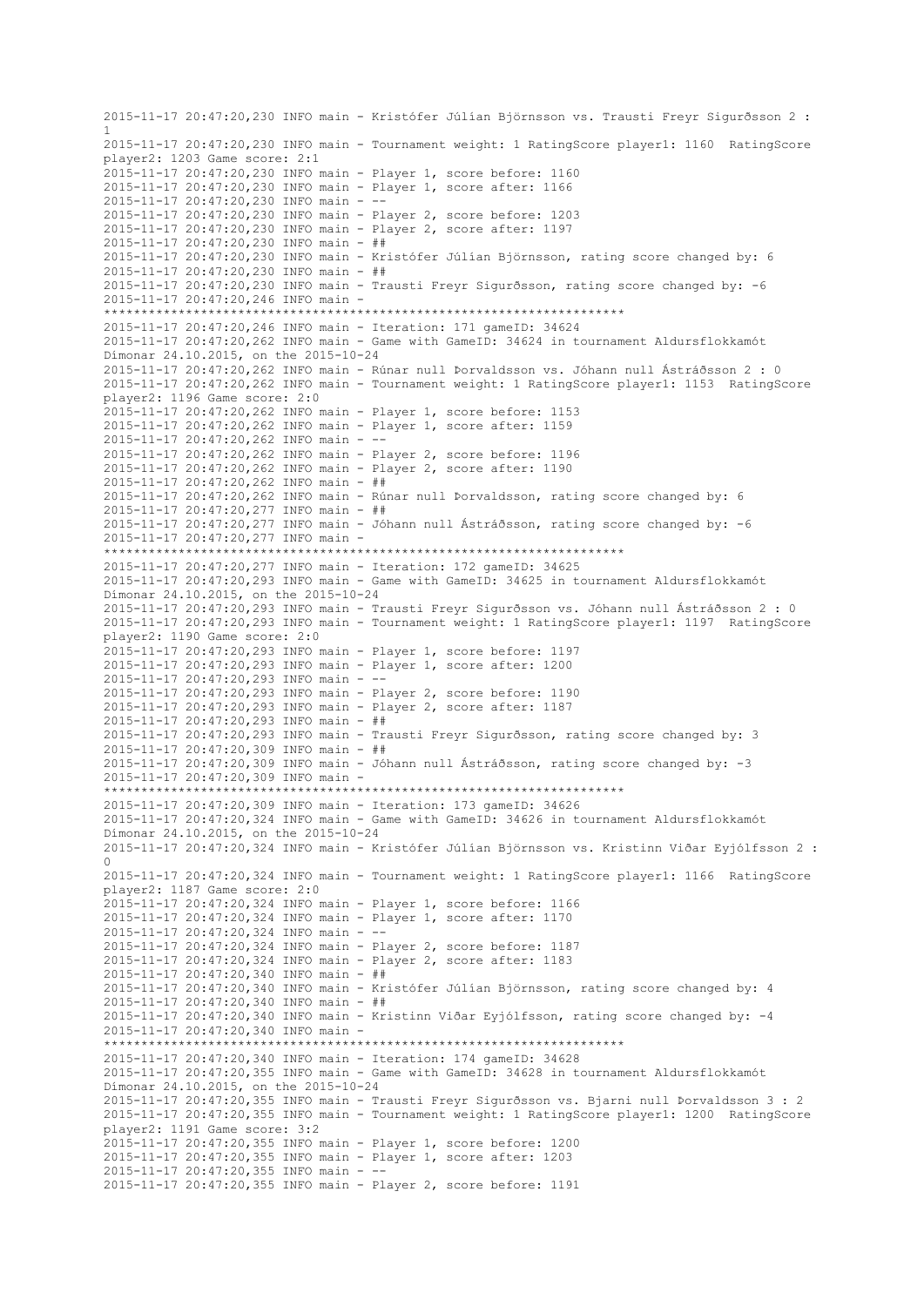2015-11-17 20:47:20,230 INFO main - Kristófer Júlían Björnsson vs. Trausti Freyr Sigurðsson 2 : 1 2015-11-17 20:47:20,230 INFO main - Tournament weight: 1 RatingScore player1: 1160 RatingScore player2: 1203 Game score: 2:1 2015-11-17 20:47:20,230 INFO main - Player 1, score before: 1160 2015-11-17 20:47:20,230 INFO main - Player 1, score after: 1166 2015-11-17 20:47:20,230 INFO main -2015-11-17 20:47:20,230 INFO main - Player 2, score before: 1203 2015-11-17 20:47:20,230 INFO main - Player 2, score after: 1197 2015-11-17 20:47:20,230 INFO main - ## 2015-11-17 20:47:20,230 INFO main - Kristófer Júlían Björnsson, rating score changed by: 6 2015-11-17 20:47:20,230 INFO main - ## 2015-11-17 20:47:20,230 INFO main - Trausti Freyr Sigurðsson, rating score changed by: -6 2015-11-17 20:47:20,246 INFO main - \*\*\*\*\*\*\*\*\*\*\*\*\*\*\*\*\*\*\*\*\*\*\*\*\*\*\*\*\*\*\*\*\*\*\*\*\*\*\*\*\*\*\*\*\*\*\*\*\*\*\*\*\*\*\*\*\*\*\*\*\*\*\*\*\*\*\*\*\*\* 2015-11-17 20:47:20,246 INFO main - Iteration: 171 gameID: 34624 2015-11-17 20:47:20,262 INFO main - Game with GameID: 34624 in tournament Aldursflokkamót Dímonar 24.10.2015, on the 2015-10-24 2015-11-17 20:47:20,262 INFO main - Rúnar null Þorvaldsson vs. Jóhann null Ástráðsson 2 : 0 2015-11-17 20:47:20,262 INFO main - Tournament weight: 1 RatingScore player1: 1153 RatingScore player2: 1196 Game score: 2:0 2015-11-17 20:47:20,262 INFO main - Player 1, score before: 1153 2015-11-17 20:47:20,262 INFO main - Player 1, score after: 1159 2015-11-17 20:47:20,262 INFO main - -- 2015-11-17 20:47:20,262 INFO main - Player 2, score before: 1196 2015-11-17 20:47:20,262 INFO main - Player 2, score after: 1190 2015-11-17 20:47:20,262 INFO main - ## 2015-11-17 20:47:20,262 INFO main - Rúnar null Þorvaldsson, rating score changed by: 6 2015-11-17 20:47:20,277 INFO main - ## 2015-11-17 20:47:20,277 INFO main - Jóhann null Ástráðsson, rating score changed by: -6 2015-11-17 20:47:20,277 INFO main - \*\*\*\*\*\*\*\*\*\*\*\*\*\*\*\*\*\*\*\*\*\*\*\*\*\*\*\*\*\*\*\*\*\*\*\*\*\*\*\*\*\*\*\*\*\*\*\*\*\*\*\*\*\*\*\*\*\*\*\*\*\*\*\*\*\*\*\*\*\* 2015-11-17 20:47:20,277 INFO main - Iteration: 172 gameID: 34625 2015-11-17 20:47:20,293 INFO main - Game with GameID: 34625 in tournament Aldursflokkamót Dímonar 24.10.2015, on the 2015-10-24 2015-11-17 20:47:20,293 INFO main - Trausti Freyr Sigurðsson vs. Jóhann null Ástráðsson 2 : 0 2015-11-17 20:47:20,293 INFO main - Tournament weight: 1 RatingScore player1: 1197 RatingScore player2: 1190 Game score: 2:0 2015-11-17 20:47:20,293 INFO main - Player 1, score before: 1197 2015-11-17 20:47:20,293 INFO main - Player 1, score after: 1200 2015-11-17 20:47:20,293 INFO main - -- 2015-11-17 20:47:20,293 INFO main - Player 2, score before: 1190 2015-11-17 20:47:20,293 INFO main - Player 2, score after: 1187 2015-11-17 20:47:20,293 INFO main - ## 2015-11-17 20:47:20,293 INFO main - Trausti Freyr Sigurðsson, rating score changed by: 3 2015-11-17 20:47:20,309 INFO main - ## 2015-11-17 20:47:20,309 INFO main - Jóhann null Ástráðsson, rating score changed by: -3 2015-11-17 20:47:20,309 INFO main - \*\*\*\*\*\*\*\*\*\*\*\*\*\*\*\*\*\*\*\*\*\*\*\*\*\*\*\*\*\*\*\*\*\*\*\*\*\*\*\*\*\*\*\*\*\*\*\*\*\*\*\*\*\*\*\*\*\*\*\*\*\*\*\*\*\*\*\*\*\* 2015-11-17 20:47:20,309 INFO main - Iteration: 173 gameID: 34626 2015-11-17 20:47:20,324 INFO main - Game with GameID: 34626 in tournament Aldursflokkamót Dímonar 24.10.2015, on the 2015-10-24 2015-11-17 20:47:20,324 INFO main - Kristófer Júlían Björnsson vs. Kristinn Viðar Eyjólfsson 2 : 0 2015-11-17 20:47:20,324 INFO main - Tournament weight: 1 RatingScore player1: 1166 RatingScore player2: 1187 Game score: 2:0 2015-11-17 20:47:20,324 INFO main - Player 1, score before: 1166 2015-11-17 20:47:20,324 INFO main - Player 1, score after: 1170 2015-11-17 20:47:20,324 INFO main -2015-11-17 20:47:20,324 INFO main - Player 2, score before: 1187 2015-11-17 20:47:20,324 INFO main - Player 2, score after: 1183 2015-11-17 20:47:20,340 INFO main - ## 2015-11-17 20:47:20,340 INFO main - Kristófer Júlían Björnsson, rating score changed by: 4 2015-11-17 20:47:20,340 INFO main - ## 2015-11-17 20:47:20,340 INFO main - Kristinn Viðar Eyjólfsson, rating score changed by: -4 2015-11-17 20:47:20,340 INFO main - \*\*\*\*\*\*\*\*\*\*\*\*\*\*\*\*\*\*\*\*\*\*\*\*\*\*\*\*\*\*\*\*\*\*\*\*\*\*\*\*\*\*\*\*\*\*\*\*\*\*\*\*\*\*\*\*\*\*\*\*\*\*\*\*\*\*\*\*\*\* 2015-11-17 20:47:20,340 INFO main - Iteration: 174 gameID: 34628 2015-11-17 20:47:20,355 INFO main - Game with GameID: 34628 in tournament Aldursflokkamót Dímonar 24.10.2015, on the 2015-10-24 2015-11-17 20:47:20,355 INFO main - Trausti Freyr Sigurðsson vs. Bjarni null Þorvaldsson 3 : 2 2015-11-17 20:47:20,355 INFO main - Tournament weight: 1 RatingScore player1: 1200 RatingScore player2: 1191 Game score: 3:2 2015-11-17 20:47:20,355 INFO main - Player 1, score before: 1200 2015-11-17 20:47:20,355 INFO main - Player 1, score after: 1203 2015-11-17 20:47:20,355 INFO main - -- 2015-11-17 20:47:20,355 INFO main - Player 2, score before: 1191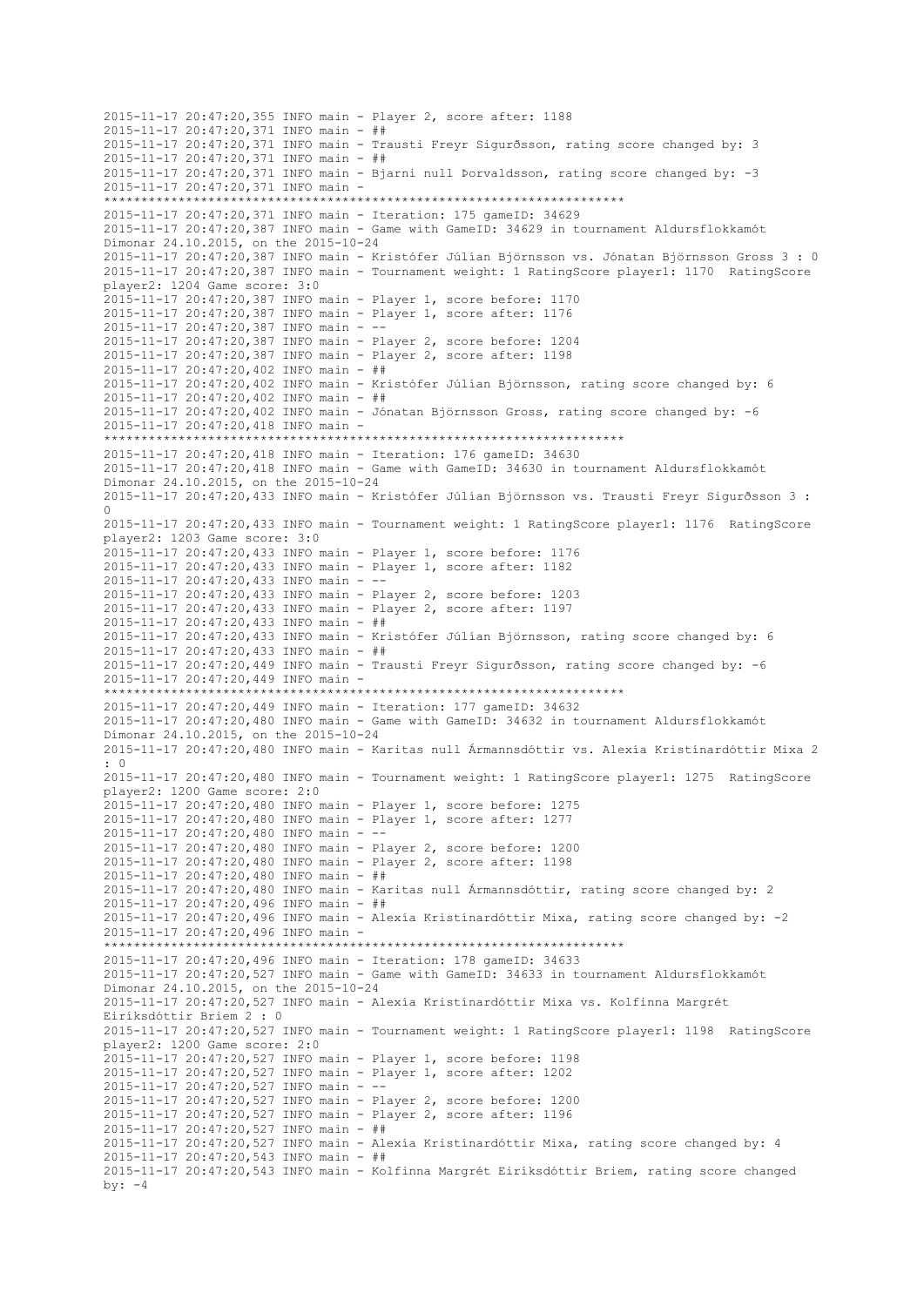2015-11-17 20:47:20,355 INFO main - Player 2, score after: 1188 2015-11-17 20:47:20,371 INFO main - ## 2015-11-17 20:47:20,371 INFO main - Trausti Freyr Sigurðsson, rating score changed by: 3 2015-11-17 20:47:20,371 INFO main - ## 2015-11-17 20:47:20,371 INFO main - Bjarni null Þorvaldsson, rating score changed by: -3 2015-11-17 20:47:20,371 INFO main - \*\*\*\*\*\*\*\*\*\*\*\*\*\*\*\*\*\*\*\*\*\*\*\*\*\*\*\*\*\*\*\*\*\*\*\*\*\*\*\*\*\*\*\*\*\*\*\*\*\*\*\*\*\*\*\*\*\*\*\*\*\*\*\*\*\*\*\*\*\* 2015-11-17 20:47:20,371 INFO main - Iteration: 175 gameID: 34629 2015-11-17 20:47:20,387 INFO main - Game with GameID: 34629 in tournament Aldursflokkamót Dímonar 24.10.2015, on the 2015-10-24 2015-11-17 20:47:20,387 INFO main - Kristófer Júlían Björnsson vs. Jónatan Björnsson Gross 3 : 0 2015-11-17 20:47:20,387 INFO main - Tournament weight: 1 RatingScore player1: 1170 RatingScore player2: 1204 Game score: 3:0 2015-11-17 20:47:20,387 INFO main - Player 1, score before: 1170 2015-11-17 20:47:20,387 INFO main - Player 1, score after: 1176 2015-11-17 20:47:20,387 INFO main - -- 2015-11-17 20:47:20,387 INFO main - Player 2, score before: 1204 2015-11-17 20:47:20,387 INFO main - Player 2, score after: 1198 2015-11-17 20:47:20,402 INFO main - ## 2015-11-17 20:47:20,402 INFO main - Kristófer Júlían Björnsson, rating score changed by: 6 2015-11-17 20:47:20,402 INFO main - ## 2015-11-17 20:47:20,402 INFO main - Jónatan Björnsson Gross, rating score changed by: -6 2015-11-17 20:47:20,418 INFO main - \*\*\*\*\*\*\*\*\*\*\*\*\*\*\*\*\*\*\*\*\*\*\*\*\*\*\*\*\*\*\*\*\*\*\*\*\*\*\*\*\*\*\*\*\*\*\*\*\*\*\*\*\*\*\*\*\*\*\*\*\*\*\*\*\*\*\*\*\*\* 2015-11-17 20:47:20,418 INFO main - Iteration: 176 gameID: 34630 2015-11-17 20:47:20,418 INFO main - Game with GameID: 34630 in tournament Aldursflokkamót Dímonar 24.10.2015, on the 2015-10-24 2015-11-17 20:47:20,433 INFO main - Kristófer Júlían Björnsson vs. Trausti Freyr Sigurðsson 3 : 0 2015-11-17 20:47:20,433 INFO main - Tournament weight: 1 RatingScore player1: 1176 RatingScore player2: 1203 Game score: 3:0 2015-11-17 20:47:20,433 INFO main - Player 1, score before: 1176 2015-11-17 20:47:20,433 INFO main - Player 1, score after: 1182 2015-11-17 20:47:20,433 INFO main - -- 2015-11-17 20:47:20,433 INFO main - Player 2, score before: 1203 2015-11-17 20:47:20,433 INFO main - Player 2, score after: 1197 2015-11-17 20:47:20,433 INFO main - ## 2015-11-17 20:47:20,433 INFO main - Kristófer Júlían Björnsson, rating score changed by: 6 2015-11-17 20:47:20,433 INFO main - ## 2015-11-17 20:47:20,449 INFO main - Trausti Freyr Sigurðsson, rating score changed by: -6 2015-11-17 20:47:20,449 INFO main - \*\*\*\*\*\*\*\*\*\*\*\*\*\*\*\*\*\*\*\*\*\*\*\*\*\*\*\*\*\*\*\*\*\*\*\*\*\*\*\*\*\*\*\*\*\*\*\*\*\*\*\*\*\*\*\*\*\*\*\*\*\*\*\*\*\*\*\*\*\* 2015-11-17 20:47:20,449 INFO main - Iteration: 177 gameID: 34632 2015-11-17 20:47:20,480 INFO main - Game with GameID: 34632 in tournament Aldursflokkamót Dímonar 24.10.2015, on the 2015-10-24 2015-11-17 20:47:20,480 INFO main - Karitas null Ármannsdóttir vs. Alexía Kristínardóttir Mixa 2 : 0 2015-11-17 20:47:20,480 INFO main - Tournament weight: 1 RatingScore player1: 1275 RatingScore player2: 1200 Game score: 2:0 2015-11-17 20:47:20,480 INFO main - Player 1, score before: 1275 2015-11-17 20:47:20,480 INFO main - Player 1, score after: 1277 2015-11-17 20:47:20,480 INFO main - -- 2015-11-17 20:47:20,480 INFO main - Player 2, score before: 1200 2015-11-17 20:47:20,480 INFO main - Player 2, score after: 1198 2015-11-17 20:47:20,480 INFO main - ## 2015-11-17 20:47:20,480 INFO main - Karitas null Ármannsdóttir, rating score changed by: 2 2015-11-17 20:47:20,496 INFO main - ## 2015-11-17 20:47:20,496 INFO main - Alexía Kristínardóttir Mixa, rating score changed by: -2 2015-11-17 20:47:20,496 INFO main - \*\*\*\*\*\*\*\*\*\*\*\*\*\*\*\*\*\*\*\*\*\*\*\*\*\*\*\*\*\*\*\*\*\*\*\*\*\*\*\*\*\*\*\*\*\*\*\*\*\*\*\*\*\*\*\*\*\*\*\*\*\*\*\*\*\*\*\*\*\* 2015-11-17 20:47:20,496 INFO main - Iteration: 178 gameID: 34633 2015-11-17 20:47:20,527 INFO main - Game with GameID: 34633 in tournament Aldursflokkamót Dímonar 24.10.2015, on the 2015-10-24 2015-11-17 20:47:20,527 INFO main - Alexía Kristínardóttir Mixa vs. Kolfinna Margrét Eiríksdóttir Briem 2 : 0 2015-11-17 20:47:20,527 INFO main - Tournament weight: 1 RatingScore player1: 1198 RatingScore player2: 1200 Game score: 2:0 2015-11-17 20:47:20,527 INFO main - Player 1, score before: 1198 2015-11-17 20:47:20,527 INFO main - Player 1, score after: 1202 2015-11-17 20:47:20,527 INFO main - -- 2015-11-17 20:47:20,527 INFO main - Player 2, score before: 1200 2015-11-17 20:47:20,527 INFO main - Player 2, score after: 1196 2015-11-17 20:47:20,527 INFO main - ## 2015-11-17 20:47:20,527 INFO main - Alexía Kristínardóttir Mixa, rating score changed by: 4 2015-11-17 20:47:20,543 INFO main - ## 2015-11-17 20:47:20,543 INFO main - Kolfinna Margrét Eiríksdóttir Briem, rating score changed by:  $-4$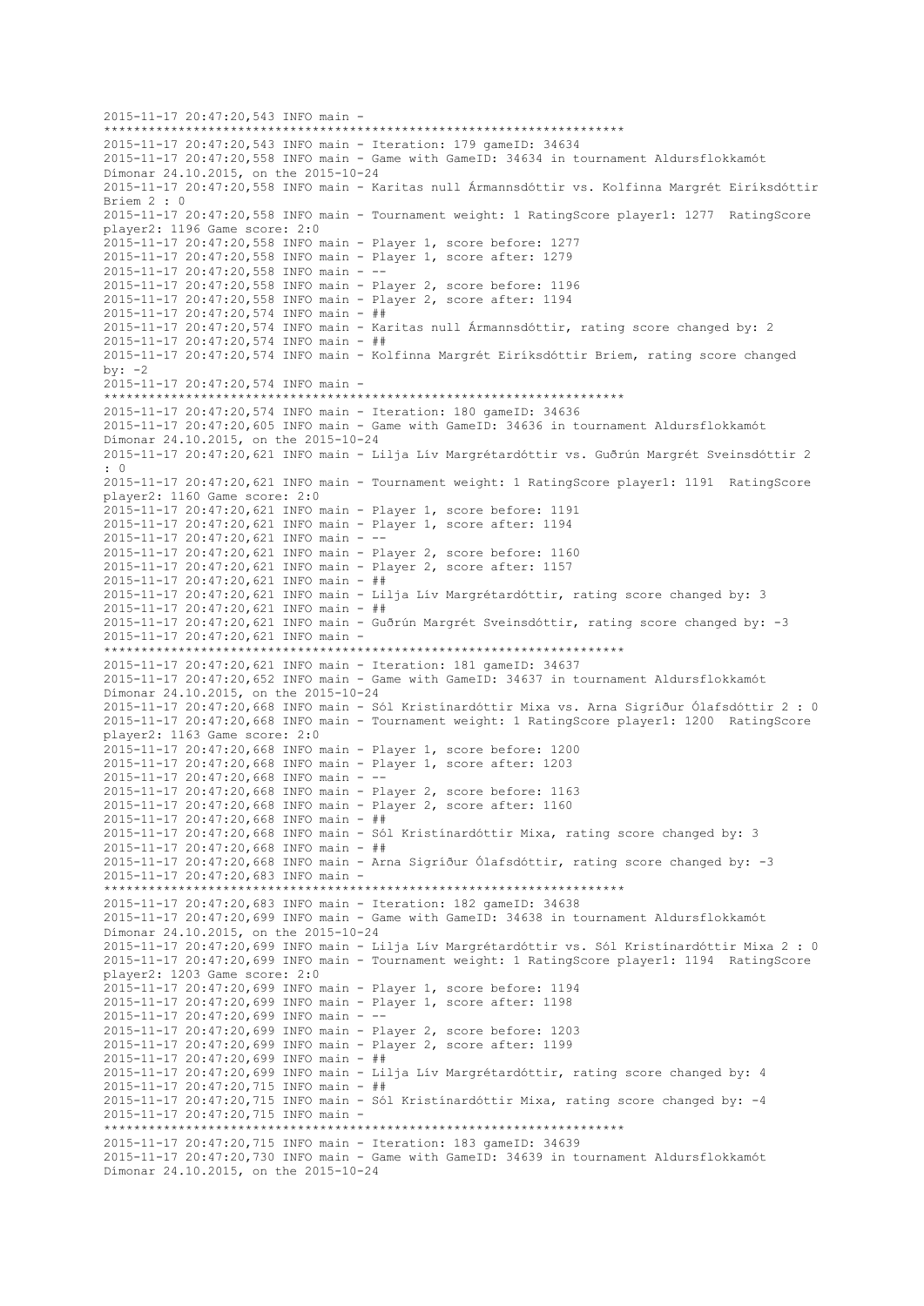2015-11-17 20:47:20,543 INFO main - \*\*\*\*\*\*\*\*\*\*\*\*\*\*\*\*\*\*\*\*\*\*\*\*\*\*\*\*\*\*\*\*\*\*\*\*\*\*\*\*\*\*\*\*\*\*\*\*\*\*\*\*\*\*\*\*\*\*\*\*\*\*\*\*\*\*\*\*\*\* 2015-11-17 20:47:20,543 INFO main - Iteration: 179 gameID: 34634 2015-11-17 20:47:20,558 INFO main - Game with GameID: 34634 in tournament Aldursflokkamót Dímonar 24.10.2015, on the 2015-10-24 2015-11-17 20:47:20,558 INFO main - Karitas null Ármannsdóttir vs. Kolfinna Margrét Eiríksdóttir Briem 2 : 0 2015-11-17 20:47:20,558 INFO main - Tournament weight: 1 RatingScore player1: 1277 RatingScore player2: 1196 Game score: 2:0 2015-11-17 20:47:20,558 INFO main - Player 1, score before: 1277 2015-11-17 20:47:20,558 INFO main - Player 1, score after: 1279 2015-11-17 20:47:20,558 INFO main - -- 2015-11-17 20:47:20,558 INFO main - Player 2, score before: 1196 2015-11-17 20:47:20,558 INFO main - Player 2, score after: 1194 2015-11-17 20:47:20,574 INFO main - ## 2015-11-17 20:47:20,574 INFO main - Karitas null Ármannsdóttir, rating score changed by: 2 2015-11-17 20:47:20,574 INFO main - ## 2015-11-17 20:47:20,574 INFO main - Kolfinna Margrét Eiríksdóttir Briem, rating score changed  $hv: -2$ 2015-11-17 20:47:20,574 INFO main - \*\*\*\*\*\*\*\*\*\*\*\*\*\*\*\*\*\*\*\*\*\*\*\*\*\*\*\*\*\*\*\*\*\*\*\*\*\*\*\*\*\*\*\*\*\*\*\*\*\*\*\*\*\*\*\*\*\*\*\*\*\*\*\*\*\*\*\*\*\* 2015-11-17 20:47:20,574 INFO main - Iteration: 180 gameID: 34636 2015-11-17 20:47:20,605 INFO main - Game with GameID: 34636 in tournament Aldursflokkamót Dímonar 24.10.2015, on the 2015-10-24 2015-11-17 20:47:20,621 INFO main - Lilja Lív Margrétardóttir vs. Guðrún Margrét Sveinsdóttir 2  $\cdot$  0 2015-11-17 20:47:20,621 INFO main - Tournament weight: 1 RatingScore player1: 1191 RatingScore player2: 1160 Game score: 2:0 2015-11-17 20:47:20,621 INFO main - Player 1, score before: 1191 2015-11-17 20:47:20,621 INFO main - Player 1, score after: 1194 2015-11-17 20:47:20,621 INFO main - -- 2015-11-17 20:47:20,621 INFO main - Player 2, score before: 1160 2015-11-17 20:47:20,621 INFO main - Player 2, score after: 1157 2015-11-17 20:47:20,621 INFO main - ## 2015-11-17 20:47:20,621 INFO main - Lilja Lív Margrétardóttir, rating score changed by: 3 2015-11-17 20:47:20,621 INFO main - ## 2015-11-17 20:47:20,621 INFO main - Guðrún Margrét Sveinsdóttir, rating score changed by: -3 2015-11-17 20:47:20,621 INFO main - \*\*\*\*\*\*\*\*\*\*\*\*\*\*\*\*\*\*\*\*\*\*\*\*\*\*\*\*\*\*\*\*\*\*\*\*\*\*\*\*\*\*\*\*\*\*\*\*\*\*\*\*\*\*\*\*\*\*\*\*\*\*\*\*\*\*\*\*\*\* 2015-11-17 20:47:20,621 INFO main - Iteration: 181 gameID: 34637 2015-11-17 20:47:20,652 INFO main - Game with GameID: 34637 in tournament Aldursflokkamót Dímonar 24.10.2015, on the 2015-10-24 2015-11-17 20:47:20,668 INFO main - Sól Kristínardóttir Mixa vs. Arna Sigríður Ólafsdóttir 2 : 0 2015-11-17 20:47:20,668 INFO main - Tournament weight: 1 RatingScore player1: 1200 RatingScore player2: 1163 Game score: 2:0 2015-11-17 20:47:20,668 INFO main - Player 1, score before: 1200 2015-11-17 20:47:20,668 INFO main - Player 1, score after: 1203 2015-11-17 20:47:20,668 INFO main - -- 2015-11-17 20:47:20,668 INFO main - Player 2, score before: 1163 2015-11-17 20:47:20,668 INFO main - Player 2, score after: 1160  $2015 - 11 - 17$   $20:47:20.668$  INFO main - ## 2015-11-17 20:47:20,668 INFO main - Sól Kristínardóttir Mixa, rating score changed by: 3 2015-11-17 20:47:20,668 INFO main - ## 2015-11-17 20:47:20,668 INFO main - Arna Sigríður Ólafsdóttir, rating score changed by: -3 2015-11-17 20:47:20,683 INFO main - \*\*\*\*\*\*\*\*\*\*\*\*\*\*\*\*\*\*\*\*\*\*\*\*\*\*\*\*\*\*\*\*\*\*\*\*\*\*\*\*\*\*\*\*\*\*\*\*\*\*\*\*\*\*\*\*\*\*\*\*\*\*\*\*\*\*\*\*\*\* 2015-11-17 20:47:20,683 INFO main - Iteration: 182 gameID: 34638 2015-11-17 20:47:20,699 INFO main - Game with GameID: 34638 in tournament Aldursflokkamót Dímonar 24.10.2015, on the 2015-10-24 2015-11-17 20:47:20,699 INFO main - Lilja Lív Margrétardóttir vs. Sól Kristínardóttir Mixa 2 : 0 2015-11-17 20:47:20,699 INFO main - Tournament weight: 1 RatingScore player1: 1194 RatingScore player2: 1203 Game score: 2:0 2015-11-17 20:47:20,699 INFO main - Player 1, score before: 1194 2015-11-17 20:47:20,699 INFO main - Player 1, score after: 1198 2015-11-17 20:47:20,699 INFO main - -- 2015-11-17 20:47:20,699 INFO main - Player 2, score before: 1203 2015-11-17 20:47:20,699 INFO main - Player 2, score after: 1199 2015-11-17 20:47:20,699 INFO main - ## 2015-11-17 20:47:20,699 INFO main - Lilja Lív Margrétardóttir, rating score changed by: 4 2015-11-17 20:47:20,715 INFO main - ## 2015-11-17 20:47:20,715 INFO main - Sól Kristínardóttir Mixa, rating score changed by: -4 2015-11-17 20:47:20,715 INFO main - \*\*\*\*\*\*\*\*\*\*\*\*\*\*\*\*\*\*\*\*\*\*\*\*\*\*\*\*\*\*\*\*\*\*\*\*\*\*\*\*\*\*\*\*\*\*\*\*\*\*\*\*\*\*\*\*\*\*\*\*\*\*\*\*\*\*\*\*\*\* 2015-11-17 20:47:20,715 INFO main - Iteration: 183 gameID: 34639 2015-11-17 20:47:20,730 INFO main - Game with GameID: 34639 in tournament Aldursflokkamót Dímonar 24.10.2015, on the 2015-10-24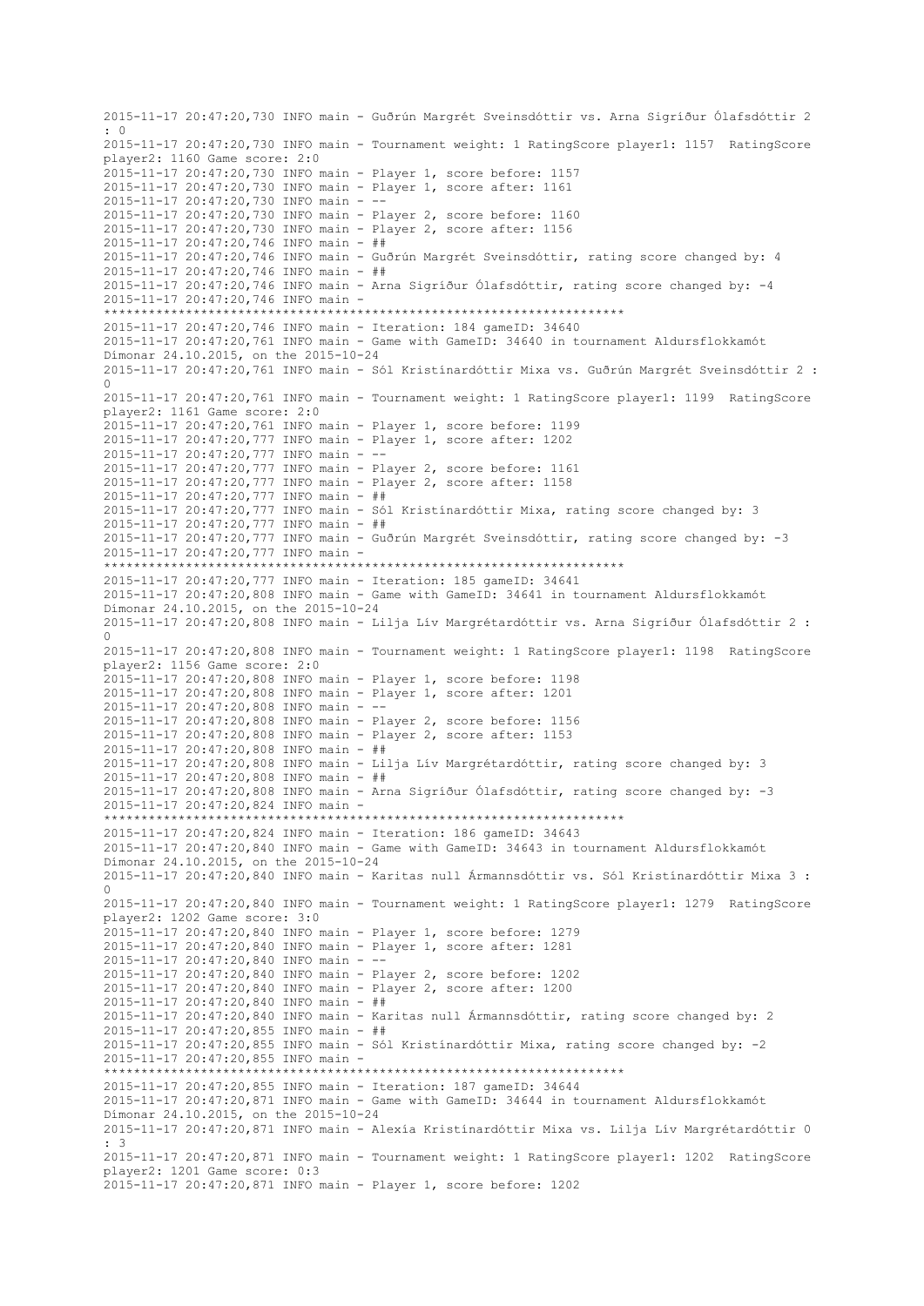2015-11-17 20:47:20,730 INFO main - Guðrún Margrét Sveinsdóttir vs. Arna Sigríður Ólafsdóttir 2 : 0 2015-11-17 20:47:20,730 INFO main - Tournament weight: 1 RatingScore player1: 1157 RatingScore player2: 1160 Game score: 2:0 2015-11-17 20:47:20,730 INFO main - Player 1, score before: 1157 2015-11-17 20:47:20,730 INFO main - Player 1, score after: 1161 2015-11-17 20:47:20,730 INFO main -2015-11-17 20:47:20,730 INFO main - Player 2, score before: 1160 2015-11-17 20:47:20,730 INFO main - Player 2, score after: 1156 2015-11-17 20:47:20,746 INFO main - ## 2015-11-17 20:47:20,746 INFO main - Guðrún Margrét Sveinsdóttir, rating score changed by: 4 2015-11-17 20:47:20,746 INFO main - ## 2015-11-17 20:47:20,746 INFO main - Arna Sigríður Ólafsdóttir, rating score changed by: -4 2015-11-17 20:47:20,746 INFO main - \*\*\*\*\*\*\*\*\*\*\*\*\*\*\*\*\*\*\*\*\*\*\*\*\*\*\*\*\*\*\*\*\*\*\*\*\*\*\*\*\*\*\*\*\*\*\*\*\*\*\*\*\*\*\*\*\*\*\*\*\*\*\*\*\*\*\*\*\*\* 2015-11-17 20:47:20,746 INFO main - Iteration: 184 gameID: 34640 2015-11-17 20:47:20,761 INFO main - Game with GameID: 34640 in tournament Aldursflokkamót Dímonar 24.10.2015, on the 2015-10-24 2015-11-17 20:47:20,761 INFO main - Sól Kristínardóttir Mixa vs. Guðrún Margrét Sveinsdóttir 2 : 0 2015-11-17 20:47:20,761 INFO main - Tournament weight: 1 RatingScore player1: 1199 RatingScore player2: 1161 Game score: 2:0 2015-11-17 20:47:20,761 INFO main - Player 1, score before: 1199 2015-11-17 20:47:20,777 INFO main - Player 1, score after: 1202 2015-11-17 20:47:20,777 INFO main - -- 2015-11-17 20:47:20,777 INFO main - Player 2, score before: 1161 2015-11-17 20:47:20,777 INFO main - Player 2, score after: 1158 2015-11-17 20:47:20,777 INFO main - ## 2015-11-17 20:47:20,777 INFO main - Sól Kristínardóttir Mixa, rating score changed by: 3 2015-11-17 20:47:20,777 INFO main - ## 2015-11-17 20:47:20,777 INFO main - Guðrún Margrét Sveinsdóttir, rating score changed by: -3 2015-11-17 20:47:20,777 INFO main - \*\*\*\*\*\*\*\*\*\*\*\*\*\*\*\*\*\*\*\*\*\*\*\*\*\*\*\*\*\*\*\*\*\*\*\*\*\*\*\*\*\*\*\*\*\*\*\*\*\*\*\*\*\*\*\*\*\*\*\*\*\*\*\*\*\*\*\*\*\* 2015-11-17 20:47:20,777 INFO main - Iteration: 185 gameID: 34641 2015-11-17 20:47:20,808 INFO main - Game with GameID: 34641 in tournament Aldursflokkamót Dímonar 24.10.2015, on the 2015-10-24 2015-11-17 20:47:20,808 INFO main - Lilja Lív Margrétardóttir vs. Arna Sigríður Ólafsdóttir 2 :  $\Omega$ 2015-11-17 20:47:20,808 INFO main - Tournament weight: 1 RatingScore player1: 1198 RatingScore player2: 1156 Game score: 2:0 2015-11-17 20:47:20,808 INFO main - Player 1, score before: 1198 2015-11-17 20:47:20,808 INFO main - Player 1, score after: 1201 2015-11-17 20:47:20,808 INFO main - -- 2015-11-17 20:47:20,808 INFO main - Player 2, score before: 1156 2015-11-17 20:47:20,808 INFO main - Player 2, score after: 1153 2015-11-17 20:47:20,808 INFO main - ## 2015-11-17 20:47:20,808 INFO main - Lilja Lív Margrétardóttir, rating score changed by: 3 2015-11-17 20:47:20,808 INFO main - ## 2015-11-17 20:47:20,808 INFO main - Arna Sigríður Ólafsdóttir, rating score changed by: -3 2015-11-17 20:47:20,824 INFO main - \*\*\*\*\*\*\*\*\*\*\*\*\*\*\*\*\*\*\*\*\*\*\*\*\*\*\*\*\*\*\*\*\*\*\*\*\*\*\*\*\*\*\*\*\*\*\*\*\*\*\*\*\*\*\*\*\*\*\*\*\*\*\*\*\*\*\*\*\*\* 2015-11-17 20:47:20,824 INFO main - Iteration: 186 gameID: 34643 2015-11-17 20:47:20,840 INFO main - Game with GameID: 34643 in tournament Aldursflokkamót Dímonar 24.10.2015, on the 2015-10-24 2015-11-17 20:47:20,840 INFO main - Karitas null Ármannsdóttir vs. Sól Kristínardóttir Mixa 3 :  $\cap$ 2015-11-17 20:47:20,840 INFO main - Tournament weight: 1 RatingScore player1: 1279 RatingScore player2: 1202 Game score: 3:0 2015-11-17 20:47:20,840 INFO main - Player 1, score before: 1279 2015-11-17 20:47:20,840 INFO main - Player 1, score after: 1281 2015-11-17 20:47:20,840 INFO main - -- 2015-11-17 20:47:20,840 INFO main - Player 2, score before: 1202 2015-11-17 20:47:20,840 INFO main - Player 2, score after: 1200 2015-11-17 20:47:20,840 INFO main - ## 2015-11-17 20:47:20,840 INFO main - Karitas null Ármannsdóttir, rating score changed by: 2 2015-11-17 20:47:20,855 INFO main - ## 2015-11-17 20:47:20,855 INFO main - Sól Kristínardóttir Mixa, rating score changed by: -2 2015-11-17 20:47:20,855 INFO main - \*\*\*\*\*\*\*\*\*\*\*\*\*\*\*\*\*\*\*\*\*\*\*\*\*\*\*\*\*\*\*\*\*\*\*\*\*\*\*\*\*\*\*\*\*\*\*\*\*\*\*\*\*\*\*\*\*\*\*\*\*\*\*\*\*\*\*\*\*\* 2015-11-17 20:47:20,855 INFO main - Iteration: 187 gameID: 34644 2015-11-17 20:47:20,871 INFO main - Game with GameID: 34644 in tournament Aldursflokkamót Dímonar 24.10.2015, on the 2015-10-24 2015-11-17 20:47:20,871 INFO main - Alexía Kristínardóttir Mixa vs. Lilja Lív Margrétardóttir 0  $\cdot$  3 2015-11-17 20:47:20,871 INFO main - Tournament weight: 1 RatingScore player1: 1202 RatingScore player2: 1201 Game score: 0:3 2015-11-17 20:47:20,871 INFO main - Player 1, score before: 1202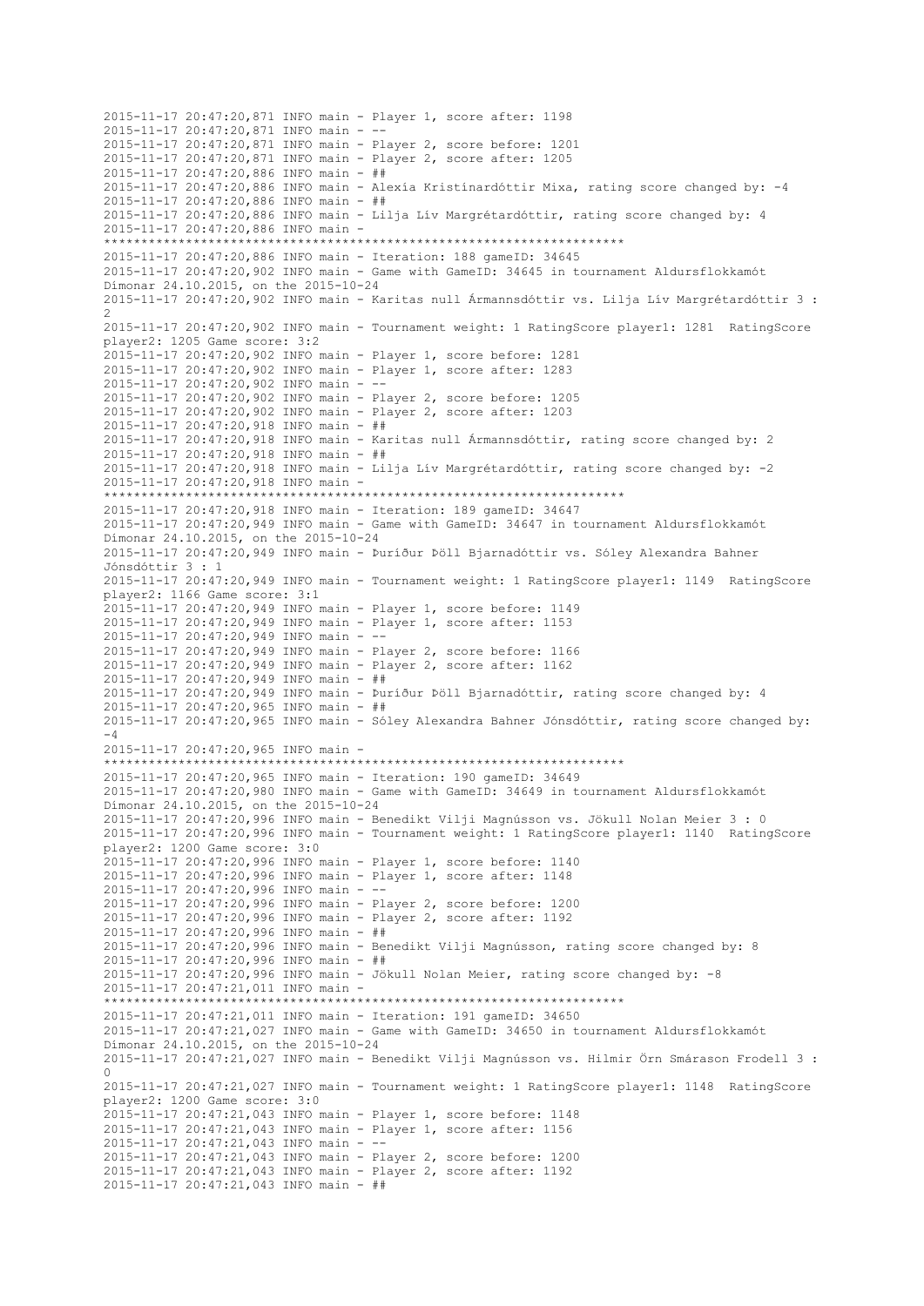2015-11-17 20:47:20,871 INFO main - Player 1, score after: 1198 2015-11-17 20:47:20,871 INFO main -2015-11-17 20:47:20,871 INFO main - Player 2, score before: 1201 2015-11-17 20:47:20,871 INFO main - Player 2, score after: 1205 2015-11-17 20:47:20,886 INFO main - ## 2015-11-17 20:47:20,886 INFO main - Alexía Kristínardóttir Mixa, rating score changed by: -4 2015-11-17 20:47:20,886 INFO main - ## 2015-11-17 20:47:20,886 INFO main - Lilja Lív Margrétardóttir, rating score changed by: 4 2015-11-17 20:47:20,886 INFO main - \*\*\*\*\*\*\*\*\*\*\*\*\*\*\*\*\*\*\*\*\*\*\*\*\*\*\*\*\*\*\*\*\*\*\*\*\*\*\*\*\*\*\*\*\*\*\*\*\*\*\*\*\*\*\*\*\*\*\*\*\*\*\*\*\*\*\*\*\*\* 2015-11-17 20:47:20,886 INFO main - Iteration: 188 gameID: 34645 2015-11-17 20:47:20,902 INFO main - Game with GameID: 34645 in tournament Aldursflokkamót Dímonar 24.10.2015, on the 2015-10-24 2015-11-17 20:47:20,902 INFO main - Karitas null Ármannsdóttir vs. Lilja Lív Margrétardóttir 3 : 2 2015-11-17 20:47:20,902 INFO main - Tournament weight: 1 RatingScore player1: 1281 RatingScore player2: 1205 Game score: 3:2 2015-11-17 20:47:20,902 INFO main - Player 1, score before: 1281 2015-11-17 20:47:20,902 INFO main - Player 1, score after: 1283 2015-11-17 20:47:20,902 INFO main - -- 2015-11-17 20:47:20,902 INFO main - Player 2, score before: 1205 2015-11-17 20:47:20,902 INFO main - Player 2, score after: 1203 2015-11-17 20:47:20,918 INFO main - ## 2015-11-17 20:47:20,918 INFO main - Karitas null Ármannsdóttir, rating score changed by: 2 2015-11-17 20:47:20,918 INFO main - ## 2015-11-17 20:47:20,918 INFO main - Lilja Lív Margrétardóttir, rating score changed by: -2 2015-11-17 20:47:20,918 INFO main - \*\*\*\*\*\*\*\*\*\*\*\*\*\*\*\*\*\*\*\*\*\*\*\*\*\*\*\*\*\*\*\*\*\*\*\*\*\*\*\*\*\*\*\*\*\*\*\*\*\*\*\*\*\*\*\*\*\*\*\*\*\*\*\*\*\*\*\*\*\* 2015-11-17 20:47:20,918 INFO main - Iteration: 189 gameID: 34647 2015-11-17 20:47:20,949 INFO main - Game with GameID: 34647 in tournament Aldursflokkamót Dímonar 24.10.2015, on the 2015-10-24 2015-11-17 20:47:20,949 INFO main - Þuríður Þöll Bjarnadóttir vs. Sóley Alexandra Bahner Jónsdóttir 3 : 1 2015-11-17 20:47:20,949 INFO main - Tournament weight: 1 RatingScore player1: 1149 RatingScore player2: 1166 Game score: 3:1 2015-11-17 20:47:20,949 INFO main - Player 1, score before: 1149 2015-11-17 20:47:20,949 INFO main - Player 1, score after: 1153 2015-11-17 20:47:20,949 INFO main - -- 2015-11-17 20:47:20,949 INFO main - Player 2, score before: 1166 2015-11-17 20:47:20,949 INFO main - Player 2, score after: 1162 2015-11-17 20:47:20,949 INFO main - ## 2015-11-17 20:47:20,949 INFO main - Þuríður Þöll Bjarnadóttir, rating score changed by: 4 2015-11-17 20:47:20,965 INFO main - ## 2015-11-17 20:47:20,965 INFO main - Sóley Alexandra Bahner Jónsdóttir, rating score changed by: -4 2015-11-17 20:47:20,965 INFO main - \*\*\*\*\*\*\*\*\*\*\*\*\*\*\*\*\*\*\*\*\*\*\*\*\*\*\*\*\*\*\*\*\*\*\*\*\*\*\*\*\*\*\*\*\*\*\*\*\*\*\*\*\*\*\*\*\*\*\*\*\*\*\*\*\*\*\*\*\*\* 2015-11-17 20:47:20,965 INFO main - Iteration: 190 gameID: 34649 2015-11-17 20:47:20,980 INFO main - Game with GameID: 34649 in tournament Aldursflokkamót Dímonar 24.10.2015, on the 2015-10-24 2015-11-17 20:47:20,996 INFO main - Benedikt Vilji Magnússon vs. Jökull Nolan Meier 3 : 0 2015-11-17 20:47:20,996 INFO main - Tournament weight: 1 RatingScore player1: 1140 RatingScore player2: 1200 Game score: 3:0 2015-11-17 20:47:20,996 INFO main - Player 1, score before: 1140 2015-11-17 20:47:20,996 INFO main - Player 1, score after: 1148 2015-11-17 20:47:20,996 INFO main - -- 2015-11-17 20:47:20,996 INFO main - Player 2, score before: 1200 2015-11-17 20:47:20,996 INFO main - Player 2, score after: 1192 2015-11-17 20:47:20,996 INFO main - ## 2015-11-17 20:47:20,996 INFO main - Benedikt Vilji Magnússon, rating score changed by: 8 2015-11-17 20:47:20,996 INFO main - ## 2015-11-17 20:47:20,996 INFO main - Jökull Nolan Meier, rating score changed by: -8 2015-11-17 20:47:21,011 INFO main - \*\*\*\*\*\*\*\*\*\*\*\*\*\*\*\*\*\*\*\*\*\*\*\*\*\*\*\*\*\*\*\*\*\*\*\*\*\*\*\*\*\*\*\*\*\*\*\*\*\*\*\*\*\*\*\*\*\*\*\*\*\*\*\*\*\*\*\*\*\* 2015-11-17 20:47:21,011 INFO main - Iteration: 191 gameID: 34650 2015-11-17 20:47:21,027 INFO main - Game with GameID: 34650 in tournament Aldursflokkamót Dímonar 24.10.2015, on the 2015-10-24 2015-11-17 20:47:21,027 INFO main - Benedikt Vilji Magnússon vs. Hilmir Örn Smárason Frodell 3 : 0 2015-11-17 20:47:21,027 INFO main - Tournament weight: 1 RatingScore player1: 1148 RatingScore player2: 1200 Game score: 3:0 2015-11-17 20:47:21,043 INFO main - Player 1, score before: 1148 2015-11-17 20:47:21,043 INFO main - Player 1, score after: 1156 2015-11-17 20:47:21,043 INFO main - -- 2015-11-17 20:47:21,043 INFO main - Player 2, score before: 1200 2015-11-17 20:47:21,043 INFO main - Player 2, score after: 1192 2015-11-17 20:47:21,043 INFO main - ##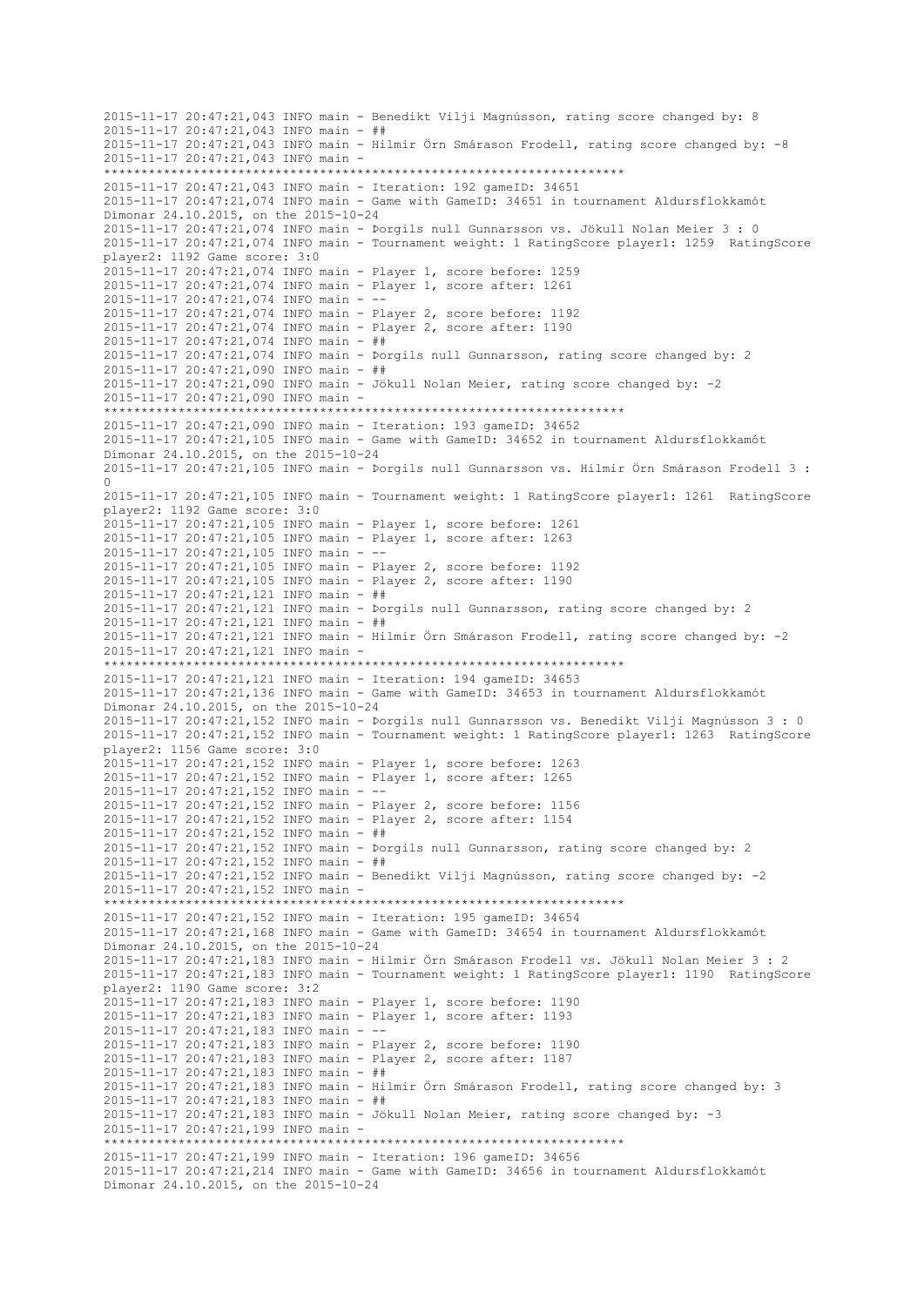2015-11-17 20:47:21,043 INFO main - Benedikt Vilji Magnússon, rating score changed by: 8 2015-11-17 20:47:21,043 INFO main - ## 2015-11-17 20:47:21,043 INFO main - Hilmir Örn Smárason Frodell, rating score changed by: -8 2015-11-17 20:47:21,043 INFO main - \*\*\*\*\*\*\*\*\*\*\*\*\*\*\*\*\*\*\*\*\*\*\*\*\*\*\*\*\*\*\*\*\*\*\*\*\*\*\*\*\*\*\*\*\*\*\*\*\*\*\*\*\*\*\*\*\*\*\*\*\*\*\*\*\*\*\*\*\*\* 2015-11-17 20:47:21,043 INFO main - Iteration: 192 gameID: 34651 2015-11-17 20:47:21,074 INFO main - Game with GameID: 34651 in tournament Aldursflokkamót Dímonar 24.10.2015, on the 2015-10-24 2015-11-17 20:47:21,074 INFO main - Þorgils null Gunnarsson vs. Jökull Nolan Meier 3 : 0 2015-11-17 20:47:21,074 INFO main - Tournament weight: 1 RatingScore player1: 1259 RatingScore player2: 1192 Game score: 3:0 2015-11-17 20:47:21,074 INFO main - Player 1, score before: 1259 2015-11-17 20:47:21,074 INFO main - Player 1, score after: 1261 2015-11-17 20:47:21,074 INFO main - -- 2015-11-17 20:47:21,074 INFO main - Player 2, score before: 1192 2015-11-17 20:47:21,074 INFO main - Player 2, score after: 1190 2015-11-17 20:47:21,074 INFO main - ## 2015-11-17 20:47:21,074 INFO main - Þorgils null Gunnarsson, rating score changed by: 2 2015-11-17 20:47:21,090 INFO main - ## 2015-11-17 20:47:21,090 INFO main - Jökull Nolan Meier, rating score changed by: -2 2015-11-17 20:47:21,090 INFO main - \*\*\*\*\*\*\*\*\*\*\*\*\*\*\*\*\*\*\*\*\*\*\*\*\*\*\*\*\*\*\*\*\*\*\*\*\*\*\*\*\*\*\*\*\*\*\*\*\*\*\*\*\*\*\*\*\*\*\*\*\*\*\*\*\*\*\*\*\*\* 2015-11-17 20:47:21,090 INFO main - Iteration: 193 gameID: 34652 2015-11-17 20:47:21,105 INFO main - Game with GameID: 34652 in tournament Aldursflokkamót Dímonar 24.10.2015, on the 2015-10-24 2015-11-17 20:47:21,105 INFO main - Þorgils null Gunnarsson vs. Hilmir Örn Smárason Frodell 3 : 0 2015-11-17 20:47:21,105 INFO main - Tournament weight: 1 RatingScore player1: 1261 RatingScore player2: 1192 Game score: 3:0 2015-11-17 20:47:21,105 INFO main - Player 1, score before: 1261 2015-11-17 20:47:21,105 INFO main - Player 1, score after: 1263 2015-11-17 20:47:21,105 INFO main - -- 2015-11-17 20:47:21,105 INFO main - Player 2, score before: 1192 2015-11-17 20:47:21,105 INFO main - Player 2, score after: 1190 2015-11-17 20:47:21,121 INFO main - ## 2015-11-17 20:47:21,121 INFO main - Þorgils null Gunnarsson, rating score changed by: 2 2015-11-17 20:47:21,121 INFO main - ## 2015-11-17 20:47:21,121 INFO main - Hilmir Örn Smárason Frodell, rating score changed by: -2 2015-11-17 20:47:21,121 INFO main - \*\*\*\*\*\*\*\*\*\*\*\*\*\*\*\*\*\*\*\*\*\*\*\*\*\*\*\*\*\*\*\*\*\*\*\*\*\*\*\*\*\*\*\*\*\*\*\*\*\*\*\*\*\*\*\*\*\*\*\*\*\*\*\*\*\*\*\*\*\* 2015-11-17 20:47:21,121 INFO main - Iteration: 194 gameID: 34653 2015-11-17 20:47:21,136 INFO main - Game with GameID: 34653 in tournament Aldursflokkamót Dímonar 24.10.2015, on the 2015-10-24 2015-11-17 20:47:21,152 INFO main - Þorgils null Gunnarsson vs. Benedikt Vilji Magnússon 3 : 0 2015-11-17 20:47:21,152 INFO main - Tournament weight: 1 RatingScore player1: 1263 RatingScore player2: 1156 Game score: 3:0 2015-11-17 20:47:21,152 INFO main - Player 1, score before: 1263 2015-11-17 20:47:21,152 INFO main - Player 1, score after: 1265 2015-11-17 20:47:21,152 INFO main - -- 2015-11-17 20:47:21,152 INFO main - Player 2, score before: 1156 2015-11-17 20:47:21,152 INFO main - Player 2, score after: 1154 2015-11-17 20:47:21,152 INFO main - ## 2015-11-17 20:47:21,152 INFO main - Þorgils null Gunnarsson, rating score changed by: 2 2015-11-17 20:47:21,152 INFO main - ## 2015-11-17 20:47:21,152 INFO main - Benedikt Vilji Magnússon, rating score changed by: -2 2015-11-17 20:47:21,152 INFO main - \*\*\*\*\*\*\*\*\*\*\*\*\*\*\*\*\*\*\*\*\*\*\*\*\*\*\*\*\*\*\*\*\*\*\*\*\*\*\*\*\*\*\*\*\*\*\*\*\*\*\*\*\*\*\*\*\*\*\*\*\*\*\*\*\*\*\*\*\*\* 2015-11-17 20:47:21,152 INFO main - Iteration: 195 gameID: 34654 2015-11-17 20:47:21,168 INFO main - Game with GameID: 34654 in tournament Aldursflokkamót Dímonar 24.10.2015, on the 2015-10-24 2015-11-17 20:47:21,183 INFO main - Hilmir Örn Smárason Frodell vs. Jökull Nolan Meier 3 : 2 2015-11-17 20:47:21,183 INFO main - Tournament weight: 1 RatingScore player1: 1190 RatingScore player2: 1190 Game score: 3:2 2015-11-17 20:47:21,183 INFO main - Player 1, score before: 1190 2015-11-17 20:47:21,183 INFO main - Player 1, score after: 1193 2015-11-17 20:47:21,183 INFO main - -- 2015-11-17 20:47:21,183 INFO main - Player 2, score before: 1190 2015-11-17 20:47:21,183 INFO main - Player 2, score after: 1187 2015-11-17 20:47:21,183 INFO main - ## 2015-11-17 20:47:21,183 INFO main - Hilmir Örn Smárason Frodell, rating score changed by: 3 2015-11-17 20:47:21,183 INFO main - ## 2015-11-17 20:47:21,183 INFO main - Jökull Nolan Meier, rating score changed by: -3 2015-11-17 20:47:21,199 INFO main - \*\*\*\*\*\*\*\*\*\*\*\*\*\*\*\*\*\*\*\*\*\*\*\*\*\*\*\*\*\*\*\*\*\*\*\*\*\*\*\*\*\*\*\*\*\*\*\*\*\*\*\*\*\*\*\*\*\*\*\*\*\*\*\*\*\*\*\*\*\* 2015-11-17 20:47:21,199 INFO main - Iteration: 196 gameID: 34656 2015-11-17 20:47:21,214 INFO main - Game with GameID: 34656 in tournament Aldursflokkamót Dímonar 24.10.2015, on the 2015-10-24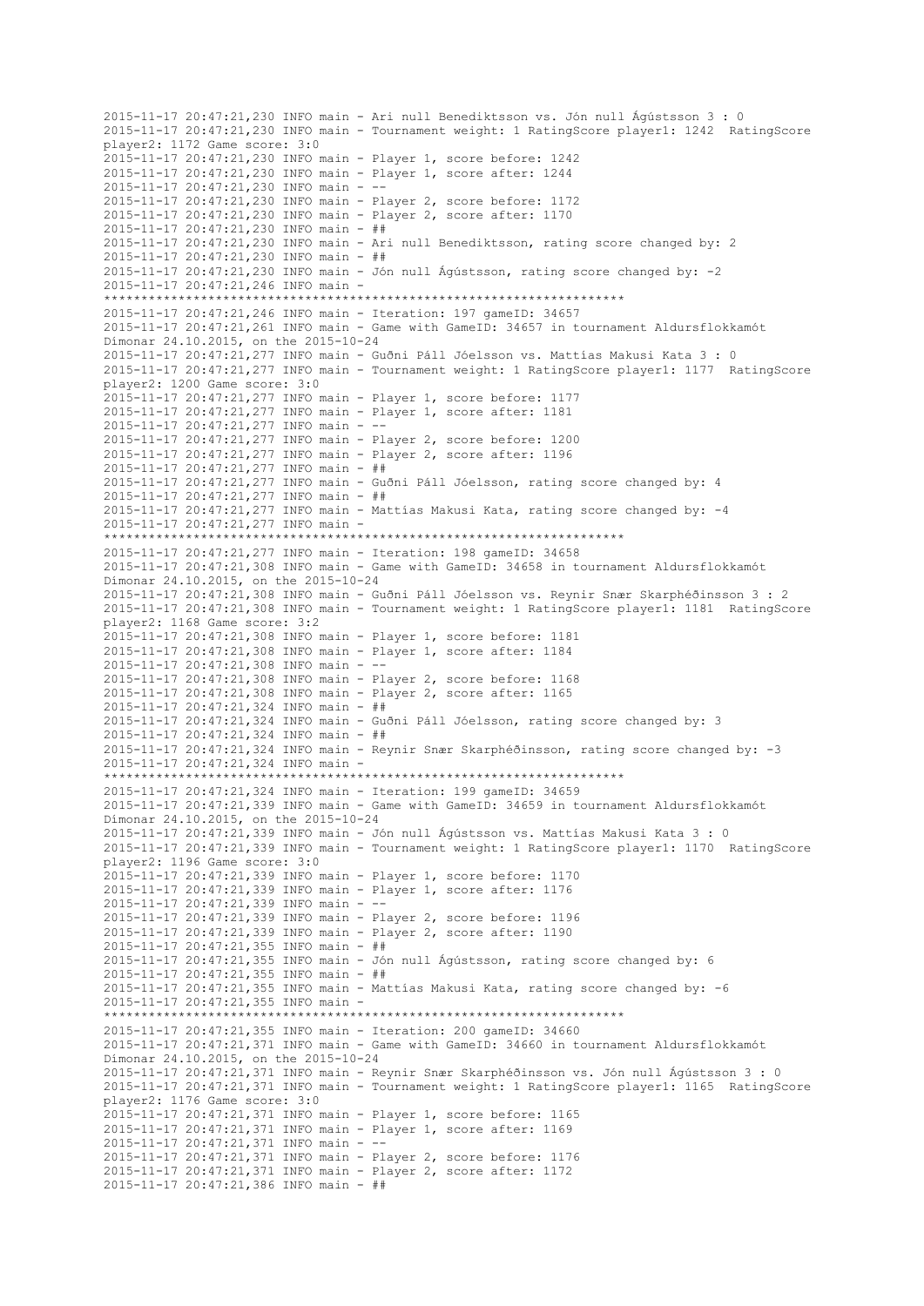2015-11-17 20:47:21,230 INFO main - Ari null Benediktsson vs. Jón null Ágústsson 3 : 0 2015-11-17 20:47:21,230 INFO main - Tournament weight: 1 RatingScore player1: 1242 RatingScore player2: 1172 Game score: 3:0 2015-11-17 20:47:21,230 INFO main - Player 1, score before: 1242 2015-11-17 20:47:21,230 INFO main - Player 1, score after: 1244 2015-11-17 20:47:21,230 INFO main - -- 2015-11-17 20:47:21,230 INFO main - Player 2, score before: 1172 2015-11-17 20:47:21,230 INFO main - Player 2, score after: 1170 2015-11-17 20:47:21,230 INFO main - ## 2015-11-17 20:47:21,230 INFO main - Ari null Benediktsson, rating score changed by: 2 2015-11-17 20:47:21,230 INFO main - ## 2015-11-17 20:47:21,230 INFO main - Jón null Ágústsson, rating score changed by: -2 2015-11-17 20:47:21,246 INFO main - \*\*\*\*\*\*\*\*\*\*\*\*\*\*\*\*\*\*\*\*\*\*\*\*\*\*\*\*\*\*\*\*\*\*\*\*\*\*\*\*\*\*\*\*\*\*\*\*\*\*\*\*\*\*\*\*\*\*\*\*\*\*\*\*\*\*\*\*\*\* 2015-11-17 20:47:21,246 INFO main - Iteration: 197 gameID: 34657 2015-11-17 20:47:21,261 INFO main - Game with GameID: 34657 in tournament Aldursflokkamót Dímonar 24.10.2015, on the 2015-10-24 2015-11-17 20:47:21,277 INFO main - Guðni Páll Jóelsson vs. Mattías Makusi Kata 3 : 0 2015-11-17 20:47:21,277 INFO main - Tournament weight: 1 RatingScore player1: 1177 RatingScore player2: 1200 Game score: 3:0 2015-11-17 20:47:21,277 INFO main - Player 1, score before: 1177 2015-11-17 20:47:21,277 INFO main - Player 1, score after: 1181 2015-11-17 20:47:21,277 INFO main - -- 2015-11-17 20:47:21,277 INFO main - Player 2, score before: 1200 2015-11-17 20:47:21,277 INFO main - Player 2, score after: 1196 2015-11-17 20:47:21,277 INFO main - ## 2015-11-17 20:47:21,277 INFO main - Guðni Páll Jóelsson, rating score changed by: 4 2015-11-17 20:47:21,277 INFO main - ## 2015-11-17 20:47:21,277 INFO main - Mattías Makusi Kata, rating score changed by: -4 2015-11-17 20:47:21,277 INFO main - \*\*\*\*\*\*\*\*\*\*\*\*\*\*\*\*\*\*\*\*\*\*\*\*\*\*\*\*\*\*\*\*\*\*\*\*\*\*\*\*\*\*\*\*\*\*\*\*\*\*\*\*\*\*\*\*\*\*\*\*\*\*\*\*\*\*\*\*\*\* 2015-11-17 20:47:21,277 INFO main - Iteration: 198 gameID: 34658 2015-11-17 20:47:21,308 INFO main - Game with GameID: 34658 in tournament Aldursflokkamót Dímonar 24.10.2015, on the 2015-10-24 2015-11-17 20:47:21,308 INFO main - Guðni Páll Jóelsson vs. Reynir Snær Skarphéðinsson 3 : 2 2015-11-17 20:47:21,308 INFO main - Tournament weight: 1 RatingScore player1: 1181 RatingScore player2: 1168 Game score: 3:2 2015-11-17 20:47:21,308 INFO main - Player 1, score before: 1181 2015-11-17 20:47:21,308 INFO main - Player 1, score after: 1184 2015-11-17 20:47:21,308 INFO main - -- 2015-11-17 20:47:21,308 INFO main - Player 2, score before: 1168 2015-11-17 20:47:21,308 INFO main - Player 2, score after: 1165 2015-11-17 20:47:21,324 INFO main - ## 2015-11-17 20:47:21,324 INFO main - Guðni Páll Jóelsson, rating score changed by: 3 2015-11-17 20:47:21,324 INFO main - ## 2015-11-17 20:47:21,324 INFO main - Reynir Snær Skarphéðinsson, rating score changed by: -3 2015-11-17 20:47:21,324 INFO main - \*\*\*\*\*\*\*\*\*\*\*\*\*\*\*\*\*\*\*\*\*\*\*\*\*\*\*\*\*\*\*\*\*\*\*\*\*\*\*\*\*\*\*\*\*\*\*\*\*\*\*\*\*\*\*\*\*\*\*\*\*\*\*\*\*\*\*\*\*\* 2015-11-17 20:47:21,324 INFO main - Iteration: 199 gameID: 34659 2015-11-17 20:47:21,339 INFO main - Game with GameID: 34659 in tournament Aldursflokkamót Dímonar 24.10.2015, on the 2015-10-24 2015-11-17 20:47:21,339 INFO main - Jón null Ágústsson vs. Mattías Makusi Kata 3 : 0 2015-11-17 20:47:21,339 INFO main - Tournament weight: 1 RatingScore player1: 1170 RatingScore player2: 1196 Game score: 3:0 2015-11-17 20:47:21,339 INFO main - Player 1, score before: 1170 2015-11-17 20:47:21,339 INFO main - Player 1, score after: 1176 2015-11-17 20:47:21,339 INFO main - -- 2015-11-17 20:47:21,339 INFO main - Player 2, score before: 1196 2015-11-17 20:47:21,339 INFO main - Player 2, score after: 1190 2015-11-17 20:47:21,355 INFO main - ## 2015-11-17 20:47:21,355 INFO main - Jón null Ágústsson, rating score changed by: 6 2015-11-17 20:47:21,355 INFO main - ## 2015-11-17 20:47:21,355 INFO main - Mattías Makusi Kata, rating score changed by: -6 2015-11-17 20:47:21,355 INFO main - \*\*\*\*\*\*\*\*\*\*\*\*\*\*\*\*\*\*\*\*\*\*\*\*\*\*\*\*\*\*\*\*\*\*\*\*\*\*\*\*\*\*\*\*\*\*\*\*\*\*\*\*\*\*\*\*\*\*\*\*\*\*\*\*\*\*\*\*\*\* 2015-11-17 20:47:21,355 INFO main - Iteration: 200 gameID: 34660 2015-11-17 20:47:21,371 INFO main - Game with GameID: 34660 in tournament Aldursflokkamót Dímonar 24.10.2015, on the 2015-10-24 2015-11-17 20:47:21,371 INFO main - Reynir Snær Skarphéðinsson vs. Jón null Ágústsson 3 : 0 2015-11-17 20:47:21,371 INFO main - Tournament weight: 1 RatingScore player1: 1165 RatingScore player2: 1176 Game score: 3:0 2015-11-17 20:47:21,371 INFO main - Player 1, score before: 1165 2015-11-17 20:47:21,371 INFO main - Player 1, score after: 1169 2015-11-17 20:47:21,371 INFO main - -- 2015-11-17 20:47:21,371 INFO main - Player 2, score before: 1176 2015-11-17 20:47:21,371 INFO main - Player 2, score after: 1172 2015-11-17 20:47:21,386 INFO main - ##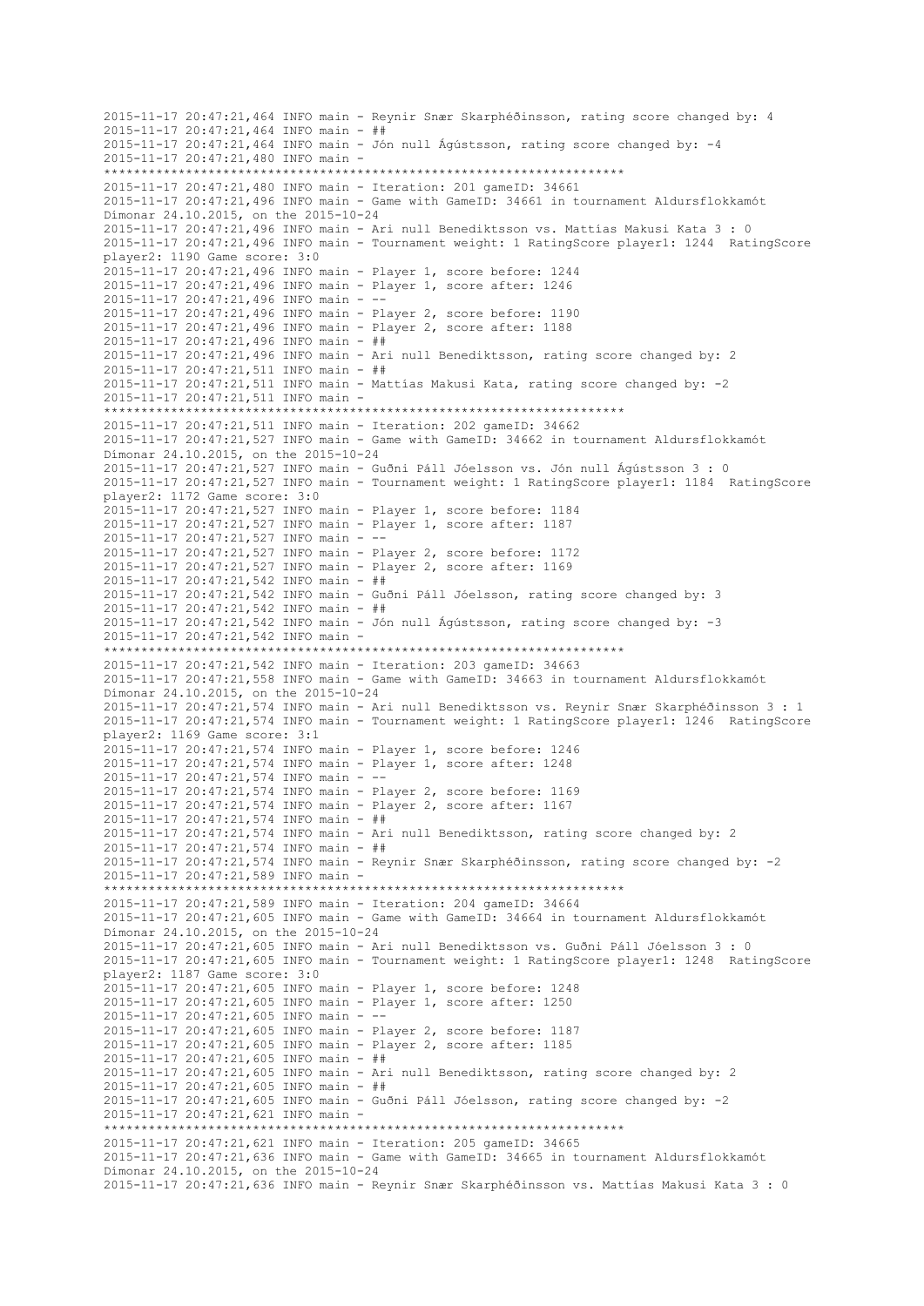```
2015-11-17 20:47:21,464 INFO main - Reynir Snær Skarphéðinsson, rating score changed by: 4
2015-11-17 20:47:21,464 INFO main - ##
2015-11-17 20:47:21,464 INFO main - Jón null Ágústsson, rating score changed by: -4
2015-11-17 20:47:21,480 INFO main -
 **********************************************************************
2015-11-17 20:47:21,480 INFO main - Iteration: 201 gameID: 34661
2015-11-17 20:47:21,496 INFO main - Game with GameID: 34661 in tournament Aldursflokkamót 
Dímonar 24.10.2015, on the 2015-10-24
2015-11-17 20:47:21,496 INFO main - Ari null Benediktsson vs. Mattías Makusi Kata 3 : 0
2015-11-17 20:47:21,496 INFO main - Tournament weight: 1 RatingScore player1: 1244 RatingScore 
player2: 1190 Game score: 3:0
2015-11-17 20:47:21,496 INFO main - Player 1, score before: 1244
2015-11-17 20:47:21,496 INFO main - Player 1, score after: 1246
2015-11-17 20:47:21,496 INFO main - --
2015-11-17 20:47:21,496 INFO main - Player 2, score before: 1190
2015-11-17 20:47:21,496 INFO main - Player 2, score after: 1188
2015-11-17 20:47:21,496 INFO main - ##
2015-11-17 20:47:21,496 INFO main - Ari null Benediktsson, rating score changed by: 2
2015-11-17 20:47:21,511 INFO main - ##
2015-11-17 20:47:21,511 INFO main - Mattías Makusi Kata, rating score changed by: -2
2015-11-17 20:47:21,511 INFO main -
                        **********************************************************************
2015-11-17 20:47:21,511 INFO main - Iteration: 202 gameID: 34662
2015-11-17 20:47:21,527 INFO main - Game with GameID: 34662 in tournament Aldursflokkamót 
Dímonar 24.10.2015, on the 2015-10-24
2015-11-17 20:47:21,527 INFO main - Guðni Páll Jóelsson vs. Jón null Ágústsson 3 : 0
2015-11-17 20:47:21,527 INFO main - Tournament weight: 1 RatingScore player1: 1184 RatingScore 
player2: 1172 Game score: 3:0
2015-11-17 20:47:21,527 INFO main - Player 1, score before: 1184
2015-11-17 20:47:21,527 INFO main - Player 1, score after: 1187
2015-11-17 20:47:21,527 INFO main - --
2015-11-17 20:47:21,527 INFO main - Player 2, score before: 1172
2015-11-17 20:47:21,527 INFO main - Player 2, score after: 1169
2015-11-17 20:47:21,542 INFO main - ##
2015-11-17 20:47:21,542 INFO main - Guðni Páll Jóelsson, rating score changed by: 3
2015-11-17 20:47:21,542 INFO main - ##
2015-11-17 20:47:21,542 INFO main - Jón null Ágústsson, rating score changed by: -3
2015-11-17 20:47:21,542 INFO main -
           **********************************************************************
2015-11-17 20:47:21,542 INFO main - Iteration: 203 gameID: 34663
2015-11-17 20:47:21,558 INFO main - Game with GameID: 34663 in tournament Aldursflokkamót 
Dímonar 24.10.2015, on the 2015-10-24
2015-11-17 20:47:21,574 INFO main - Ari null Benediktsson vs. Reynir Snær Skarphéðinsson 3 : 1
2015-11-17 20:47:21,574 INFO main - Tournament weight: 1 RatingScore player1: 1246 RatingScore 
player2: 1169 Game score: 3:1
2015-11-17 20:47:21,574 INFO main - Player 1, score before: 1246
2015-11-17 20:47:21,574 INFO main - Player 1, score after: 1248
2015-11-17 20:47:21,574 INFO main - --
2015-11-17 20:47:21,574 INFO main - Player 2, score before: 1169
2015-11-17 20:47:21,574 INFO main - Player 2, score after: 1167
2015-11-17 20:47:21,574 INFO main - ##
2015-11-17 20:47:21,574 INFO main - Ari null Benediktsson, rating score changed by: 2
2015-11-17 20:47:21,574 INFO main - ##
2015-11-17 20:47:21,574 INFO main - Reynir Snær Skarphéðinsson, rating score changed by: -2
2015-11-17 20:47:21,589 INFO main -
           **********************************************************************
2015-11-17 20:47:21,589 INFO main - Iteration: 204 gameID: 34664
2015-11-17 20:47:21,605 INFO main - Game with GameID: 34664 in tournament Aldursflokkamót 
Dímonar 24.10.2015, on the 2015-10-24
2015-11-17 20:47:21,605 INFO main - Ari null Benediktsson vs. Guðni Páll Jóelsson 3 : 0
2015-11-17 20:47:21,605 INFO main - Tournament weight: 1 RatingScore player1: 1248 RatingScore 
player2: 1187 Game score: 3:0
2015-11-17 20:47:21,605 INFO main - Player 1, score before: 1248
2015-11-17 20:47:21,605 INFO main - Player 1, score after: 1250
2015-11-17 20:47:21,605 INFO main - --
2015-11-17 20:47:21,605 INFO main - Player 2, score before: 1187
2015-11-17 20:47:21,605 INFO main - Player 2, score after: 1185
2015-11-17 20:47:21,605 INFO main - ##
2015-11-17 20:47:21,605 INFO main - Ari null Benediktsson, rating score changed by: 2
2015-11-17 20:47:21,605 INFO main - ##
2015-11-17 20:47:21,605 INFO main - Guðni Páll Jóelsson, rating score changed by: -2
2015-11-17 20:47:21,621 INFO main -
                    **********************************************************************
2015-11-17 20:47:21,621 INFO main - Iteration: 205 gameID: 34665
2015-11-17 20:47:21,636 INFO main - Game with GameID: 34665 in tournament Aldursflokkamót 
Dímonar 24.10.2015, on the 2015-10-24
2015-11-17 20:47:21,636 INFO main - Reynir Snær Skarphéðinsson vs. Mattías Makusi Kata 3 : 0
```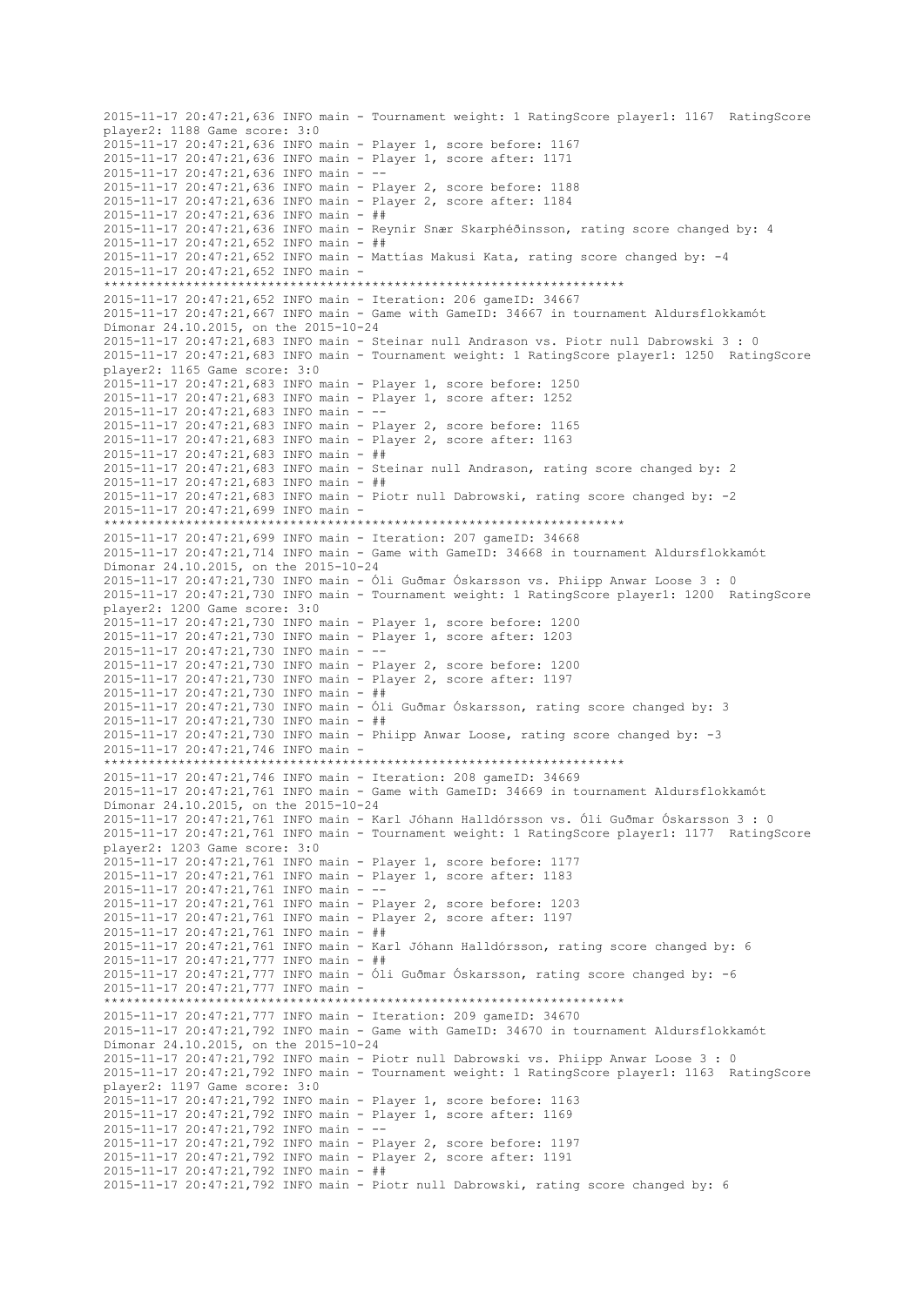2015-11-17 20:47:21,636 INFO main - Tournament weight: 1 RatingScore player1: 1167 RatingScore player2: 1188 Game score: 3:0 2015-11-17 20:47:21,636 INFO main - Player 1, score before: 1167 2015-11-17 20:47:21,636 INFO main - Player 1, score after: 1171 2015-11-17 20:47:21,636 INFO main - -- 2015-11-17 20:47:21,636 INFO main - Player 2, score before: 1188 2015-11-17 20:47:21,636 INFO main - Player 2, score after: 1184 2015-11-17 20:47:21,636 INFO main - ## 2015-11-17 20:47:21,636 INFO main - Reynir Snær Skarphéðinsson, rating score changed by: 4 2015-11-17 20:47:21,652 INFO main - ##  $2015-11-17$   $20:47:21$ , 652 INFO main - Mattías Makusi Kata, rating score changed by: -4 2015-11-17 20:47:21,652 INFO main - \*\*\*\*\*\*\*\*\*\*\*\*\*\*\*\*\*\*\*\*\*\*\*\*\*\*\*\*\*\*\*\*\*\*\*\*\*\*\*\*\*\*\*\*\*\*\*\*\*\*\*\*\*\*\*\*\*\*\*\*\*\*\*\*\*\*\*\*\*\* 2015-11-17 20:47:21,652 INFO main - Iteration: 206 gameID: 34667 2015-11-17 20:47:21,667 INFO main - Game with GameID: 34667 in tournament Aldursflokkamót Dímonar 24.10.2015, on the 2015-10-24 2015-11-17 20:47:21,683 INFO main - Steinar null Andrason vs. Piotr null Dabrowski 3 : 0 2015-11-17 20:47:21,683 INFO main - Tournament weight: 1 RatingScore player1: 1250 RatingScore player2: 1165 Game score: 3:0 2015-11-17 20:47:21,683 INFO main - Player 1, score before: 1250 2015-11-17 20:47:21,683 INFO main - Player 1, score after: 1252 2015-11-17 20:47:21,683 INFO main - -- 2015-11-17 20:47:21,683 INFO main - Player 2, score before: 1165 2015-11-17 20:47:21,683 INFO main - Player 2, score after: 1163 2015-11-17 20:47:21,683 INFO main - ## 2015-11-17 20:47:21,683 INFO main - Steinar null Andrason, rating score changed by: 2 2015-11-17 20:47:21,683 INFO main - ## 2015-11-17 20:47:21,683 INFO main - Piotr null Dabrowski, rating score changed by: -2 2015-11-17 20:47:21,699 INFO main - \*\*\*\*\*\*\*\*\*\*\*\*\*\*\*\*\*\*\*\*\*\*\*\*\*\*\*\*\*\*\*\*\*\*\*\*\*\*\*\*\*\*\*\*\*\*\*\*\*\*\*\*\*\*\*\*\*\*\*\*\*\*\*\*\*\*\*\*\*\* 2015-11-17 20:47:21,699 INFO main - Iteration: 207 gameID: 34668 2015-11-17 20:47:21,714 INFO main - Game with GameID: 34668 in tournament Aldursflokkamót Dímonar 24.10.2015, on the 2015-10-24 2015-11-17 20:47:21,730 INFO main - Óli Guðmar Óskarsson vs. Phiipp Anwar Loose 3 : 0 2015-11-17 20:47:21,730 INFO main - Tournament weight: 1 RatingScore player1: 1200 RatingScore player2: 1200 Game score: 3:0 2015-11-17 20:47:21,730 INFO main - Player 1, score before: 1200 2015-11-17 20:47:21,730 INFO main - Player 1, score after: 1203 2015-11-17 20:47:21,730 INFO main - -- 2015-11-17 20:47:21,730 INFO main - Player 2, score before: 1200 2015-11-17 20:47:21,730 INFO main - Player 2, score after: 1197 2015-11-17 20:47:21,730 INFO main - ## 2015-11-17 20:47:21,730 INFO main - Óli Guðmar Óskarsson, rating score changed by: 3 2015-11-17 20:47:21,730 INFO main - ## 2015-11-17 20:47:21,730 INFO main - Phiipp Anwar Loose, rating score changed by: -3 2015-11-17 20:47:21,746 INFO main - \*\*\*\*\*\*\*\*\*\*\*\*\*\*\*\*\*\*\*\*\*\*\*\*\*\*\*\*\*\*\*\*\*\*\*\*\*\*\*\*\*\*\*\*\*\*\*\*\*\*\*\*\*\*\*\*\*\*\*\*\*\*\*\*\*\*\*\*\*\* 2015-11-17 20:47:21,746 INFO main - Iteration: 208 gameID: 34669 2015-11-17 20:47:21,761 INFO main - Game with GameID: 34669 in tournament Aldursflokkamót Dímonar 24.10.2015, on the 2015-10-24 2015-11-17 20:47:21,761 INFO main - Karl Jóhann Halldórsson vs. Óli Guðmar Óskarsson 3 : 0 2015-11-17 20:47:21,761 INFO main - Tournament weight: 1 RatingScore player1: 1177 RatingScore player2: 1203 Game score: 3:0 2015-11-17 20:47:21,761 INFO main - Player 1, score before: 1177 2015-11-17 20:47:21,761 INFO main - Player 1, score after: 1183 2015-11-17 20:47:21,761 INFO main - -- 2015-11-17 20:47:21,761 INFO main - Player 2, score before: 1203 2015-11-17 20:47:21,761 INFO main - Player 2, score after: 1197 2015-11-17 20:47:21,761 INFO main - ## 2015-11-17 20:47:21,761 INFO main - Karl Jóhann Halldórsson, rating score changed by: 6 2015-11-17 20:47:21,777 INFO main - ## 2015-11-17 20:47:21,777 INFO main - Óli Guðmar Óskarsson, rating score changed by: -6 2015-11-17 20:47:21,777 INFO main - \*\*\*\*\*\*\*\*\*\*\*\*\*\*\*\*\*\*\*\*\*\*\*\*\*\*\*\*\*\*\*\*\*\*\*\*\*\*\*\*\*\*\*\*\*\*\*\*\*\*\*\*\*\*\*\*\*\*\*\*\*\*\*\*\*\*\*\*\*\* 2015-11-17 20:47:21,777 INFO main - Iteration: 209 gameID: 34670 2015-11-17 20:47:21,792 INFO main - Game with GameID: 34670 in tournament Aldursflokkamót Dímonar 24.10.2015, on the 2015-10-24 2015-11-17 20:47:21,792 INFO main - Piotr null Dabrowski vs. Phiipp Anwar Loose 3 : 0 2015-11-17 20:47:21,792 INFO main - Tournament weight: 1 RatingScore player1: 1163 RatingScore player2: 1197 Game score: 3:0 2015-11-17 20:47:21,792 INFO main - Player 1, score before: 1163 2015-11-17 20:47:21,792 INFO main - Player 1, score after: 1169 2015-11-17 20:47:21,792 INFO main - -- 2015-11-17 20:47:21,792 INFO main - Player 2, score before: 1197 2015-11-17 20:47:21,792 INFO main - Player 2, score after: 1191 2015-11-17 20:47:21,792 INFO main - ## 2015-11-17 20:47:21,792 INFO main - Piotr null Dabrowski, rating score changed by: 6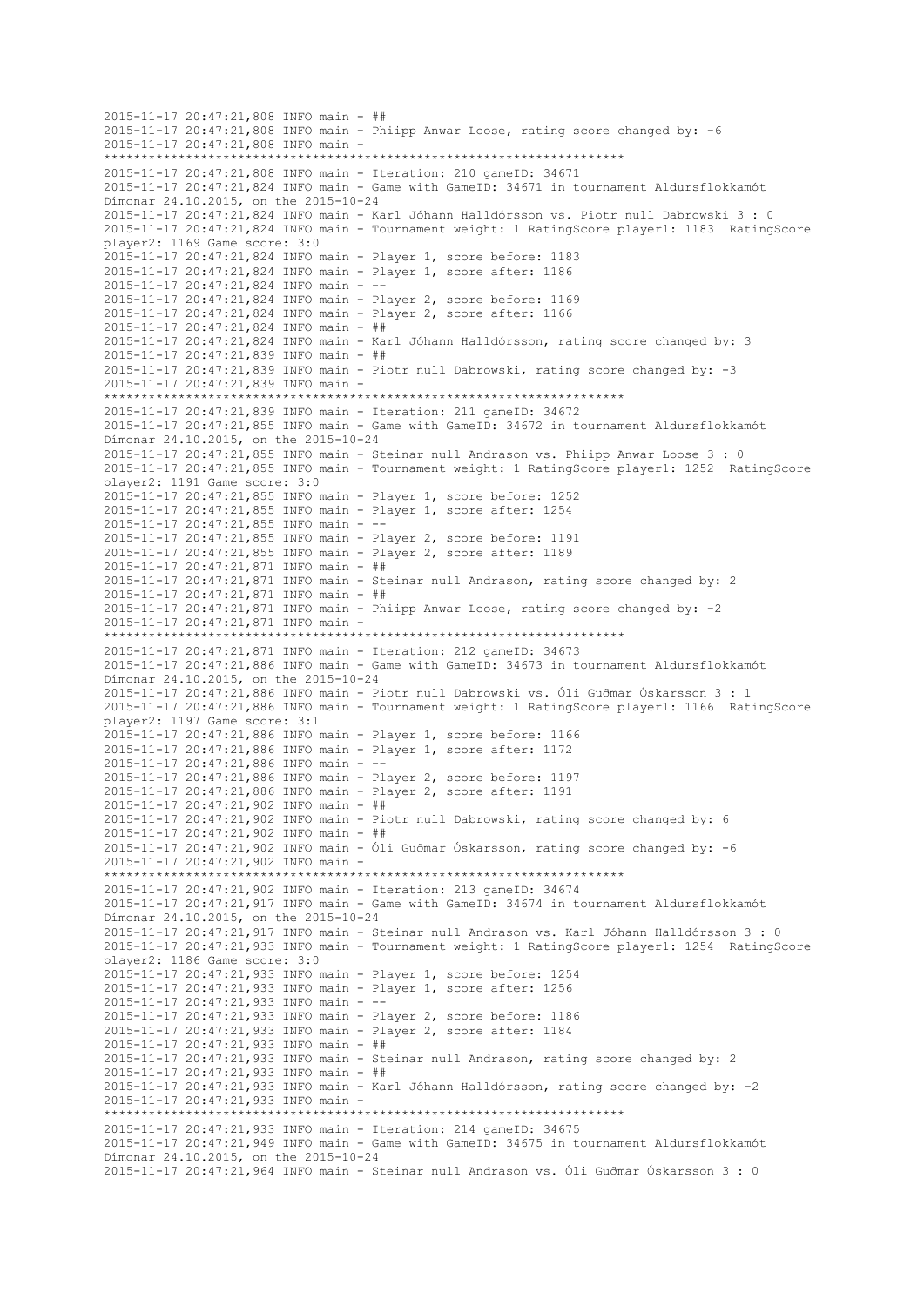```
2015-11-17 20:47:21,808 INFO main - ##
2015-11-17 20:47:21,808 INFO main - Phiipp Anwar Loose, rating score changed by: -6
2015-11-17 20:47:21,808 INFO main -
     **********************************************************************
2015-11-17 20:47:21,808 INFO main - Iteration: 210 gameID: 34671
2015-11-17 20:47:21,824 INFO main - Game with GameID: 34671 in tournament Aldursflokkamót 
Dímonar 24.10.2015, on the 2015-10-24
2015-11-17 20:47:21,824 INFO main - Karl Jóhann Halldórsson vs. Piotr null Dabrowski 3 : 0
2015-11-17 20:47:21,824 INFO main - Tournament weight: 1 RatingScore player1: 1183 RatingScore 
player2: 1169 Game score: 3:0
2015-11-17 20:47:21,824 INFO main - Player 1, score before: 1183
2015-11-17 20:47:21,824 INFO main - Player 1, score after: 1186
2015-11-17 20:47:21,824 INFO main - --
2015-11-17 20:47:21,824 INFO main - Player 2, score before: 1169
2015-11-17 20:47:21,824 INFO main - Player 2, score after: 1166
2015-11-17 20:47:21,824 INFO main - ##
2015-11-17 20:47:21,824 INFO main - Karl Jóhann Halldórsson, rating score changed by: 3
2015-11-17 20:47:21,839 INFO main - ##
2015-11-17 20:47:21,839 INFO main - Piotr null Dabrowski, rating score changed by: -3
2015-11-17 20:47:21,839 INFO main -
                    **********************************************************************
2015-11-17 20:47:21,839 INFO main - Iteration: 211 gameID: 34672
2015-11-17 20:47:21,855 INFO main - Game with GameID: 34672 in tournament Aldursflokkamót 
Dímonar 24.10.2015, on the 2015-10-24
2015-11-17 20:47:21,855 INFO main - Steinar null Andrason vs. Phiipp Anwar Loose 3 : 0
2015-11-17 20:47:21,855 INFO main - Tournament weight: 1 RatingScore player1: 1252 RatingScore 
player2: 1191 Game score: 3:0
2015-11-17 20:47:21,855 INFO main - Player 1, score before: 1252
2015-11-17 20:47:21,855 INFO main - Player 1, score after: 1254
2015-11-17 20:47:21,855 INFO main - --
2015-11-17 20:47:21,855 INFO main - Player 2, score before: 1191
2015-11-17 20:47:21,855 INFO main - Player 2, score after: 1189
2015-11-17 20:47:21,871 INFO main - ##
2015-11-17 20:47:21,871 INFO main - Steinar null Andrason, rating score changed by: 2
2015-11-17 20:47:21,871 INFO main - ##
2015-11-17 20:47:21,871 INFO main - Phiipp Anwar Loose, rating score changed by: -2
2015-11-17 20:47:21,871 INFO main -
                    **********************************************************************
2015-11-17 20:47:21,871 INFO main - Iteration: 212 gameID: 34673
2015-11-17 20:47:21,886 INFO main - Game with GameID: 34673 in tournament Aldursflokkamót 
Dímonar 24.10.2015, on the 2015-10-24
2015-11-17 20:47:21,886 INFO main - Piotr null Dabrowski vs. Óli Guðmar Óskarsson 3 : 1
2015-11-17 20:47:21,886 INFO main - Tournament weight: 1 RatingScore player1: 1166 RatingScore 
player2: 1197 Game score: 3:1
2015-11-17 20:47:21,886 INFO main - Player 1, score before: 1166
2015-11-17 20:47:21,886 INFO main - Player 1, score after: 1172
2015-11-17 20:47:21,886 INFO main - --
2015-11-17 20:47:21,886 INFO main - Player 2, score before: 1197
2015-11-17 20:47:21,886 INFO main - Player 2, score after: 1191
2015-11-17 20:47:21,902 INFO main - ##
2015-11-17 20:47:21,902 INFO main - Piotr null Dabrowski, rating score changed by: 6
2015-11-17 20:47:21,902 INFO main - ##
2015-11-17 20:47:21,902 INFO main - Óli Guðmar Óskarsson, rating score changed by: -6
2015-11-17 20:47:21,902 INFO main -
 **********************************************************************
2015-11-17 20:47:21,902 INFO main - Iteration: 213 gameID: 34674
2015-11-17 20:47:21,917 INFO main - Game with GameID: 34674 in tournament Aldursflokkamót 
Dímonar 24.10.2015, on the 2015-10-24
2015-11-17 20:47:21,917 INFO main - Steinar null Andrason vs. Karl Jóhann Halldórsson 3 : 0
2015-11-17 20:47:21,933 INFO main - Tournament weight: 1 RatingScore player1: 1254 RatingScore 
player2: 1186 Game score: 3:0
2015-11-17 20:47:21,933 INFO main - Player 1, score before: 1254
2015-11-17 20:47:21,933 INFO main - Player 1, score after: 1256
2015-11-17 20:47:21,933 INFO main -
2015-11-17 20:47:21,933 INFO main - Player 2, score before: 1186
2015-11-17 20:47:21,933 INFO main - Player 2, score after: 1184
2015-11-17 20:47:21,933 INFO main - ##
2015-11-17 20:47:21,933 INFO main - Steinar null Andrason, rating score changed by: 2
2015-11-17 20:47:21,933 INFO main - ##
2015-11-17 20:47:21,933 INFO main - Karl Jóhann Halldórsson, rating score changed by: -2
2015-11-17 20:47:21,933 INFO main -
     **********************************************************************
2015-11-17 20:47:21,933 INFO main - Iteration: 214 gameID: 34675
2015-11-17 20:47:21,949 INFO main - Game with GameID: 34675 in tournament Aldursflokkamót 
Dímonar 24.10.2015, on the 2015-10-24
2015-11-17 20:47:21,964 INFO main - Steinar null Andrason vs. Óli Guðmar Óskarsson 3 : 0
```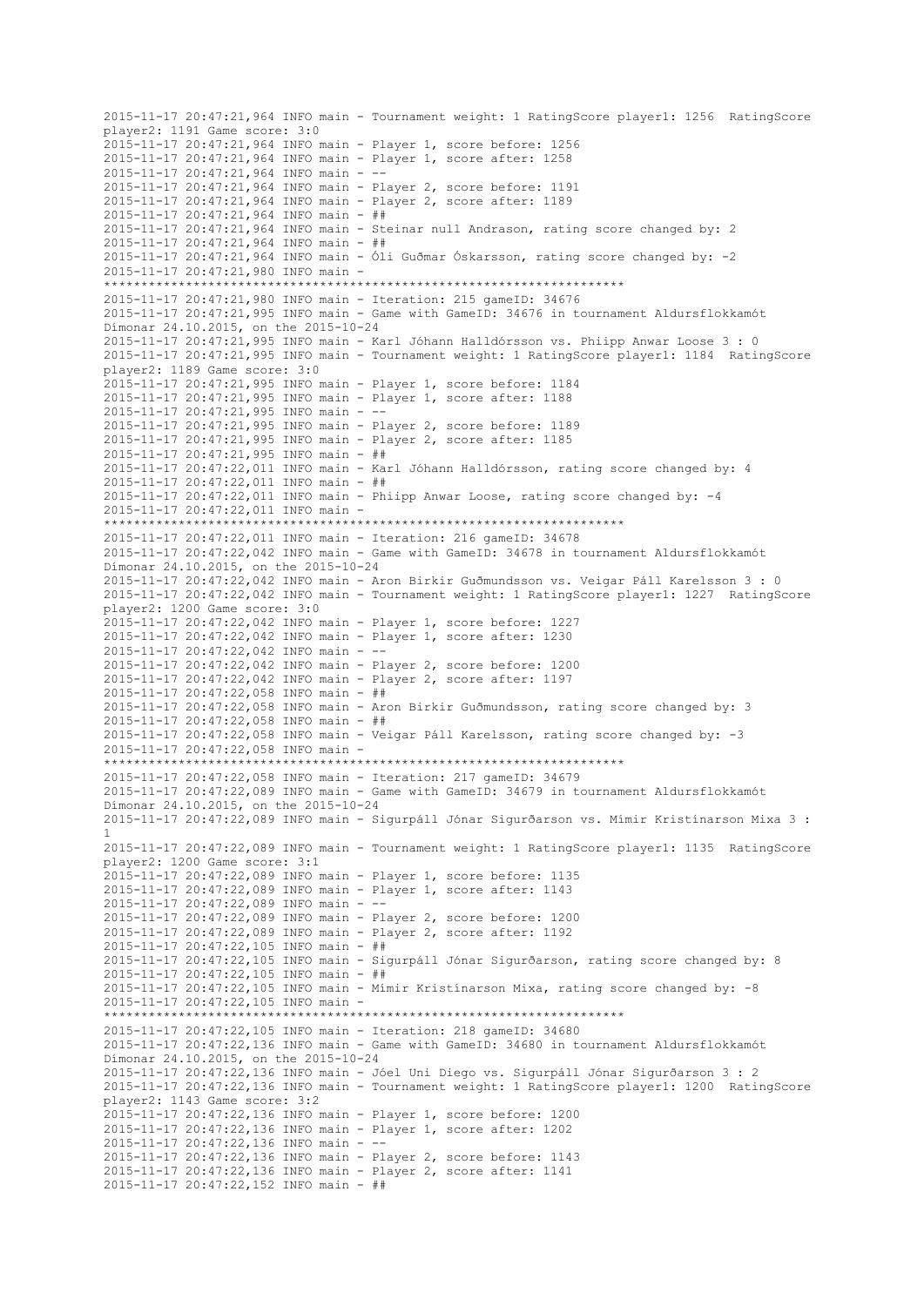2015-11-17 20:47:21,964 INFO main - Tournament weight: 1 RatingScore player1: 1256 RatingScore player2: 1191 Game score: 3:0 2015-11-17 20:47:21,964 INFO main - Player 1, score before: 1256 2015-11-17 20:47:21,964 INFO main - Player 1, score after: 1258 2015-11-17 20:47:21,964 INFO main - -- 2015-11-17 20:47:21,964 INFO main - Player 2, score before: 1191 2015-11-17 20:47:21,964 INFO main - Player 2, score after: 1189 2015-11-17 20:47:21,964 INFO main - ## 2015-11-17 20:47:21,964 INFO main - Steinar null Andrason, rating score changed by: 2 2015-11-17 20:47:21,964 INFO main - ## 2015-11-17 20:47:21,964 INFO main - Óli Guðmar Óskarsson, rating score changed by: -2 2015-11-17 20:47:21,980 INFO main - \*\*\*\*\*\*\*\*\*\*\*\*\*\*\*\*\*\*\*\*\*\*\*\*\*\*\*\*\*\*\*\*\*\*\*\*\*\*\*\*\*\*\*\*\*\*\*\*\*\*\*\*\*\*\*\*\*\*\*\*\*\*\*\*\*\*\*\*\*\* 2015-11-17 20:47:21,980 INFO main - Iteration: 215 gameID: 34676 2015-11-17 20:47:21,995 INFO main - Game with GameID: 34676 in tournament Aldursflokkamót Dímonar 24.10.2015, on the 2015-10-24 2015-11-17 20:47:21,995 INFO main - Karl Jóhann Halldórsson vs. Phiipp Anwar Loose 3 : 0 2015-11-17 20:47:21,995 INFO main - Tournament weight: 1 RatingScore player1: 1184 RatingScore player2: 1189 Game score: 3:0 2015-11-17 20:47:21,995 INFO main - Player 1, score before: 1184 2015-11-17 20:47:21,995 INFO main - Player 1, score after: 1188 2015-11-17 20:47:21,995 INFO main - -- 2015-11-17 20:47:21,995 INFO main - Player 2, score before: 1189 2015-11-17 20:47:21,995 INFO main - Player 2, score after: 1185 2015-11-17 20:47:21,995 INFO main - ## 2015-11-17 20:47:22,011 INFO main - Karl Jóhann Halldórsson, rating score changed by: 4 2015-11-17 20:47:22,011 INFO main - ## 2015-11-17 20:47:22,011 INFO main - Phiipp Anwar Loose, rating score changed by: -4 2015-11-17 20:47:22,011 INFO main - \*\*\*\*\*\*\*\*\*\*\*\*\*\*\*\*\*\*\*\*\*\*\*\*\*\*\*\*\*\*\*\*\*\*\*\*\*\*\*\*\*\*\*\*\*\*\*\*\*\*\*\*\*\*\*\*\*\*\*\*\*\*\*\*\*\*\*\*\*\* 2015-11-17 20:47:22,011 INFO main - Iteration: 216 gameID: 34678 2015-11-17 20:47:22,042 INFO main - Game with GameID: 34678 in tournament Aldursflokkamót Dímonar 24.10.2015, on the 2015-10-24 2015-11-17 20:47:22,042 INFO main - Aron Birkir Guðmundsson vs. Veigar Páll Karelsson 3 : 0 2015-11-17 20:47:22,042 INFO main - Tournament weight: 1 RatingScore player1: 1227 RatingScore player2: 1200 Game score: 3:0 2015-11-17 20:47:22,042 INFO main - Player 1, score before: 1227 2015-11-17 20:47:22,042 INFO main - Player 1, score after: 1230 2015-11-17 20:47:22,042 INFO main - -- 2015-11-17 20:47:22,042 INFO main - Player 2, score before: 1200 2015-11-17 20:47:22,042 INFO main - Player 2, score after: 1197 2015-11-17 20:47:22,058 INFO main - ## 2015-11-17 20:47:22,058 INFO main - Aron Birkir Guðmundsson, rating score changed by: 3 2015-11-17 20:47:22,058 INFO main - ## 2015-11-17 20:47:22,058 INFO main - Veigar Páll Karelsson, rating score changed by: -3 2015-11-17 20:47:22,058 INFO main - \*\*\*\*\*\*\*\*\*\*\*\*\*\*\*\*\*\*\*\*\*\*\*\*\*\*\*\*\*\*\*\*\*\*\*\*\*\*\*\*\*\*\*\*\*\*\*\*\*\*\*\*\*\*\*\*\*\*\*\*\*\*\*\*\*\*\*\*\*\* 2015-11-17 20:47:22,058 INFO main - Iteration: 217 gameID: 34679 2015-11-17 20:47:22,089 INFO main - Game with GameID: 34679 in tournament Aldursflokkamót Dímonar 24.10.2015, on the 2015-10-24 2015-11-17 20:47:22,089 INFO main - Sigurpáll Jónar Sigurðarson vs. Mímir Kristínarson Mixa 3 : 1 2015-11-17 20:47:22,089 INFO main - Tournament weight: 1 RatingScore player1: 1135 RatingScore player2: 1200 Game score: 3:1 2015-11-17 20:47:22,089 INFO main - Player 1, score before: 1135 2015-11-17 20:47:22,089 INFO main - Player 1, score after: 1143 2015-11-17 20:47:22,089 INFO main - -- 2015-11-17 20:47:22,089 INFO main - Player 2, score before: 1200 2015-11-17 20:47:22,089 INFO main - Player 2, score after: 1192 2015-11-17 20:47:22,105 INFO main - ## 2015-11-17 20:47:22,105 INFO main - Sigurpáll Jónar Sigurðarson, rating score changed by: 8 2015-11-17 20:47:22,105 INFO main - ## 2015-11-17 20:47:22,105 INFO main - Mímir Kristínarson Mixa, rating score changed by: -8 2015-11-17 20:47:22,105 INFO main - \*\*\*\*\*\*\*\*\*\*\*\*\*\*\*\*\*\*\*\*\*\*\*\*\*\*\*\*\*\*\*\*\*\*\*\*\*\*\*\*\*\*\*\*\*\*\*\*\*\*\*\*\*\*\*\*\*\*\*\*\*\*\*\*\*\*\*\*\*\* 2015-11-17 20:47:22,105 INFO main - Iteration: 218 gameID: 34680 2015-11-17 20:47:22,136 INFO main - Game with GameID: 34680 in tournament Aldursflokkamót Dímonar 24.10.2015, on the 2015-10-24 2015-11-17 20:47:22,136 INFO main - Jóel Uni Diego vs. Sigurpáll Jónar Sigurðarson 3 : 2 2015-11-17 20:47:22,136 INFO main - Tournament weight: 1 RatingScore player1: 1200 RatingScore player2: 1143 Game score: 3:2 2015-11-17 20:47:22,136 INFO main - Player 1, score before: 1200 2015-11-17 20:47:22,136 INFO main - Player 1, score after: 1202 2015-11-17 20:47:22,136 INFO main - -- 2015-11-17 20:47:22,136 INFO main - Player 2, score before: 1143 2015-11-17 20:47:22,136 INFO main - Player 2, score after: 1141 2015-11-17 20:47:22,152 INFO main - ##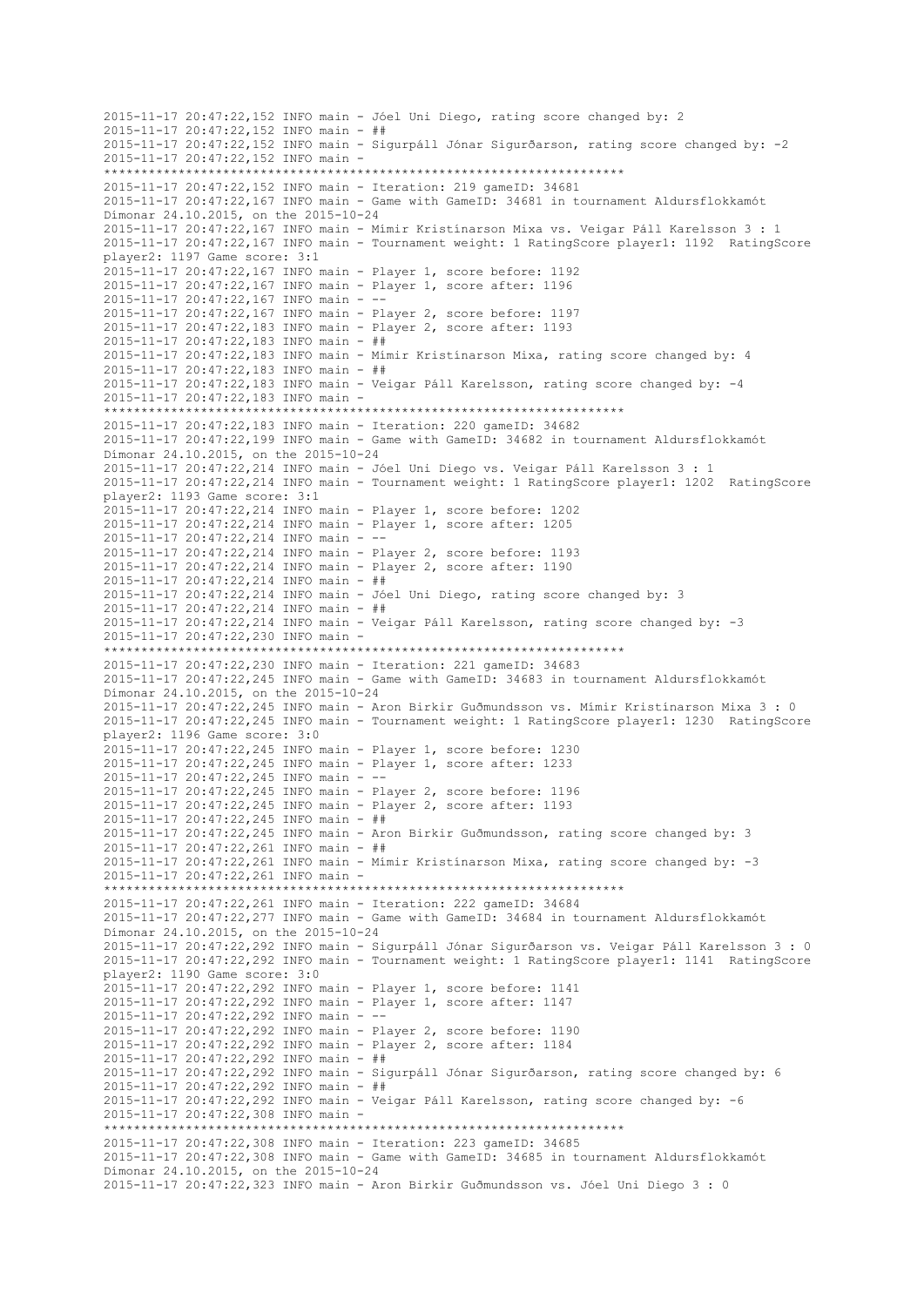```
2015-11-17 20:47:22,152 INFO main - Jóel Uni Diego, rating score changed by: 2
2015-11-17 20:47:22,152 INFO main - ##
2015-11-17 20:47:22,152 INFO main - Sigurpáll Jónar Sigurðarson, rating score changed by: -2
2015-11-17 20:47:22,152 INFO main -
 **********************************************************************
2015-11-17 20:47:22,152 INFO main - Iteration: 219 gameID: 34681
2015-11-17 20:47:22,167 INFO main - Game with GameID: 34681 in tournament Aldursflokkamót 
Dímonar 24.10.2015, on the 2015-10-24
2015-11-17 20:47:22,167 INFO main - Mímir Kristínarson Mixa vs. Veigar Páll Karelsson 3 : 1
2015-11-17 20:47:22,167 INFO main - Tournament weight: 1 RatingScore player1: 1192 RatingScore 
player2: 1197 Game score: 3:1
2015-11-17 20:47:22,167 INFO main - Player 1, score before: 1192
2015-11-17 20:47:22,167 INFO main - Player 1, score after: 1196
2015-11-17 20:47:22,167 INFO main - --
2015-11-17 20:47:22,167 INFO main - Player 2, score before: 1197
2015-11-17 20:47:22,183 INFO main - Player 2, score after: 1193
2015-11-17 20:47:22,183 INFO main - ##
2015-11-17 20:47:22,183 INFO main - Mímir Kristínarson Mixa, rating score changed by: 4
2015-11-17 20:47:22,183 INFO main - ##
2015-11-17 20:47:22,183 INFO main - Veigar Páll Karelsson, rating score changed by: -4
2015-11-17 20:47:22,183 INFO main -
                         **********************************************************************
2015-11-17 20:47:22,183 INFO main - Iteration: 220 gameID: 34682
2015-11-17 20:47:22,199 INFO main - Game with GameID: 34682 in tournament Aldursflokkamót 
Dímonar 24.10.2015, on the 2015-10-24
2015-11-17 20:47:22,214 INFO main - Jóel Uni Diego vs. Veigar Páll Karelsson 3 : 1
2015-11-17 20:47:22,214 INFO main - Tournament weight: 1 RatingScore player1: 1202 RatingScore 
player2: 1193 Game score: 3:1
2015-11-17 20:47:22,214 INFO main - Player 1, score before: 1202
2015-11-17 20:47:22,214 INFO main - Player 1, score after: 1205
2015-11-17 20:47:22,214 INFO main - --
2015-11-17 20:47:22,214 INFO main - Player 2, score before: 1193
2015-11-17 20:47:22,214 INFO main - Player 2, score after: 1190
2015-11-17 20:47:22,214 INFO main - ##
2015-11-17 20:47:22,214 INFO main - Jóel Uni Diego, rating score changed by: 3
2015-11-17 20:47:22,214 INFO main - ##
2015-11-17 20:47:22,214 INFO main - Veigar Páll Karelsson, rating score changed by: -3
2015-11-17 20:47:22,230 INFO main -
           **********************************************************************
2015-11-17 20:47:22,230 INFO main - Iteration: 221 gameID: 34683
2015-11-17 20:47:22,245 INFO main - Game with GameID: 34683 in tournament Aldursflokkamót 
Dímonar 24.10.2015, on the 2015-10-24
2015-11-17 20:47:22,245 INFO main - Aron Birkir Guðmundsson vs. Mímir Kristínarson Mixa 3 : 0
2015-11-17 20:47:22,245 INFO main - Tournament weight: 1 RatingScore player1: 1230 RatingScore 
player2: 1196 Game score: 3:0
2015-11-17 20:47:22,245 INFO main - Player 1, score before: 1230
2015-11-17 20:47:22,245 INFO main - Player 1, score after: 1233
2015-11-17 20:47:22,245 INFO main - --
2015-11-17 20:47:22,245 INFO main - Player 2, score before: 1196
2015-11-17 20:47:22,245 INFO main - Player 2, score after: 1193
2015 - 11 - 17 20:47:22.245 INFO main - ##
2015-11-17 20:47:22,245 INFO main - Aron Birkir Guðmundsson, rating score changed by: 3
2015-11-17 20:47:22,261 INFO main - ##
2015-11-17 20:47:22,261 INFO main - Mímir Kristínarson Mixa, rating score changed by: -3
2015-11-17 20:47:22,261 INFO main -
                    **********************************************************************
2015-11-17 20:47:22,261 INFO main - Iteration: 222 gameID: 34684
2015-11-17 20:47:22,277 INFO main - Game with GameID: 34684 in tournament Aldursflokkamót 
Dímonar 24.10.2015, on the 2015-10-24
2015-11-17 20:47:22,292 INFO main - Sigurpáll Jónar Sigurðarson vs. Veigar Páll Karelsson 3 : 0
2015-11-17 20:47:22,292 INFO main - Tournament weight: 1 RatingScore player1: 1141 RatingScore 
player2: 1190 Game score: 3:0
2015-11-17 20:47:22,292 INFO main - Player 1, score before: 1141
2015-11-17 20:47:22,292 INFO main - Player 1, score after: 1147
2015-11-17 20:47:22,292 INFO main - --
2015-11-17 20:47:22,292 INFO main - Player 2, score before: 1190
2015-11-17 20:47:22,292 INFO main - Player 2, score after: 1184
2015-11-17 20:47:22,292 INFO main - ##
2015-11-17 20:47:22,292 INFO main - Sigurpáll Jónar Sigurðarson, rating score changed by: 6
2015-11-17 20:47:22,292 INFO main - ##
2015-11-17 20:47:22,292 INFO main - Veigar Páll Karelsson, rating score changed by: -6
2015-11-17 20:47:22,308 INFO main -
                     **********************************************************************
2015-11-17 20:47:22,308 INFO main - Iteration: 223 gameID: 34685
2015-11-17 20:47:22,308 INFO main - Game with GameID: 34685 in tournament Aldursflokkamót 
Dímonar 24.10.2015, on the 2015-10-24
2015-11-17 20:47:22,323 INFO main - Aron Birkir Guðmundsson vs. Jóel Uni Diego 3 : 0
```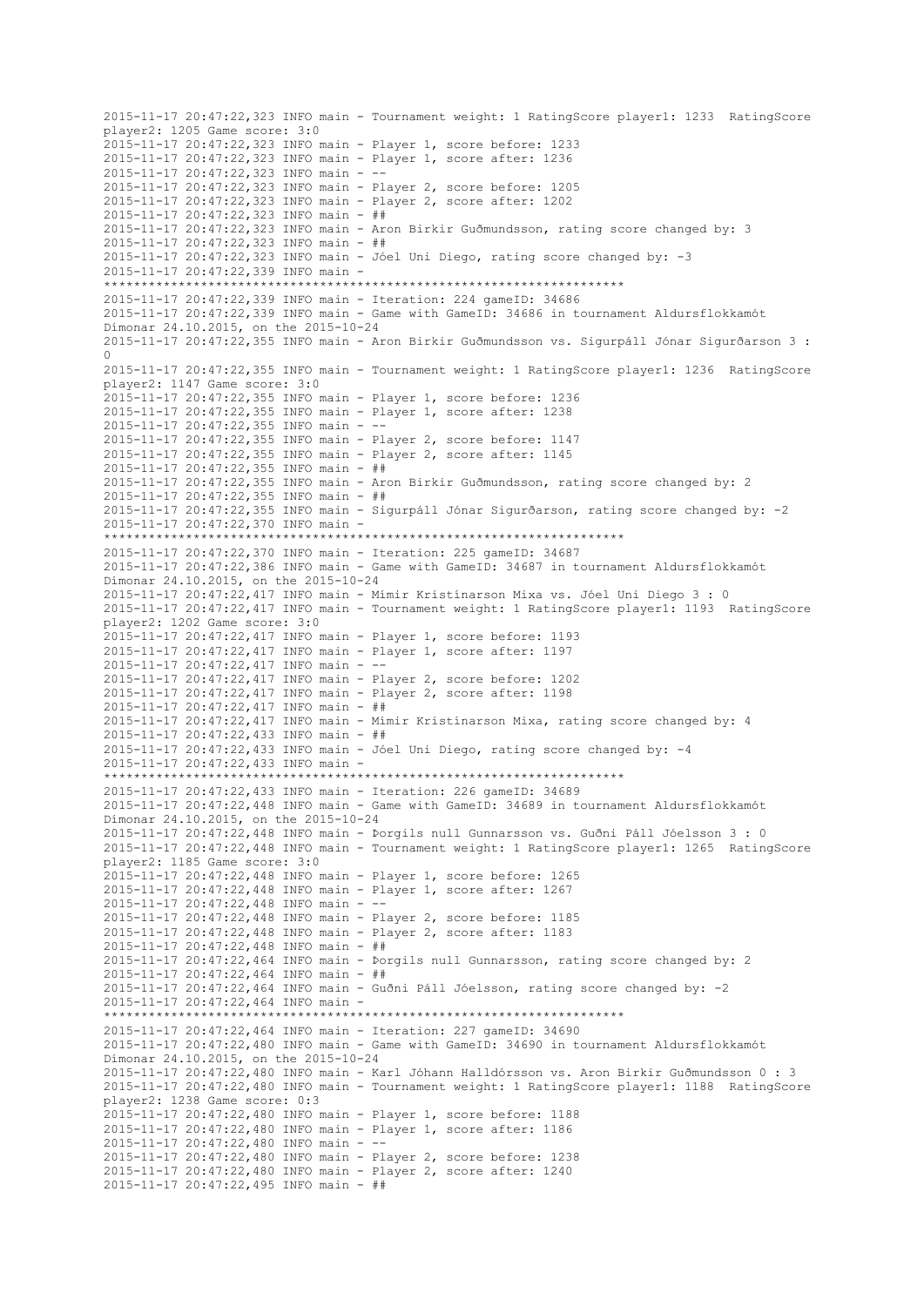2015-11-17 20:47:22,323 INFO main - Tournament weight: 1 RatingScore player1: 1233 RatingScore player2: 1205 Game score: 3:0 2015-11-17 20:47:22,323 INFO main - Player 1, score before: 1233 2015-11-17 20:47:22,323 INFO main - Player 1, score after: 1236 2015-11-17 20:47:22,323 INFO main - -- 2015-11-17 20:47:22,323 INFO main - Player 2, score before: 1205 2015-11-17 20:47:22,323 INFO main - Player 2, score after: 1202 2015-11-17 20:47:22,323 INFO main - ## 2015-11-17 20:47:22,323 INFO main - Aron Birkir Guðmundsson, rating score changed by: 3 2015-11-17 20:47:22,323 INFO main - ## 2015-11-17 20:47:22,323 INFO main - Jóel Uni Diego, rating score changed by: -3 2015-11-17 20:47:22,339 INFO main - \*\*\*\*\*\*\*\*\*\*\*\*\*\*\*\*\*\*\*\*\*\*\*\*\*\*\*\*\*\*\*\*\*\*\*\*\*\*\*\*\*\*\*\*\*\*\*\*\*\*\*\*\*\*\*\*\*\*\*\*\*\*\*\*\*\*\*\*\*\* 2015-11-17 20:47:22,339 INFO main - Iteration: 224 gameID: 34686 2015-11-17 20:47:22,339 INFO main - Game with GameID: 34686 in tournament Aldursflokkamót Dímonar 24.10.2015, on the 2015-10-24 2015-11-17 20:47:22,355 INFO main - Aron Birkir Guðmundsson vs. Sigurpáll Jónar Sigurðarson 3 : 0 2015-11-17 20:47:22,355 INFO main - Tournament weight: 1 RatingScore player1: 1236 RatingScore player2: 1147 Game score: 3:0 2015-11-17 20:47:22,355 INFO main - Player 1, score before: 1236 2015-11-17 20:47:22,355 INFO main - Player 1, score after: 1238 2015-11-17 20:47:22,355 INFO main - -- 2015-11-17 20:47:22,355 INFO main - Player 2, score before: 1147 2015-11-17 20:47:22,355 INFO main - Player 2, score after: 1145 2015-11-17 20:47:22,355 INFO main - ## 2015-11-17 20:47:22,355 INFO main - Aron Birkir Guðmundsson, rating score changed by: 2 2015-11-17 20:47:22,355 INFO main - ## 2015-11-17 20:47:22,355 INFO main - Sigurpáll Jónar Sigurðarson, rating score changed by: -2 2015-11-17 20:47:22,370 INFO main - \*\*\*\*\*\*\*\*\*\*\*\*\*\*\*\*\*\*\*\*\*\*\*\*\*\*\*\*\*\*\*\*\*\*\*\*\*\*\*\*\*\*\*\*\*\*\*\*\*\*\*\*\*\*\*\*\*\*\*\*\*\*\*\*\*\*\*\*\*\* 2015-11-17 20:47:22,370 INFO main - Iteration: 225 gameID: 34687 2015-11-17 20:47:22,386 INFO main - Game with GameID: 34687 in tournament Aldursflokkamót Dímonar 24.10.2015, on the 2015-10-24 2015-11-17 20:47:22,417 INFO main - Mímir Kristínarson Mixa vs. Jóel Uni Diego 3 : 0 2015-11-17 20:47:22,417 INFO main - Tournament weight: 1 RatingScore player1: 1193 RatingScore player2: 1202 Game score: 3:0 2015-11-17 20:47:22,417 INFO main - Player 1, score before: 1193 2015-11-17 20:47:22,417 INFO main - Player 1, score after: 1197 2015-11-17 20:47:22,417 INFO main - -- 2015-11-17 20:47:22,417 INFO main - Player 2, score before: 1202 2015-11-17 20:47:22,417 INFO main - Player 2, score after: 1198 2015-11-17 20:47:22,417 INFO main - ## 2015-11-17 20:47:22,417 INFO main - Mímir Kristínarson Mixa, rating score changed by: 4 2015-11-17 20:47:22,433 INFO main - ## 2015-11-17 20:47:22,433 INFO main - Jóel Uni Diego, rating score changed by: -4 2015-11-17 20:47:22,433 INFO main - \*\*\*\*\*\*\*\*\*\*\*\*\*\*\*\*\*\*\*\*\*\*\*\*\*\*\*\*\*\*\*\*\*\*\*\*\*\*\*\*\*\*\*\*\*\*\*\*\*\*\*\*\*\*\*\*\*\*\*\*\*\*\*\*\*\*\*\*\*\* 2015-11-17 20:47:22,433 INFO main - Iteration: 226 gameID: 34689 2015-11-17 20:47:22,448 INFO main - Game with GameID: 34689 in tournament Aldursflokkamót Dímonar 24.10.2015, on the 2015-10-24 2015-11-17 20:47:22,448 INFO main - Þorgils null Gunnarsson vs. Guðni Páll Jóelsson 3 : 0 2015-11-17 20:47:22,448 INFO main - Tournament weight: 1 RatingScore player1: 1265 RatingScore player2: 1185 Game score: 3:0 2015-11-17 20:47:22,448 INFO main - Player 1, score before: 1265 2015-11-17 20:47:22,448 INFO main - Player 1, score after: 1267 2015-11-17 20:47:22,448 INFO main - -- 2015-11-17 20:47:22,448 INFO main - Player 2, score before: 1185 2015-11-17 20:47:22,448 INFO main - Player 2, score after: 1183 2015-11-17 20:47:22,448 INFO main - ## 2015-11-17 20:47:22,464 INFO main - Þorgils null Gunnarsson, rating score changed by: 2 2015-11-17 20:47:22,464 INFO main - ## 2015-11-17 20:47:22,464 INFO main - Guðni Páll Jóelsson, rating score changed by: -2 2015-11-17 20:47:22,464 INFO main - \*\*\*\*\*\*\*\*\*\*\*\*\*\*\*\*\*\*\*\*\*\*\*\*\*\*\*\*\*\*\*\*\*\*\*\*\*\*\*\*\*\*\*\*\*\*\*\*\*\*\*\*\*\*\*\*\*\*\*\*\*\*\*\*\*\*\*\*\*\* 2015-11-17 20:47:22,464 INFO main - Iteration: 227 gameID: 34690 2015-11-17 20:47:22,480 INFO main - Game with GameID: 34690 in tournament Aldursflokkamót Dímonar 24.10.2015, on the 2015-10-24 2015-11-17 20:47:22,480 INFO main - Karl Jóhann Halldórsson vs. Aron Birkir Guðmundsson 0 : 3 2015-11-17 20:47:22,480 INFO main - Tournament weight: 1 RatingScore player1: 1188 RatingScore player2: 1238 Game score: 0:3 2015-11-17 20:47:22,480 INFO main - Player 1, score before: 1188 2015-11-17 20:47:22,480 INFO main - Player 1, score after: 1186 2015-11-17 20:47:22,480 INFO main - -- 2015-11-17 20:47:22,480 INFO main - Player 2, score before: 1238 2015-11-17 20:47:22,480 INFO main - Player 2, score after: 1240 2015-11-17 20:47:22,495 INFO main - ##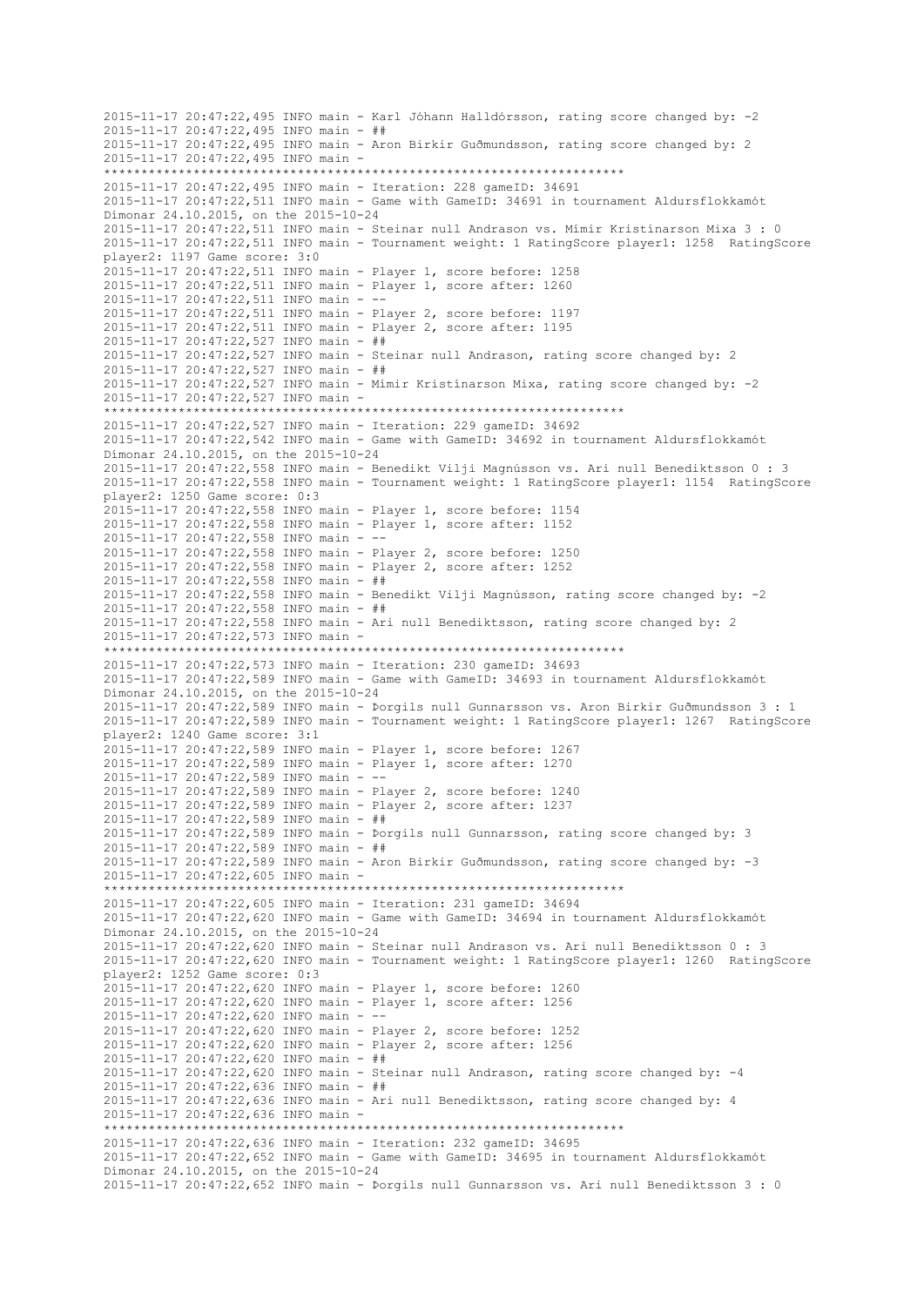```
2015-11-17 20:47:22,495 INFO main - Karl Jóhann Halldórsson, rating score changed by: -2
2015-11-17 20:47:22,495 INFO main - ##
2015-11-17 20:47:22,495 INFO main - Aron Birkir Guðmundsson, rating score changed by: 2
2015-11-17 20:47:22,495 INFO main -
 **********************************************************************
2015-11-17 20:47:22,495 INFO main - Iteration: 228 gameID: 34691
2015-11-17 20:47:22,511 INFO main - Game with GameID: 34691 in tournament Aldursflokkamót 
Dímonar 24.10.2015, on the 2015-10-24
2015-11-17 20:47:22,511 INFO main - Steinar null Andrason vs. Mímir Kristínarson Mixa 3 : 0
2015-11-17 20:47:22,511 INFO main - Tournament weight: 1 RatingScore player1: 1258 RatingScore 
player2: 1197 Game score: 3:0
2015-11-17 20:47:22,511 INFO main - Player 1, score before: 1258
2015-11-17 20:47:22,511 INFO main - Player 1, score after: 1260
2015-11-17 20:47:22,511 INFO main - --
2015-11-17 20:47:22,511 INFO main - Player 2, score before: 1197
2015-11-17 20:47:22,511 INFO main - Player 2, score after: 1195
2015-11-17 20:47:22,527 INFO main - ##
2015-11-17 20:47:22,527 INFO main - Steinar null Andrason, rating score changed by: 2
2015-11-17 20:47:22,527 INFO main - ##
2015-11-17 20:47:22,527 INFO main - Mímir Kristínarson Mixa, rating score changed by: -2
2015-11-17 20:47:22,527 INFO main -
                        **********************************************************************
2015-11-17 20:47:22,527 INFO main - Iteration: 229 gameID: 34692
2015-11-17 20:47:22,542 INFO main - Game with GameID: 34692 in tournament Aldursflokkamót 
Dímonar 24.10.2015, on the 2015-10-24
2015-11-17 20:47:22,558 INFO main - Benedikt Vilji Magnússon vs. Ari null Benediktsson 0 : 3
2015-11-17 20:47:22,558 INFO main - Tournament weight: 1 RatingScore player1: 1154 RatingScore 
player2: 1250 Game score: 0:3
2015-11-17 20:47:22,558 INFO main - Player 1, score before: 1154
2015-11-17 20:47:22,558 INFO main - Player 1, score after: 1152
2015-11-17 20:47:22,558 INFO main - --
2015-11-17 20:47:22,558 INFO main - Player 2, score before: 1250
2015-11-17 20:47:22,558 INFO main - Player 2, score after: 1252
2015-11-17 20:47:22,558 INFO main - ##
2015-11-17 20:47:22,558 INFO main - Benedikt Vilji Magnússon, rating score changed by: -2
2015-11-17 20:47:22,558 INFO main - ##
2015-11-17 20:47:22,558 INFO main - Ari null Benediktsson, rating score changed by: 2
2015-11-17 20:47:22,573 INFO main -
           **********************************************************************
2015-11-17 20:47:22,573 INFO main - Iteration: 230 gameID: 34693
2015-11-17 20:47:22,589 INFO main - Game with GameID: 34693 in tournament Aldursflokkamót 
Dímonar 24.10.2015, on the 2015-10-24
2015-11-17 20:47:22,589 INFO main - Þorgils null Gunnarsson vs. Aron Birkir Guðmundsson 3 : 1
2015-11-17 20:47:22,589 INFO main - Tournament weight: 1 RatingScore player1: 1267 RatingScore 
player2: 1240 Game score: 3:1
2015-11-17 20:47:22,589 INFO main - Player 1, score before: 1267
2015-11-17 20:47:22,589 INFO main - Player 1, score after: 1270
2015-11-17 20:47:22,589 INFO main - --
2015-11-17 20:47:22,589 INFO main - Player 2, score before: 1240
2015-11-17 20:47:22,589 INFO main - Player 2, score after: 1237
2015 - 11 - 17 20:47:22.589 INFO main - ##
2015-11-17 20:47:22,589 INFO main - Þorgils null Gunnarsson, rating score changed by: 3
2015-11-17 20:47:22,589 INFO main - ##
2015-11-17 20:47:22,589 INFO main - Aron Birkir Guðmundsson, rating score changed by: -3
2015-11-17 20:47:22,605 INFO main -
              **********************************************************************
2015-11-17 20:47:22,605 INFO main - Iteration: 231 gameID: 34694
2015-11-17 20:47:22,620 INFO main - Game with GameID: 34694 in tournament Aldursflokkamót 
Dímonar 24.10.2015, on the 2015-10-24
2015-11-17 20:47:22,620 INFO main - Steinar null Andrason vs. Ari null Benediktsson 0 : 3
2015-11-17 20:47:22,620 INFO main - Tournament weight: 1 RatingScore player1: 1260 RatingScore 
player2: 1252 Game score: 0:3
2015-11-17 20:47:22,620 INFO main - Player 1, score before: 1260
2015-11-17 20:47:22,620 INFO main - Player 1, score after: 1256
2015-11-17 20:47:22,620 INFO main - --
2015-11-17 20:47:22,620 INFO main - Player 2, score before: 1252
2015-11-17 20:47:22,620 INFO main - Player 2, score after: 1256
2015-11-17 20:47:22,620 INFO main - ##
2015-11-17 20:47:22,620 INFO main - Steinar null Andrason, rating score changed by: -4
2015-11-17 20:47:22,636 INFO main - ##
2015-11-17 20:47:22,636 INFO main - Ari null Benediktsson, rating score changed by: 4
2015-11-17 20:47:22,636 INFO main -
                     **********************************************************************
2015-11-17 20:47:22,636 INFO main - Iteration: 232 gameID: 34695
2015-11-17 20:47:22,652 INFO main - Game with GameID: 34695 in tournament Aldursflokkamót 
Dímonar 24.10.2015, on the 2015-10-24
2015-11-17 20:47:22,652 INFO main - Þorgils null Gunnarsson vs. Ari null Benediktsson 3 : 0
```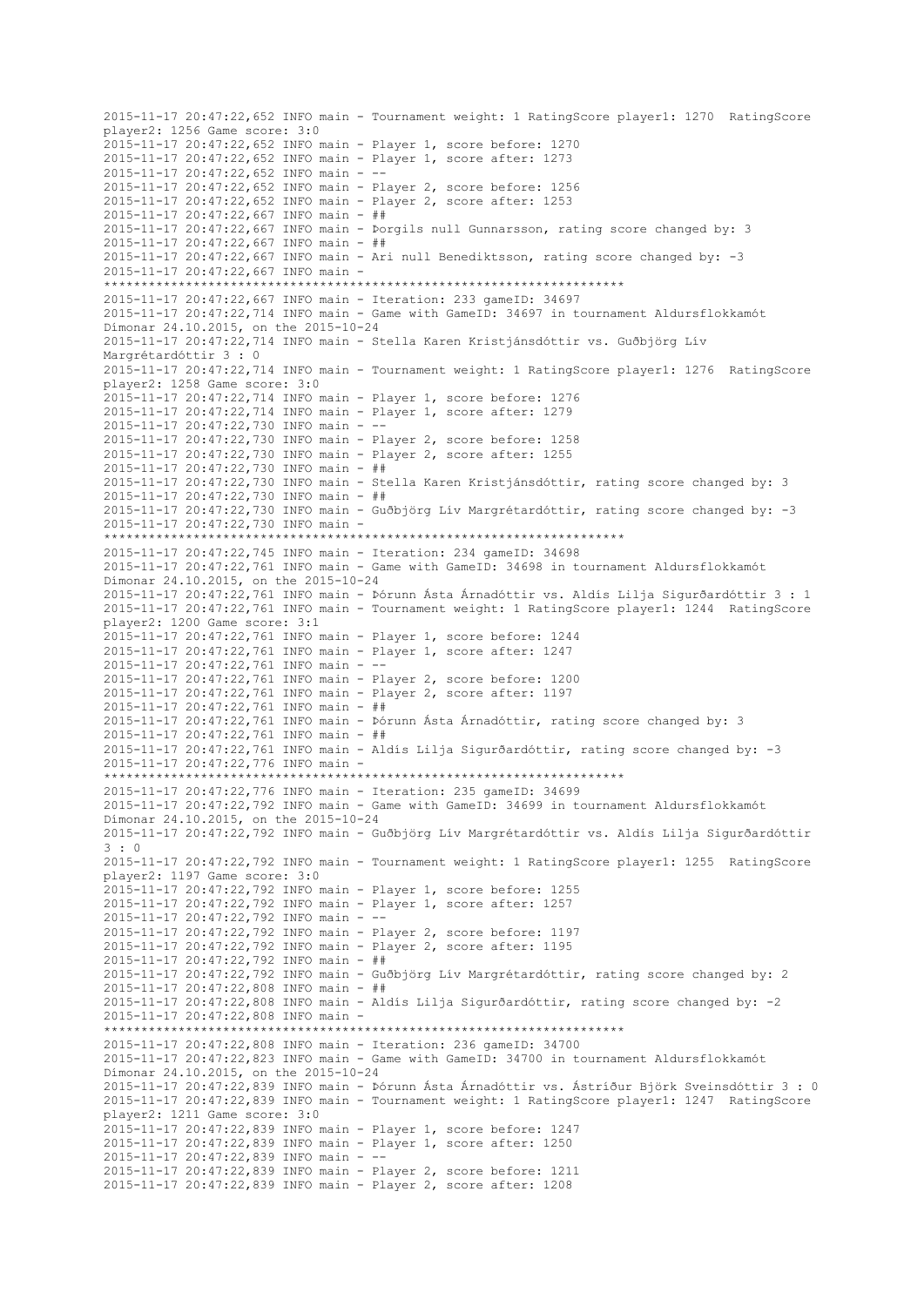2015-11-17 20:47:22,652 INFO main - Tournament weight: 1 RatingScore player1: 1270 RatingScore player2: 1256 Game score: 3:0 2015-11-17 20:47:22,652 INFO main - Player 1, score before: 1270 2015-11-17 20:47:22,652 INFO main - Player 1, score after: 1273 2015-11-17 20:47:22,652 INFO main - -- 2015-11-17 20:47:22,652 INFO main - Player 2, score before: 1256 2015-11-17 20:47:22,652 INFO main - Player 2, score after: 1253 2015-11-17 20:47:22,667 INFO main - ## 2015-11-17 20:47:22,667 INFO main - Þorgils null Gunnarsson, rating score changed by: 3 2015-11-17 20:47:22,667 INFO main - ## 2015-11-17 20:47:22,667 INFO main - Ari null Benediktsson, rating score changed by: -3 2015-11-17 20:47:22,667 INFO main - \*\*\*\*\*\*\*\*\*\*\*\*\*\*\*\*\*\*\*\*\*\*\*\*\*\*\*\*\*\*\*\*\*\*\*\*\*\*\*\*\*\*\*\*\*\*\*\*\*\*\*\*\*\*\*\*\*\*\*\*\*\*\*\*\*\*\*\*\*\* 2015-11-17 20:47:22,667 INFO main - Iteration: 233 gameID: 34697 2015-11-17 20:47:22,714 INFO main - Game with GameID: 34697 in tournament Aldursflokkamót Dímonar 24.10.2015, on the 2015-10-24 2015-11-17 20:47:22,714 INFO main - Stella Karen Kristjánsdóttir vs. Guðbjörg Lív Margrétardóttir 3 : 0 2015-11-17 20:47:22,714 INFO main - Tournament weight: 1 RatingScore player1: 1276 RatingScore player2: 1258 Game score: 3:0 2015-11-17 20:47:22,714 INFO main - Player 1, score before: 1276 2015-11-17 20:47:22,714 INFO main - Player 1, score after: 1279 2015-11-17 20:47:22,730 INFO main - -- 2015-11-17 20:47:22,730 INFO main - Player 2, score before: 1258 2015-11-17 20:47:22,730 INFO main - Player 2, score after: 1255 2015-11-17 20:47:22,730 INFO main - ## 2015-11-17 20:47:22,730 INFO main - Stella Karen Kristjánsdóttir, rating score changed by: 3 2015-11-17 20:47:22,730 INFO main - ## 2015-11-17 20:47:22,730 INFO main - Guðbjörg Lív Margrétardóttir, rating score changed by: -3 2015-11-17 20:47:22,730 INFO main - \*\*\*\*\*\*\*\*\*\*\*\*\*\*\*\*\*\*\*\*\*\*\*\*\*\*\*\*\*\*\*\*\*\*\*\*\*\*\*\*\*\*\*\*\*\*\*\*\*\*\*\*\*\*\*\*\*\*\*\*\*\*\*\*\*\*\*\*\*\* 2015-11-17 20:47:22,745 INFO main - Iteration: 234 gameID: 34698 2015-11-17 20:47:22,761 INFO main - Game with GameID: 34698 in tournament Aldursflokkamót Dímonar 24.10.2015, on the 2015-10-24 2015-11-17 20:47:22,761 INFO main - Þórunn Ásta Árnadóttir vs. Aldís Lilja Sigurðardóttir 3 : 1 2015-11-17 20:47:22,761 INFO main - Tournament weight: 1 RatingScore player1: 1244 RatingScore player2: 1200 Game score: 3:1 2015-11-17 20:47:22,761 INFO main - Player 1, score before: 1244 2015-11-17 20:47:22,761 INFO main - Player 1, score after: 1247 2015-11-17 20:47:22,761 INFO main - -- 2015-11-17 20:47:22,761 INFO main - Player 2, score before: 1200 2015-11-17 20:47:22,761 INFO main - Player 2, score after: 1197 2015-11-17 20:47:22,761 INFO main - ## 2015-11-17 20:47:22,761 INFO main - Þórunn Ásta Árnadóttir, rating score changed by: 3 2015-11-17 20:47:22,761 INFO main - ## 2015-11-17 20:47:22,761 INFO main - Aldís Lilja Sigurðardóttir, rating score changed by: -3 2015-11-17 20:47:22,776 INFO main - \*\*\*\*\*\*\*\*\*\*\*\*\*\*\*\*\*\*\*\*\*\*\*\*\*\*\*\*\*\*\*\*\*\*\*\*\*\*\*\*\*\*\*\*\*\*\*\*\*\*\*\*\*\*\*\*\*\*\*\*\*\*\*\*\*\*\*\*\*\* 2015-11-17 20:47:22,776 INFO main - Iteration: 235 gameID: 34699 2015-11-17 20:47:22,792 INFO main - Game with GameID: 34699 in tournament Aldursflokkamót Dímonar 24.10.2015, on the 2015-10-24 2015-11-17 20:47:22,792 INFO main - Guðbjörg Lív Margrétardóttir vs. Aldís Lilja Sigurðardóttir 3 : 0 2015-11-17 20:47:22,792 INFO main - Tournament weight: 1 RatingScore player1: 1255 RatingScore player2: 1197 Game score: 3:0 2015-11-17 20:47:22,792 INFO main - Player 1, score before: 1255 2015-11-17 20:47:22,792 INFO main - Player 1, score after: 1257 2015-11-17 20:47:22,792 INFO main - -- 2015-11-17 20:47:22,792 INFO main - Player 2, score before: 1197 2015-11-17 20:47:22,792 INFO main - Player 2, score after: 1195 2015-11-17 20:47:22,792 INFO main - ## 2015-11-17 20:47:22,792 INFO main - Guðbjörg Lív Margrétardóttir, rating score changed by: 2 2015-11-17 20:47:22,808 INFO main - ## 2015-11-17 20:47:22,808 INFO main - Aldís Lilja Sigurðardóttir, rating score changed by: -2 2015-11-17 20:47:22,808 INFO main - \*\*\*\*\*\*\*\*\*\*\*\*\*\*\*\*\*\*\*\*\*\*\*\*\*\*\*\*\*\*\*\*\*\*\*\*\*\*\*\*\*\*\*\*\*\*\*\*\*\*\*\*\*\*\*\*\*\*\*\*\*\*\*\*\*\*\*\*\*\* 2015-11-17 20:47:22,808 INFO main - Iteration: 236 gameID: 34700 2015-11-17 20:47:22,823 INFO main - Game with GameID: 34700 in tournament Aldursflokkamót Dímonar 24.10.2015, on the 2015-10-24 2015-11-17 20:47:22,839 INFO main - Þórunn Ásta Árnadóttir vs. Ástríður Björk Sveinsdóttir 3 : 0 2015-11-17 20:47:22,839 INFO main - Tournament weight: 1 RatingScore player1: 1247 RatingScore player2: 1211 Game score: 3:0 2015-11-17 20:47:22,839 INFO main - Player 1, score before: 1247 2015-11-17 20:47:22,839 INFO main - Player 1, score after: 1250 2015-11-17 20:47:22,839 INFO main - -- 2015-11-17 20:47:22,839 INFO main - Player 2, score before: 1211 2015-11-17 20:47:22,839 INFO main - Player 2, score after: 1208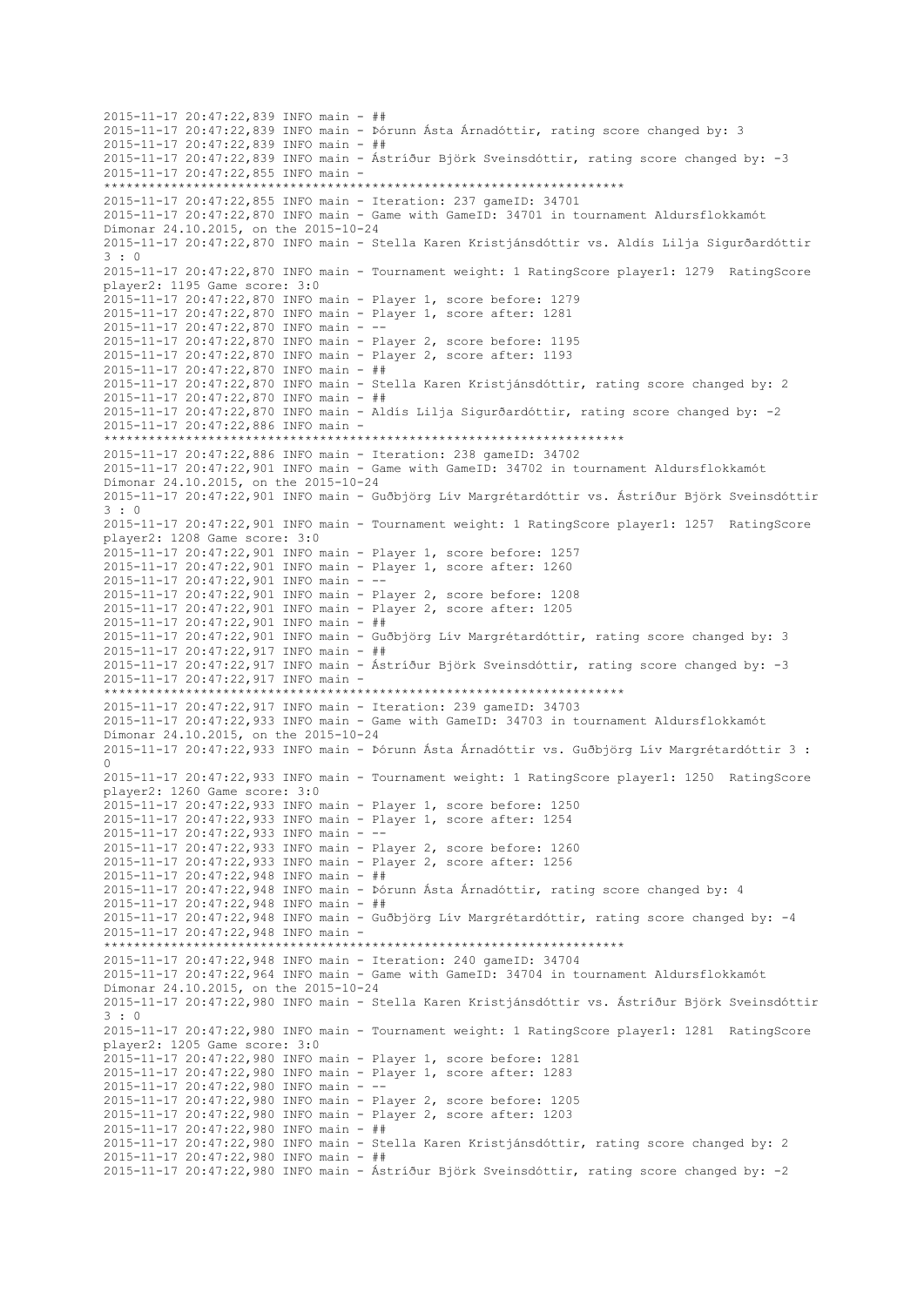2015-11-17 20:47:22,839 INFO main - ## 2015-11-17 20:47:22,839 INFO main - Þórunn Ásta Árnadóttir, rating score changed by: 3 2015-11-17 20:47:22,839 INFO main - ## 2015-11-17 20:47:22,839 INFO main - Ástríður Björk Sveinsdóttir, rating score changed by: -3 2015-11-17 20:47:22,855 INFO main - \*\*\*\*\*\*\*\*\*\*\*\*\*\*\*\*\*\*\*\*\*\*\*\*\*\*\*\*\*\*\*\*\*\*\*\*\*\*\*\*\*\*\*\*\*\*\*\*\*\*\*\*\*\*\*\*\*\*\*\*\*\*\*\*\*\*\*\*\*\* 2015-11-17 20:47:22,855 INFO main - Iteration: 237 gameID: 34701 2015-11-17 20:47:22,870 INFO main - Game with GameID: 34701 in tournament Aldursflokkamót Dímonar 24.10.2015, on the 2015-10-24 2015-11-17 20:47:22,870 INFO main - Stella Karen Kristjánsdóttir vs. Aldís Lilja Sigurðardóttir 3 : 0 2015-11-17 20:47:22,870 INFO main - Tournament weight: 1 RatingScore player1: 1279 RatingScore player2: 1195 Game score: 3:0 2015-11-17 20:47:22,870 INFO main - Player 1, score before: 1279 2015-11-17 20:47:22,870 INFO main - Player 1, score after: 1281 2015-11-17 20:47:22,870 INFO main - -- 2015-11-17 20:47:22,870 INFO main - Player 2, score before: 1195 2015-11-17 20:47:22,870 INFO main - Player 2, score after: 1193 2015-11-17 20:47:22,870 INFO main - ## 2015-11-17 20:47:22,870 INFO main - Stella Karen Kristjánsdóttir, rating score changed by: 2 2015-11-17 20:47:22,870 INFO main - ## 2015-11-17 20:47:22,870 INFO main - Aldís Lilja Sigurðardóttir, rating score changed by: -2 2015-11-17 20:47:22,886 INFO main - \*\*\*\*\*\*\*\*\*\*\*\*\*\*\*\*\*\*\*\*\*\*\*\*\*\*\*\*\*\*\*\*\*\*\*\*\*\*\*\*\*\*\*\*\*\*\*\*\*\*\*\*\*\*\*\*\*\*\*\*\*\*\*\*\*\*\*\*\*\* 2015-11-17 20:47:22,886 INFO main - Iteration: 238 gameID: 34702 2015-11-17 20:47:22,901 INFO main - Game with GameID: 34702 in tournament Aldursflokkamót Dímonar 24.10.2015, on the 2015-10-24 2015-11-17 20:47:22,901 INFO main - Guðbjörg Lív Margrétardóttir vs. Ástríður Björk Sveinsdóttir 3 : 0 2015-11-17 20:47:22,901 INFO main - Tournament weight: 1 RatingScore player1: 1257 RatingScore player2: 1208 Game score: 3:0 2015-11-17 20:47:22,901 INFO main - Player 1, score before: 1257 2015-11-17 20:47:22,901 INFO main - Player 1, score after: 1260 2015-11-17 20:47:22,901 INFO main - -- 2015-11-17 20:47:22,901 INFO main - Player 2, score before: 1208 2015-11-17 20:47:22,901 INFO main - Player 2, score after: 1205 2015-11-17 20:47:22,901 INFO main - ## 2015-11-17 20:47:22,901 INFO main - Guðbjörg Lív Margrétardóttir, rating score changed by: 3 2015-11-17 20:47:22,917 INFO main - ## 2015-11-17 20:47:22,917 INFO main - Ástríður Björk Sveinsdóttir, rating score changed by: -3 2015-11-17 20:47:22,917 INFO main - \*\*\*\*\*\*\*\*\*\*\*\*\*\*\*\*\*\*\*\*\*\*\*\*\*\*\*\*\*\*\*\*\*\*\*\*\*\*\*\*\*\*\*\*\*\*\*\*\*\*\*\*\*\*\*\*\*\*\*\*\*\*\*\*\*\*\*\*\*\* 2015-11-17 20:47:22,917 INFO main - Iteration: 239 gameID: 34703 2015-11-17 20:47:22,933 INFO main - Game with GameID: 34703 in tournament Aldursflokkamót Dímonar 24.10.2015, on the 2015-10-24 2015-11-17 20:47:22,933 INFO main - Þórunn Ásta Árnadóttir vs. Guðbjörg Lív Margrétardóttir 3 :  $\cap$ 2015-11-17 20:47:22,933 INFO main - Tournament weight: 1 RatingScore player1: 1250 RatingScore player2: 1260 Game score: 3:0 2015-11-17 20:47:22,933 INFO main - Player 1, score before: 1250 2015-11-17 20:47:22,933 INFO main - Player 1, score after: 1254 2015-11-17 20:47:22,933 INFO main - -- 2015-11-17 20:47:22,933 INFO main - Player 2, score before: 1260 2015-11-17 20:47:22,933 INFO main - Player 2, score after: 1256 2015-11-17 20:47:22,948 INFO main - ## 2015-11-17 20:47:22,948 INFO main - Þórunn Ásta Árnadóttir, rating score changed by: 4 2015-11-17 20:47:22,948 INFO main - ## 2015-11-17 20:47:22,948 INFO main - Guðbjörg Lív Margrétardóttir, rating score changed by: -4 2015-11-17 20:47:22,948 INFO main - \*\*\*\*\*\*\*\*\*\*\*\*\*\*\*\*\*\*\*\*\*\*\*\*\*\*\*\*\*\*\*\*\*\*\*\*\*\*\*\*\*\*\*\*\*\*\*\*\*\*\*\*\*\*\*\*\*\*\*\*\*\*\*\*\*\*\*\*\*\* 2015-11-17 20:47:22,948 INFO main - Iteration: 240 gameID: 34704 2015-11-17 20:47:22,964 INFO main - Game with GameID: 34704 in tournament Aldursflokkamót Dímonar 24.10.2015, on the 2015-10-24 2015-11-17 20:47:22,980 INFO main - Stella Karen Kristjánsdóttir vs. Ástríður Björk Sveinsdóttir 3 : 0 2015-11-17 20:47:22,980 INFO main - Tournament weight: 1 RatingScore player1: 1281 RatingScore player2: 1205 Game score: 3:0 2015-11-17 20:47:22,980 INFO main - Player 1, score before: 1281 2015-11-17 20:47:22,980 INFO main - Player 1, score after: 1283 2015-11-17 20:47:22,980 INFO main - -- 2015-11-17 20:47:22,980 INFO main - Player 2, score before: 1205 2015-11-17 20:47:22,980 INFO main - Player 2, score after: 1203 2015-11-17 20:47:22,980 INFO main - ## 2015-11-17 20:47:22,980 INFO main - Stella Karen Kristjánsdóttir, rating score changed by: 2 2015-11-17 20:47:22,980 INFO main - ## 2015-11-17 20:47:22,980 INFO main - Ástríður Björk Sveinsdóttir, rating score changed by: -2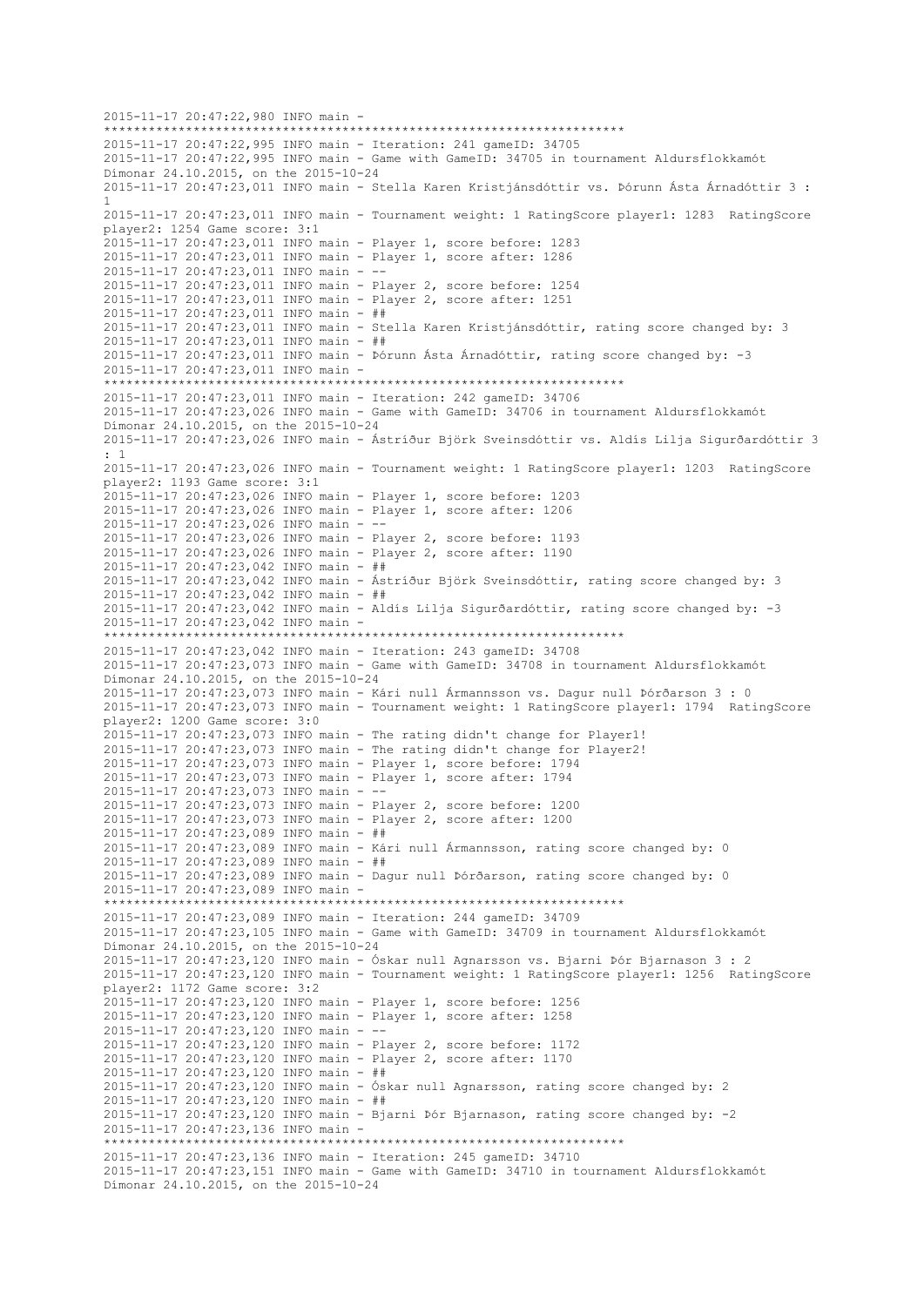2015-11-17 20:47:22,980 INFO main - \*\*\*\*\*\*\*\*\*\*\*\*\*\*\*\*\*\*\*\*\*\*\*\*\*\*\*\*\*\*\*\*\*\*\*\*\*\*\*\*\*\*\*\*\*\*\*\*\*\*\*\*\*\*\*\*\*\*\*\*\*\*\*\*\*\*\*\*\*\* 2015-11-17 20:47:22,995 INFO main - Iteration: 241 gameID: 34705 2015-11-17 20:47:22,995 INFO main - Game with GameID: 34705 in tournament Aldursflokkamót Dímonar 24.10.2015, on the 2015-10-24 2015-11-17 20:47:23,011 INFO main - Stella Karen Kristjánsdóttir vs. Þórunn Ásta Árnadóttir 3 : 1 2015-11-17 20:47:23,011 INFO main - Tournament weight: 1 RatingScore player1: 1283 RatingScore player2: 1254 Game score: 3:1 2015-11-17 20:47:23,011 INFO main - Player 1, score before: 1283 2015-11-17 20:47:23,011 INFO main - Player 1, score after: 1286 2015-11-17 20:47:23,011 INFO main - -- 2015-11-17 20:47:23,011 INFO main - Player 2, score before: 1254 2015-11-17 20:47:23,011 INFO main - Player 2, score after: 1251 2015-11-17 20:47:23,011 INFO main - ## 2015-11-17 20:47:23,011 INFO main - Stella Karen Kristjánsdóttir, rating score changed by: 3 2015-11-17 20:47:23,011 INFO main - ## 2015-11-17 20:47:23,011 INFO main - Þórunn Ásta Árnadóttir, rating score changed by: -3 2015-11-17 20:47:23,011 INFO main - \*\*\*\*\*\*\*\*\*\*\*\*\*\*\*\*\*\*\*\*\*\*\*\*\*\*\*\*\*\*\*\*\*\*\*\*\*\*\*\*\*\*\*\*\*\*\*\*\*\*\*\*\*\*\*\*\*\*\*\*\*\*\*\*\*\*\*\*\*\* 2015-11-17 20:47:23,011 INFO main - Iteration: 242 gameID: 34706 2015-11-17 20:47:23,026 INFO main - Game with GameID: 34706 in tournament Aldursflokkamót Dímonar 24.10.2015, on the 2015-10-24 2015-11-17 20:47:23,026 INFO main - Ástríður Björk Sveinsdóttir vs. Aldís Lilja Sigurðardóttir 3 : 1 2015-11-17 20:47:23,026 INFO main - Tournament weight: 1 RatingScore player1: 1203 RatingScore player2: 1193 Game score: 3:1 2015-11-17 20:47:23,026 INFO main - Player 1, score before: 1203 2015-11-17 20:47:23,026 INFO main - Player 1, score after: 1206  $2015 - 11 - 17$   $20:47:23.026$  INFO main - --2015-11-17 20:47:23,026 INFO main - Player 2, score before: 1193 2015-11-17 20:47:23,026 INFO main - Player 2, score after: 1190 2015-11-17 20:47:23,042 INFO main - ## 2015-11-17 20:47:23,042 INFO main - Ástríður Björk Sveinsdóttir, rating score changed by: 3 2015-11-17 20:47:23,042 INFO main - ## 2015-11-17 20:47:23,042 INFO main - Aldís Lilja Sigurðardóttir, rating score changed by: -3 2015-11-17 20:47:23,042 INFO main - \*\*\*\*\*\*\*\*\*\*\*\*\*\*\*\*\*\*\*\*\*\*\*\*\*\*\*\*\*\*\*\*\*\*\*\*\*\*\*\*\*\*\*\*\*\*\*\*\*\*\*\*\*\*\*\*\*\*\*\*\*\*\*\*\*\*\*\*\*\* 2015-11-17 20:47:23,042 INFO main - Iteration: 243 gameID: 34708 2015-11-17 20:47:23,073 INFO main - Game with GameID: 34708 in tournament Aldursflokkamót Dímonar 24.10.2015, on the 2015-10-24 2015-11-17 20:47:23,073 INFO main - Kári null Ármannsson vs. Dagur null Þórðarson 3 : 0 2015-11-17 20:47:23,073 INFO main - Tournament weight: 1 RatingScore player1: 1794 RatingScore player2: 1200 Game score: 3:0 2015-11-17 20:47:23,073 INFO main - The rating didn't change for Player1! 2015-11-17 20:47:23,073 INFO main - The rating didn't change for Player2! 2015-11-17 20:47:23,073 INFO main - Player 1, score before: 1794 2015-11-17 20:47:23,073 INFO main - Player 1, score after: 1794 2015-11-17 20:47:23,073 INFO main - -- 2015-11-17 20:47:23,073 INFO main - Player 2, score before: 1200 2015-11-17 20:47:23,073 INFO main - Player 2, score after: 1200 2015-11-17 20:47:23,089 INFO main - ## 2015-11-17 20:47:23,089 INFO main - Kári null Ármannsson, rating score changed by: 0 2015-11-17 20:47:23,089 INFO main - ## 2015-11-17 20:47:23,089 INFO main - Dagur null Þórðarson, rating score changed by: 0 2015-11-17 20:47:23,089 INFO main - \*\*\*\*\*\*\*\*\*\*\*\*\*\*\*\*\*\*\*\*\*\*\*\*\*\*\*\*\*\*\*\*\*\*\*\*\*\*\*\*\*\*\*\*\*\*\*\*\*\*\*\*\*\*\*\*\*\*\*\*\*\*\*\*\*\*\*\*\*\* 2015-11-17 20:47:23,089 INFO main - Iteration: 244 gameID: 34709 2015-11-17 20:47:23,105 INFO main - Game with GameID: 34709 in tournament Aldursflokkamót Dímonar 24.10.2015, on the 2015-10-24 2015-11-17 20:47:23,120 INFO main - Óskar null Agnarsson vs. Bjarni Þór Bjarnason 3 : 2 2015-11-17 20:47:23,120 INFO main - Tournament weight: 1 RatingScore player1: 1256 RatingScore player2: 1172 Game score: 3:2 2015-11-17 20:47:23,120 INFO main - Player 1, score before: 1256 2015-11-17 20:47:23,120 INFO main - Player 1, score after: 1258 2015-11-17 20:47:23,120 INFO main - -- 2015-11-17 20:47:23,120 INFO main - Player 2, score before: 1172 2015-11-17 20:47:23,120 INFO main - Player 2, score after: 1170 2015-11-17 20:47:23,120 INFO main - ## 2015-11-17 20:47:23,120 INFO main - Óskar null Agnarsson, rating score changed by: 2 2015-11-17 20:47:23,120 INFO main - ## 2015-11-17 20:47:23,120 INFO main - Bjarni Þór Bjarnason, rating score changed by: -2 2015-11-17 20:47:23,136 INFO main - \*\*\*\*\*\*\*\*\*\*\*\*\*\*\*\*\*\*\*\*\*\*\*\*\*\*\*\*\*\*\*\*\*\*\*\*\*\*\*\*\*\*\*\*\*\*\*\*\*\*\*\*\*\*\*\*\*\*\*\*\*\*\*\*\*\*\*\*\*\* 2015-11-17 20:47:23,136 INFO main - Iteration: 245 gameID: 34710 2015-11-17 20:47:23,151 INFO main - Game with GameID: 34710 in tournament Aldursflokkamót Dímonar 24.10.2015, on the 2015-10-24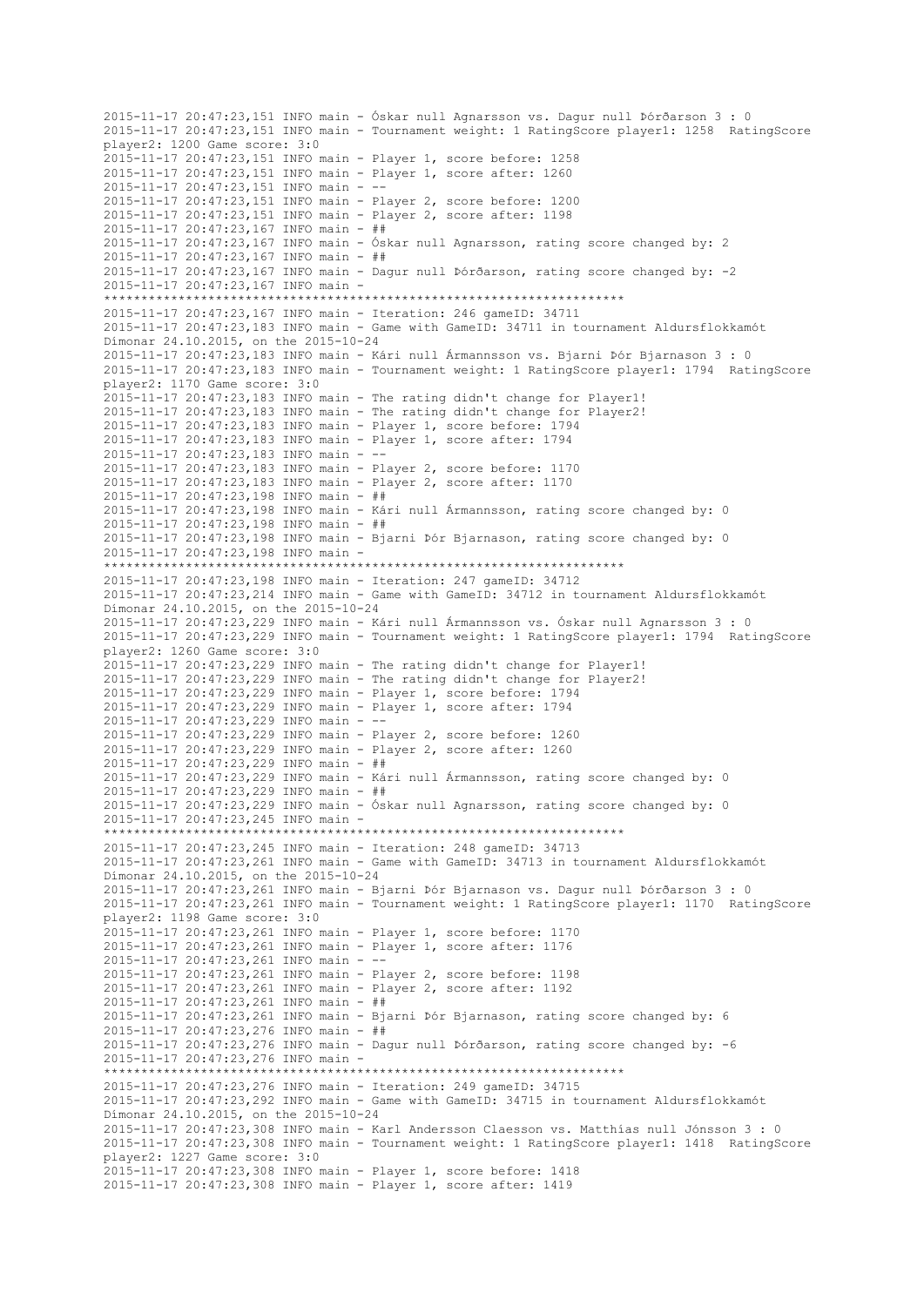2015-11-17 20:47:23,151 INFO main - Óskar null Agnarsson vs. Dagur null Þórðarson 3 : 0 2015-11-17 20:47:23,151 INFO main - Tournament weight: 1 RatingScore player1: 1258 RatingScore player2: 1200 Game score: 3:0 2015-11-17 20:47:23,151 INFO main - Player 1, score before: 1258 2015-11-17 20:47:23,151 INFO main - Player 1, score after: 1260 2015-11-17 20:47:23,151 INFO main - -- 2015-11-17 20:47:23,151 INFO main - Player 2, score before: 1200 2015-11-17 20:47:23,151 INFO main - Player 2, score after: 1198 2015-11-17 20:47:23,167 INFO main - ## 2015-11-17 20:47:23,167 INFO main - Óskar null Agnarsson, rating score changed by: 2 2015-11-17 20:47:23,167 INFO main - ## 2015-11-17 20:47:23,167 INFO main - Dagur null Þórðarson, rating score changed by: -2 2015-11-17 20:47:23,167 INFO main - \*\*\*\*\*\*\*\*\*\*\*\*\*\*\*\*\*\*\*\*\*\*\*\*\*\*\*\*\*\*\*\*\*\*\*\*\*\*\*\*\*\*\*\*\*\*\*\*\*\*\*\*\*\*\*\*\*\*\*\*\*\*\*\*\*\*\*\*\*\* 2015-11-17 20:47:23,167 INFO main - Iteration: 246 gameID: 34711 2015-11-17 20:47:23,183 INFO main - Game with GameID: 34711 in tournament Aldursflokkamót Dímonar 24.10.2015, on the 2015-10-24 2015-11-17 20:47:23,183 INFO main - Kári null Ármannsson vs. Bjarni Þór Bjarnason 3 : 0 2015-11-17 20:47:23,183 INFO main - Tournament weight: 1 RatingScore player1: 1794 RatingScore player2: 1170 Game score: 3:0 2015-11-17 20:47:23,183 INFO main - The rating didn't change for Player1! 2015-11-17 20:47:23,183 INFO main - The rating didn't change for Player2! 2015-11-17 20:47:23,183 INFO main - Player 1, score before: 1794 2015-11-17 20:47:23,183 INFO main - Player 1, score after: 1794 2015-11-17 20:47:23,183 INFO main - -- 2015-11-17 20:47:23,183 INFO main - Player 2, score before: 1170 2015-11-17 20:47:23,183 INFO main - Player 2, score after: 1170 2015-11-17 20:47:23,198 INFO main - ## 2015-11-17 20:47:23,198 INFO main - Kári null Ármannsson, rating score changed by: 0 2015-11-17 20:47:23,198 INFO main - ## 2015-11-17 20:47:23,198 INFO main - Bjarni Þór Bjarnason, rating score changed by: 0 2015-11-17 20:47:23,198 INFO main - \*\*\*\*\*\*\*\*\*\*\*\*\*\*\*\*\*\*\*\*\*\*\*\*\*\*\*\*\*\*\*\*\*\*\*\*\*\*\*\*\*\*\*\*\*\*\*\*\*\*\*\*\*\*\*\*\*\*\*\*\*\*\*\*\*\*\*\*\*\* 2015-11-17 20:47:23,198 INFO main - Iteration: 247 gameID: 34712 2015-11-17 20:47:23,214 INFO main - Game with GameID: 34712 in tournament Aldursflokkamót Dímonar 24.10.2015, on the 2015-10-24 2015-11-17 20:47:23,229 INFO main - Kári null Ármannsson vs. Óskar null Agnarsson 3 : 0 2015-11-17 20:47:23,229 INFO main - Tournament weight: 1 RatingScore player1: 1794 RatingScore player2: 1260 Game score: 3:0 2015-11-17 20:47:23,229 INFO main - The rating didn't change for Player1! 2015-11-17 20:47:23,229 INFO main - The rating didn't change for Player2! 2015-11-17 20:47:23,229 INFO main - Player 1, score before: 1794 2015-11-17 20:47:23,229 INFO main - Player 1, score after: 1794 2015-11-17 20:47:23,229 INFO main - -- 2015-11-17 20:47:23,229 INFO main - Player 2, score before: 1260 2015-11-17 20:47:23,229 INFO main - Player 2, score after: 1260 2015-11-17 20:47:23,229 INFO main - ## 2015-11-17 20:47:23,229 INFO main - Kári null Ármannsson, rating score changed by: 0 2015-11-17 20:47:23,229 INFO main - ## 2015-11-17 20:47:23,229 INFO main - Óskar null Agnarsson, rating score changed by: 0 2015-11-17 20:47:23,245 INFO main - \*\*\*\*\*\*\*\*\*\*\*\*\*\*\*\*\*\*\*\*\*\*\*\*\*\*\*\*\*\*\*\*\*\*\*\*\*\*\*\*\*\*\*\*\*\*\*\*\*\*\*\*\*\*\*\*\*\*\*\*\*\*\*\*\*\*\*\*\*\* 2015-11-17 20:47:23,245 INFO main - Iteration: 248 gameID: 34713 2015-11-17 20:47:23,261 INFO main - Game with GameID: 34713 in tournament Aldursflokkamót Dímonar 24.10.2015, on the 2015-10-24 2015-11-17 20:47:23,261 INFO main - Bjarni Þór Bjarnason vs. Dagur null Þórðarson 3 : 0 2015-11-17 20:47:23,261 INFO main - Tournament weight: 1 RatingScore player1: 1170 RatingScore player2: 1198 Game score: 3:0 2015-11-17 20:47:23,261 INFO main - Player 1, score before: 1170 2015-11-17 20:47:23,261 INFO main - Player 1, score after: 1176 2015-11-17 20:47:23,261 INFO main - -- 2015-11-17 20:47:23,261 INFO main - Player 2, score before: 1198 2015-11-17 20:47:23,261 INFO main - Player 2, score after: 1192 2015-11-17 20:47:23,261 INFO main - ## 2015-11-17 20:47:23,261 INFO main - Bjarni Þór Bjarnason, rating score changed by: 6 2015-11-17 20:47:23,276 INFO main - ## 2015-11-17 20:47:23,276 INFO main - Dagur null Þórðarson, rating score changed by: -6 2015-11-17 20:47:23,276 INFO main - \*\*\*\*\*\*\*\*\*\*\*\*\*\*\*\*\*\*\*\*\*\*\*\*\*\*\*\*\*\*\*\*\*\*\*\*\*\*\*\*\*\*\*\*\*\*\*\*\*\*\*\*\*\*\*\*\*\*\*\*\*\*\*\*\*\*\*\*\*\* 2015-11-17 20:47:23,276 INFO main - Iteration: 249 gameID: 34715 2015-11-17 20:47:23,292 INFO main - Game with GameID: 34715 in tournament Aldursflokkamót Dímonar 24.10.2015, on the 2015-10-24 2015-11-17 20:47:23,308 INFO main - Karl Andersson Claesson vs. Matthías null Jónsson 3 : 0 2015-11-17 20:47:23,308 INFO main - Tournament weight: 1 RatingScore player1: 1418 RatingScore player2: 1227 Game score: 3:0 2015-11-17 20:47:23,308 INFO main - Player 1, score before: 1418 2015-11-17 20:47:23,308 INFO main - Player 1, score after: 1419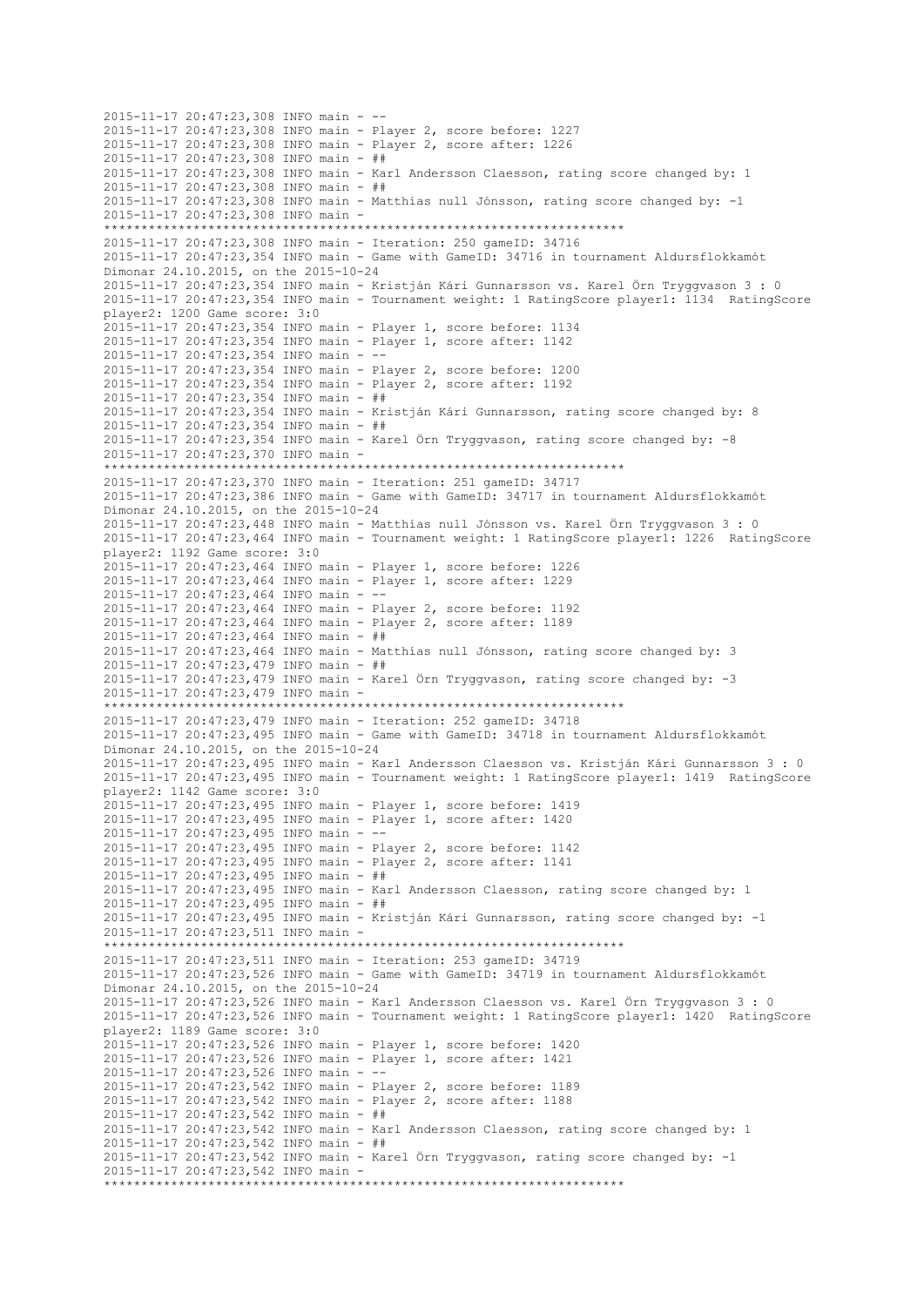2015-11-17 20:47:23,308 INFO main - -- 2015-11-17 20:47:23,308 INFO main - Player 2, score before: 1227 2015-11-17 20:47:23,308 INFO main - Player 2, score after: 1226 2015-11-17 20:47:23,308 INFO main - ## 2015-11-17 20:47:23,308 INFO main - Karl Andersson Claesson, rating score changed by: 1 2015-11-17 20:47:23,308 INFO main - ## 2015-11-17 20:47:23,308 INFO main - Matthías null Jónsson, rating score changed by: -1 2015-11-17 20:47:23,308 INFO main - \*\*\*\*\*\*\*\*\*\*\*\*\*\*\*\*\*\*\*\*\*\*\*\*\*\*\*\*\*\*\*\*\*\*\*\*\*\*\*\*\*\*\*\*\*\*\*\*\*\*\*\*\*\*\*\*\*\*\*\*\*\*\*\*\*\*\*\*\*\* 2015-11-17 20:47:23,308 INFO main - Iteration: 250 gameID: 34716 2015-11-17 20:47:23,354 INFO main - Game with GameID: 34716 in tournament Aldursflokkamót Dímonar 24.10.2015, on the 2015-10-24 2015-11-17 20:47:23,354 INFO main - Kristján Kári Gunnarsson vs. Karel Örn Tryggvason 3 : 0 2015-11-17 20:47:23,354 INFO main - Tournament weight: 1 RatingScore player1: 1134 RatingScore player2: 1200 Game score: 3:0 2015-11-17 20:47:23,354 INFO main - Player 1, score before: 1134 2015-11-17 20:47:23,354 INFO main - Player 1, score after: 1142 2015-11-17 20:47:23,354 INFO main - -- 2015-11-17 20:47:23,354 INFO main - Player 2, score before: 1200 2015-11-17 20:47:23,354 INFO main - Player 2, score after: 1192 2015-11-17 20:47:23,354 INFO main - ## 2015-11-17 20:47:23,354 INFO main - Kristján Kári Gunnarsson, rating score changed by: 8 2015-11-17 20:47:23,354 INFO main - ##  $2015-11-17$   $20:47:23,354$  INFO main - Karel Örn Tryggvason, rating score changed by: -8 2015-11-17 20:47:23,370 INFO main - \*\*\*\*\*\*\*\*\*\*\*\*\*\*\*\*\*\*\*\*\*\*\*\*\*\*\*\*\*\*\*\*\*\*\*\*\*\*\*\*\*\*\*\*\*\*\*\*\*\*\*\*\*\*\*\*\*\*\*\*\*\*\*\*\*\*\*\*\*\* 2015-11-17 20:47:23,370 INFO main - Iteration: 251 gameID: 34717 2015-11-17 20:47:23,386 INFO main - Game with GameID: 34717 in tournament Aldursflokkamót Dímonar 24.10.2015, on the 2015-10-24 2015-11-17 20:47:23,448 INFO main - Matthías null Jónsson vs. Karel Örn Tryggvason 3 : 0 2015-11-17 20:47:23,464 INFO main - Tournament weight: 1 RatingScore player1: 1226 RatingScore player2: 1192 Game score: 3:0 2015-11-17 20:47:23,464 INFO main - Player 1, score before: 1226 2015-11-17 20:47:23,464 INFO main - Player 1, score after: 1229 2015-11-17 20:47:23,464 INFO main - -- 2015-11-17 20:47:23,464 INFO main - Player 2, score before: 1192 2015-11-17 20:47:23,464 INFO main - Player 2, score after: 1189 2015-11-17 20:47:23,464 INFO main - ## 2015-11-17 20:47:23,464 INFO main - Matthías null Jónsson, rating score changed by: 3 2015-11-17 20:47:23,479 INFO main - ## 2015-11-17 20:47:23,479 INFO main - Karel Örn Tryggvason, rating score changed by: -3 2015-11-17 20:47:23,479 INFO main - \*\*\*\*\*\*\*\*\*\*\*\*\*\*\*\*\*\*\*\*\*\*\*\*\*\*\*\*\*\*\*\*\*\*\*\*\*\*\*\*\*\*\*\*\*\*\*\*\*\*\*\*\*\*\*\*\*\*\*\*\*\*\*\*\*\*\*\*\*\* 2015-11-17 20:47:23,479 INFO main - Iteration: 252 gameID: 34718 2015-11-17 20:47:23,495 INFO main - Game with GameID: 34718 in tournament Aldursflokkamót Dímonar 24.10.2015, on the 2015-10-24 2015-11-17 20:47:23,495 INFO main - Karl Andersson Claesson vs. Kristján Kári Gunnarsson 3 : 0 2015-11-17 20:47:23,495 INFO main - Tournament weight: 1 RatingScore player1: 1419 RatingScore player2: 1142 Game score: 3:0 2015-11-17 20:47:23,495 INFO main - Player 1, score before: 1419 2015-11-17 20:47:23,495 INFO main - Player 1, score after: 1420 2015-11-17 20:47:23,495 INFO main - -- 2015-11-17 20:47:23,495 INFO main - Player 2, score before: 1142 2015-11-17 20:47:23,495 INFO main - Player 2, score after: 1141 2015-11-17 20:47:23,495 INFO main - ## 2015-11-17 20:47:23,495 INFO main - Karl Andersson Claesson, rating score changed by: 1 2015-11-17 20:47:23,495 INFO main - ## 2015-11-17 20:47:23,495 INFO main - Kristján Kári Gunnarsson, rating score changed by: -1 2015-11-17 20:47:23,511 INFO main - \*\*\*\*\*\*\*\*\*\*\*\*\*\*\*\*\*\*\*\*\*\*\*\*\*\*\*\*\*\*\*\*\*\*\*\*\*\*\*\*\*\*\*\*\*\*\*\*\*\*\*\*\*\*\*\*\*\*\*\*\*\*\*\*\*\*\*\*\*\* 2015-11-17 20:47:23,511 INFO main - Iteration: 253 gameID: 34719 2015-11-17 20:47:23,526 INFO main - Game with GameID: 34719 in tournament Aldursflokkamót Dímonar 24.10.2015, on the 2015-10-24 2015-11-17 20:47:23,526 INFO main - Karl Andersson Claesson vs. Karel Örn Tryggvason 3 : 0 2015-11-17 20:47:23,526 INFO main - Tournament weight: 1 RatingScore player1: 1420 RatingScore player2: 1189 Game score: 3:0 2015-11-17 20:47:23,526 INFO main - Player 1, score before: 1420 2015-11-17 20:47:23,526 INFO main - Player 1, score after: 1421 2015-11-17 20:47:23,526 INFO main - -- 2015-11-17 20:47:23,542 INFO main - Player 2, score before: 1189 2015-11-17 20:47:23,542 INFO main - Player 2, score after: 1188 2015-11-17 20:47:23,542 INFO main - ## 2015-11-17 20:47:23,542 INFO main - Karl Andersson Claesson, rating score changed by: 1 2015-11-17 20:47:23,542 INFO main - ## 2015-11-17 20:47:23,542 INFO main - Karel Örn Tryggvason, rating score changed by: -1 2015-11-17 20:47:23,542 INFO main - \*\*\*\*\*\*\*\*\*\*\*\*\*\*\*\*\*\*\*\*\*\*\*\*\*\*\*\*\*\*\*\*\*\*\*\*\*\*\*\*\*\*\*\*\*\*\*\*\*\*\*\*\*\*\*\*\*\*\*\*\*\*\*\*\*\*\*\*\*\*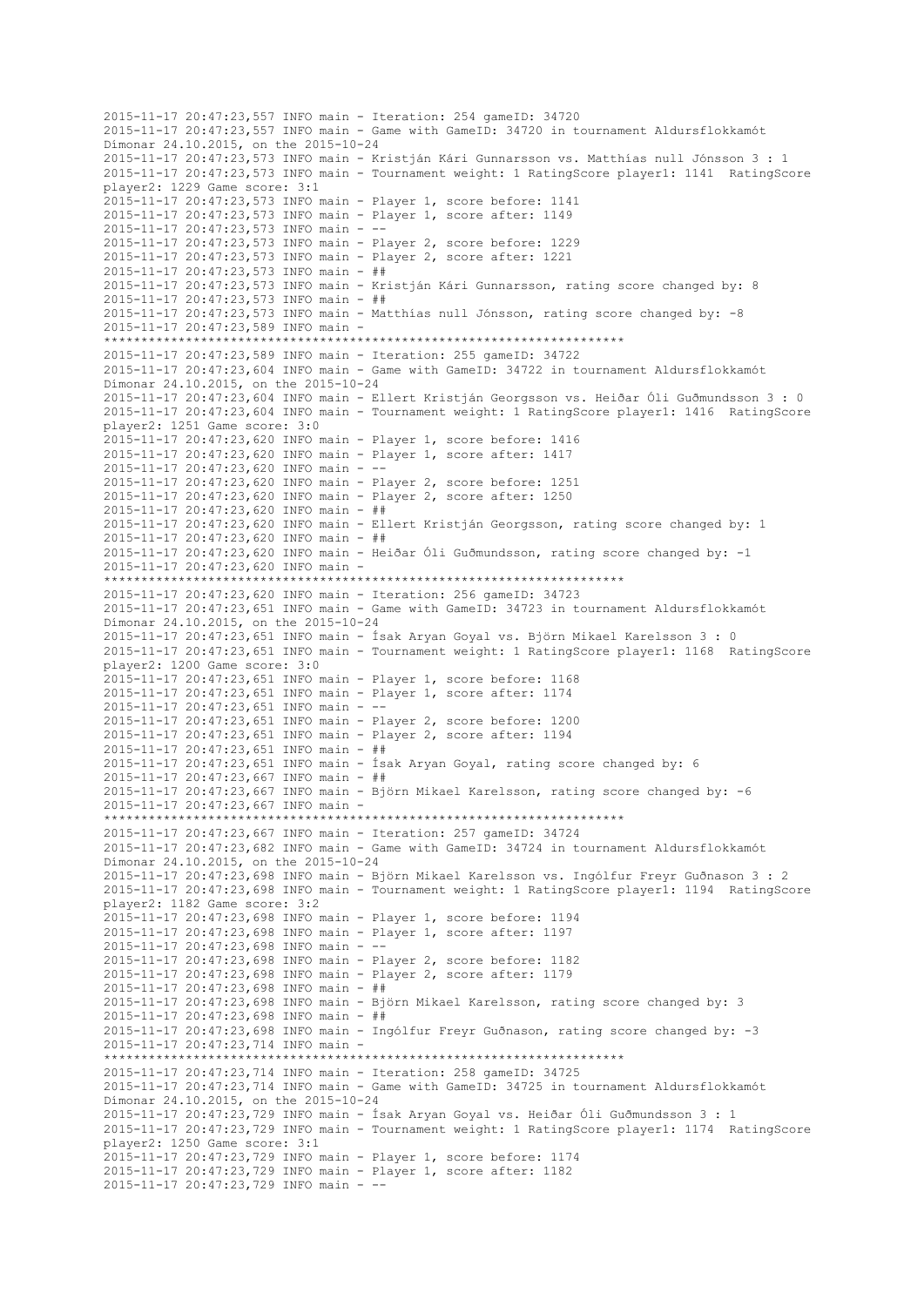```
2015-11-17 20:47:23,557 INFO main - Iteration: 254 gameID: 34720
2015-11-17 20:47:23,557 INFO main - Game with GameID: 34720 in tournament Aldursflokkamót 
Dímonar 24.10.2015, on the 2015-10-24
2015-11-17 20:47:23,573 INFO main - Kristján Kári Gunnarsson vs. Matthías null Jónsson 3 : 1
2015-11-17 20:47:23,573 INFO main - Tournament weight: 1 RatingScore player1: 1141 RatingScore 
player2: 1229 Game score: 3:1
2015-11-17 20:47:23,573 INFO main - Player 1, score before: 1141
2015-11-17 20:47:23,573 INFO main - Player 1, score after: 1149
2015-11-17 20:47:23,573 INFO main - --
2015-11-17 20:47:23,573 INFO main - Player 2, score before: 1229
2015-11-17 20:47:23,573 INFO main - Player 2, score after: 1221
2015-11-17 20:47:23,573 INFO main - ##
2015-11-17 20:47:23,573 INFO main - Kristján Kári Gunnarsson, rating score changed by: 8
2015-11-17 20:47:23,573 INFO main - ##
2015-11-17 20:47:23,573 INFO main - Matthías null Jónsson, rating score changed by: -8
2015-11-17 20:47:23,589 INFO main -
                        **********************************************************************
2015-11-17 20:47:23,589 INFO main - Iteration: 255 gameID: 34722
2015-11-17 20:47:23,604 INFO main - Game with GameID: 34722 in tournament Aldursflokkamót 
Dímonar 24.10.2015, on the 2015-10-24
2015-11-17 20:47:23,604 INFO main - Ellert Kristján Georgsson vs. Heiðar Óli Guðmundsson 3 : 0
2015-11-17 20:47:23,604 INFO main - Tournament weight: 1 RatingScore player1: 1416 RatingScore 
player2: 1251 Game score: 3:0
2015-11-17 20:47:23,620 INFO main - Player 1, score before: 1416
2015-11-17 20:47:23,620 INFO main - Player 1, score after: 1417
2015-11-17 20:47:23,620 INFO main - --
2015-11-17 20:47:23,620 INFO main - Player 2, score before: 1251
2015-11-17 20:47:23,620 INFO main - Player 2, score after: 1250
2015-11-17 20:47:23,620 INFO main - ##
2015-11-17 20:47:23,620 INFO main - Ellert Kristján Georgsson, rating score changed by: 1
2015-11-17 20:47:23,620 INFO main - ##
2015-11-17 20:47:23,620 INFO main - Heiðar Óli Guðmundsson, rating score changed by: -1
2015-11-17 20:47:23,620 INFO main -
     **********************************************************************
2015-11-17 20:47:23,620 INFO main - Iteration: 256 gameID: 34723
2015-11-17 20:47:23,651 INFO main - Game with GameID: 34723 in tournament Aldursflokkamót 
Dímonar 24.10.2015, on the 2015-10-24
2015-11-17 20:47:23,651 INFO main - Ísak Aryan Goyal vs. Björn Mikael Karelsson 3 : 0
2015-11-17 20:47:23,651 INFO main - Tournament weight: 1 RatingScore player1: 1168 RatingScore 
player2: 1200 Game score: 3:0
2015-11-17 20:47:23,651 INFO main - Player 1, score before: 1168
2015-11-17 20:47:23,651 INFO main - Player 1, score after: 1174
2015-11-17 20:47:23,651 INFO main - --
2015-11-17 20:47:23,651 INFO main - Player 2, score before: 1200
2015-11-17 20:47:23,651 INFO main - Player 2, score after: 1194
2015-11-17 20:47:23,651 INFO main - ##
2015-11-17 20:47:23,651 INFO main - Ísak Aryan Goyal, rating score changed by: 6
2015-11-17 20:47:23,667 INFO main - ##
2015-11-17 20:47:23,667 INFO main - Björn Mikael Karelsson, rating score changed by: -6
2015-11-17 20:47:23,667 INFO main -
                    **********************************************************************
2015-11-17 20:47:23,667 INFO main - Iteration: 257 gameID: 34724
2015-11-17 20:47:23,682 INFO main - Game with GameID: 34724 in tournament Aldursflokkamót 
Dímonar 24.10.2015, on the 2015-10-24
2015-11-17 20:47:23,698 INFO main - Björn Mikael Karelsson vs. Ingólfur Freyr Guðnason 3 : 2
2015-11-17 20:47:23,698 INFO main - Tournament weight: 1 RatingScore player1: 1194 RatingScore 
player2: 1182 Game score: 3:2
2015-11-17 20:47:23,698 INFO main - Player 1, score before: 1194
2015-11-17 20:47:23,698 INFO main - Player 1, score after: 1197
2015-11-17 20:47:23,698 INFO main - --
2015-11-17 20:47:23,698 INFO main - Player 2, score before: 1182
2015-11-17 20:47:23,698 INFO main - Player 2, score after: 1179
2015-11-17 20:47:23,698 INFO main - ##
2015-11-17 20:47:23,698 INFO main - Björn Mikael Karelsson, rating score changed by: 3
2015-11-17 20:47:23,698 INFO main - ##
2015-11-17 20:47:23,698 INFO main - Ingólfur Freyr Guðnason, rating score changed by: -3
2015-11-17 20:47:23,714 INFO main -
                    **********************************************************************
2015-11-17 20:47:23,714 INFO main - Iteration: 258 gameID: 34725
2015-11-17 20:47:23,714 INFO main - Game with GameID: 34725 in tournament Aldursflokkamót 
Dímonar 24.10.2015, on the 2015-10-24
2015-11-17 20:47:23,729 INFO main - Ísak Aryan Goyal vs. Heiðar Óli Guðmundsson 3 : 1
2015-11-17 20:47:23,729 INFO main - Tournament weight: 1 RatingScore player1: 1174 RatingScore 
player2: 1250 Game score: 3:1
2015-11-17 20:47:23,729 INFO main - Player 1, score before: 1174
2015-11-17 20:47:23,729 INFO main - Player 1, score after: 1182
2015-11-17 20:47:23,729 INFO main - --
```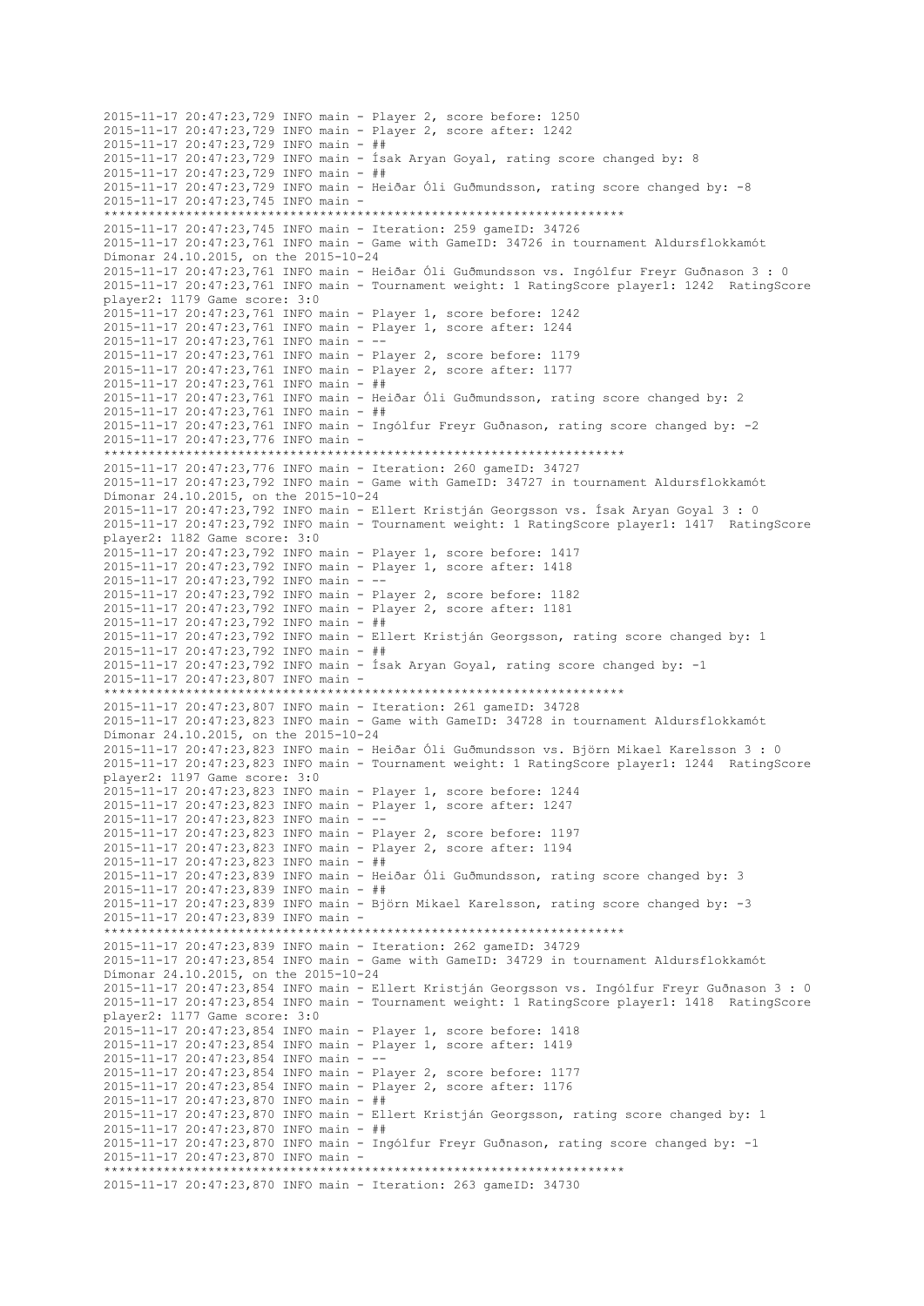2015-11-17 20:47:23,729 INFO main - Player 2, score before: 1250 2015-11-17 20:47:23,729 INFO main - Player 2, score after: 1242 2015-11-17 20:47:23,729 INFO main - ## 2015-11-17 20:47:23,729 INFO main - Ísak Aryan Goyal, rating score changed by: 8 2015-11-17 20:47:23,729 INFO main - ## 2015-11-17 20:47:23,729 INFO main - Heiðar Óli Guðmundsson, rating score changed by: -8 2015-11-17 20:47:23,745 INFO main - \*\*\*\*\*\*\*\*\*\*\*\*\*\*\*\*\*\*\*\*\*\*\*\*\*\*\*\*\*\*\*\*\*\*\*\*\*\*\*\*\*\*\*\*\*\*\*\*\*\*\*\*\*\*\*\*\*\*\*\*\*\*\*\*\*\*\*\*\*\* 2015-11-17 20:47:23,745 INFO main - Iteration: 259 gameID: 34726 2015-11-17 20:47:23,761 INFO main - Game with GameID: 34726 in tournament Aldursflokkamót Dímonar 24.10.2015, on the 2015-10-24 2015-11-17 20:47:23,761 INFO main - Heiðar Óli Guðmundsson vs. Ingólfur Freyr Guðnason 3 : 0 2015-11-17 20:47:23,761 INFO main - Tournament weight: 1 RatingScore player1: 1242 RatingScore player2: 1179 Game score: 3:0 2015-11-17 20:47:23,761 INFO main - Player 1, score before: 1242 2015-11-17 20:47:23,761 INFO main - Player 1, score after: 1244 2015-11-17 20:47:23,761 INFO main - -- 2015-11-17 20:47:23,761 INFO main - Player 2, score before: 1179 2015-11-17 20:47:23,761 INFO main - Player 2, score after: 1177 2015-11-17 20:47:23,761 INFO main - ## 2015-11-17 20:47:23,761 INFO main - Heiðar Óli Guðmundsson, rating score changed by: 2 2015-11-17 20:47:23,761 INFO main - ## 2015-11-17 20:47:23,761 INFO main - Ingólfur Freyr Guðnason, rating score changed by: -2 2015-11-17 20:47:23,776 INFO main - \*\*\*\*\*\*\*\*\*\*\*\*\*\*\*\*\*\*\*\*\*\*\*\*\*\*\*\*\*\*\*\*\*\*\*\*\*\*\*\*\*\*\*\*\*\*\*\*\*\*\*\*\*\*\*\*\*\*\*\*\*\*\*\*\*\*\*\*\*\* 2015-11-17 20:47:23,776 INFO main - Iteration: 260 gameID: 34727 2015-11-17 20:47:23,792 INFO main - Game with GameID: 34727 in tournament Aldursflokkamót Dímonar 24.10.2015, on the 2015-10-24 2015-11-17 20:47:23,792 INFO main - Ellert Kristján Georgsson vs. Ísak Aryan Goyal 3 : 0 2015-11-17 20:47:23,792 INFO main - Tournament weight: 1 RatingScore player1: 1417 RatingScore player2: 1182 Game score: 3:0 2015-11-17 20:47:23,792 INFO main - Player 1, score before: 1417 2015-11-17 20:47:23,792 INFO main - Player 1, score after: 1418 2015-11-17 20:47:23,792 INFO main - -- 2015-11-17 20:47:23,792 INFO main - Player 2, score before: 1182 2015-11-17 20:47:23,792 INFO main - Player 2, score after: 1181 2015-11-17 20:47:23,792 INFO main - ## 2015-11-17 20:47:23,792 INFO main - Ellert Kristján Georgsson, rating score changed by: 1 2015-11-17 20:47:23,792 INFO main - ## 2015-11-17 20:47:23,792 INFO main - Ísak Aryan Goyal, rating score changed by: -1 2015-11-17 20:47:23,807 INFO main - \*\*\*\*\*\*\*\*\*\*\*\*\*\*\*\*\*\*\*\*\*\*\*\*\*\*\*\*\*\*\*\*\*\*\*\*\*\*\*\*\*\*\*\*\*\*\*\*\*\*\*\*\*\*\*\*\*\*\*\*\*\*\*\*\*\*\*\*\*\* 2015-11-17 20:47:23,807 INFO main - Iteration: 261 gameID: 34728 2015-11-17 20:47:23,823 INFO main - Game with GameID: 34728 in tournament Aldursflokkamót Dímonar 24.10.2015, on the 2015-10-24 2015-11-17 20:47:23,823 INFO main - Heiðar Óli Guðmundsson vs. Björn Mikael Karelsson 3 : 0 2015-11-17 20:47:23,823 INFO main - Tournament weight: 1 RatingScore player1: 1244 RatingScore player2: 1197 Game score: 3:0 2015-11-17 20:47:23,823 INFO main - Player 1, score before: 1244 2015-11-17 20:47:23,823 INFO main - Player 1, score after: 1247  $2015 - 11 - 17$   $20:47:23.823$  TNFO main - --2015-11-17 20:47:23,823 INFO main - Player 2, score before: 1197 2015-11-17 20:47:23,823 INFO main - Player 2, score after: 1194 2015-11-17 20:47:23,823 INFO main - ## 2015-11-17 20:47:23,839 INFO main - Heiðar Óli Guðmundsson, rating score changed by: 3 2015-11-17 20:47:23,839 INFO main - ## 2015-11-17 20:47:23,839 INFO main - Björn Mikael Karelsson, rating score changed by: -3 2015-11-17 20:47:23,839 INFO main - \*\*\*\*\*\*\*\*\*\*\*\*\*\*\*\*\*\*\*\*\*\*\*\*\*\*\*\*\*\*\*\*\*\*\*\*\*\*\*\*\*\*\*\*\*\*\*\*\*\*\*\*\*\*\*\*\*\*\*\*\*\*\*\*\*\*\*\*\*\* 2015-11-17 20:47:23,839 INFO main - Iteration: 262 gameID: 34729 2015-11-17 20:47:23,854 INFO main - Game with GameID: 34729 in tournament Aldursflokkamót Dímonar 24.10.2015, on the 2015-10-24 2015-11-17 20:47:23,854 INFO main - Ellert Kristján Georgsson vs. Ingólfur Freyr Guðnason 3 : 0 2015-11-17 20:47:23,854 INFO main - Tournament weight: 1 RatingScore player1: 1418 RatingScore player2: 1177 Game score: 3:0 2015-11-17 20:47:23,854 INFO main - Player 1, score before: 1418 2015-11-17 20:47:23,854 INFO main - Player 1, score after: 1419 2015-11-17 20:47:23,854 INFO main - -- 2015-11-17 20:47:23,854 INFO main - Player 2, score before: 1177 2015-11-17 20:47:23,854 INFO main - Player 2, score after: 1176 2015-11-17 20:47:23,870 INFO main - ## 2015-11-17 20:47:23,870 INFO main - Ellert Kristján Georgsson, rating score changed by: 1 2015-11-17 20:47:23,870 INFO main - ## 2015-11-17 20:47:23,870 INFO main - Ingólfur Freyr Guðnason, rating score changed by: -1 2015-11-17 20:47:23,870 INFO main - \*\*\*\*\*\*\*\*\*\*\*\*\*\*\*\*\*\*\*\*\*\*\*\*\*\*\*\*\*\*\*\*\*\*\*\*\*\*\*\*\*\*\*\*\*\*\*\*\*\*\*\*\*\*\*\*\*\*\*\*\*\*\*\*\*\*\*\*\*\* 2015-11-17 20:47:23,870 INFO main - Iteration: 263 gameID: 34730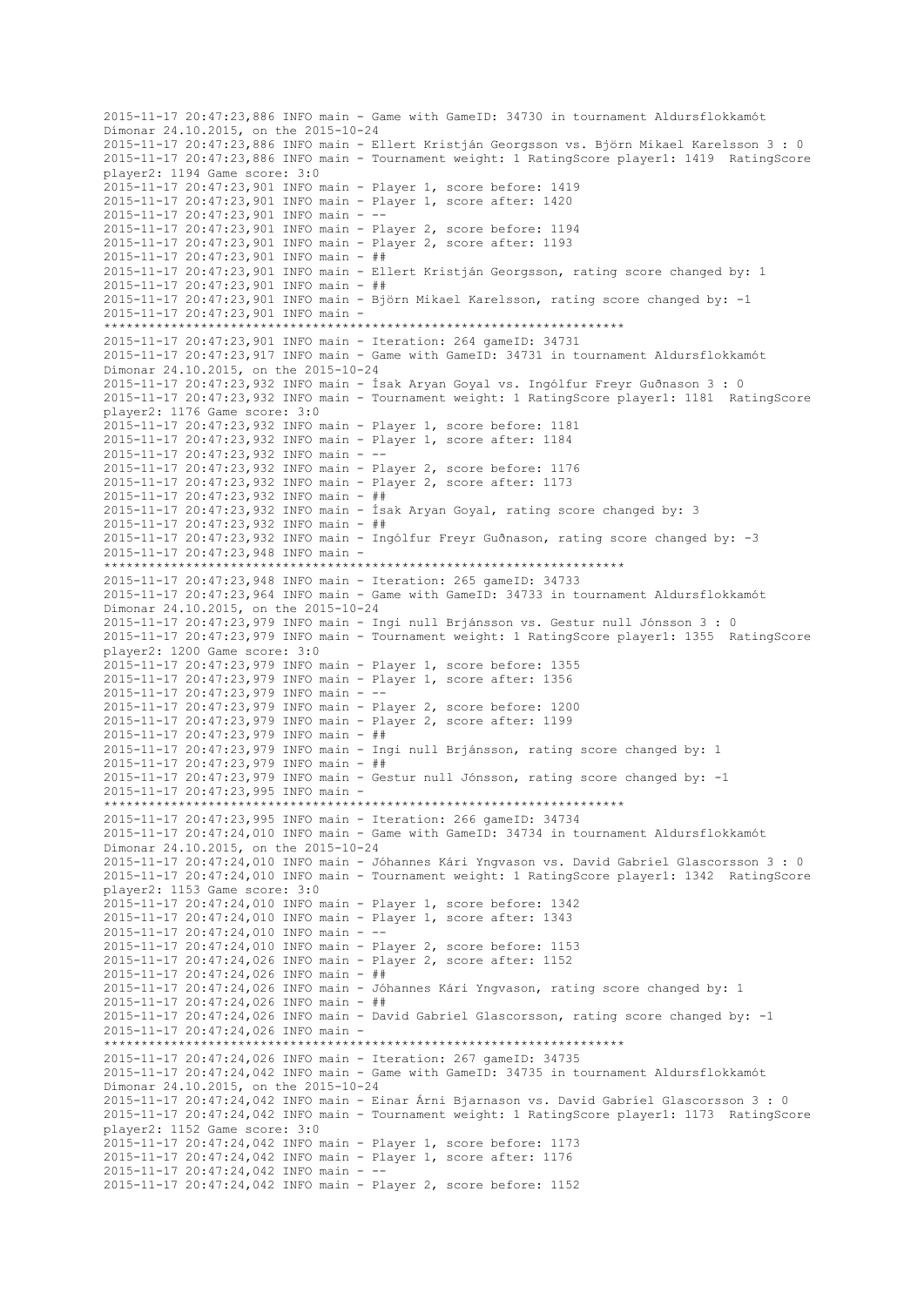2015-11-17 20:47:23,886 INFO main - Game with GameID: 34730 in tournament Aldursflokkamót Dímonar 24.10.2015, on the 2015-10-24 2015-11-17 20:47:23,886 INFO main - Ellert Kristján Georgsson vs. Björn Mikael Karelsson 3 : 0 2015-11-17 20:47:23,886 INFO main - Tournament weight: 1 RatingScore player1: 1419 RatingScore player2: 1194 Game score: 3:0 2015-11-17 20:47:23,901 INFO main - Player 1, score before: 1419 2015-11-17 20:47:23,901 INFO main - Player 1, score after: 1420 2015-11-17 20:47:23,901 INFO main - -- 2015-11-17 20:47:23,901 INFO main - Player 2, score before: 1194 2015-11-17 20:47:23,901 INFO main - Player 2, score after: 1193 2015-11-17 20:47:23,901 INFO main - ## 2015-11-17 20:47:23,901 INFO main - Ellert Kristján Georgsson, rating score changed by: 1 2015-11-17 20:47:23,901 INFO main - ## 2015-11-17 20:47:23,901 INFO main - Björn Mikael Karelsson, rating score changed by: -1 2015-11-17 20:47:23,901 INFO main - \*\*\*\*\*\*\*\*\*\*\*\*\*\*\*\*\*\*\*\*\*\*\*\*\*\*\*\*\*\*\*\*\*\*\*\*\*\*\*\*\*\*\*\*\*\*\*\*\*\*\*\*\*\*\*\*\*\*\*\*\*\*\*\*\*\*\*\*\*\* 2015-11-17 20:47:23,901 INFO main - Iteration: 264 gameID: 34731 2015-11-17 20:47:23,917 INFO main - Game with GameID: 34731 in tournament Aldursflokkamót Dímonar 24.10.2015, on the 2015-10-24 2015-11-17 20:47:23,932 INFO main - Ísak Aryan Goyal vs. Ingólfur Freyr Guðnason 3 : 0 2015-11-17 20:47:23,932 INFO main - Tournament weight: 1 RatingScore player1: 1181 RatingScore player2: 1176 Game score: 3:0 2015-11-17 20:47:23,932 INFO main - Player 1, score before: 1181 2015-11-17 20:47:23,932 INFO main - Player 1, score after: 1184 2015-11-17 20:47:23,932 INFO main - -- 2015-11-17 20:47:23,932 INFO main - Player 2, score before: 1176 2015-11-17 20:47:23,932 INFO main - Player 2, score after: 1173 2015-11-17 20:47:23,932 INFO main - ## 2015-11-17 20:47:23,932 INFO main - Ísak Aryan Goyal, rating score changed by: 3 2015-11-17 20:47:23,932 INFO main - ## 2015-11-17 20:47:23,932 INFO main - Ingólfur Freyr Guðnason, rating score changed by: -3 2015-11-17 20:47:23,948 INFO main - \*\*\*\*\*\*\*\*\*\*\*\*\*\*\*\*\*\*\*\*\*\*\*\*\*\*\*\*\*\*\*\*\*\*\*\*\*\*\*\*\*\*\*\*\*\*\*\*\*\*\*\*\*\*\*\*\*\*\*\*\*\*\*\*\*\*\*\*\*\* 2015-11-17 20:47:23,948 INFO main - Iteration: 265 gameID: 34733 2015-11-17 20:47:23,964 INFO main - Game with GameID: 34733 in tournament Aldursflokkamót Dímonar 24.10.2015, on the 2015-10-24 2015-11-17 20:47:23,979 INFO main - Ingi null Brjánsson vs. Gestur null Jónsson 3 : 0 2015-11-17 20:47:23,979 INFO main - Tournament weight: 1 RatingScore player1: 1355 RatingScore player2: 1200 Game score: 3:0 2015-11-17 20:47:23,979 INFO main - Player 1, score before: 1355 2015-11-17 20:47:23,979 INFO main - Player 1, score after: 1356 2015-11-17 20:47:23,979 INFO main - -2015-11-17 20:47:23,979 INFO main - Player 2, score before: 1200 2015-11-17 20:47:23,979 INFO main - Player 2, score after: 1199 2015-11-17 20:47:23,979 INFO main - ## 2015-11-17 20:47:23,979 INFO main - Ingi null Brjánsson, rating score changed by: 1 2015-11-17 20:47:23,979 INFO main - ## 2015-11-17 20:47:23,979 INFO main - Gestur null Jónsson, rating score changed by: -1 2015-11-17 20:47:23,995 INFO main - \*\*\*\*\*\*\*\*\*\*\*\*\*\*\*\*\*\*\*\*\*\*\*\*\*\*\*\*\*\*\*\*\*\*\*\*\*\*\*\*\*\*\*\*\*\*\*\*\*\*\*\*\*\*\*\*\*\*\*\*\*\*\*\*\*\*\*\*\*\* 2015-11-17 20:47:23,995 INFO main - Iteration: 266 gameID: 34734 2015-11-17 20:47:24,010 INFO main - Game with GameID: 34734 in tournament Aldursflokkamót Dímonar 24.10.2015, on the 2015-10-24 2015-11-17 20:47:24,010 INFO main - Jóhannes Kári Yngvason vs. David Gabríel Glascorsson 3 : 0 2015-11-17 20:47:24,010 INFO main - Tournament weight: 1 RatingScore player1: 1342 RatingScore player2: 1153 Game score: 3:0 2015-11-17 20:47:24,010 INFO main - Player 1, score before: 1342 2015-11-17 20:47:24,010 INFO main - Player 1, score after: 1343 2015-11-17 20:47:24,010 INFO main -2015-11-17 20:47:24,010 INFO main - Player 2, score before: 1153 2015-11-17 20:47:24,026 INFO main - Player 2, score after: 1152 2015-11-17 20:47:24,026 INFO main - ## 2015-11-17 20:47:24,026 INFO main - Jóhannes Kári Yngvason, rating score changed by: 1 2015-11-17 20:47:24,026 INFO main - ## 2015-11-17 20:47:24,026 INFO main - David Gabríel Glascorsson, rating score changed by: -1 2015-11-17 20:47:24,026 INFO main - \*\*\*\*\*\*\*\*\*\*\*\*\*\*\*\*\*\*\*\*\*\*\*\*\*\*\*\*\*\*\*\*\*\*\*\*\*\*\*\*\*\*\*\*\*\*\*\*\*\*\*\*\*\*\*\*\*\*\*\*\*\*\*\*\*\*\*\*\*\* 2015-11-17 20:47:24,026 INFO main - Iteration: 267 gameID: 34735 2015-11-17 20:47:24,042 INFO main - Game with GameID: 34735 in tournament Aldursflokkamót Dímonar 24.10.2015, on the 2015-10-24 2015-11-17 20:47:24,042 INFO main - Einar Árni Bjarnason vs. David Gabríel Glascorsson 3 : 0 2015-11-17 20:47:24,042 INFO main - Tournament weight: 1 RatingScore player1: 1173 RatingScore player2: 1152 Game score: 3:0 2015-11-17 20:47:24,042 INFO main - Player 1, score before: 1173 2015-11-17 20:47:24,042 INFO main - Player 1, score after: 1176 2015-11-17 20:47:24,042 INFO main - -- 2015-11-17 20:47:24,042 INFO main - Player 2, score before: 1152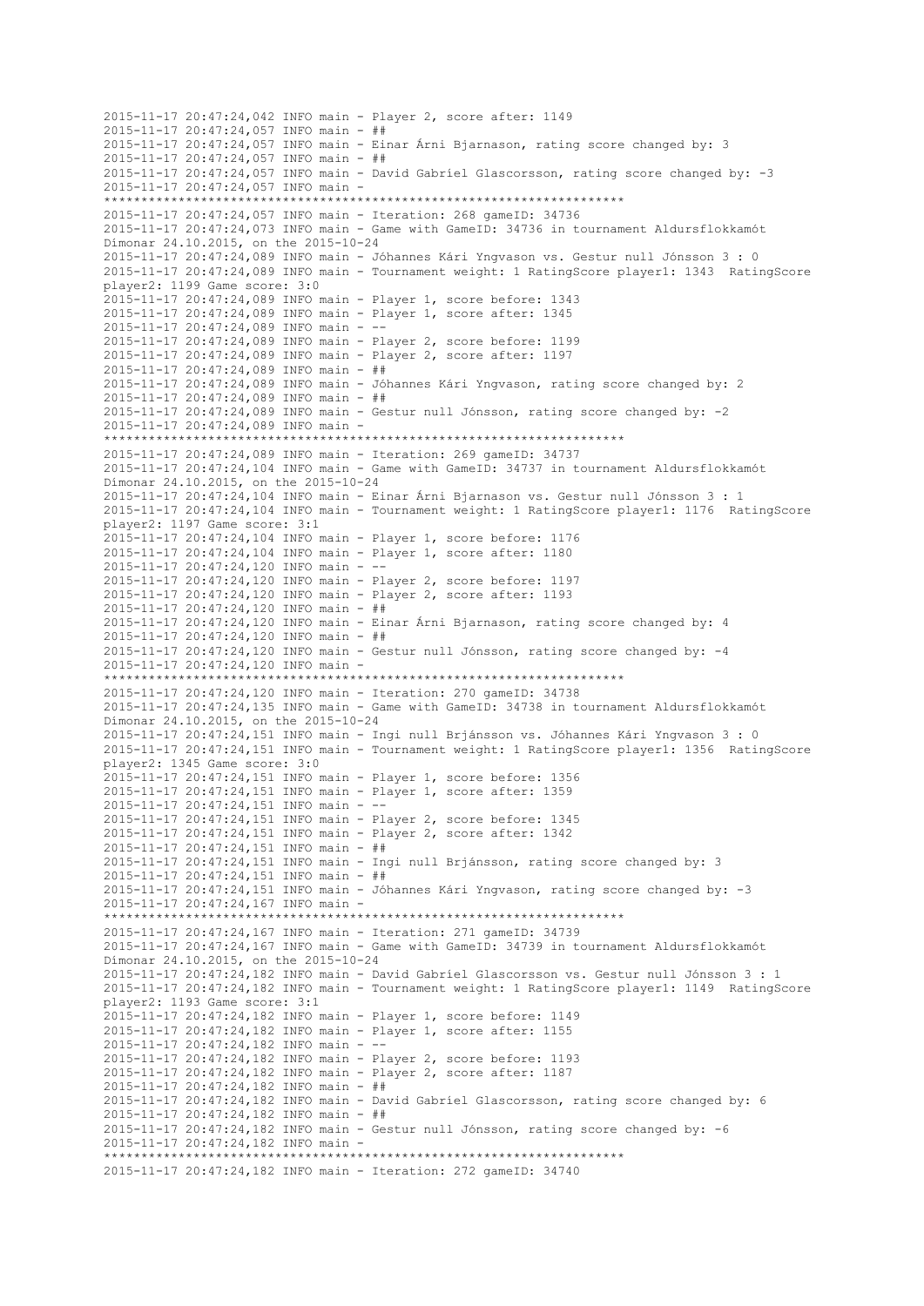2015-11-17 20:47:24,042 INFO main - Player 2, score after: 1149 2015-11-17 20:47:24,057 INFO main - ## 2015-11-17 20:47:24,057 INFO main - Einar Árni Bjarnason, rating score changed by: 3 2015-11-17 20:47:24,057 INFO main - ## 2015-11-17 20:47:24,057 INFO main - David Gabríel Glascorsson, rating score changed by: -3 2015-11-17 20:47:24,057 INFO main - \*\*\*\*\*\*\*\*\*\*\*\*\*\*\*\*\*\*\*\*\*\*\*\*\*\*\*\*\*\*\*\*\*\*\*\*\*\*\*\*\*\*\*\*\*\*\*\*\*\*\*\*\*\*\*\*\*\*\*\*\*\*\*\*\*\*\*\*\*\* 2015-11-17 20:47:24,057 INFO main - Iteration: 268 gameID: 34736 2015-11-17 20:47:24,073 INFO main - Game with GameID: 34736 in tournament Aldursflokkamót Dímonar 24.10.2015, on the 2015-10-24 2015-11-17 20:47:24,089 INFO main - Jóhannes Kári Yngvason vs. Gestur null Jónsson 3 : 0 2015-11-17 20:47:24,089 INFO main - Tournament weight: 1 RatingScore player1: 1343 RatingScore player2: 1199 Game score: 3:0 2015-11-17 20:47:24,089 INFO main - Player 1, score before: 1343 2015-11-17 20:47:24,089 INFO main - Player 1, score after: 1345 2015-11-17 20:47:24,089 INFO main - -- 2015-11-17 20:47:24,089 INFO main - Player 2, score before: 1199 2015-11-17 20:47:24,089 INFO main - Player 2, score after: 1197 2015-11-17 20:47:24,089 INFO main - ## 2015-11-17 20:47:24,089 INFO main - Jóhannes Kári Yngvason, rating score changed by: 2 2015-11-17 20:47:24,089 INFO main - ## 2015-11-17 20:47:24,089 INFO main - Gestur null Jónsson, rating score changed by: -2 2015-11-17 20:47:24,089 INFO main - \*\*\*\*\*\*\*\*\*\*\*\*\*\*\*\*\*\*\*\*\*\*\*\*\*\*\*\*\*\*\*\*\*\*\*\*\*\*\*\*\*\*\*\*\*\*\*\*\*\*\*\*\*\*\*\*\*\*\*\*\*\*\*\*\*\*\*\*\*\* 2015-11-17 20:47:24,089 INFO main - Iteration: 269 gameID: 34737 2015-11-17 20:47:24,104 INFO main - Game with GameID: 34737 in tournament Aldursflokkamót Dímonar 24.10.2015, on the 2015-10-24 2015-11-17 20:47:24,104 INFO main - Einar Árni Bjarnason vs. Gestur null Jónsson 3 : 1 2015-11-17 20:47:24,104 INFO main - Tournament weight: 1 RatingScore player1: 1176 RatingScore player2: 1197 Game score: 3:1 2015-11-17 20:47:24,104 INFO main - Player 1, score before: 1176 2015-11-17 20:47:24,104 INFO main - Player 1, score after: 1180 2015-11-17 20:47:24,120 INFO main - -- 2015-11-17 20:47:24,120 INFO main - Player 2, score before: 1197 2015-11-17 20:47:24,120 INFO main - Player 2, score after: 1193 2015-11-17 20:47:24,120 INFO main - ## 2015-11-17 20:47:24,120 INFO main - Einar Árni Bjarnason, rating score changed by: 4 2015-11-17 20:47:24,120 INFO main - ##  $2015-11-17$   $20:47:24,120$  INFO main - Gestur null Jónsson, rating score changed by: -4 2015-11-17 20:47:24,120 INFO main - \*\*\*\*\*\*\*\*\*\*\*\*\*\*\*\*\*\*\*\*\*\*\*\*\*\*\*\*\*\*\*\*\*\*\*\*\*\*\*\*\*\*\*\*\*\*\*\*\*\*\*\*\*\*\*\*\*\*\*\*\*\*\*\*\*\*\*\*\*\* 2015-11-17 20:47:24,120 INFO main - Iteration: 270 gameID: 34738 2015-11-17 20:47:24,135 INFO main - Game with GameID: 34738 in tournament Aldursflokkamót Dímonar 24.10.2015, on the 2015-10-24 2015-11-17 20:47:24,151 INFO main - Ingi null Brjánsson vs. Jóhannes Kári Yngvason 3 : 0 2015-11-17 20:47:24,151 INFO main - Tournament weight: 1 RatingScore player1: 1356 RatingScore player2: 1345 Game score: 3:0 2015-11-17 20:47:24,151 INFO main - Player 1, score before: 1356 2015-11-17 20:47:24,151 INFO main - Player 1, score after: 1359 2015-11-17 20:47:24,151 INFO main - -- 2015-11-17 20:47:24,151 INFO main - Player 2, score before: 1345 2015-11-17 20:47:24,151 INFO main - Player 2, score after: 1342 2015-11-17 20:47:24,151 INFO main - ## 2015-11-17 20:47:24,151 INFO main - Ingi null Brjánsson, rating score changed by: 3 2015-11-17 20:47:24,151 INFO main - ## 2015-11-17 20:47:24,151 INFO main - Jóhannes Kári Yngvason, rating score changed by: -3 2015-11-17 20:47:24,167 INFO main - \*\*\*\*\*\*\*\*\*\*\*\*\*\*\*\*\*\*\*\*\*\*\*\*\*\*\*\*\*\*\*\*\*\*\*\*\*\*\*\*\*\*\*\*\*\*\*\*\*\*\*\*\*\*\*\*\*\*\*\*\*\*\*\*\*\*\*\*\*\* 2015-11-17 20:47:24,167 INFO main - Iteration: 271 gameID: 34739 2015-11-17 20:47:24,167 INFO main - Game with GameID: 34739 in tournament Aldursflokkamót Dímonar 24.10.2015, on the 2015-10-24 2015-11-17 20:47:24,182 INFO main - David Gabríel Glascorsson vs. Gestur null Jónsson 3 : 1 2015-11-17 20:47:24,182 INFO main - Tournament weight: 1 RatingScore player1: 1149 RatingScore player2: 1193 Game score: 3:1 2015-11-17 20:47:24,182 INFO main - Player 1, score before: 1149 2015-11-17 20:47:24,182 INFO main - Player 1, score after: 1155 2015-11-17 20:47:24,182 INFO main - -- 2015-11-17 20:47:24,182 INFO main - Player 2, score before: 1193 2015-11-17 20:47:24,182 INFO main - Player 2, score after: 1187 2015-11-17 20:47:24,182 INFO main - ## 2015-11-17 20:47:24,182 INFO main - David Gabríel Glascorsson, rating score changed by: 6 2015-11-17 20:47:24,182 INFO main - ## 2015-11-17 20:47:24,182 INFO main - Gestur null Jónsson, rating score changed by: -6 2015-11-17 20:47:24,182 INFO main - \*\*\*\*\*\*\*\*\*\*\*\*\*\*\*\*\*\*\*\*\*\*\*\*\*\*\*\*\*\*\*\*\*\*\*\*\*\*\*\*\*\*\*\*\*\*\*\*\*\*\*\*\*\*\*\*\*\*\*\*\*\*\*\*\*\*\*\*\*\* 2015-11-17 20:47:24,182 INFO main - Iteration: 272 gameID: 34740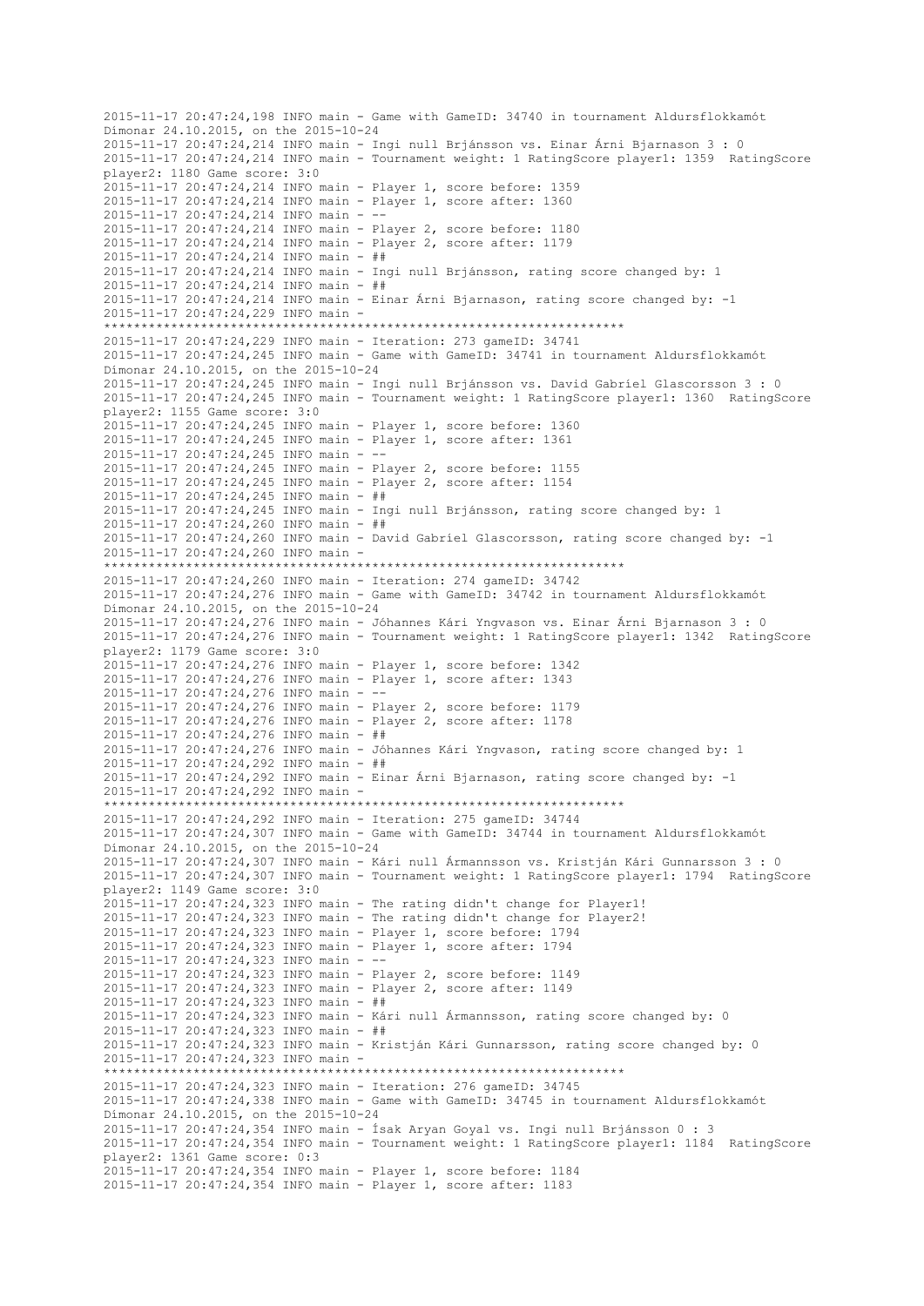2015-11-17 20:47:24,198 INFO main - Game with GameID: 34740 in tournament Aldursflokkamót Dímonar 24.10.2015, on the 2015-10-24 2015-11-17 20:47:24,214 INFO main - Ingi null Brjánsson vs. Einar Árni Bjarnason 3 : 0 2015-11-17 20:47:24,214 INFO main - Tournament weight: 1 RatingScore player1: 1359 RatingScore player2: 1180 Game score: 3:0 2015-11-17 20:47:24,214 INFO main - Player 1, score before: 1359 2015-11-17 20:47:24,214 INFO main - Player 1, score after: 1360 2015-11-17 20:47:24,214 INFO main - -- 2015-11-17 20:47:24,214 INFO main - Player 2, score before: 1180 2015-11-17 20:47:24,214 INFO main - Player 2, score after: 1179 2015-11-17 20:47:24,214 INFO main - ## 2015-11-17 20:47:24,214 INFO main - Ingi null Brjánsson, rating score changed by: 1 2015-11-17 20:47:24,214 INFO main - ## 2015-11-17 20:47:24,214 INFO main - Einar Árni Bjarnason, rating score changed by: -1 2015-11-17 20:47:24,229 INFO main - \*\*\*\*\*\*\*\*\*\*\*\*\*\*\*\*\*\*\*\*\*\*\*\*\*\*\*\*\*\*\*\*\*\*\*\*\*\*\*\*\*\*\*\*\*\*\*\*\*\*\*\*\*\*\*\*\*\*\*\*\*\*\*\*\*\*\*\*\*\* 2015-11-17 20:47:24,229 INFO main - Iteration: 273 gameID: 34741 2015-11-17 20:47:24,245 INFO main - Game with GameID: 34741 in tournament Aldursflokkamót Dímonar 24.10.2015, on the 2015-10-24 2015-11-17 20:47:24,245 INFO main - Ingi null Brjánsson vs. David Gabríel Glascorsson 3 : 0 2015-11-17 20:47:24,245 INFO main - Tournament weight: 1 RatingScore player1: 1360 RatingScore player2: 1155 Game score: 3:0 2015-11-17 20:47:24,245 INFO main - Player 1, score before: 1360 2015-11-17 20:47:24,245 INFO main - Player 1, score after: 1361 2015-11-17 20:47:24,245 INFO main - -- 2015-11-17 20:47:24,245 INFO main - Player 2, score before: 1155 2015-11-17 20:47:24,245 INFO main - Player 2, score after: 1154  $2015 - 11 - 17$   $20:47:24.245$  INFO main - ## 2015-11-17 20:47:24,245 INFO main - Ingi null Brjánsson, rating score changed by: 1 2015-11-17 20:47:24,260 INFO main - ## 2015-11-17 20:47:24,260 INFO main - David Gabríel Glascorsson, rating score changed by: -1 2015-11-17 20:47:24,260 INFO main - \*\*\*\*\*\*\*\*\*\*\*\*\*\*\*\*\*\*\*\*\*\*\*\*\*\*\*\*\*\*\*\*\*\*\*\*\*\*\*\*\*\*\*\*\*\*\*\*\*\*\*\*\*\*\*\*\*\*\*\*\*\*\*\*\*\*\*\*\*\* 2015-11-17 20:47:24,260 INFO main - Iteration: 274 gameID: 34742 2015-11-17 20:47:24,276 INFO main - Game with GameID: 34742 in tournament Aldursflokkamót Dímonar 24.10.2015, on the 2015-10-24 2015-11-17 20:47:24,276 INFO main - Jóhannes Kári Yngvason vs. Einar Árni Bjarnason 3 : 0 2015-11-17 20:47:24,276 INFO main - Tournament weight: 1 RatingScore player1: 1342 RatingScore player2: 1179 Game score: 3:0 2015-11-17 20:47:24,276 INFO main - Player 1, score before: 1342 2015-11-17 20:47:24,276 INFO main - Player 1, score after: 1343 2015-11-17 20:47:24,276 INFO main - -- 2015-11-17 20:47:24,276 INFO main - Player 2, score before: 1179 2015-11-17 20:47:24,276 INFO main - Player 2, score after: 1178 2015-11-17 20:47:24,276 INFO main - ## 2015-11-17 20:47:24,276 INFO main - Jóhannes Kári Yngvason, rating score changed by: 1 2015-11-17 20:47:24,292 INFO main - ## 2015-11-17 20:47:24,292 INFO main - Einar Árni Bjarnason, rating score changed by: -1 2015-11-17 20:47:24,292 INFO main - \*\*\*\*\*\*\*\*\*\*\*\*\*\*\*\*\*\*\*\*\*\*\*\*\*\*\*\*\*\*\*\*\*\*\*\*\*\*\*\*\*\*\*\*\*\*\*\*\*\*\*\*\*\*\*\*\*\*\*\*\*\*\*\*\*\*\*\*\*\* 2015-11-17 20:47:24,292 INFO main - Iteration: 275 gameID: 34744 2015-11-17 20:47:24,307 INFO main - Game with GameID: 34744 in tournament Aldursflokkamót Dímonar 24.10.2015, on the 2015-10-24 2015-11-17 20:47:24,307 INFO main - Kári null Ármannsson vs. Kristján Kári Gunnarsson 3 : 0 2015-11-17 20:47:24,307 INFO main - Tournament weight: 1 RatingScore player1: 1794 RatingScore player2: 1149 Game score: 3:0 2015-11-17 20:47:24,323 INFO main - The rating didn't change for Player1! 2015-11-17 20:47:24,323 INFO main - The rating didn't change for Player2! 2015-11-17 20:47:24,323 INFO main - Player 1, score before: 1794 2015-11-17 20:47:24,323 INFO main - Player 1, score after: 1794 2015-11-17 20:47:24,323 INFO main - -- 2015-11-17 20:47:24,323 INFO main - Player 2, score before: 1149 2015-11-17 20:47:24,323 INFO main - Player 2, score after: 1149 2015-11-17 20:47:24,323 INFO main - ## 2015-11-17 20:47:24,323 INFO main - Kári null Ármannsson, rating score changed by: 0 2015-11-17 20:47:24,323 INFO main - ## 2015-11-17 20:47:24,323 INFO main - Kristján Kári Gunnarsson, rating score changed by: 0 2015-11-17 20:47:24,323 INFO main - \*\*\*\*\*\*\*\*\*\*\*\*\*\*\*\*\*\*\*\*\*\*\*\*\*\*\*\*\*\*\*\*\*\*\*\*\*\*\*\*\*\*\*\*\*\*\*\*\*\*\*\*\*\*\*\*\*\*\*\*\*\*\*\*\*\*\*\*\*\* 2015-11-17 20:47:24,323 INFO main - Iteration: 276 gameID: 34745 2015-11-17 20:47:24,338 INFO main - Game with GameID: 34745 in tournament Aldursflokkamót Dímonar 24.10.2015, on the 2015-10-24 2015-11-17 20:47:24,354 INFO main - Ísak Aryan Goyal vs. Ingi null Brjánsson 0 : 3 2015-11-17 20:47:24,354 INFO main - Tournament weight: 1 RatingScore player1: 1184 RatingScore player2: 1361 Game score: 0:3 2015-11-17 20:47:24,354 INFO main - Player 1, score before: 1184 2015-11-17 20:47:24,354 INFO main - Player 1, score after: 1183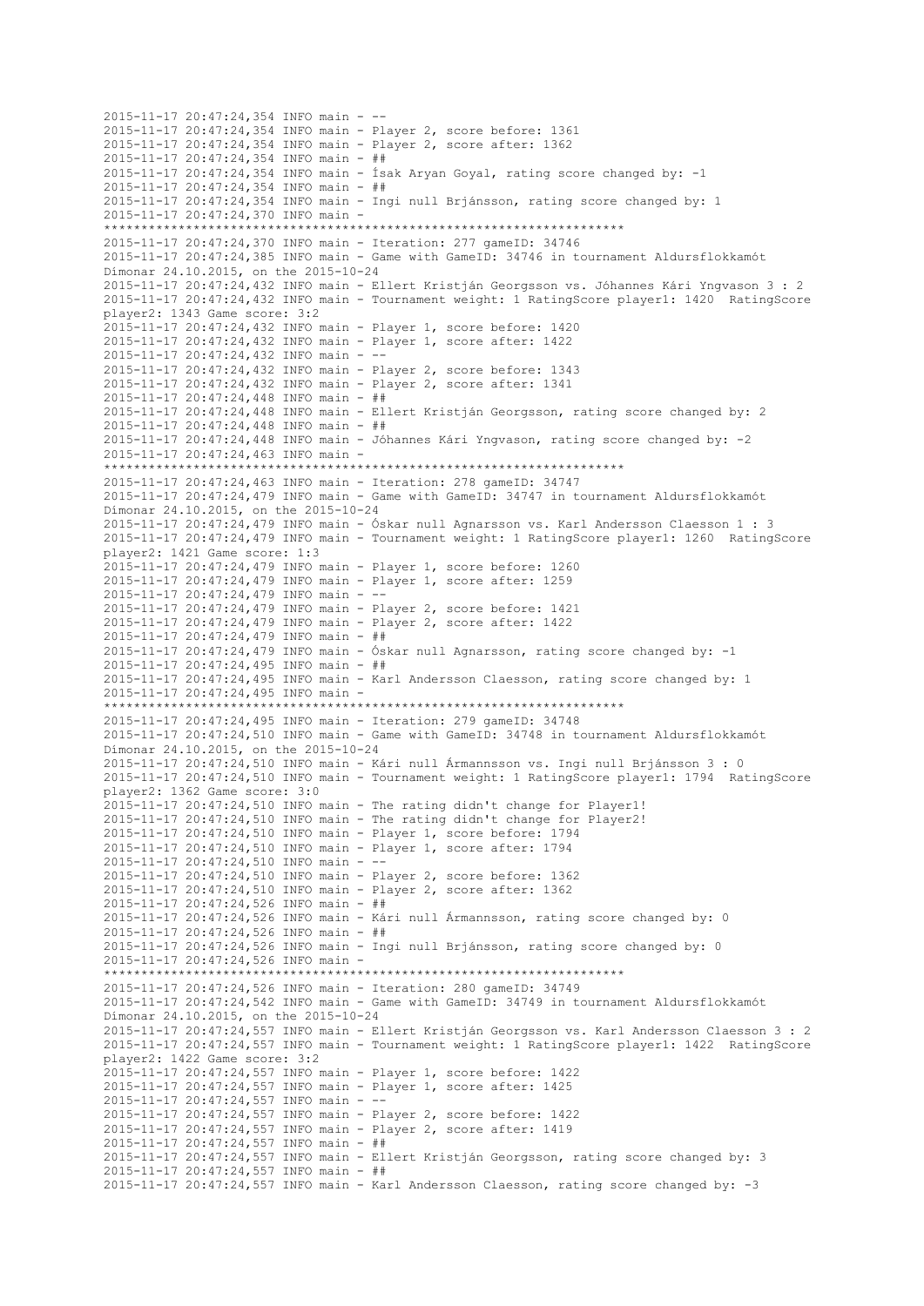2015-11-17 20:47:24,354 INFO main - -- 2015-11-17 20:47:24,354 INFO main - Player 2, score before: 1361 2015-11-17 20:47:24,354 INFO main - Player 2, score after: 1362 2015-11-17 20:47:24,354 INFO main - ## 2015-11-17 20:47:24,354 INFO main - Ísak Aryan Goyal, rating score changed by: -1 2015-11-17 20:47:24,354 INFO main - ## 2015-11-17 20:47:24,354 INFO main - Ingi null Brjánsson, rating score changed by: 1 2015-11-17 20:47:24,370 INFO main - \*\*\*\*\*\*\*\*\*\*\*\*\*\*\*\*\*\*\*\*\*\*\*\*\*\*\*\*\*\*\*\*\*\*\*\*\*\*\*\*\*\*\*\*\*\*\*\*\*\*\*\*\*\*\*\*\*\*\*\*\*\*\*\*\*\*\*\*\*\* 2015-11-17 20:47:24,370 INFO main - Iteration: 277 gameID: 34746 2015-11-17 20:47:24,385 INFO main - Game with GameID: 34746 in tournament Aldursflokkamót Dímonar 24.10.2015, on the 2015-10-24 2015-11-17 20:47:24,432 INFO main - Ellert Kristján Georgsson vs. Jóhannes Kári Yngvason 3 : 2 2015-11-17 20:47:24,432 INFO main - Tournament weight: 1 RatingScore player1: 1420 RatingScore player2: 1343 Game score: 3:2 2015-11-17 20:47:24,432 INFO main - Player 1, score before: 1420 2015-11-17 20:47:24,432 INFO main - Player 1, score after: 1422 2015-11-17 20:47:24,432 INFO main - -- 2015-11-17 20:47:24,432 INFO main - Player 2, score before: 1343 2015-11-17 20:47:24,432 INFO main - Player 2, score after: 1341 2015-11-17 20:47:24,448 INFO main - ## 2015-11-17 20:47:24,448 INFO main - Ellert Kristján Georgsson, rating score changed by: 2 2015-11-17 20:47:24,448 INFO main - ## 2015-11-17 20:47:24,448 INFO main - Jóhannes Kári Yngvason, rating score changed by: -2 2015-11-17 20:47:24,463 INFO main - \*\*\*\*\*\*\*\*\*\*\*\*\*\*\*\*\*\*\*\*\*\*\*\*\*\*\*\*\*\*\*\*\*\*\*\*\*\*\*\*\*\*\*\*\*\*\*\*\*\*\*\*\*\*\*\*\*\*\*\*\*\*\*\*\*\*\*\*\*\* 2015-11-17 20:47:24,463 INFO main - Iteration: 278 gameID: 34747 2015-11-17 20:47:24,479 INFO main - Game with GameID: 34747 in tournament Aldursflokkamót Dímonar 24.10.2015, on the 2015-10-24 2015-11-17 20:47:24,479 INFO main - Óskar null Agnarsson vs. Karl Andersson Claesson 1 : 3 2015-11-17 20:47:24,479 INFO main - Tournament weight: 1 RatingScore player1: 1260 RatingScore player2: 1421 Game score: 1:3 2015-11-17 20:47:24,479 INFO main - Player 1, score before: 1260 2015-11-17 20:47:24,479 INFO main - Player 1, score after: 1259 2015-11-17 20:47:24,479 INFO main - -- 2015-11-17 20:47:24,479 INFO main - Player 2, score before: 1421 2015-11-17 20:47:24,479 INFO main - Player 2, score after: 1422 2015-11-17 20:47:24,479 INFO main - ## 2015-11-17 20:47:24,479 INFO main - Óskar null Agnarsson, rating score changed by: -1 2015-11-17 20:47:24,495 INFO main - ## 2015-11-17 20:47:24,495 INFO main - Karl Andersson Claesson, rating score changed by: 1 2015-11-17 20:47:24,495 INFO main - \*\*\*\*\*\*\*\*\*\*\*\*\*\*\*\*\*\*\*\*\*\*\*\*\*\*\*\*\*\*\*\*\*\*\*\*\*\*\*\*\*\*\*\*\*\*\*\*\*\*\*\*\*\*\*\*\*\*\*\*\*\*\*\*\*\*\*\*\*\* 2015-11-17 20:47:24,495 INFO main - Iteration: 279 gameID: 34748 2015-11-17 20:47:24,510 INFO main - Game with GameID: 34748 in tournament Aldursflokkamót Dímonar 24.10.2015, on the 2015-10-24 2015-11-17 20:47:24,510 INFO main - Kári null Ármannsson vs. Ingi null Brjánsson 3 : 0 2015-11-17 20:47:24,510 INFO main - Tournament weight: 1 RatingScore player1: 1794 RatingScore player2: 1362 Game score: 3:0 2015-11-17 20:47:24,510 INFO main - The rating didn't change for Player1! 2015-11-17 20:47:24,510 INFO main - The rating didn't change for Player2! 2015-11-17 20:47:24,510 INFO main - Player 1, score before: 1794 2015-11-17 20:47:24,510 INFO main - Player 1, score after: 1794 2015-11-17 20:47:24,510 INFO main - -- 2015-11-17 20:47:24,510 INFO main - Player 2, score before: 1362 2015-11-17 20:47:24,510 INFO main - Player 2, score after: 1362 2015-11-17 20:47:24,526 INFO main - ## 2015-11-17 20:47:24,526 INFO main - Kári null Ármannsson, rating score changed by: 0 2015-11-17 20:47:24,526 INFO main - ## 2015-11-17 20:47:24,526 INFO main - Ingi null Brjánsson, rating score changed by: 0 2015-11-17 20:47:24,526 INFO main - \*\*\*\*\*\*\*\*\*\*\*\*\*\*\*\*\*\*\*\*\*\*\*\*\*\*\*\*\*\*\*\*\*\*\*\*\*\*\*\*\*\*\*\*\*\*\*\*\*\*\*\*\*\*\*\*\*\*\*\*\*\*\*\*\*\*\*\*\*\* 2015-11-17 20:47:24,526 INFO main - Iteration: 280 gameID: 34749 2015-11-17 20:47:24,542 INFO main - Game with GameID: 34749 in tournament Aldursflokkamót Dímonar 24.10.2015, on the 2015-10-24 2015-11-17 20:47:24,557 INFO main - Ellert Kristján Georgsson vs. Karl Andersson Claesson 3 : 2 2015-11-17 20:47:24,557 INFO main - Tournament weight: 1 RatingScore player1: 1422 RatingScore player2: 1422 Game score: 3:2 2015-11-17 20:47:24,557 INFO main - Player 1, score before: 1422 2015-11-17 20:47:24,557 INFO main - Player 1, score after: 1425 2015-11-17 20:47:24,557 INFO main - -- 2015-11-17 20:47:24,557 INFO main - Player 2, score before: 1422 2015-11-17 20:47:24,557 INFO main - Player 2, score after: 1419 2015-11-17 20:47:24,557 INFO main - ## 2015-11-17 20:47:24,557 INFO main - Ellert Kristján Georgsson, rating score changed by: 3 2015-11-17 20:47:24,557 INFO main - ## 2015-11-17 20:47:24,557 INFO main - Karl Andersson Claesson, rating score changed by: -3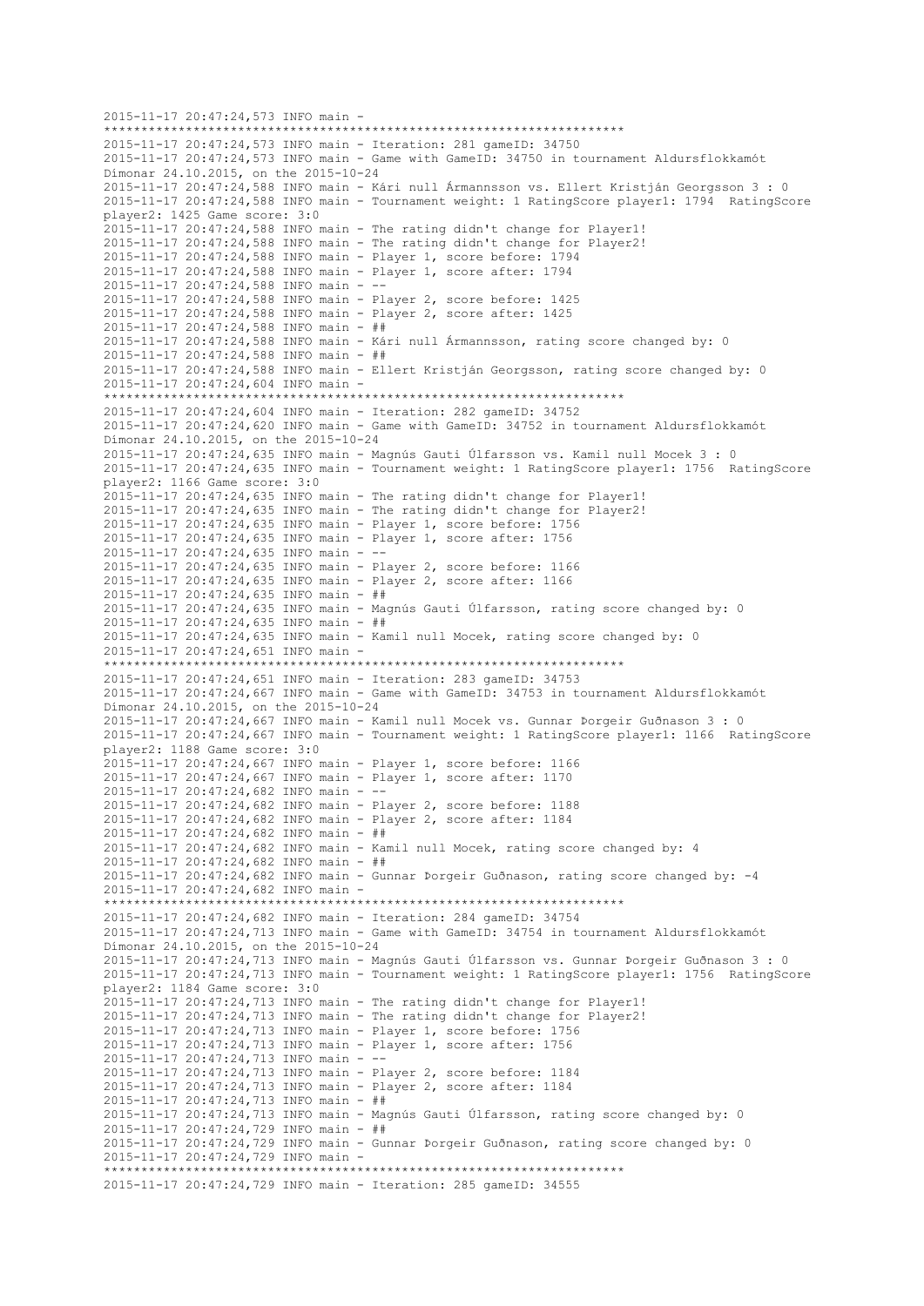```
2015-11-17 20:47:24,573 INFO main -
                        **********************************************************************
2015-11-17 20:47:24,573 INFO main - Iteration: 281 gameID: 34750
2015-11-17 20:47:24,573 INFO main - Game with GameID: 34750 in tournament Aldursflokkamót 
Dímonar 24.10.2015, on the 2015-10-24
2015-11-17 20:47:24,588 INFO main - Kári null Ármannsson vs. Ellert Kristján Georgsson 3 : 0
2015-11-17 20:47:24,588 INFO main - Tournament weight: 1 RatingScore player1: 1794 RatingScore 
player2: 1425 Game score: 3:0
2015-11-17 20:47:24,588 INFO main - The rating didn't change for Player1!
2015-11-17 20:47:24,588 INFO main - The rating didn't change for Player2!
2015-11-17 20:47:24,588 INFO main - Player 1, score before: 1794
2015-11-17 20:47:24,588 INFO main - Player 1, score after: 1794
2015-11-17 20:47:24,588 INFO main - --
2015-11-17 20:47:24,588 INFO main - Player 2, score before: 1425
2015-11-17 20:47:24,588 INFO main - Player 2, score after: 1425
2015-11-17 20:47:24,588 INFO main - ##
2015-11-17 20:47:24,588 INFO main - Kári null Ármannsson, rating score changed by: 0
2015-11-17 20:47:24,588 INFO main - ##
2015-11-17 20:47:24,588 INFO main - Ellert Kristján Georgsson, rating score changed by: 0
2015-11-17 20:47:24,604 INFO main -
                    **********************************************************************
2015-11-17 20:47:24,604 INFO main - Iteration: 282 gameID: 34752
2015-11-17 20:47:24,620 INFO main - Game with GameID: 34752 in tournament Aldursflokkamót 
Dímonar 24.10.2015, on the 2015-10-24
2015-11-17 20:47:24,635 INFO main - Magnús Gauti Úlfarsson vs. Kamil null Mocek 3 : 0
2015-11-17 20:47:24,635 INFO main - Tournament weight: 1 RatingScore player1: 1756 RatingScore 
player2: 1166 Game score: 3:0
2015-11-17 20:47:24,635 INFO main - The rating didn't change for Player1!
2015-11-17 20:47:24,635 INFO main - The rating didn't change for Player2!
2015-11-17 20:47:24,635 INFO main - Player 1, score before: 1756
2015-11-17 20:47:24,635 INFO main - Player 1, score after: 1756
2015-11-17 20:47:24,635 INFO main - --
2015-11-17 20:47:24,635 INFO main - Player 2, score before: 1166
2015-11-17 20:47:24,635 INFO main - Player 2, score after: 1166
2015-11-17 20:47:24,635 INFO main - ##
2015-11-17 20:47:24,635 INFO main - Magnús Gauti Úlfarsson, rating score changed by: 0
2015-11-17 20:47:24,635 INFO main - ##
2015-11-17 20:47:24,635 INFO main - Kamil null Mocek, rating score changed by: 0
2015-11-17 20:47:24,651 INFO main -
     **********************************************************************
2015-11-17 20:47:24,651 INFO main - Iteration: 283 gameID: 34753
2015-11-17 20:47:24,667 INFO main - Game with GameID: 34753 in tournament Aldursflokkamót 
Dímonar 24.10.2015, on the 2015-10-24
2015-11-17 20:47:24,667 INFO main - Kamil null Mocek vs. Gunnar Þorgeir Guðnason 3 : 0
2015-11-17 20:47:24,667 INFO main - Tournament weight: 1 RatingScore player1: 1166 RatingScore 
player2: 1188 Game score: 3:0
2015-11-17 20:47:24,667 INFO main - Player 1, score before: 1166
2015-11-17 20:47:24,667 INFO main - Player 1, score after: 1170
2015-11-17 20:47:24,682 INFO main - --
2015-11-17 20:47:24,682 INFO main - Player 2, score before: 1188
2015-11-17 20:47:24,682 INFO main - Player 2, score after: 1184
2015-11-17 20:47:24,682 INFO main - ##
2015-11-17 20:47:24,682 INFO main - Kamil null Mocek, rating score changed by: 4
2015-11-17 20:47:24,682 INFO main - ##
2015-11-17 20:47:24,682 INFO main - Gunnar Þorgeir Guðnason, rating score changed by: -4
2015-11-17 20:47:24,682 INFO main -
**********************************************************************
2015-11-17 20:47:24,682 INFO main - Iteration: 284 gameID: 34754
2015-11-17 20:47:24,713 INFO main - Game with GameID: 34754 in tournament Aldursflokkamót 
Dímonar 24.10.2015, on the 2015-10-24
2015-11-17 20:47:24,713 INFO main - Magnús Gauti Úlfarsson vs. Gunnar Þorgeir Guðnason 3 : 0
2015-11-17 20:47:24,713 INFO main - Tournament weight: 1 RatingScore player1: 1756 RatingScore 
player2: 1184 Game score: 3:0
2015-11-17 20:47:24,713 INFO main - The rating didn't change for Player1!
2015-11-17 20:47:24,713 INFO main - The rating didn't change for Player2!
2015-11-17 20:47:24,713 INFO main - Player 1, score before: 1756
2015-11-17 20:47:24,713 INFO main - Player 1, score after: 1756
2015-11-17 20:47:24,713 INFO main - --
2015-11-17 20:47:24,713 INFO main - Player 2, score before: 1184
2015-11-17 20:47:24,713 INFO main - Player 2, score after: 1184
2015-11-17 20:47:24,713 INFO main - ##
2015-11-17 20:47:24,713 INFO main - Magnús Gauti Úlfarsson, rating score changed by: 0
2015-11-17 20:47:24,729 INFO main - ##
2015-11-17 20:47:24,729 INFO main - Gunnar Þorgeir Guðnason, rating score changed by: 0
2015-11-17 20:47:24,729 INFO main -
                        **********************************************************************
2015-11-17 20:47:24,729 INFO main - Iteration: 285 gameID: 34555
```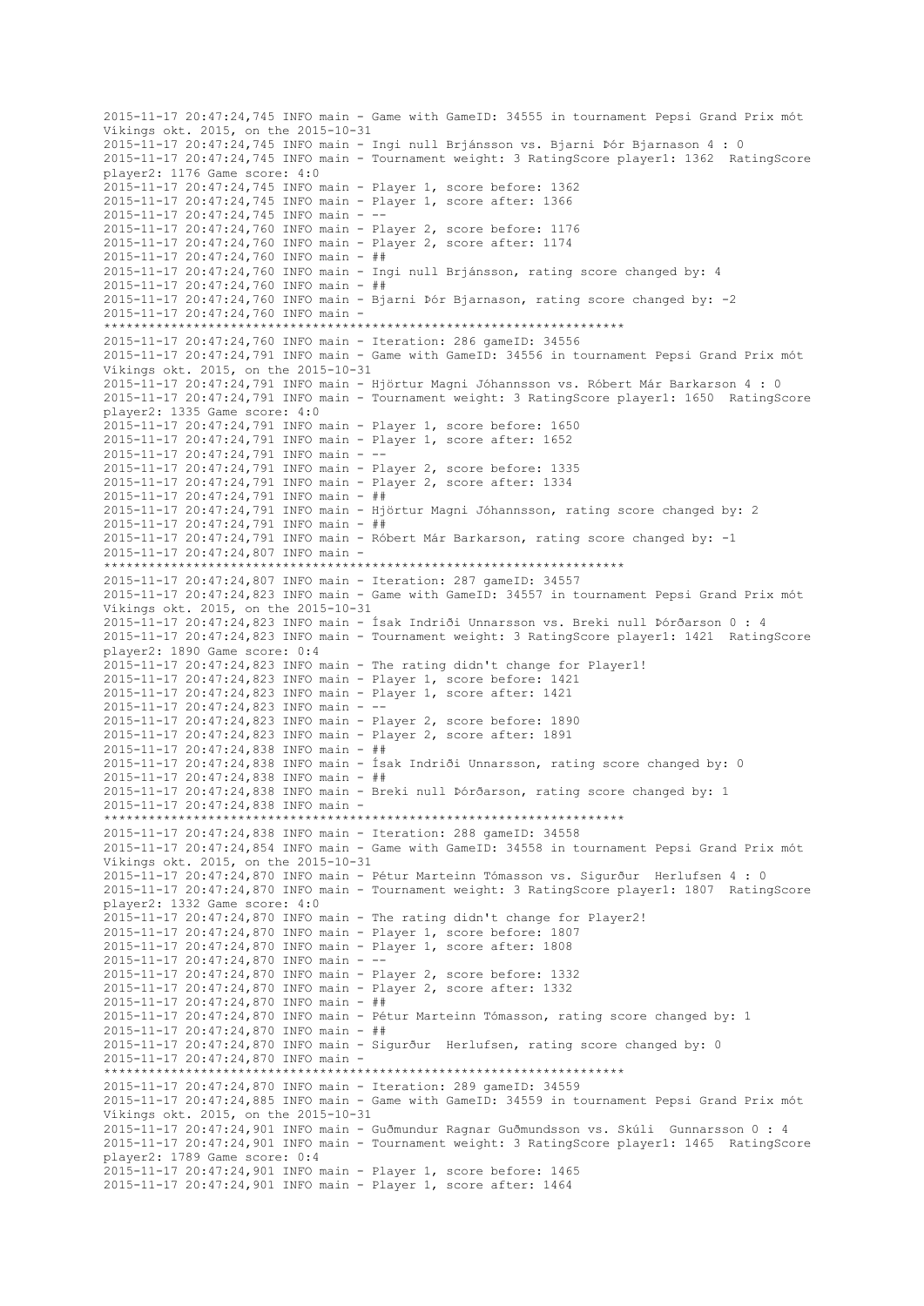2015-11-17 20:47:24,745 INFO main - Game with GameID: 34555 in tournament Pepsi Grand Prix mót Víkings okt. 2015, on the 2015-10-31 2015-11-17 20:47:24,745 INFO main - Ingi null Brjánsson vs. Bjarni Þór Bjarnason 4 : 0 2015-11-17 20:47:24,745 INFO main - Tournament weight: 3 RatingScore player1: 1362 RatingScore player2: 1176 Game score: 4:0 2015-11-17 20:47:24,745 INFO main - Player 1, score before: 1362 2015-11-17 20:47:24,745 INFO main - Player 1, score after: 1366 2015-11-17 20:47:24,745 INFO main - -- 2015-11-17 20:47:24,760 INFO main - Player 2, score before: 1176 2015-11-17 20:47:24,760 INFO main - Player 2, score after: 1174 2015-11-17 20:47:24,760 INFO main - ## 2015-11-17 20:47:24,760 INFO main - Ingi null Brjánsson, rating score changed by: 4 2015-11-17 20:47:24,760 INFO main - ## 2015-11-17 20:47:24,760 INFO main - Bjarni Þór Bjarnason, rating score changed by: -2 2015-11-17 20:47:24,760 INFO main - \*\*\*\*\*\*\*\*\*\*\*\*\*\*\*\*\*\*\*\*\*\*\*\*\*\*\*\*\*\*\*\*\*\*\*\*\*\*\*\*\*\*\*\*\*\*\*\*\*\*\*\*\*\*\*\*\*\*\*\*\*\*\*\*\*\*\*\*\*\* 2015-11-17 20:47:24,760 INFO main - Iteration: 286 gameID: 34556 2015-11-17 20:47:24,791 INFO main - Game with GameID: 34556 in tournament Pepsi Grand Prix mót Víkings okt. 2015, on the 2015-10-31 2015-11-17 20:47:24,791 INFO main - Hjörtur Magni Jóhannsson vs. Róbert Már Barkarson 4 : 0 2015-11-17 20:47:24,791 INFO main - Tournament weight: 3 RatingScore player1: 1650 RatingScore player2: 1335 Game score: 4:0 2015-11-17 20:47:24,791 INFO main - Player 1, score before: 1650 2015-11-17 20:47:24,791 INFO main - Player 1, score after: 1652 2015-11-17 20:47:24,791 INFO main - -- 2015-11-17 20:47:24,791 INFO main - Player 2, score before: 1335 2015-11-17 20:47:24,791 INFO main - Player 2, score after: 1334 2015-11-17 20:47:24,791 INFO main - ## 2015-11-17 20:47:24,791 INFO main - Hjörtur Magni Jóhannsson, rating score changed by: 2 2015-11-17 20:47:24,791 INFO main - ## 2015-11-17 20:47:24,791 INFO main - Róbert Már Barkarson, rating score changed by: -1 2015-11-17 20:47:24,807 INFO main - \*\*\*\*\*\*\*\*\*\*\*\*\*\*\*\*\*\*\*\*\*\*\*\*\*\*\*\*\*\*\*\*\*\*\*\*\*\*\*\*\*\*\*\*\*\*\*\*\*\*\*\*\*\*\*\*\*\*\*\*\*\*\*\*\*\*\*\*\*\* 2015-11-17 20:47:24,807 INFO main - Iteration: 287 gameID: 34557 2015-11-17 20:47:24,823 INFO main - Game with GameID: 34557 in tournament Pepsi Grand Prix mót Víkings okt. 2015, on the 2015-10-31 2015-11-17 20:47:24,823 INFO main - Ísak Indriði Unnarsson vs. Breki null Þórðarson 0 : 4 2015-11-17 20:47:24,823 INFO main - Tournament weight: 3 RatingScore player1: 1421 RatingScore player2: 1890 Game score: 0:4 2015-11-17 20:47:24,823 INFO main - The rating didn't change for Player1! 2015-11-17 20:47:24,823 INFO main - Player 1, score before: 1421 2015-11-17 20:47:24,823 INFO main - Player 1, score after: 1421 2015-11-17 20:47:24,823 INFO main - -- 2015-11-17 20:47:24,823 INFO main - Player 2, score before: 1890 2015-11-17 20:47:24,823 INFO main - Player 2, score after: 1891 2015-11-17 20:47:24,838 INFO main - ## 2015-11-17 20:47:24,838 INFO main - Ísak Indriði Unnarsson, rating score changed by: 0 2015-11-17 20:47:24,838 INFO main - ## 2015-11-17 20:47:24,838 INFO main - Breki null Þórðarson, rating score changed by: 1 2015-11-17 20:47:24,838 INFO main - \*\*\*\*\*\*\*\*\*\*\*\*\*\*\*\*\*\*\*\*\*\*\*\*\*\*\*\*\*\*\*\*\*\*\*\*\*\*\*\*\*\*\*\*\*\*\*\*\*\*\*\*\*\*\*\*\*\*\*\*\*\*\*\*\*\*\*\*\*\* 2015-11-17 20:47:24,838 INFO main - Iteration: 288 gameID: 34558 2015-11-17 20:47:24,854 INFO main - Game with GameID: 34558 in tournament Pepsi Grand Prix mót Víkings okt. 2015, on the 2015-10-31 2015-11-17 20:47:24,870 INFO main - Pétur Marteinn Tómasson vs. Sigurður Herlufsen 4 : 0 2015-11-17 20:47:24,870 INFO main - Tournament weight: 3 RatingScore player1: 1807 RatingScore player2: 1332 Game score: 4:0 2015-11-17 20:47:24,870 INFO main - The rating didn't change for Player2! 2015-11-17 20:47:24,870 INFO main - Player 1, score before: 1807 2015-11-17 20:47:24,870 INFO main - Player 1, score after: 1808 2015-11-17 20:47:24,870 INFO main - -- 2015-11-17 20:47:24,870 INFO main - Player 2, score before: 1332 2015-11-17 20:47:24,870 INFO main - Player 2, score after: 1332 2015-11-17 20:47:24,870 INFO main - ## 2015-11-17 20:47:24,870 INFO main - Pétur Marteinn Tómasson, rating score changed by: 1 2015-11-17 20:47:24,870 INFO main - ## 2015-11-17 20:47:24,870 INFO main - Sigurður Herlufsen, rating score changed by: 0 2015-11-17 20:47:24,870 INFO main - \*\*\*\*\*\*\*\*\*\*\*\*\*\*\*\*\*\*\*\*\*\*\*\*\*\*\*\*\*\*\*\*\*\*\*\*\*\*\*\*\*\*\*\*\*\*\*\*\*\*\*\*\*\*\*\*\*\*\*\*\*\*\*\*\*\*\*\*\*\* 2015-11-17 20:47:24,870 INFO main - Iteration: 289 gameID: 34559 2015-11-17 20:47:24,885 INFO main - Game with GameID: 34559 in tournament Pepsi Grand Prix mót Víkings okt. 2015, on the 2015-10-31 2015-11-17 20:47:24,901 INFO main - Guðmundur Ragnar Guðmundsson vs. Skúli Gunnarsson 0 : 4 2015-11-17 20:47:24,901 INFO main - Tournament weight: 3 RatingScore player1: 1465 RatingScore player2: 1789 Game score: 0:4 2015-11-17 20:47:24,901 INFO main - Player 1, score before: 1465 2015-11-17 20:47:24,901 INFO main - Player 1, score after: 1464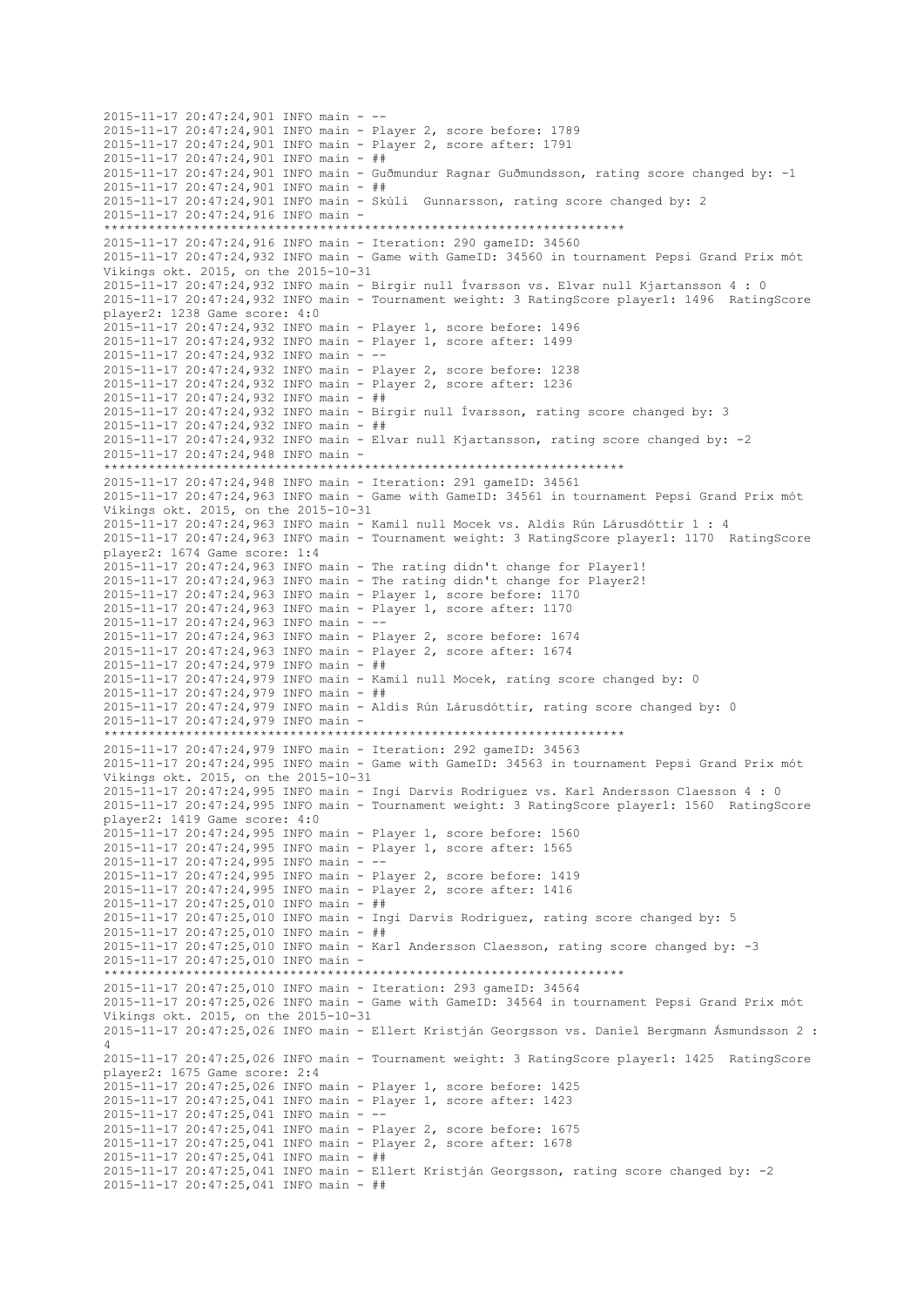2015-11-17 20:47:24,901 INFO main - -- 2015-11-17 20:47:24,901 INFO main - Player 2, score before: 1789 2015-11-17 20:47:24,901 INFO main - Player 2, score after: 1791 2015-11-17 20:47:24,901 INFO main - ## 2015-11-17 20:47:24,901 INFO main - Guðmundur Ragnar Guðmundsson, rating score changed by: -1 2015-11-17 20:47:24,901 INFO main - ## 2015-11-17 20:47:24,901 INFO main - Skúli Gunnarsson, rating score changed by: 2 2015-11-17 20:47:24,916 INFO main - \*\*\*\*\*\*\*\*\*\*\*\*\*\*\*\*\*\*\*\*\*\*\*\*\*\*\*\*\*\*\*\*\*\*\*\*\*\*\*\*\*\*\*\*\*\*\*\*\*\*\*\*\*\*\*\*\*\*\*\*\*\*\*\*\*\*\*\*\*\* 2015-11-17 20:47:24,916 INFO main - Iteration: 290 gameID: 34560 2015-11-17 20:47:24,932 INFO main - Game with GameID: 34560 in tournament Pepsi Grand Prix mót Víkings okt. 2015, on the 2015-10-31 2015-11-17 20:47:24,932 INFO main - Birgir null Ívarsson vs. Elvar null Kjartansson 4 : 0 2015-11-17 20:47:24,932 INFO main - Tournament weight: 3 RatingScore player1: 1496 RatingScore player2: 1238 Game score: 4:0 2015-11-17 20:47:24,932 INFO main - Player 1, score before: 1496 2015-11-17 20:47:24,932 INFO main - Player 1, score after: 1499 2015-11-17 20:47:24,932 INFO main - -- 2015-11-17 20:47:24,932 INFO main - Player 2, score before: 1238 2015-11-17 20:47:24,932 INFO main - Player 2, score after: 1236 2015-11-17 20:47:24,932 INFO main - ## 2015-11-17 20:47:24,932 INFO main - Birgir null Ívarsson, rating score changed by: 3 2015-11-17 20:47:24,932 INFO main - ## 2015-11-17 20:47:24,932 INFO main - Elvar null Kjartansson, rating score changed by: -2  $2015 - 11 - 17$   $20 \cdot 47 \cdot 24$ , 948 INFO main -\*\*\*\*\*\*\*\*\*\*\*\*\*\*\*\*\*\*\*\*\*\*\*\*\*\*\*\*\*\*\*\*\*\*\*\*\*\*\*\*\*\*\*\*\*\*\*\*\*\*\*\*\*\*\*\*\*\*\*\*\*\*\*\*\*\*\*\*\*\* 2015-11-17 20:47:24,948 INFO main - Iteration: 291 gameID: 34561 2015-11-17 20:47:24,963 INFO main - Game with GameID: 34561 in tournament Pepsi Grand Prix mót Víkings okt. 2015, on the 2015-10-31 2015-11-17 20:47:24,963 INFO main - Kamil null Mocek vs. Aldís Rún Lárusdóttir 1 : 4 2015-11-17 20:47:24,963 INFO main - Tournament weight: 3 RatingScore player1: 1170 RatingScore player2: 1674 Game score: 1:4 2015-11-17 20:47:24,963 INFO main - The rating didn't change for Player1! 2015-11-17 20:47:24,963 INFO main - The rating didn't change for Player2! 2015-11-17 20:47:24,963 INFO main - Player 1, score before: 1170 2015-11-17 20:47:24,963 INFO main - Player 1, score after: 1170 2015-11-17 20:47:24,963 INFO main - -- 2015-11-17 20:47:24,963 INFO main - Player 2, score before: 1674 2015-11-17 20:47:24,963 INFO main - Player 2, score after: 1674 2015-11-17 20:47:24,979 INFO main - ## 2015-11-17 20:47:24,979 INFO main - Kamil null Mocek, rating score changed by: 0 2015-11-17 20:47:24,979 INFO main - ## 2015-11-17 20:47:24,979 INFO main - Aldís Rún Lárusdóttir, rating score changed by: 0 2015-11-17 20:47:24,979 INFO main - \*\*\*\*\*\*\*\*\*\*\*\*\*\*\*\*\*\*\*\*\*\*\*\*\*\*\*\*\*\*\*\*\*\*\*\*\*\*\*\*\*\*\*\*\*\*\*\*\*\*\*\*\*\*\*\*\*\*\*\*\*\*\*\*\*\*\*\*\*\* 2015-11-17 20:47:24,979 INFO main - Iteration: 292 gameID: 34563 2015-11-17 20:47:24,995 INFO main - Game with GameID: 34563 in tournament Pepsi Grand Prix mót Víkings okt. 2015, on the 2015-10-31 2015-11-17 20:47:24,995 INFO main - Ingi Darvis Rodriguez vs. Karl Andersson Claesson 4 : 0 2015-11-17 20:47:24,995 INFO main - Tournament weight: 3 RatingScore player1: 1560 RatingScore player2: 1419 Game score: 4:0 2015-11-17 20:47:24,995 INFO main - Player 1, score before: 1560 2015-11-17 20:47:24,995 INFO main - Player 1, score after: 1565 2015-11-17 20:47:24,995 INFO main - -- 2015-11-17 20:47:24,995 INFO main - Player 2, score before: 1419 2015-11-17 20:47:24,995 INFO main - Player 2, score after: 1416 2015-11-17 20:47:25,010 INFO main - ## 2015-11-17 20:47:25,010 INFO main - Ingi Darvis Rodriguez, rating score changed by: 5 2015-11-17 20:47:25,010 INFO main - ## 2015-11-17 20:47:25,010 INFO main - Karl Andersson Claesson, rating score changed by: -3 2015-11-17 20:47:25,010 INFO main - \*\*\*\*\*\*\*\*\*\*\*\*\*\*\*\*\*\*\*\*\*\*\*\*\*\*\*\*\*\*\*\*\*\*\*\*\*\*\*\*\*\*\*\*\*\*\*\*\*\*\*\*\*\*\*\*\*\*\*\*\*\*\*\*\*\*\*\*\*\* 2015-11-17 20:47:25,010 INFO main - Iteration: 293 gameID: 34564 2015-11-17 20:47:25,026 INFO main - Game with GameID: 34564 in tournament Pepsi Grand Prix mót Víkings okt. 2015, on the 2015-10-31 2015-11-17 20:47:25,026 INFO main - Ellert Kristján Georgsson vs. Daníel Bergmann Ásmundsson 2 : 4 2015-11-17 20:47:25,026 INFO main - Tournament weight: 3 RatingScore player1: 1425 RatingScore player2: 1675 Game score: 2:4 2015-11-17 20:47:25,026 INFO main - Player 1, score before: 1425 2015-11-17 20:47:25,041 INFO main - Player 1, score after: 1423 2015-11-17 20:47:25,041 INFO main - -- 2015-11-17 20:47:25,041 INFO main - Player 2, score before: 1675 2015-11-17 20:47:25,041 INFO main - Player 2, score after: 1678 2015-11-17 20:47:25,041 INFO main - ## 2015-11-17 20:47:25,041 INFO main - Ellert Kristján Georgsson, rating score changed by: -2 2015-11-17 20:47:25,041 INFO main - ##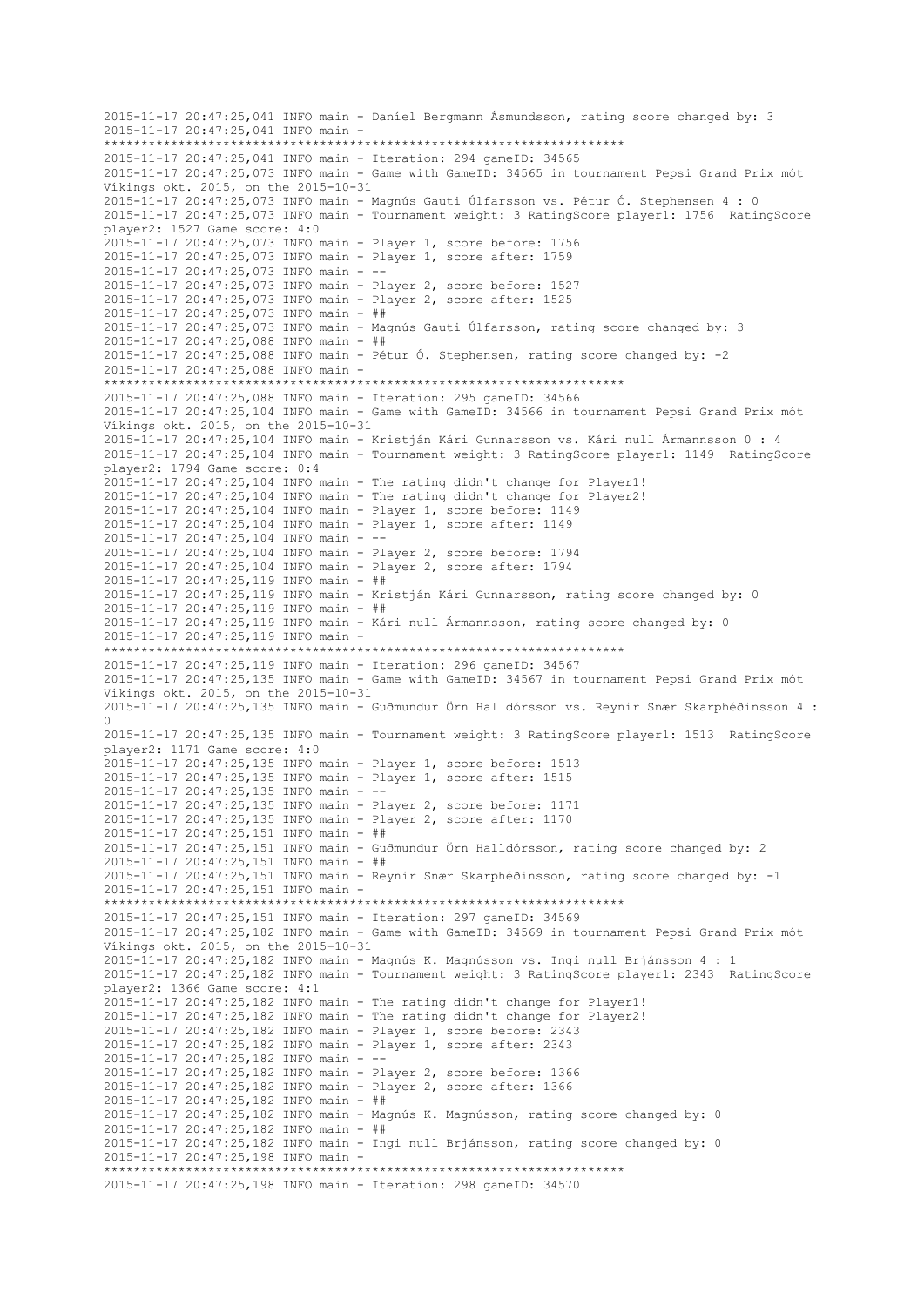```
2015-11-17 20:47:25,041 INFO main - Daníel Bergmann Ásmundsson, rating score changed by: 3
2015-11-17 20:47:25,041 INFO main -
                     **********************************************************************
2015-11-17 20:47:25,041 INFO main - Iteration: 294 gameID: 34565
2015-11-17 20:47:25,073 INFO main - Game with GameID: 34565 in tournament Pepsi Grand Prix mót 
Víkings okt. 2015, on the 2015-10-31
2015-11-17 20:47:25,073 INFO main - Magnús Gauti Úlfarsson vs. Pétur Ó. Stephensen 4 : 0
2015-11-17 20:47:25,073 INFO main - Tournament weight: 3 RatingScore player1: 1756 RatingScore 
player2: 1527 Game score: 4:0
2015-11-17 20:47:25,073 INFO main - Player 1, score before: 1756
2015-11-17 20:47:25,073 INFO main - Player 1, score after: 1759
2015-11-17 20:47:25,073 INFO main - --
2015-11-17 20:47:25,073 INFO main - Player 2, score before: 1527
2015-11-17 20:47:25,073 INFO main - Player 2, score after: 1525
2015-11-17 20:47:25,073 INFO main - ##
2015-11-17 20:47:25,073 INFO main - Magnús Gauti Úlfarsson, rating score changed by: 3
2015-11-17 20:47:25,088 INFO main - ##
2015-11-17 20:47:25,088 INFO main - Pétur Ó. Stephensen, rating score changed by: -2
2015-11-17 20:47:25,088 INFO main -
 **********************************************************************
2015-11-17 20:47:25,088 INFO main - Iteration: 295 gameID: 34566
2015-11-17 20:47:25,104 INFO main - Game with GameID: 34566 in tournament Pepsi Grand Prix mót 
Víkings okt. 2015, on the 2015-10-31
2015-11-17 20:47:25,104 INFO main - Kristján Kári Gunnarsson vs. Kári null Ármannsson 0 : 4
2015-11-17 20:47:25,104 INFO main - Tournament weight: 3 RatingScore player1: 1149 RatingScore 
player2: 1794 Game score: 0:4
2015-11-17 20:47:25,104 INFO main - The rating didn't change for Player1!
2015-11-17 20:47:25,104 INFO main - The rating didn't change for Player2!
2015-11-17 20:47:25,104 INFO main - Player 1, score before: 1149
2015-11-17 20:47:25,104 INFO main - Player 1, score after: 1149
2015-11-17 20:47:25,104 INFO main - --
2015-11-17 20:47:25,104 INFO main - Player 2, score before: 1794
2015-11-17 20:47:25,104 INFO main - Player 2, score after: 1794
2015-11-17 20:47:25,119 INFO main - ##
2015-11-17 20:47:25,119 INFO main - Kristján Kári Gunnarsson, rating score changed by: 0
2015-11-17 20:47:25,119 INFO main - ##
2015-11-17 20:47:25,119 INFO main - Kári null Ármannsson, rating score changed by: 0
2015-11-17 20:47:25,119 INFO main -
           **********************************************************************
2015-11-17 20:47:25,119 INFO main - Iteration: 296 gameID: 34567
2015-11-17 20:47:25,135 INFO main - Game with GameID: 34567 in tournament Pepsi Grand Prix mót 
Víkings okt. 2015, on the 2015-10-31
2015-11-17 20:47:25,135 INFO main - Guðmundur Örn Halldórsson vs. Reynir Snær Skarphéðinsson 4 : 
0
2015-11-17 20:47:25,135 INFO main - Tournament weight: 3 RatingScore player1: 1513 RatingScore 
player2: 1171 Game score: 4:0
2015-11-17 20:47:25,135 INFO main - Player 1, score before: 1513
2015-11-17 20:47:25,135 INFO main - Player 1, score after: 1515
2015-11-17 20:47:25,135 INFO main - --
2015-11-17 20:47:25,135 INFO main - Player 2, score before: 1171
2015-11-17 20:47:25,135 INFO main - Player 2, score after: 1170
2015-11-17 20:47:25,151 INFO main - ##
2015-11-17 20:47:25,151 INFO main - Guðmundur Örn Halldórsson, rating score changed by: 2
2015-11-17 20:47:25,151 INFO main - ##
2015-11-17 20:47:25,151 INFO main - Reynir Snær Skarphéðinsson, rating score changed by: -1
2015-11-17 20:47:25,151 INFO main -
**********************************************************************
2015-11-17 20:47:25,151 INFO main - Iteration: 297 gameID: 34569
2015-11-17 20:47:25,182 INFO main - Game with GameID: 34569 in tournament Pepsi Grand Prix mót 
Víkings okt. 2015, on the 2015-10-31
2015-11-17 20:47:25,182 INFO main - Magnús K. Magnússon vs. Ingi null Brjánsson 4 : 1
2015-11-17 20:47:25,182 INFO main - Tournament weight: 3 RatingScore player1: 2343 RatingScore 
player2: 1366 Game score: 4:1
2015-11-17 20:47:25,182 INFO main - The rating didn't change for Player1!
2015-11-17 20:47:25,182 INFO main - The rating didn't change for Player2!
2015-11-17 20:47:25,182 INFO main - Player 1, score before: 2343
2015-11-17 20:47:25,182 INFO main - Player 1, score after: 2343
2015-11-17 20:47:25,182 INFO main - --
2015-11-17 20:47:25,182 INFO main - Player 2, score before: 1366
2015-11-17 20:47:25,182 INFO main - Player 2, score after: 1366
2015-11-17 20:47:25,182 INFO main - ##
2015-11-17 20:47:25,182 INFO main - Magnús K. Magnússon, rating score changed by: 0
2015-11-17 20:47:25,182 INFO main - ##
2015-11-17 20:47:25,182 INFO main - Ingi null Brjánsson, rating score changed by: 0
2015-11-17 20:47:25,198 INFO main -
                      **********************************************************************
2015-11-17 20:47:25,198 INFO main - Iteration: 298 gameID: 34570
```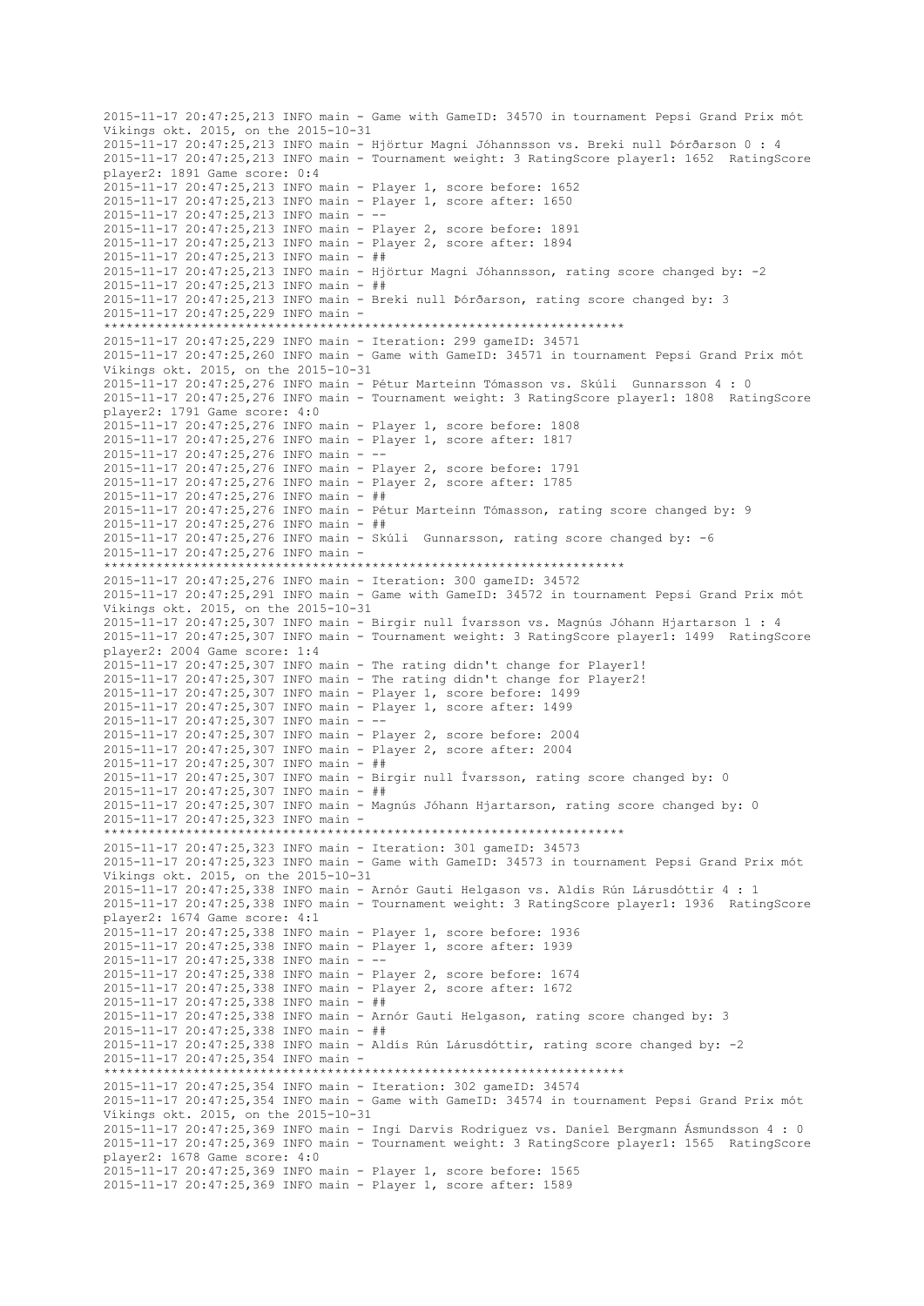2015-11-17 20:47:25,213 INFO main - Game with GameID: 34570 in tournament Pepsi Grand Prix mót Víkings okt. 2015, on the 2015-10-31 2015-11-17 20:47:25,213 INFO main - Hjörtur Magni Jóhannsson vs. Breki null Þórðarson 0 : 4 2015-11-17 20:47:25,213 INFO main - Tournament weight: 3 RatingScore player1: 1652 RatingScore player2: 1891 Game score: 0:4 2015-11-17 20:47:25,213 INFO main - Player 1, score before: 1652 2015-11-17 20:47:25,213 INFO main - Player 1, score after: 1650 2015-11-17 20:47:25,213 INFO main - -- 2015-11-17 20:47:25,213 INFO main - Player 2, score before: 1891 2015-11-17 20:47:25,213 INFO main - Player 2, score after: 1894 2015-11-17 20:47:25,213 INFO main - ## 2015-11-17 20:47:25,213 INFO main - Hjörtur Magni Jóhannsson, rating score changed by: -2 2015-11-17 20:47:25,213 INFO main - ## 2015-11-17 20:47:25,213 INFO main - Breki null Þórðarson, rating score changed by: 3 2015-11-17 20:47:25,229 INFO main - \*\*\*\*\*\*\*\*\*\*\*\*\*\*\*\*\*\*\*\*\*\*\*\*\*\*\*\*\*\*\*\*\*\*\*\*\*\*\*\*\*\*\*\*\*\*\*\*\*\*\*\*\*\*\*\*\*\*\*\*\*\*\*\*\*\*\*\*\*\* 2015-11-17 20:47:25,229 INFO main - Iteration: 299 gameID: 34571 2015-11-17 20:47:25,260 INFO main - Game with GameID: 34571 in tournament Pepsi Grand Prix mót Víkings okt. 2015, on the 2015-10-31 2015-11-17 20:47:25,276 INFO main - Pétur Marteinn Tómasson vs. Skúli Gunnarsson 4 : 0 2015-11-17 20:47:25,276 INFO main - Tournament weight: 3 RatingScore player1: 1808 RatingScore player2: 1791 Game score: 4:0 2015-11-17 20:47:25,276 INFO main - Player 1, score before: 1808 2015-11-17 20:47:25,276 INFO main - Player 1, score after: 1817 2015-11-17 20:47:25,276 INFO main - -- 2015-11-17 20:47:25,276 INFO main - Player 2, score before: 1791 2015-11-17 20:47:25,276 INFO main - Player 2, score after: 1785 2015-11-17 20:47:25,276 INFO main - ## 2015-11-17 20:47:25,276 INFO main - Pétur Marteinn Tómasson, rating score changed by: 9 2015-11-17 20:47:25,276 INFO main - ## 2015-11-17 20:47:25,276 INFO main - Skúli Gunnarsson, rating score changed by: -6 2015-11-17 20:47:25,276 INFO main - \*\*\*\*\*\*\*\*\*\*\*\*\*\*\*\*\*\*\*\*\*\*\*\*\*\*\*\*\*\*\*\*\*\*\*\*\*\*\*\*\*\*\*\*\*\*\*\*\*\*\*\*\*\*\*\*\*\*\*\*\*\*\*\*\*\*\*\*\*\* 2015-11-17 20:47:25,276 INFO main - Iteration: 300 gameID: 34572 2015-11-17 20:47:25,291 INFO main - Game with GameID: 34572 in tournament Pepsi Grand Prix mót Víkings okt. 2015, on the 2015-10-31 2015-11-17 20:47:25,307 INFO main - Birgir null Ívarsson vs. Magnús Jóhann Hjartarson 1 : 4 2015-11-17 20:47:25,307 INFO main - Tournament weight: 3 RatingScore player1: 1499 RatingScore player2: 2004 Game score: 1:4 2015-11-17 20:47:25,307 INFO main - The rating didn't change for Player1! 2015-11-17 20:47:25,307 INFO main - The rating didn't change for Player2! 2015-11-17 20:47:25,307 INFO main - Player 1, score before: 1499 2015-11-17 20:47:25,307 INFO main - Player 1, score after: 1499 2015-11-17 20:47:25,307 INFO main - -- 2015-11-17 20:47:25,307 INFO main - Player 2, score before: 2004 2015-11-17 20:47:25,307 INFO main - Player 2, score after: 2004 2015-11-17 20:47:25,307 INFO main - ## 2015-11-17 20:47:25,307 INFO main - Birgir null Ívarsson, rating score changed by: 0 2015-11-17 20:47:25,307 INFO main - ## 2015-11-17 20:47:25,307 INFO main - Magnús Jóhann Hjartarson, rating score changed by: 0 2015-11-17 20:47:25,323 INFO main - \*\*\*\*\*\*\*\*\*\*\*\*\*\*\*\*\*\*\*\*\*\*\*\*\*\*\*\*\*\*\*\*\*\*\*\*\*\*\*\*\*\*\*\*\*\*\*\*\*\*\*\*\*\*\*\*\*\*\*\*\*\*\*\*\*\*\*\*\*\* 2015-11-17 20:47:25,323 INFO main - Iteration: 301 gameID: 34573 2015-11-17 20:47:25,323 INFO main - Game with GameID: 34573 in tournament Pepsi Grand Prix mót Víkings okt. 2015, on the 2015-10-31 2015-11-17 20:47:25,338 INFO main - Arnór Gauti Helgason vs. Aldís Rún Lárusdóttir 4 : 1 2015-11-17 20:47:25,338 INFO main - Tournament weight: 3 RatingScore player1: 1936 RatingScore player2: 1674 Game score: 4:1 2015-11-17 20:47:25,338 INFO main - Player 1, score before: 1936 2015-11-17 20:47:25,338 INFO main - Player 1, score after: 1939 2015-11-17 20:47:25,338 INFO main - -- 2015-11-17 20:47:25,338 INFO main - Player 2, score before: 1674 2015-11-17 20:47:25,338 INFO main - Player 2, score after: 1672 2015-11-17 20:47:25,338 INFO main - ## 2015-11-17 20:47:25,338 INFO main - Arnór Gauti Helgason, rating score changed by: 3 2015-11-17 20:47:25,338 INFO main - ## 2015-11-17 20:47:25,338 INFO main - Aldís Rún Lárusdóttir, rating score changed by: -2 2015-11-17 20:47:25,354 INFO main - \*\*\*\*\*\*\*\*\*\*\*\*\*\*\*\*\*\*\*\*\*\*\*\*\*\*\*\*\*\*\*\*\*\*\*\*\*\*\*\*\*\*\*\*\*\*\*\*\*\*\*\*\*\*\*\*\*\*\*\*\*\*\*\*\*\*\*\*\*\* 2015-11-17 20:47:25,354 INFO main - Iteration: 302 gameID: 34574 2015-11-17 20:47:25,354 INFO main - Game with GameID: 34574 in tournament Pepsi Grand Prix mót Víkings okt. 2015, on the 2015-10-31 2015-11-17 20:47:25,369 INFO main - Ingi Darvis Rodriguez vs. Daníel Bergmann Ásmundsson 4 : 0 2015-11-17 20:47:25,369 INFO main - Tournament weight: 3 RatingScore player1: 1565 RatingScore player2: 1678 Game score: 4:0 2015-11-17 20:47:25,369 INFO main - Player 1, score before: 1565 2015-11-17 20:47:25,369 INFO main - Player 1, score after: 1589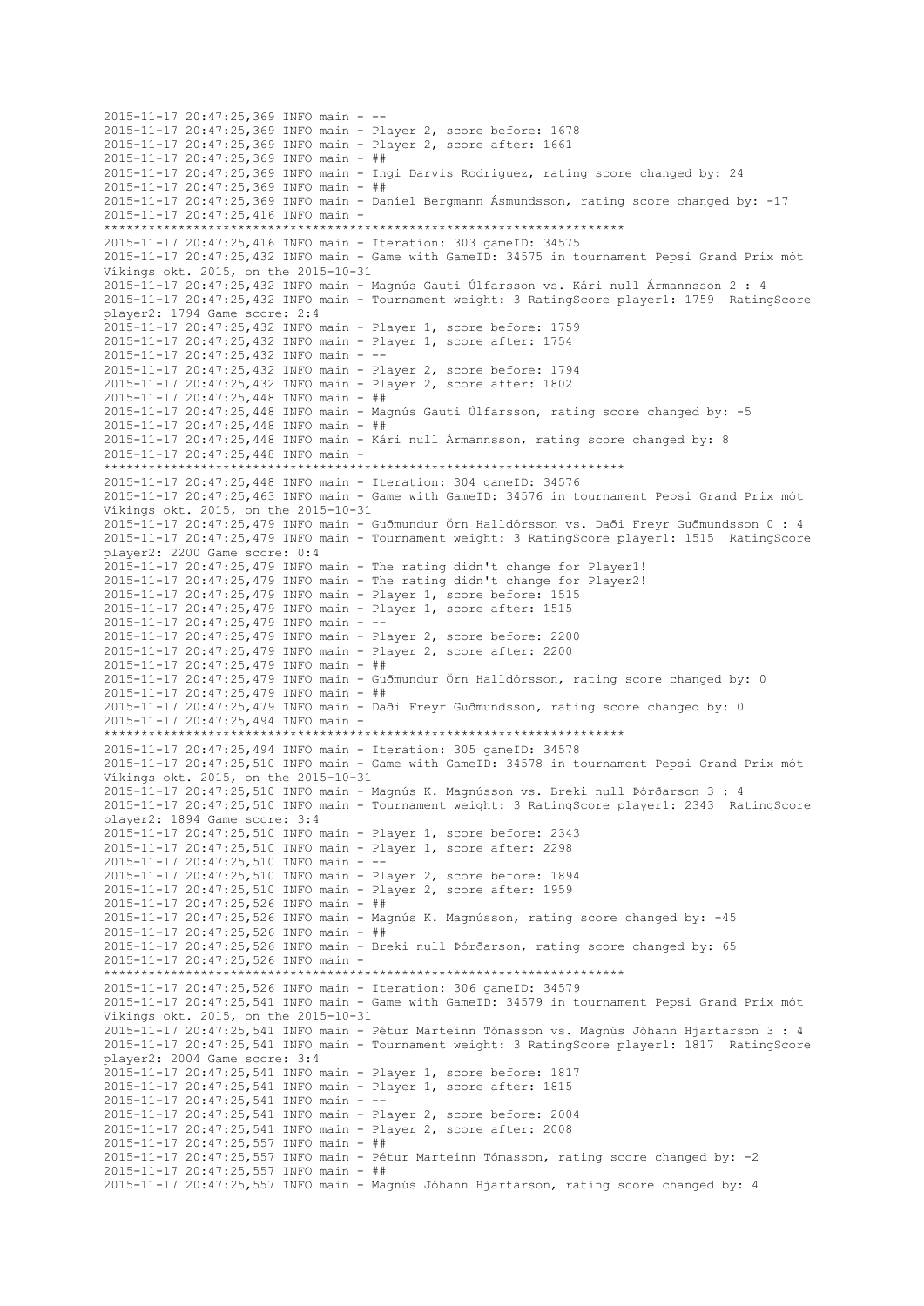2015-11-17 20:47:25,369 INFO main - -- 2015-11-17 20:47:25,369 INFO main - Player 2, score before: 1678 2015-11-17 20:47:25,369 INFO main - Player 2, score after: 1661 2015-11-17 20:47:25,369 INFO main - ## 2015-11-17 20:47:25,369 INFO main - Ingi Darvis Rodriguez, rating score changed by: 24 2015-11-17 20:47:25,369 INFO main - ## 2015-11-17 20:47:25,369 INFO main - Daníel Bergmann Ásmundsson, rating score changed by: -17 2015-11-17 20:47:25,416 INFO main - \*\*\*\*\*\*\*\*\*\*\*\*\*\*\*\*\*\*\*\*\*\*\*\*\*\*\*\*\*\*\*\*\*\*\*\*\*\*\*\*\*\*\*\*\*\*\*\*\*\*\*\*\*\*\*\*\*\*\*\*\*\*\*\*\*\*\*\*\*\* 2015-11-17 20:47:25,416 INFO main - Iteration: 303 gameID: 34575 2015-11-17 20:47:25,432 INFO main - Game with GameID: 34575 in tournament Pepsi Grand Prix mót Víkings okt. 2015, on the 2015-10-31 2015-11-17 20:47:25,432 INFO main - Magnús Gauti Úlfarsson vs. Kári null Ármannsson 2 : 4 2015-11-17 20:47:25,432 INFO main - Tournament weight: 3 RatingScore player1: 1759 RatingScore player2: 1794 Game score: 2:4 2015-11-17 20:47:25,432 INFO main - Player 1, score before: 1759 2015-11-17 20:47:25,432 INFO main - Player 1, score after: 1754 2015-11-17 20:47:25,432 INFO main - -- 2015-11-17 20:47:25,432 INFO main - Player 2, score before: 1794 2015-11-17 20:47:25,432 INFO main - Player 2, score after: 1802 2015-11-17 20:47:25,448 INFO main - ## 2015-11-17 20:47:25,448 INFO main - Magnús Gauti Úlfarsson, rating score changed by: -5 2015-11-17 20:47:25,448 INFO main - ## 2015-11-17 20:47:25,448 INFO main - Kári null Ármannsson, rating score changed by: 8 2015-11-17 20:47:25,448 INFO main - \*\*\*\*\*\*\*\*\*\*\*\*\*\*\*\*\*\*\*\*\*\*\*\*\*\*\*\*\*\*\*\*\*\*\*\*\*\*\*\*\*\*\*\*\*\*\*\*\*\*\*\*\*\*\*\*\*\*\*\*\*\*\*\*\*\*\*\*\*\* 2015-11-17 20:47:25,448 INFO main - Iteration: 304 gameID: 34576 2015-11-17 20:47:25,463 INFO main - Game with GameID: 34576 in tournament Pepsi Grand Prix mót Víkings okt. 2015, on the 2015-10-31 2015-11-17 20:47:25,479 INFO main - Guðmundur Örn Halldórsson vs. Daði Freyr Guðmundsson 0 : 4 2015-11-17 20:47:25,479 INFO main - Tournament weight: 3 RatingScore player1: 1515 RatingScore player2: 2200 Game score: 0:4 2015-11-17 20:47:25,479 INFO main - The rating didn't change for Player1! 2015-11-17 20:47:25,479 INFO main - The rating didn't change for Player2! 2015-11-17 20:47:25,479 INFO main - Player 1, score before: 1515 2015-11-17 20:47:25,479 INFO main - Player 1, score after: 1515 2015-11-17 20:47:25,479 INFO main - -- 2015-11-17 20:47:25,479 INFO main - Player 2, score before: 2200 2015-11-17 20:47:25,479 INFO main - Player 2, score after: 2200 2015-11-17 20:47:25,479 INFO main - ## 2015-11-17 20:47:25,479 INFO main - Guðmundur Örn Halldórsson, rating score changed by: 0 2015-11-17 20:47:25,479 INFO main - ## 2015-11-17 20:47:25,479 INFO main - Daði Freyr Guðmundsson, rating score changed by: 0 2015-11-17 20:47:25,494 INFO main - \*\*\*\*\*\*\*\*\*\*\*\*\*\*\*\*\*\*\*\*\*\*\*\*\*\*\*\*\*\*\*\*\*\*\*\*\*\*\*\*\*\*\*\*\*\*\*\*\*\*\*\*\*\*\*\*\*\*\*\*\*\*\*\*\*\*\*\*\*\* 2015-11-17 20:47:25,494 INFO main - Iteration: 305 gameID: 34578 2015-11-17 20:47:25,510 INFO main - Game with GameID: 34578 in tournament Pepsi Grand Prix mót Víkings okt. 2015, on the 2015-10-31 2015-11-17 20:47:25,510 INFO main - Magnús K. Magnússon vs. Breki null Þórðarson 3 : 4 2015-11-17 20:47:25,510 INFO main - Tournament weight: 3 RatingScore player1: 2343 RatingScore player2: 1894 Game score: 3:4 2015-11-17 20:47:25,510 INFO main - Player 1, score before: 2343 2015-11-17 20:47:25,510 INFO main - Player 1, score after: 2298 2015-11-17 20:47:25,510 INFO main - -- 2015-11-17 20:47:25,510 INFO main - Player 2, score before: 1894 2015-11-17 20:47:25,510 INFO main - Player 2, score after: 1959 2015-11-17 20:47:25,526 INFO main - ## 2015-11-17 20:47:25,526 INFO main - Magnús K. Magnússon, rating score changed by: -45 2015-11-17 20:47:25,526 INFO main - ## 2015-11-17 20:47:25,526 INFO main - Breki null Þórðarson, rating score changed by: 65 2015-11-17 20:47:25,526 INFO main - \*\*\*\*\*\*\*\*\*\*\*\*\*\*\*\*\*\*\*\*\*\*\*\*\*\*\*\*\*\*\*\*\*\*\*\*\*\*\*\*\*\*\*\*\*\*\*\*\*\*\*\*\*\*\*\*\*\*\*\*\*\*\*\*\*\*\*\*\*\* 2015-11-17 20:47:25,526 INFO main - Iteration: 306 gameID: 34579 2015-11-17 20:47:25,541 INFO main - Game with GameID: 34579 in tournament Pepsi Grand Prix mót Víkings okt. 2015, on the 2015-10-31 2015-11-17 20:47:25,541 INFO main - Pétur Marteinn Tómasson vs. Magnús Jóhann Hjartarson 3 : 4 2015-11-17 20:47:25,541 INFO main - Tournament weight: 3 RatingScore player1: 1817 RatingScore player2: 2004 Game score: 3:4 2015-11-17 20:47:25,541 INFO main - Player 1, score before: 1817 2015-11-17 20:47:25,541 INFO main - Player 1, score after: 1815 2015-11-17 20:47:25,541 INFO main - -- 2015-11-17 20:47:25,541 INFO main - Player 2, score before: 2004 2015-11-17 20:47:25,541 INFO main - Player 2, score after: 2008 2015-11-17 20:47:25,557 INFO main - ## 2015-11-17 20:47:25,557 INFO main - Pétur Marteinn Tómasson, rating score changed by: -2 2015-11-17 20:47:25,557 INFO main - ## 2015-11-17 20:47:25,557 INFO main - Magnús Jóhann Hjartarson, rating score changed by: 4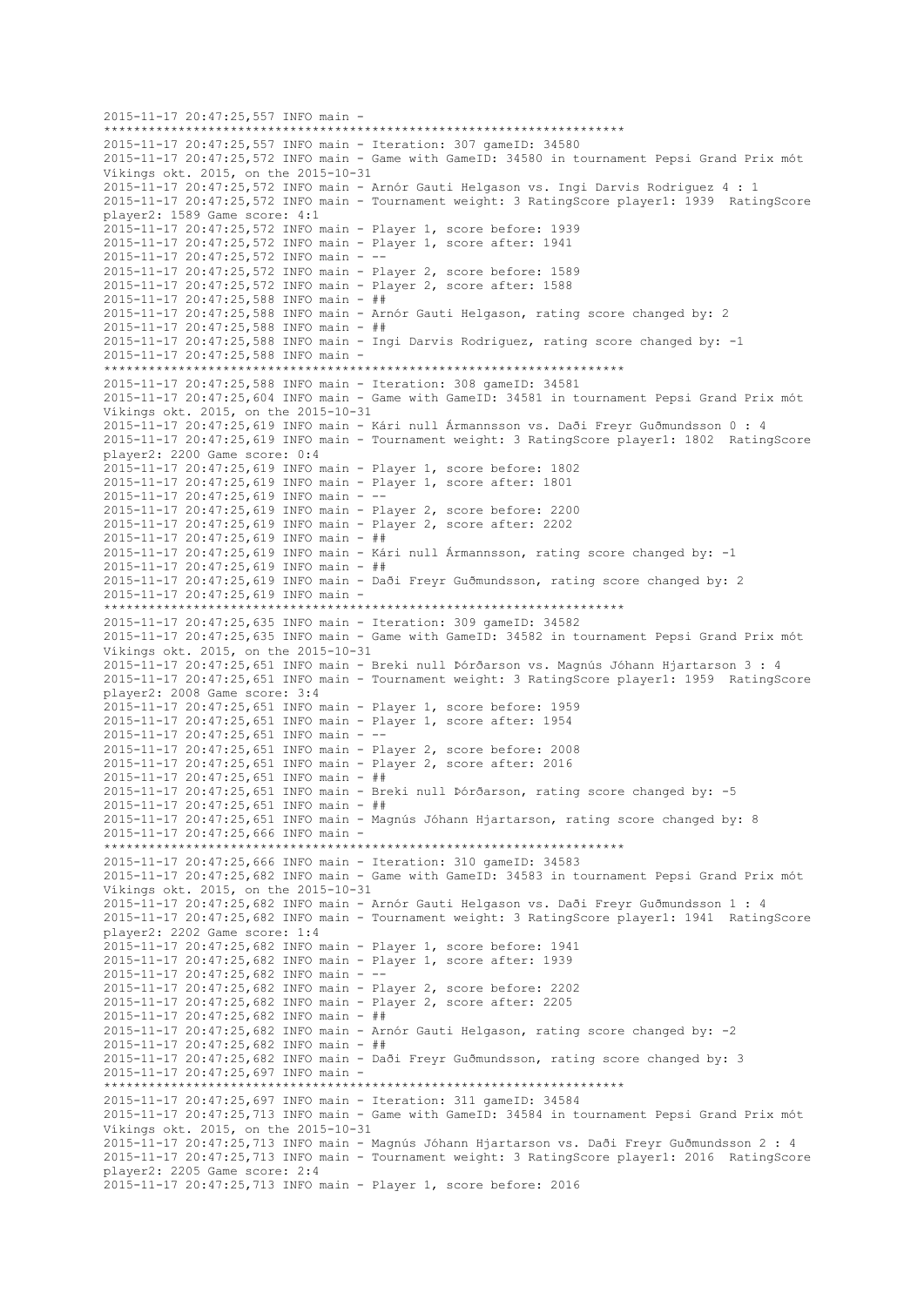2015-11-17 20:47:25,557 INFO main - \*\*\*\*\*\*\*\*\*\*\*\*\*\*\*\*\*\*\*\*\*\*\*\*\*\*\*\*\*\*\*\*\*\*\*\*\*\*\*\*\*\*\*\*\*\*\*\*\*\*\*\*\*\*\*\*\*\*\*\*\*\*\*\*\*\*\*\*\*\* 2015-11-17 20:47:25,557 INFO main - Iteration: 307 gameID: 34580 2015-11-17 20:47:25,572 INFO main - Game with GameID: 34580 in tournament Pepsi Grand Prix mót Víkings okt. 2015, on the 2015-10-31 2015-11-17 20:47:25,572 INFO main - Arnór Gauti Helgason vs. Ingi Darvis Rodriguez 4 : 1 2015-11-17 20:47:25,572 INFO main - Tournament weight: 3 RatingScore player1: 1939 RatingScore player2: 1589 Game score: 4:1 2015-11-17 20:47:25,572 INFO main - Player 1, score before: 1939 2015-11-17 20:47:25,572 INFO main - Player 1, score after: 1941 2015-11-17 20:47:25,572 INFO main - -- 2015-11-17 20:47:25,572 INFO main - Player 2, score before: 1589 2015-11-17 20:47:25,572 INFO main - Player 2, score after: 1588 2015-11-17 20:47:25,588 INFO main - ## 2015-11-17 20:47:25,588 INFO main - Arnór Gauti Helgason, rating score changed by: 2 2015-11-17 20:47:25,588 INFO main - ## 2015-11-17 20:47:25,588 INFO main - Ingi Darvis Rodriguez, rating score changed by: -1 2015-11-17 20:47:25,588 INFO main - \*\*\*\*\*\*\*\*\*\*\*\*\*\*\*\*\*\*\*\*\*\*\*\*\*\*\*\*\*\*\*\*\*\*\*\*\*\*\*\*\*\*\*\*\*\*\*\*\*\*\*\*\*\*\*\*\*\*\*\*\*\*\*\*\*\*\*\*\*\* 2015-11-17 20:47:25,588 INFO main - Iteration: 308 gameID: 34581 2015-11-17 20:47:25,604 INFO main - Game with GameID: 34581 in tournament Pepsi Grand Prix mót Víkings okt. 2015, on the 2015-10-31 2015-11-17 20:47:25,619 INFO main - Kári null Ármannsson vs. Daði Freyr Guðmundsson 0 : 4 2015-11-17 20:47:25,619 INFO main - Tournament weight: 3 RatingScore player1: 1802 RatingScore player2: 2200 Game score: 0:4 2015-11-17 20:47:25,619 INFO main - Player 1, score before: 1802 2015-11-17 20:47:25,619 INFO main - Player 1, score after: 1801 2015-11-17 20:47:25,619 INFO main - -- 2015-11-17 20:47:25,619 INFO main - Player 2, score before: 2200 2015-11-17 20:47:25,619 INFO main - Player 2, score after: 2202 2015-11-17 20:47:25,619 INFO main - ## 2015-11-17 20:47:25,619 INFO main - Kári null Ármannsson, rating score changed by: -1 2015-11-17 20:47:25,619 INFO main - ## 2015-11-17 20:47:25,619 INFO main - Daði Freyr Guðmundsson, rating score changed by: 2 2015-11-17 20:47:25,619 INFO main - \*\*\*\*\*\*\*\*\*\*\*\*\*\*\*\*\*\*\*\*\*\*\*\*\*\*\*\*\*\*\*\*\*\*\*\*\*\*\*\*\*\*\*\*\*\*\*\*\*\*\*\*\*\*\*\*\*\*\*\*\*\*\*\*\*\*\*\*\*\* 2015-11-17 20:47:25,635 INFO main - Iteration: 309 gameID: 34582 2015-11-17 20:47:25,635 INFO main - Game with GameID: 34582 in tournament Pepsi Grand Prix mót Víkings okt. 2015, on the 2015-10-31 2015-11-17 20:47:25,651 INFO main - Breki null Þórðarson vs. Magnús Jóhann Hjartarson 3 : 4 2015-11-17 20:47:25,651 INFO main - Tournament weight: 3 RatingScore player1: 1959 RatingScore player2: 2008 Game score: 3:4 2015-11-17 20:47:25,651 INFO main - Player 1, score before: 1959 2015-11-17 20:47:25,651 INFO main - Player 1, score after: 1954 2015-11-17 20:47:25,651 INFO main - -- 2015-11-17 20:47:25,651 INFO main - Player 2, score before: 2008 2015-11-17 20:47:25,651 INFO main - Player 2, score after: 2016 2015-11-17 20:47:25,651 INFO main - ## 2015-11-17 20:47:25,651 INFO main - Breki null Þórðarson, rating score changed by: -5 2015-11-17 20:47:25,651 INFO main - ## 2015-11-17 20:47:25,651 INFO main - Magnús Jóhann Hjartarson, rating score changed by: 8 2015-11-17 20:47:25,666 INFO main - \*\*\*\*\*\*\*\*\*\*\*\*\*\*\*\*\*\*\*\*\*\*\*\*\*\*\*\*\*\*\*\*\*\*\*\*\*\*\*\*\*\*\*\*\*\*\*\*\*\*\*\*\*\*\*\*\*\*\*\*\*\*\*\*\*\*\*\*\*\* 2015-11-17 20:47:25,666 INFO main - Iteration: 310 gameID: 34583 2015-11-17 20:47:25,682 INFO main - Game with GameID: 34583 in tournament Pepsi Grand Prix mót Víkings okt. 2015, on the 2015-10-31 2015-11-17 20:47:25,682 INFO main - Arnór Gauti Helgason vs. Daði Freyr Guðmundsson 1 : 4 2015-11-17 20:47:25,682 INFO main - Tournament weight: 3 RatingScore player1: 1941 RatingScore player2: 2202 Game score: 1:4 2015-11-17 20:47:25,682 INFO main - Player 1, score before: 1941 2015-11-17 20:47:25,682 INFO main - Player 1, score after: 1939 2015-11-17 20:47:25,682 INFO main - -- 2015-11-17 20:47:25,682 INFO main - Player 2, score before: 2202 2015-11-17 20:47:25,682 INFO main - Player 2, score after: 2205 2015-11-17 20:47:25,682 INFO main - ## 2015-11-17 20:47:25,682 INFO main - Arnór Gauti Helgason, rating score changed by: -2 2015-11-17 20:47:25,682 INFO main - ## 2015-11-17 20:47:25,682 INFO main - Daði Freyr Guðmundsson, rating score changed by: 3 2015-11-17 20:47:25,697 INFO main - \*\*\*\*\*\*\*\*\*\*\*\*\*\*\*\*\*\*\*\*\*\*\*\*\*\*\*\*\*\*\*\*\*\*\*\*\*\*\*\*\*\*\*\*\*\*\*\*\*\*\*\*\*\*\*\*\*\*\*\*\*\*\*\*\*\*\*\*\*\* 2015-11-17 20:47:25,697 INFO main - Iteration: 311 gameID: 34584 2015-11-17 20:47:25,713 INFO main - Game with GameID: 34584 in tournament Pepsi Grand Prix mót Víkings okt. 2015, on the 2015-10-31 2015-11-17 20:47:25,713 INFO main - Magnús Jóhann Hjartarson vs. Daði Freyr Guðmundsson 2 : 4 2015-11-17 20:47:25,713 INFO main - Tournament weight: 3 RatingScore player1: 2016 RatingScore player2: 2205 Game score: 2:4 2015-11-17 20:47:25,713 INFO main - Player 1, score before: 2016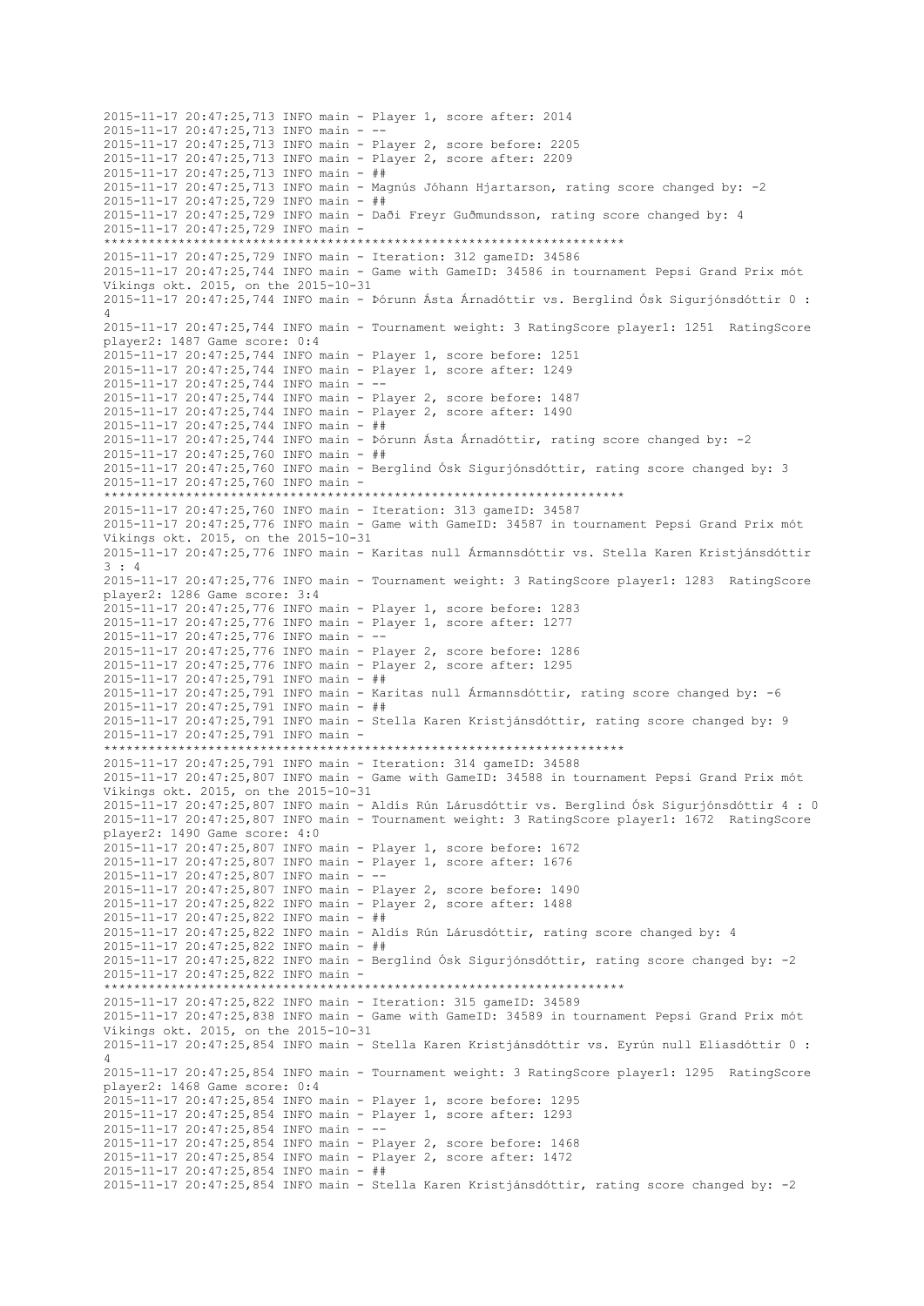2015-11-17 20:47:25,713 INFO main - Player 1, score after: 2014 2015-11-17 20:47:25,713 INFO main -2015-11-17 20:47:25,713 INFO main - Player 2, score before: 2205 2015-11-17 20:47:25,713 INFO main - Player 2, score after: 2209 2015-11-17 20:47:25,713 INFO main - ## 2015-11-17 20:47:25,713 INFO main - Magnús Jóhann Hjartarson, rating score changed by: -2 2015-11-17 20:47:25,729 INFO main - ## 2015-11-17 20:47:25,729 INFO main - Daði Freyr Guðmundsson, rating score changed by: 4 2015-11-17 20:47:25,729 INFO main - \*\*\*\*\*\*\*\*\*\*\*\*\*\*\*\*\*\*\*\*\*\*\*\*\*\*\*\*\*\*\*\*\*\*\*\*\*\*\*\*\*\*\*\*\*\*\*\*\*\*\*\*\*\*\*\*\*\*\*\*\*\*\*\*\*\*\*\*\*\* 2015-11-17 20:47:25,729 INFO main - Iteration: 312 gameID: 34586 2015-11-17 20:47:25,744 INFO main - Game with GameID: 34586 in tournament Pepsi Grand Prix mót Víkings okt. 2015, on the 2015-10-31 2015-11-17 20:47:25,744 INFO main - Þórunn Ásta Árnadóttir vs. Berglind Ósk Sigurjónsdóttir 0 : 4 2015-11-17 20:47:25,744 INFO main - Tournament weight: 3 RatingScore player1: 1251 RatingScore player2: 1487 Game score: 0:4 2015-11-17 20:47:25,744 INFO main - Player 1, score before: 1251 2015-11-17 20:47:25,744 INFO main - Player 1, score after: 1249 2015-11-17 20:47:25,744 INFO main - -- 2015-11-17 20:47:25,744 INFO main - Player 2, score before: 1487 2015-11-17 20:47:25,744 INFO main - Player 2, score after: 1490 2015-11-17 20:47:25,744 INFO main - ## 2015-11-17 20:47:25,744 INFO main - Þórunn Ásta Árnadóttir, rating score changed by: -2 2015-11-17 20:47:25,760 INFO main - ## 2015-11-17 20:47:25,760 INFO main - Berglind Ósk Sigurjónsdóttir, rating score changed by: 3 2015-11-17 20:47:25,760 INFO main - \*\*\*\*\*\*\*\*\*\*\*\*\*\*\*\*\*\*\*\*\*\*\*\*\*\*\*\*\*\*\*\*\*\*\*\*\*\*\*\*\*\*\*\*\*\*\*\*\*\*\*\*\*\*\*\*\*\*\*\*\*\*\*\*\*\*\*\*\*\* 2015-11-17 20:47:25,760 INFO main - Iteration: 313 gameID: 34587 2015-11-17 20:47:25,776 INFO main - Game with GameID: 34587 in tournament Pepsi Grand Prix mót Víkings okt. 2015, on the 2015-10-31 2015-11-17 20:47:25,776 INFO main - Karitas null Ármannsdóttir vs. Stella Karen Kristjánsdóttir 3 : 4 2015-11-17 20:47:25,776 INFO main - Tournament weight: 3 RatingScore player1: 1283 RatingScore player2: 1286 Game score: 3:4 2015-11-17 20:47:25,776 INFO main - Player 1, score before: 1283 2015-11-17 20:47:25,776 INFO main - Player 1, score after: 1277 2015-11-17 20:47:25,776 INFO main - -- 2015-11-17 20:47:25,776 INFO main - Player 2, score before: 1286 2015-11-17 20:47:25,776 INFO main - Player 2, score after: 1295 2015-11-17 20:47:25,791 INFO main - ## 2015-11-17 20:47:25,791 INFO main - Karitas null Ármannsdóttir, rating score changed by: -6 2015-11-17 20:47:25,791 INFO main - ## 2015-11-17 20:47:25,791 INFO main - Stella Karen Kristjánsdóttir, rating score changed by: 9 2015-11-17 20:47:25,791 INFO main - \*\*\*\*\*\*\*\*\*\*\*\*\*\*\*\*\*\*\*\*\*\*\*\*\*\*\*\*\*\*\*\*\*\*\*\*\*\*\*\*\*\*\*\*\*\*\*\*\*\*\*\*\*\*\*\*\*\*\*\*\*\*\*\*\*\*\*\*\*\* 2015-11-17 20:47:25,791 INFO main - Iteration: 314 gameID: 34588 2015-11-17 20:47:25,807 INFO main - Game with GameID: 34588 in tournament Pepsi Grand Prix mót Víkings okt. 2015, on the 2015-10-31 2015-11-17 20:47:25,807 INFO main - Aldís Rún Lárusdóttir vs. Berglind Ósk Sigurjónsdóttir 4 : 0 2015-11-17 20:47:25,807 INFO main - Tournament weight: 3 RatingScore player1: 1672 RatingScore player2: 1490 Game score: 4:0 2015-11-17 20:47:25,807 INFO main - Player 1, score before: 1672 2015-11-17 20:47:25,807 INFO main - Player 1, score after: 1676 2015-11-17 20:47:25,807 INFO main - -- 2015-11-17 20:47:25,807 INFO main - Player 2, score before: 1490 2015-11-17 20:47:25,822 INFO main - Player 2, score after: 1488 2015-11-17 20:47:25,822 INFO main - ## 2015-11-17 20:47:25,822 INFO main - Aldís Rún Lárusdóttir, rating score changed by: 4 2015-11-17 20:47:25,822 INFO main - ## 2015-11-17 20:47:25,822 INFO main - Berglind Ósk Sigurjónsdóttir, rating score changed by: -2 2015-11-17 20:47:25,822 INFO main - \*\*\*\*\*\*\*\*\*\*\*\*\*\*\*\*\*\*\*\*\*\*\*\*\*\*\*\*\*\*\*\*\*\*\*\*\*\*\*\*\*\*\*\*\*\*\*\*\*\*\*\*\*\*\*\*\*\*\*\*\*\*\*\*\*\*\*\*\*\* 2015-11-17 20:47:25,822 INFO main - Iteration: 315 gameID: 34589 2015-11-17 20:47:25,838 INFO main - Game with GameID: 34589 in tournament Pepsi Grand Prix mót Víkings okt. 2015, on the 2015-10-31 2015-11-17 20:47:25,854 INFO main - Stella Karen Kristjánsdóttir vs. Eyrún null Elíasdóttir 0 : 4 2015-11-17 20:47:25,854 INFO main - Tournament weight: 3 RatingScore player1: 1295 RatingScore player2: 1468 Game score: 0:4 2015-11-17 20:47:25,854 INFO main - Player 1, score before: 1295 2015-11-17 20:47:25,854 INFO main - Player 1, score after: 1293 2015-11-17 20:47:25,854 INFO main - -- 2015-11-17 20:47:25,854 INFO main - Player 2, score before: 1468 2015-11-17 20:47:25,854 INFO main - Player 2, score after: 1472 2015-11-17 20:47:25,854 INFO main - ## 2015-11-17 20:47:25,854 INFO main - Stella Karen Kristjánsdóttir, rating score changed by: -2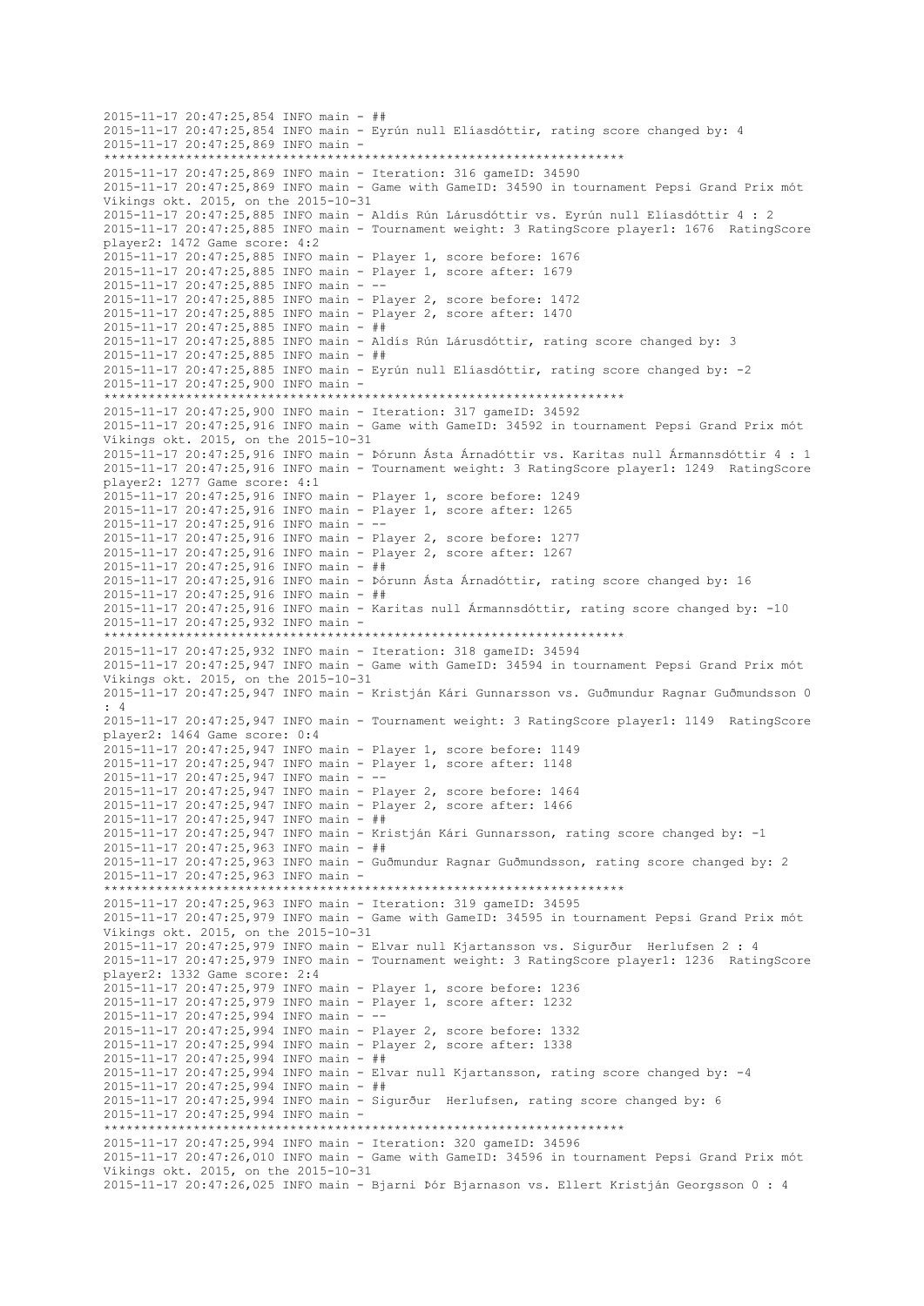```
2015-11-17 20:47:25,854 INFO main - ##
2015-11-17 20:47:25,854 INFO main - Eyrún null Elíasdóttir, rating score changed by: 4
2015-11-17 20:47:25,869 INFO main -
     **********************************************************************
2015-11-17 20:47:25,869 INFO main - Iteration: 316 gameID: 34590
2015-11-17 20:47:25,869 INFO main - Game with GameID: 34590 in tournament Pepsi Grand Prix mót 
Víkings okt. 2015, on the 2015-10-31
2015-11-17 20:47:25,885 INFO main - Aldís Rún Lárusdóttir vs. Eyrún null Elíasdóttir 4 : 2
2015-11-17 20:47:25,885 INFO main - Tournament weight: 3 RatingScore player1: 1676 RatingScore 
player2: 1472 Game score: 4:2
2015-11-17 20:47:25,885 INFO main - Player 1, score before: 1676
2015-11-17 20:47:25,885 INFO main - Player 1, score after: 1679
2015-11-17 20:47:25,885 INFO main - --
2015-11-17 20:47:25,885 INFO main - Player 2, score before: 1472
2015-11-17 20:47:25,885 INFO main - Player 2, score after: 1470
2015-11-17 20:47:25,885 INFO main - ##
2015-11-17 20:47:25,885 INFO main - Aldís Rún Lárusdóttir, rating score changed by: 3
2015-11-17 20:47:25,885 INFO main - ##
2015-11-17 20:47:25,885 INFO main - Eyrún null Elíasdóttir, rating score changed by: -2
2015-11-17 20:47:25,900 INFO main -
                     **********************************************************************
2015-11-17 20:47:25,900 INFO main - Iteration: 317 gameID: 34592
2015-11-17 20:47:25,916 INFO main - Game with GameID: 34592 in tournament Pepsi Grand Prix mót 
Víkings okt. 2015, on the 2015-10-31
2015-11-17 20:47:25,916 INFO main - Þórunn Ásta Árnadóttir vs. Karitas null Ármannsdóttir 4 : 1
2015-11-17 20:47:25,916 INFO main - Tournament weight: 3 RatingScore player1: 1249 RatingScore 
player2: 1277 Game score: 4:1
2015-11-17 20:47:25,916 INFO main - Player 1, score before: 1249
2015-11-17 20:47:25,916 INFO main - Player 1, score after: 1265
2015-11-17 20:47:25,916 INFO main - --
2015-11-17 20:47:25,916 INFO main - Player 2, score before: 1277
2015-11-17 20:47:25,916 INFO main - Player 2, score after: 1267
2015-11-17 20:47:25,916 INFO main - ##
2015-11-17 20:47:25,916 INFO main - Þórunn Ásta Árnadóttir, rating score changed by: 16
2015-11-17 20:47:25,916 INFO main - ##
2015-11-17 20:47:25,916 INFO main - Karitas null Ármannsdóttir, rating score changed by: -10
2015-11-17 20:47:25,932 INFO main -
                    **********************************************************************
2015-11-17 20:47:25,932 INFO main - Iteration: 318 gameID: 34594
2015-11-17 20:47:25,947 INFO main - Game with GameID: 34594 in tournament Pepsi Grand Prix mót 
Víkings okt. 2015, on the 2015-10-31
2015-11-17 20:47:25,947 INFO main - Kristján Kári Gunnarsson vs. Guðmundur Ragnar Guðmundsson 0 
: 4
2015-11-17 20:47:25,947 INFO main - Tournament weight: 3 RatingScore player1: 1149 RatingScore 
player2: 1464 Game score: 0:4
2015-11-17 20:47:25,947 INFO main - Player 1, score before: 1149
2015-11-17 20:47:25,947 INFO main - Player 1, score after: 1148
2015-11-17 20:47:25,947 INFO main - --
2015-11-17 20:47:25,947 INFO main - Player 2, score before: 1464
2015-11-17 20:47:25,947 INFO main - Player 2, score after: 1466
2015 - 11 - 17 20:47:25.947 INFO main - ##
2015-11-17 20:47:25,947 INFO main - Kristján Kári Gunnarsson, rating score changed by: -1
2015-11-17 20:47:25,963 INFO main - ##
2015-11-17 20:47:25,963 INFO main - Guðmundur Ragnar Guðmundsson, rating score changed by: 2
2015-11-17 20:47:25,963 INFO main -
                    **********************************************************************
2015-11-17 20:47:25,963 INFO main - Iteration: 319 gameID: 34595
2015-11-17 20:47:25,979 INFO main - Game with GameID: 34595 in tournament Pepsi Grand Prix mót 
Víkings okt. 2015, on the 2015-10-31
2015-11-17 20:47:25,979 INFO main - Elvar null Kjartansson vs. Sigurður Herlufsen 2 : 4
2015-11-17 20:47:25,979 INFO main - Tournament weight: 3 RatingScore player1: 1236 RatingScore 
player2: 1332 Game score: 2:4
2015-11-17 20:47:25,979 INFO main - Player 1, score before: 1236
2015-11-17 20:47:25,979 INFO main - Player 1, score after: 1232
2015-11-17 20:47:25,994 INFO main - --
2015-11-17 20:47:25,994 INFO main - Player 2, score before: 1332
2015-11-17 20:47:25,994 INFO main - Player 2, score after: 1338
2015-11-17 20:47:25,994 INFO main - ##
2015-11-17 20:47:25,994 INFO main - Elvar null Kjartansson, rating score changed by: -4
2015-11-17 20:47:25,994 INFO main - ##
2015-11-17 20:47:25,994 INFO main - Sigurður Herlufsen, rating score changed by: 6
2015-11-17 20:47:25,994 INFO main -
                     **********************************************************************
2015-11-17 20:47:25,994 INFO main - Iteration: 320 gameID: 34596
2015-11-17 20:47:26,010 INFO main - Game with GameID: 34596 in tournament Pepsi Grand Prix mót 
Víkings okt. 2015, on the 2015-10-31
2015-11-17 20:47:26,025 INFO main - Bjarni Þór Bjarnason vs. Ellert Kristján Georgsson 0 : 4
```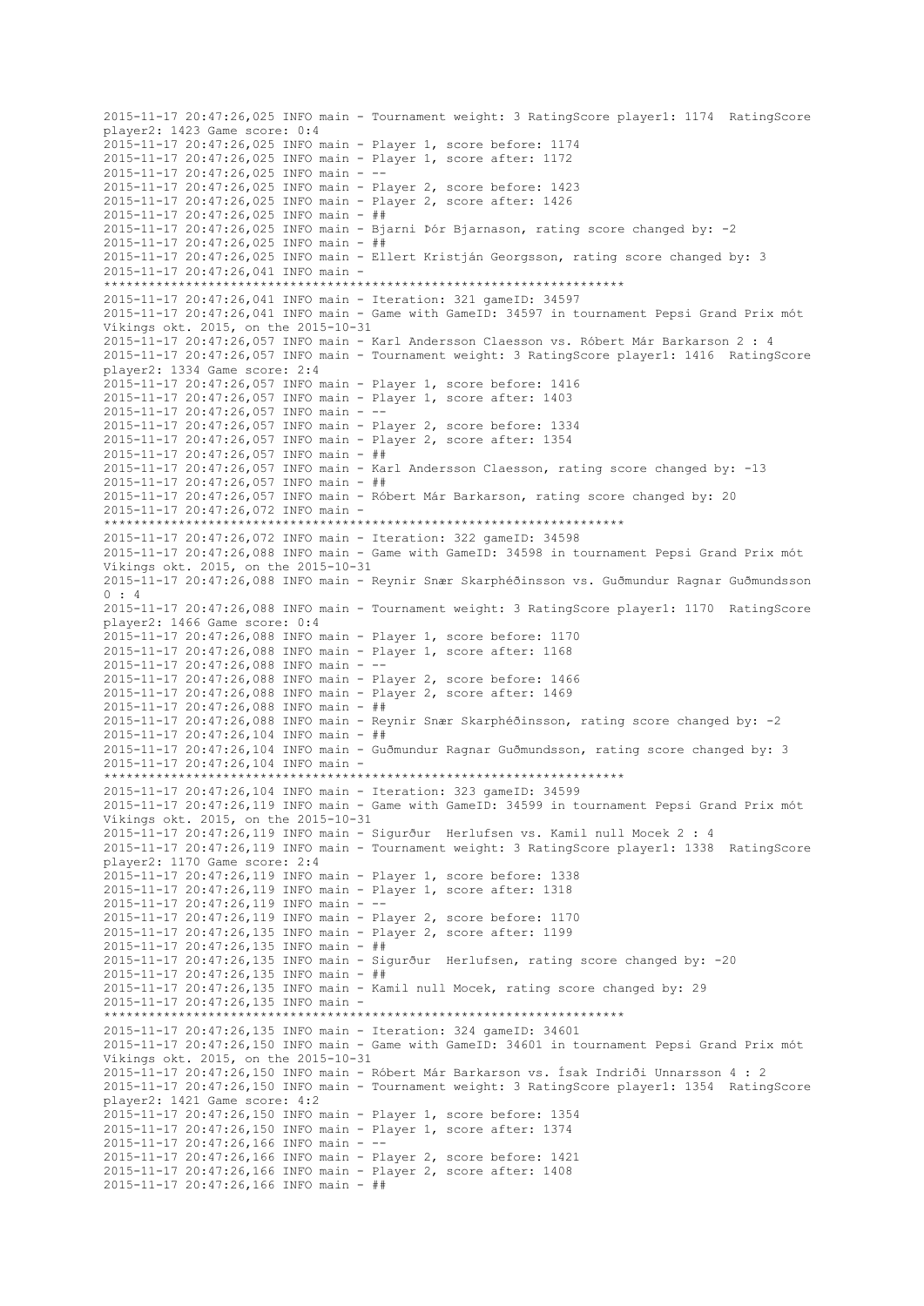2015-11-17 20:47:26,025 INFO main - Tournament weight: 3 RatingScore player1: 1174 RatingScore player2: 1423 Game score: 0:4 2015-11-17 20:47:26,025 INFO main - Player 1, score before: 1174 2015-11-17 20:47:26,025 INFO main - Player 1, score after: 1172 2015-11-17 20:47:26,025 INFO main - -- 2015-11-17 20:47:26,025 INFO main - Player 2, score before: 1423 2015-11-17 20:47:26,025 INFO main - Player 2, score after: 1426 2015-11-17 20:47:26,025 INFO main - ## 2015-11-17 20:47:26,025 INFO main - Bjarni Þór Bjarnason, rating score changed by: -2 2015-11-17 20:47:26,025 INFO main - ## 2015-11-17 20:47:26,025 INFO main - Ellert Kristján Georgsson, rating score changed by: 3 2015-11-17 20:47:26,041 INFO main - \*\*\*\*\*\*\*\*\*\*\*\*\*\*\*\*\*\*\*\*\*\*\*\*\*\*\*\*\*\*\*\*\*\*\*\*\*\*\*\*\*\*\*\*\*\*\*\*\*\*\*\*\*\*\*\*\*\*\*\*\*\*\*\*\*\*\*\*\*\* 2015-11-17 20:47:26,041 INFO main - Iteration: 321 gameID: 34597 2015-11-17 20:47:26,041 INFO main - Game with GameID: 34597 in tournament Pepsi Grand Prix mót Víkings okt. 2015, on the 2015-10-31 2015-11-17 20:47:26,057 INFO main - Karl Andersson Claesson vs. Róbert Már Barkarson 2 : 4 2015-11-17 20:47:26,057 INFO main - Tournament weight: 3 RatingScore player1: 1416 RatingScore player2: 1334 Game score: 2:4 2015-11-17 20:47:26,057 INFO main - Player 1, score before: 1416 2015-11-17 20:47:26,057 INFO main - Player 1, score after: 1403 2015-11-17 20:47:26,057 INFO main - -- 2015-11-17 20:47:26,057 INFO main - Player 2, score before: 1334 2015-11-17 20:47:26,057 INFO main - Player 2, score after: 1354 2015-11-17 20:47:26,057 INFO main - ## 2015-11-17 20:47:26,057 INFO main - Karl Andersson Claesson, rating score changed by: -13 2015-11-17 20:47:26,057 INFO main - ## 2015-11-17 20:47:26,057 INFO main - Róbert Már Barkarson, rating score changed by: 20 2015-11-17 20:47:26,072 INFO main - \*\*\*\*\*\*\*\*\*\*\*\*\*\*\*\*\*\*\*\*\*\*\*\*\*\*\*\*\*\*\*\*\*\*\*\*\*\*\*\*\*\*\*\*\*\*\*\*\*\*\*\*\*\*\*\*\*\*\*\*\*\*\*\*\*\*\*\*\*\* 2015-11-17 20:47:26,072 INFO main - Iteration: 322 gameID: 34598 2015-11-17 20:47:26,088 INFO main - Game with GameID: 34598 in tournament Pepsi Grand Prix mót Víkings okt. 2015, on the 2015-10-31 2015-11-17 20:47:26,088 INFO main - Reynir Snær Skarphéðinsson vs. Guðmundur Ragnar Guðmundsson 0 : 4 2015-11-17 20:47:26,088 INFO main - Tournament weight: 3 RatingScore player1: 1170 RatingScore player2: 1466 Game score: 0:4 2015-11-17 20:47:26,088 INFO main - Player 1, score before: 1170 2015-11-17 20:47:26,088 INFO main - Player 1, score after: 1168 2015-11-17 20:47:26,088 INFO main - -- 2015-11-17 20:47:26,088 INFO main - Player 2, score before: 1466 2015-11-17 20:47:26,088 INFO main - Player 2, score after: 1469 2015-11-17 20:47:26,088 INFO main - ## 2015-11-17 20:47:26,088 INFO main - Reynir Snær Skarphéðinsson, rating score changed by: -2 2015-11-17 20:47:26,104 INFO main - ## 2015-11-17 20:47:26,104 INFO main - Guðmundur Ragnar Guðmundsson, rating score changed by: 3 2015-11-17 20:47:26,104 INFO main - \*\*\*\*\*\*\*\*\*\*\*\*\*\*\*\*\*\*\*\*\*\*\*\*\*\*\*\*\*\*\*\*\*\*\*\*\*\*\*\*\*\*\*\*\*\*\*\*\*\*\*\*\*\*\*\*\*\*\*\*\*\*\*\*\*\*\*\*\*\* 2015-11-17 20:47:26,104 INFO main - Iteration: 323 gameID: 34599 2015-11-17 20:47:26,119 INFO main - Game with GameID: 34599 in tournament Pepsi Grand Prix mót Víkings okt. 2015, on the 2015-10-31 2015-11-17 20:47:26,119 INFO main - Sigurður Herlufsen vs. Kamil null Mocek 2 : 4 2015-11-17 20:47:26,119 INFO main - Tournament weight: 3 RatingScore player1: 1338 RatingScore player2: 1170 Game score: 2:4 2015-11-17 20:47:26,119 INFO main - Player 1, score before: 1338 2015-11-17 20:47:26,119 INFO main - Player 1, score after: 1318 2015-11-17 20:47:26,119 INFO main - -- 2015-11-17 20:47:26,119 INFO main - Player 2, score before: 1170 2015-11-17 20:47:26,135 INFO main - Player 2, score after: 1199 2015-11-17 20:47:26,135 INFO main - ## 2015-11-17 20:47:26,135 INFO main - Sigurður Herlufsen, rating score changed by: -20 2015-11-17 20:47:26,135 INFO main - ## 2015-11-17 20:47:26,135 INFO main - Kamil null Mocek, rating score changed by: 29 2015-11-17 20:47:26,135 INFO main - \*\*\*\*\*\*\*\*\*\*\*\*\*\*\*\*\*\*\*\*\*\*\*\*\*\*\*\*\*\*\*\*\*\*\*\*\*\*\*\*\*\*\*\*\*\*\*\*\*\*\*\*\*\*\*\*\*\*\*\*\*\*\*\*\*\*\*\*\*\* 2015-11-17 20:47:26,135 INFO main - Iteration: 324 gameID: 34601 2015-11-17 20:47:26,150 INFO main - Game with GameID: 34601 in tournament Pepsi Grand Prix mót Víkings okt. 2015, on the 2015-10-31 2015-11-17 20:47:26,150 INFO main - Róbert Már Barkarson vs. Ísak Indriði Unnarsson 4 : 2 2015-11-17 20:47:26,150 INFO main - Tournament weight: 3 RatingScore player1: 1354 RatingScore player2: 1421 Game score: 4:2 2015-11-17 20:47:26,150 INFO main - Player 1, score before: 1354 2015-11-17 20:47:26,150 INFO main - Player 1, score after: 1374 2015-11-17 20:47:26,166 INFO main - -- 2015-11-17 20:47:26,166 INFO main - Player 2, score before: 1421 2015-11-17 20:47:26,166 INFO main - Player 2, score after: 1408 2015-11-17 20:47:26,166 INFO main - ##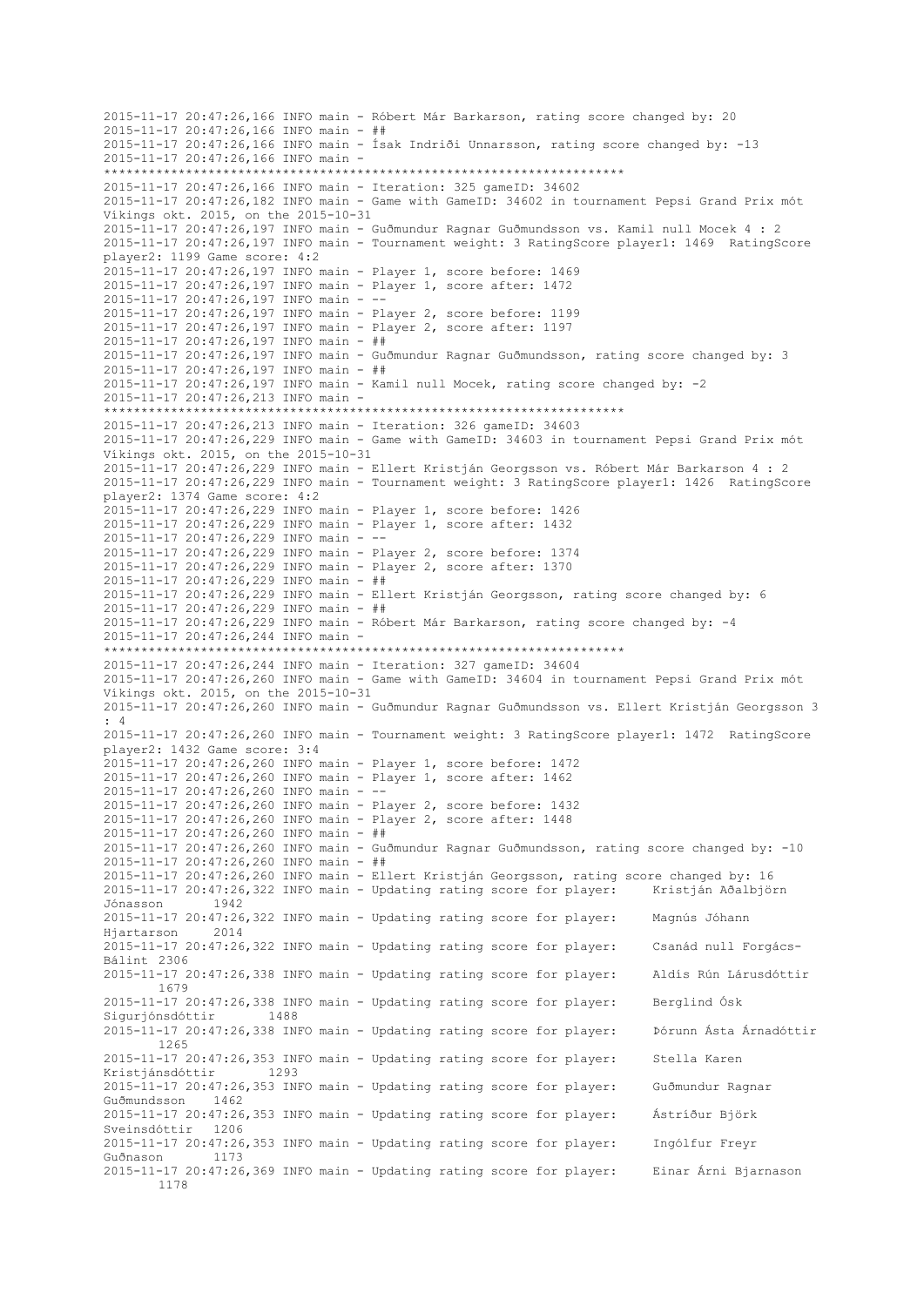2015-11-17 20:47:26,166 INFO main - Róbert Már Barkarson, rating score changed by: 20 2015-11-17 20:47:26,166 INFO main - ## 2015-11-17 20:47:26,166 INFO main - Ísak Indriði Unnarsson, rating score changed by: -13 2015-11-17 20:47:26,166 INFO main - \*\*\*\*\*\*\*\*\*\*\*\*\*\*\*\*\*\*\*\*\*\*\*\*\*\*\*\*\*\*\*\*\*\*\*\*\*\*\*\*\*\*\*\*\*\*\*\*\*\*\*\*\*\*\*\*\*\*\*\*\*\*\*\*\*\*\*\*\*\* 2015-11-17 20:47:26,166 INFO main - Iteration: 325 gameID: 34602 2015-11-17 20:47:26,182 INFO main - Game with GameID: 34602 in tournament Pepsi Grand Prix mót Víkings okt. 2015, on the 2015-10-31 2015-11-17 20:47:26,197 INFO main - Guðmundur Ragnar Guðmundsson vs. Kamil null Mocek 4 : 2 2015-11-17 20:47:26,197 INFO main - Tournament weight: 3 RatingScore player1: 1469 RatingScore player2: 1199 Game score: 4:2 2015-11-17 20:47:26,197 INFO main - Player 1, score before: 1469 2015-11-17 20:47:26,197 INFO main - Player 1, score after: 1472 2015-11-17 20:47:26,197 INFO main - -- 2015-11-17 20:47:26,197 INFO main - Player 2, score before: 1199 2015-11-17 20:47:26,197 INFO main - Player 2, score after: 1197 2015-11-17 20:47:26,197 INFO main - ## 2015-11-17 20:47:26,197 INFO main - Guðmundur Ragnar Guðmundsson, rating score changed by: 3 2015-11-17 20:47:26,197 INFO main - ## 2015-11-17 20:47:26,197 INFO main - Kamil null Mocek, rating score changed by: -2 2015-11-17 20:47:26,213 INFO main - \*\*\*\*\*\*\*\*\*\*\*\*\*\*\*\*\*\*\*\*\*\*\*\*\*\*\*\*\*\*\*\*\*\*\*\*\*\*\*\*\*\*\*\*\*\*\*\*\*\*\*\*\*\*\*\*\*\*\*\*\*\*\*\*\*\*\*\*\*\* 2015-11-17 20:47:26,213 INFO main - Iteration: 326 gameID: 34603 2015-11-17 20:47:26,229 INFO main - Game with GameID: 34603 in tournament Pepsi Grand Prix mót Víkings okt. 2015, on the 2015-10-31 2015-11-17 20:47:26,229 INFO main - Ellert Kristján Georgsson vs. Róbert Már Barkarson 4 : 2 2015-11-17 20:47:26,229 INFO main - Tournament weight: 3 RatingScore player1: 1426 RatingScore player2: 1374 Game score: 4:2 2015-11-17 20:47:26,229 INFO main - Player 1, score before: 1426 2015-11-17 20:47:26,229 INFO main - Player 1, score after: 1432 2015-11-17 20:47:26,229 INFO main - -- 2015-11-17 20:47:26,229 INFO main - Player 2, score before: 1374 2015-11-17 20:47:26,229 INFO main - Player 2, score after: 1370 2015-11-17 20:47:26,229 INFO main - ## 2015-11-17 20:47:26,229 INFO main - Ellert Kristján Georgsson, rating score changed by: 6 2015-11-17 20:47:26,229 INFO main - ## 2015-11-17 20:47:26,229 INFO main - Róbert Már Barkarson, rating score changed by: -4 2015-11-17 20:47:26,244 INFO main - \*\*\*\*\*\*\*\*\*\*\*\*\*\*\*\*\*\*\*\*\*\*\*\*\*\*\*\*\*\*\*\*\*\*\*\*\*\*\*\*\*\*\*\*\*\*\*\*\*\*\*\*\*\*\*\*\*\*\*\*\*\*\*\*\*\*\*\*\*\* 2015-11-17 20:47:26,244 INFO main - Iteration: 327 gameID: 34604 2015-11-17 20:47:26,260 INFO main - Game with GameID: 34604 in tournament Pepsi Grand Prix mót Víkings okt. 2015, on the 2015-10-31 2015-11-17 20:47:26,260 INFO main - Guðmundur Ragnar Guðmundsson vs. Ellert Kristján Georgsson 3 : 4 2015-11-17 20:47:26,260 INFO main - Tournament weight: 3 RatingScore player1: 1472 RatingScore player2: 1432 Game score: 3:4 2015-11-17 20:47:26,260 INFO main - Player 1, score before: 1472 2015-11-17 20:47:26,260 INFO main - Player 1, score after: 1462 2015-11-17 20:47:26,260 INFO main - -- 2015-11-17 20:47:26,260 INFO main - Player 2, score before: 1432 2015-11-17 20:47:26,260 INFO main - Player 2, score after: 1448 2015-11-17 20:47:26,260 INFO main - ## 2015-11-17 20:47:26,260 INFO main - Guðmundur Ragnar Guðmundsson, rating score changed by: -10 2015-11-17 20:47:26,260 INFO main - ## 2015-11-17 20:47:26,260 INFO main - Ellert Kristján Georgsson, rating score changed by: 16 2015-11-17 20:47:26,322 INFO main - Updating rating score for player: Kristján Aðalbjörn Jónasson 1942 2015-11-17 20:47:26,322 INFO main - Updating rating score for player: Magnús Jóhann Hjartarson 2014 2015-11-17 20:47:26,322 INFO main - Updating rating score for player: Csanád null Forgács-Bálint 2306 2015-11-17 20:47:26,338 INFO main - Updating rating score for player: Aldís Rún Lárusdóttir 1679 2015-11-17 20:47:26,338 INFO main - Updating rating score for player: Berglind Ósk Siguriónsdóttir 1488 2015-11-17 20:47:26,338 INFO main - Updating rating score for player: Þórunn Ásta Árnadóttir 1265 2015-11-17 20:47:26,353 INFO main - Updating rating score for player: Stella Karen Kristjánsdóttir 1293 2015-11-17 20:47:26,353 INFO main - Updating rating score for player: Guðmundur Ragnar Guðmundsson 1462 2015-11-17 20:47:26,353 INFO main - Updating rating score for player: Ástríður Björk Sveinsdóttir 1206 2015-11-17 20:47:26,353 INFO main - Updating rating score for player: Ingólfur Freyr Guðnason 1173 2015-11-17 20:47:26,369 INFO main - Updating rating score for player: Einar Árni Bjarnason 1178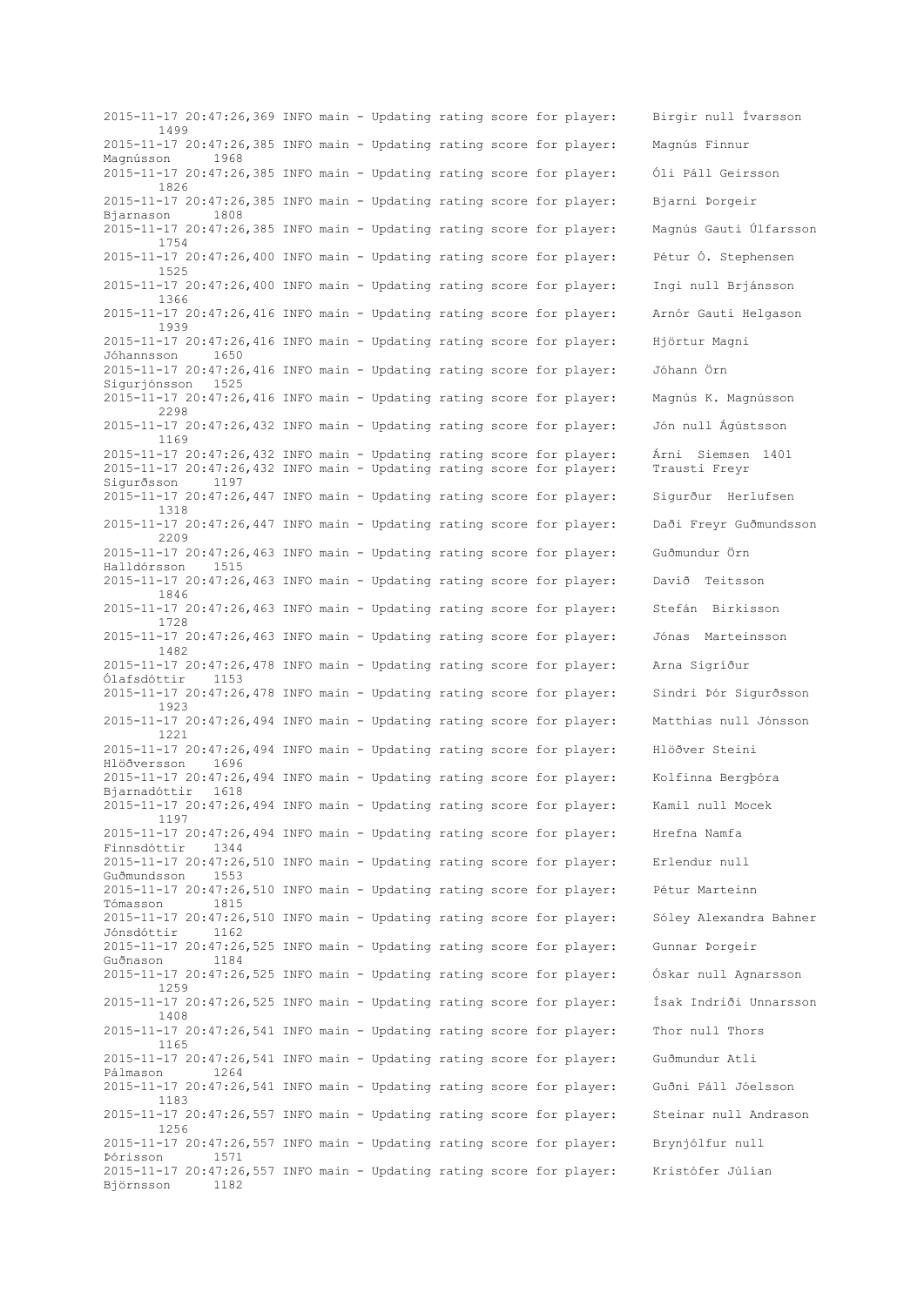2015-11-17 20:47:26,369 INFO main - Updating rating score for player: Birgir null Ívarsson 1499 2015-11-17 20:47:26,385 INFO main - Updating rating score for player: Magnús Finnur Magnússon 1968 2015-11-17 20:47:26,385 INFO main - Updating rating score for player: Óli Páll Geirsson 1826 2015-11-17 20:47:26,385 INFO main - Updating rating score for player: Bjarni Þorgeir Bjarnason 2015-11-17 20:47:26,385 INFO main - Updating rating score for player: Magnús Gauti Úlfarsson 1754 2015-11-17 20:47:26,400 INFO main - Updating rating score for player: Pétur Ó. Stephensen 1525 2015-11-17 20:47:26,400 INFO main - Updating rating score for player: Ingi null Brjánsson 1366 2015-11-17 20:47:26,416 INFO main - Updating rating score for player: Arnór Gauti Helgason 1939 2015-11-17 20:47:26,416 INFO main - Updating rating score for player: Hjörtur Magni Jóhannsson 1650 2015-11-17 20:47:26,416 INFO main - Updating rating score for player: Jóhann Örn Sigurjónsson 2015-11-17 20:47:26,416 INFO main - Updating rating score for player: Magnús K. Magnússon 2298 2015-11-17 20:47:26,432 INFO main - Updating rating score for player: Jón null Ágústsson 1169 2015-11-17 20:47:26,432 INFO main - Updating rating score for player: Árni Siemsen 1401 2015-11-17 20:47:26,432 INFO main - Updating rating score for player: Trausti Freyr Sigurðsson 1197 2015-11-17 20:47:26,447 INFO main - Updating rating score for player: Sigurður Herlufsen 1318 2015-11-17 20:47:26,447 INFO main - Updating rating score for player: Daði Freyr Guðmundsson 2209 2015-11-17 20:47:26,463 INFO main - Updating rating score for player: Guðmundur Örn Halldórsson 1515 2015-11-17 20:47:26,463 INFO main - Updating rating score for player: Davíð Teitsson 1846 2015-11-17 20:47:26,463 INFO main - Updating rating score for player: Stefán Birkisson 1728 2015-11-17 20:47:26,463 INFO main - Updating rating score for player: Jónas Marteinsson 1482 2015-11-17 20:47:26,478 INFO main - Updating rating score for player: Arna Sigríður Ólafsdóttir 1153 2015-11-17 20:47:26,478 INFO main - Updating rating score for player: Sindri Þór Sigurðsson 1923 2015-11-17 20:47:26,494 INFO main - Updating rating score for player: Matthías null Jónsson 1221 2015-11-17 20:47:26,494 INFO main - Updating rating score for player: Hlöðver Steini Hlöðversson 1696 2015-11-17 20:47:26,494 INFO main - Updating rating score for player: Kolfinna Bergþóra Bjarnadóttir 1618 2015-11-17 20:47:26,494 INFO main - Updating rating score for player: Kamil null Mocek 1197 2015-11-17 20:47:26,494 INFO main - Updating rating score for player: Hrefna Namfa Finnsdóttir 1344 2015-11-17 20:47:26,510 INFO main - Updating rating score for player: Erlendur null Guðmundsson 1553 2015-11-17 20:47:26,510 INFO main - Updating rating score for player: Pétur Marteinn Tómasson 1815 2015-11-17 20:47:26,510 INFO main - Updating rating score for player: Sóley Alexandra Bahner Jónsdóttir 1162 2015-11-17 20:47:26,525 INFO main - Updating rating score for player: Gunnar Þorgeir Guðnason 1184 2015-11-17 20:47:26,525 INFO main - Updating rating score for player: Óskar null Agnarsson 1259 2015-11-17 20:47:26,525 INFO main - Updating rating score for player: Ísak Indriði Unnarsson 1408 2015-11-17 20:47:26,541 INFO main - Updating rating score for player: Thor null Thors 1165 2015-11-17 20:47:26,541 INFO main - Updating rating score for player: Guðmundur Atli Pálmason 1264 2015-11-17 20:47:26,541 INFO main - Updating rating score for player: Guðni Páll Jóelsson 1183 2015-11-17 20:47:26,557 INFO main - Updating rating score for player: Steinar null Andrason 1256 2015-11-17 20:47:26,557 INFO main - Updating rating score for player: Brynjólfur null Þórisson 1571 2015-11-17 20:47:26,557 INFO main - Updating rating score for player: Kristófer Júlían Björnsson 1182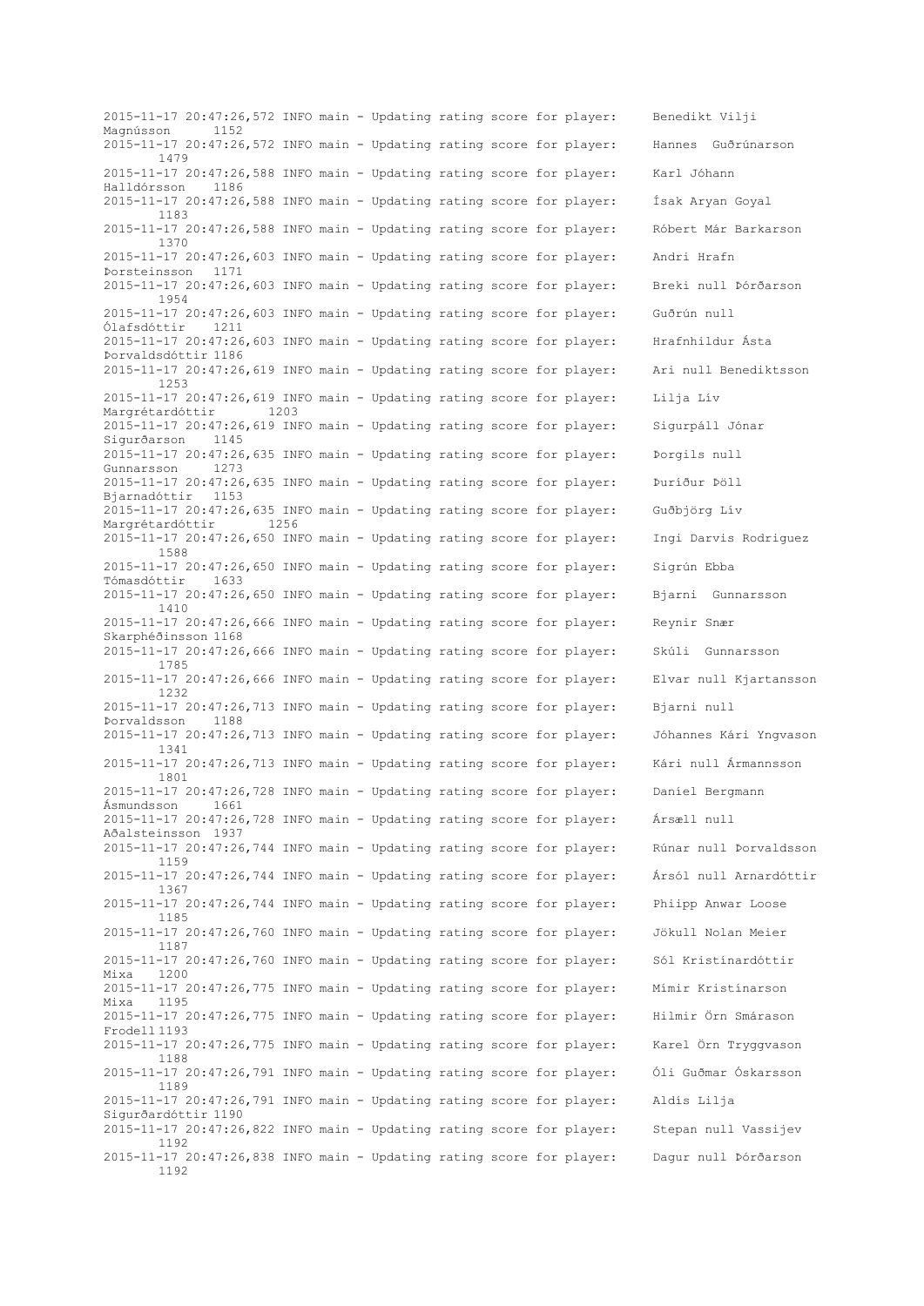2015-11-17 20:47:26,572 INFO main - Updating rating score for player: Benedikt Vilji Magnússon 1152 2015-11-17 20:47:26,572 INFO main - Updating rating score for player: Hannes Guðrúnarson 1479 2015-11-17 20:47:26,588 INFO main - Updating rating score for player: Karl Jóhann Halldórsson 1186 2015-11-17 20:47:26,588 INFO main - Updating rating score for player: Ísak Aryan Goyal 1183 2015-11-17 20:47:26,588 INFO main - Updating rating score for player: Róbert Már Barkarson 1370 2015-11-17 20:47:26,603 INFO main - Updating rating score for player: Andri Hrafn Þorsteinsson 1171 2015-11-17 20:47:26,603 INFO main - Updating rating score for player: Breki null Þórðarson 1954 2015-11-17 20:47:26,603 INFO main - Updating rating score for player: Guðrún null Ólafsdóttir 1211 2015-11-17 20:47:26,603 INFO main - Updating rating score for player: Hrafnhildur Ásta Þorvaldsdóttir 1186 2015-11-17 20:47:26,619 INFO main - Updating rating score for player: Ari null Benediktsson 1253 2015-11-17 20:47:26,619 INFO main - Updating rating score for player: Lilja Lív Margrétardóttir 1203 2015-11-17 20:47:26,619 INFO main - Updating rating score for player: Sigurpáll Jónar Sigurðarson 1145 2015-11-17 20:47:26,635 INFO main - Updating rating score for player: Þorgils null Gunnarsson 1273 2015-11-17 20:47:26,635 INFO main - Updating rating score for player: Þuríður Þöll Bjarnadóttir 1153 2015-11-17 20:47:26,635 INFO main - Updating rating score for player: Guðbjörg Lív Margrétardóttir 1256 2015-11-17 20:47:26,650 INFO main - Updating rating score for player: Ingi Darvis Rodriguez 1588 2015-11-17 20:47:26,650 INFO main - Updating rating score for player: Sigrún Ebba Tómasdóttir 1633 2015-11-17 20:47:26,650 INFO main - Updating rating score for player: Bjarni Gunnarsson 1410 2015-11-17 20:47:26,666 INFO main - Updating rating score for player: Reynir Snær Skarphéðinsson 1168 2015-11-17 20:47:26,666 INFO main - Updating rating score for player: Skúli Gunnarsson 1785 2015-11-17 20:47:26,666 INFO main - Updating rating score for player: Elvar null Kjartansson 1232 2015-11-17 20:47:26,713 INFO main - Updating rating score for player: Bjarni null Þorvaldsson 1188 2015-11-17 20:47:26,713 INFO main - Updating rating score for player: Jóhannes Kári Yngvason 1341 2015-11-17 20:47:26,713 INFO main - Updating rating score for player: Kári null Ármannsson 1801 2015-11-17 20:47:26,728 INFO main - Updating rating score for player: Daníel Bergmann Ásmundsson 1661 2015-11-17 20:47:26,728 INFO main - Updating rating score for player: Ársæll null Aðalsteinsson 1937 2015-11-17 20:47:26,744 INFO main - Updating rating score for player: Rúnar null Þorvaldsson 1159 2015-11-17 20:47:26,744 INFO main - Updating rating score for player: Ársól null Arnardóttir 1367 2015-11-17 20:47:26,744 INFO main - Updating rating score for player: Phiipp Anwar Loose 1185 2015-11-17 20:47:26,760 INFO main - Updating rating score for player: Jökull Nolan Meier 1187 2015-11-17 20:47:26,760 INFO main - Updating rating score for player: Sól Kristínardóttir Mixa 1200 2015-11-17 20:47:26,775 INFO main - Updating rating score for player: Mímir Kristínarson Mixa 1195 2015-11-17 20:47:26,775 INFO main - Updating rating score for player: Hilmir Örn Smárason Frodell 1193 2015-11-17 20:47:26,775 INFO main - Updating rating score for player: Karel Örn Tryggvason 1188 2015-11-17 20:47:26,791 INFO main - Updating rating score for player: Óli Guðmar Óskarsson 1189 2015-11-17 20:47:26,791 INFO main - Updating rating score for player: Aldís Lilja Sigurðardóttir 1190 2015-11-17 20:47:26,822 INFO main - Updating rating score for player: Stepan null Vassijev 1192 2015-11-17 20:47:26,838 INFO main - Updating rating score for player: Dagur null Þórðarson 1192